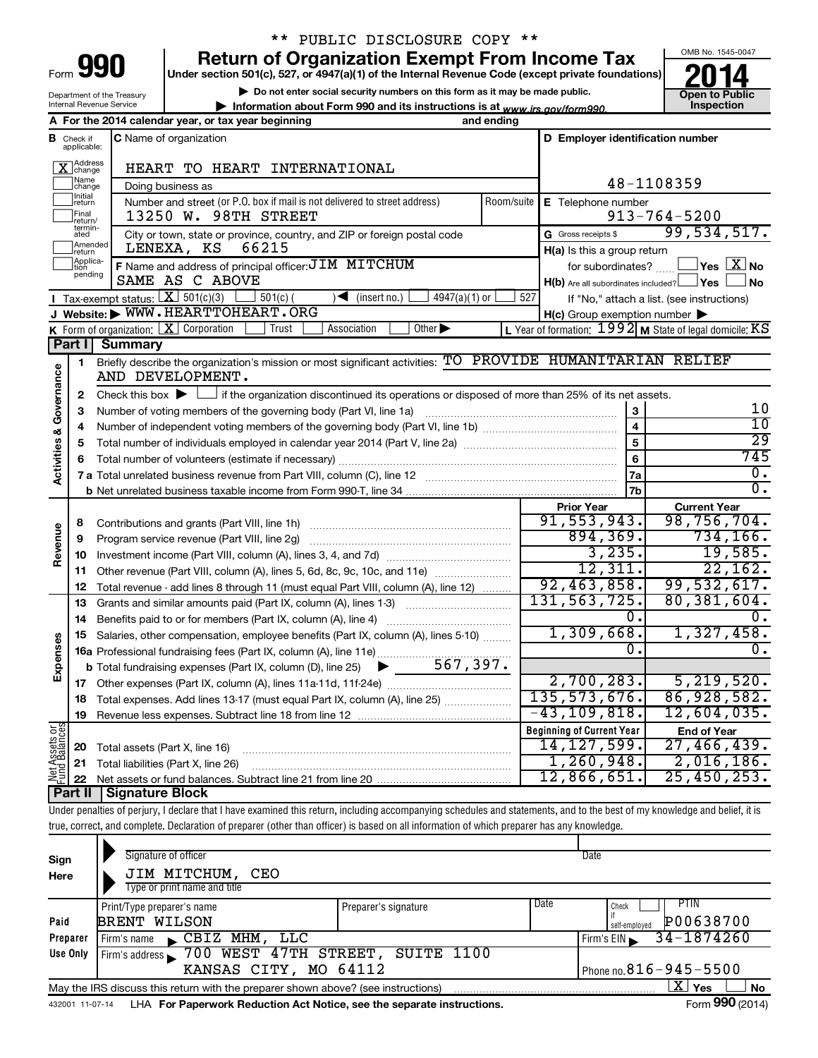| Form |  |
|------|--|

Department of the Treasury Internal Revenue Service

# \*\* PUBLIC DISCLOSURE COPY \*\*

**Under section 501(c), 527, or 4947(a)(1) of the Internal Revenue Code (except private foundations) 990 Return of Organization Exempt From Income Tax 1990 2014 Divide the section 501(c)**, 527, or 4947(a)(1) of the Internal Revenue Code (except private foundations) **2014** 

**| Do not enter social security numbers on this form as it may be made public.**

**| Information about Form 990 and its instructions is at www.irs.gov/form990.** | Inspection



|                                |                               | A For the 2014 calendar year, or tax year beginning                                                                                         | and ending |                                                     |                                                                        |  |  |  |
|--------------------------------|-------------------------------|---------------------------------------------------------------------------------------------------------------------------------------------|------------|-----------------------------------------------------|------------------------------------------------------------------------|--|--|--|
|                                | <b>B</b> Check if applicable: | <b>C</b> Name of organization                                                                                                               |            | D Employer identification number                    |                                                                        |  |  |  |
|                                | Address<br>]change            | HEART TO HEART INTERNATIONAL                                                                                                                |            |                                                     |                                                                        |  |  |  |
|                                | Name<br>change                | Doing business as                                                                                                                           |            |                                                     | 48-1108359                                                             |  |  |  |
|                                | Initial<br> return            | Number and street (or P.O. box if mail is not delivered to street address)                                                                  | Room/suite | E Telephone number                                  |                                                                        |  |  |  |
|                                | Final<br>return/              | 13250 W. 98TH STREET                                                                                                                        |            | $913 - 764 - 5200$                                  |                                                                        |  |  |  |
|                                | termin-<br>ated               | City or town, state or province, country, and ZIP or foreign postal code                                                                    |            | G Gross receipts \$                                 | 99,534,517.                                                            |  |  |  |
|                                | Amended<br>return             | 66215<br>LENEXA, KS                                                                                                                         |            | H(a) Is this a group return                         |                                                                        |  |  |  |
|                                | Applica-<br>Ition             | F Name and address of principal officer: $\overline{JIM}$ MITCHUM                                                                           |            | for subordinates?                                   | $Yes \quad \boxed{X}$ No                                               |  |  |  |
|                                | pending                       | SAME AS C ABOVE                                                                                                                             |            | $H(b)$ Are all subordinates included? $\Box$ Yes    | <b>No</b>                                                              |  |  |  |
|                                |                               | <b>I</b> Tax-exempt status: $X \overline{301(c)(3)}$<br>$501(c)$ (<br>$\sqrt{\frac{1}{1}}$ (insert no.)<br>$4947(a)(1)$ or                  | 527        |                                                     | If "No," attach a list. (see instructions)                             |  |  |  |
|                                |                               | J Website: WWW.HEARTTOHEART.ORG                                                                                                             |            | $H(c)$ Group exemption number $\blacktriangleright$ |                                                                        |  |  |  |
|                                |                               | K Form of organization: $X$ Corporation<br>Other $\blacktriangleright$<br>Trust<br>Association                                              |            |                                                     | L Year of formation: $1992$ M State of legal domicile: $\overline{KS}$ |  |  |  |
|                                | Part I                        | <b>Summary</b>                                                                                                                              |            |                                                     |                                                                        |  |  |  |
| Governance                     | 1                             | Briefly describe the organization's mission or most significant activities: TO PROVIDE HUMANITARIAN RELIEF<br>AND DEVELOPMENT.              |            |                                                     |                                                                        |  |  |  |
|                                | 2                             | Check this box $\blacktriangleright$ $\Box$ if the organization discontinued its operations or disposed of more than 25% of its net assets. |            |                                                     |                                                                        |  |  |  |
|                                | 3                             | Number of voting members of the governing body (Part VI, line 1a)                                                                           |            | 3                                                   | 10                                                                     |  |  |  |
|                                | 4                             |                                                                                                                                             |            | $\overline{\mathbf{4}}$                             | 10                                                                     |  |  |  |
|                                | 5                             |                                                                                                                                             |            | 5                                                   | $\overline{29}$                                                        |  |  |  |
| <b>Activities &amp;</b>        | 6                             |                                                                                                                                             |            | 6                                                   | 745                                                                    |  |  |  |
|                                |                               |                                                                                                                                             |            |                                                     | $\overline{0}$ .                                                       |  |  |  |
|                                |                               |                                                                                                                                             |            | 7b                                                  | σ.                                                                     |  |  |  |
|                                |                               |                                                                                                                                             |            | <b>Prior Year</b>                                   | <b>Current Year</b>                                                    |  |  |  |
|                                | 8                             | Contributions and grants (Part VIII, line 1h)                                                                                               |            | 91,553,943.                                         | 98,756,704.                                                            |  |  |  |
| Revenue                        | 9                             | Program service revenue (Part VIII, line 2g)                                                                                                |            | 894, 369.                                           | 734, 166.                                                              |  |  |  |
|                                | 10                            |                                                                                                                                             |            | 3,235.                                              | 19,585.                                                                |  |  |  |
|                                | 11                            | Other revenue (Part VIII, column (A), lines 5, 6d, 8c, 9c, 10c, and 11e)                                                                    |            | 12,311.                                             | 22,162.                                                                |  |  |  |
|                                | 12                            | Total revenue - add lines 8 through 11 (must equal Part VIII, column (A), line 12)                                                          |            | 92,463,858.                                         | 99,532,617.                                                            |  |  |  |
|                                | 13                            | Grants and similar amounts paid (Part IX, column (A), lines 1-3)                                                                            |            | 131, 563, 725.                                      | 80, 381, 604.                                                          |  |  |  |
|                                | 14                            | Benefits paid to or for members (Part IX, column (A), line 4)                                                                               |            | Ο.                                                  | 0.                                                                     |  |  |  |
|                                | 15                            | Salaries, other compensation, employee benefits (Part IX, column (A), lines 5-10)                                                           |            | 1,309,668.                                          | 1,327,458.                                                             |  |  |  |
| Expenses                       |                               |                                                                                                                                             |            | 0.                                                  | $\overline{0}$ .                                                       |  |  |  |
|                                |                               |                                                                                                                                             |            |                                                     |                                                                        |  |  |  |
|                                | 17                            |                                                                                                                                             |            | 2,700,283.                                          | 5, 219, 520.                                                           |  |  |  |
|                                | 18                            | Total expenses. Add lines 13-17 (must equal Part IX, column (A), line 25)                                                                   |            | 135, 573, 676.                                      | 86,928,582.                                                            |  |  |  |
|                                | 19                            |                                                                                                                                             |            | $-43, 109, 818.$                                    | 12,604,035.                                                            |  |  |  |
| Net Assets or<br>Fund Balances |                               |                                                                                                                                             |            | <b>Beginning of Current Year</b>                    | <b>End of Year</b>                                                     |  |  |  |
|                                | 20                            | Total assets (Part X, line 16)                                                                                                              |            | 14, 127, 599.                                       | 27,466,439.                                                            |  |  |  |
|                                | 21                            | Total liabilities (Part X, line 26)                                                                                                         |            | 1, 260, 948.                                        | 2,016,186.                                                             |  |  |  |
|                                | 22                            |                                                                                                                                             |            | 12,866,651.                                         | 25,450,253.                                                            |  |  |  |
|                                | Part II                       | <b>Signature Block</b>                                                                                                                      |            |                                                     |                                                                        |  |  |  |

Under penalties of perjury, I declare that I have examined this return, including accompanying schedules and statements, and to the best of my knowledge and belief, it is true, correct, and complete. Declaration of preparer (other than officer) is based on all information of which preparer has any knowledge.

| Sign<br>Here                                                                                                       | Signature of officer<br>JIM MITCHUM,<br>CEO<br>Type or print name and title                                  |                      |      | Date                                        |  |  |  |  |
|--------------------------------------------------------------------------------------------------------------------|--------------------------------------------------------------------------------------------------------------|----------------------|------|---------------------------------------------|--|--|--|--|
| Paid                                                                                                               | Print/Type preparer's name<br><b>BRENT WILSON</b>                                                            | Preparer's signature | Date | PTIN<br>Check<br>P00638700<br>self-employed |  |  |  |  |
| Preparer                                                                                                           | CBIZ MHM, LLC<br>Firm's name<br>$\blacksquare$                                                               |                      |      | 34-1874260<br>Firm's $EIN$                  |  |  |  |  |
| Use Only                                                                                                           | Firm's address 300 WEST 47TH STREET,                                                                         |                      |      |                                             |  |  |  |  |
| $\sqrt{P_{\text{None no.}}816 - 945 - 5500}$<br>KANSAS CITY, MO 64112                                              |                                                                                                              |                      |      |                                             |  |  |  |  |
| $\mathbf{X}$ Yes<br><b>No</b><br>May the IRS discuss this return with the preparer shown above? (see instructions) |                                                                                                              |                      |      |                                             |  |  |  |  |
|                                                                                                                    | Form 990 (2014)<br>LHA For Paperwork Reduction Act Notice, see the separate instructions.<br>432001 11-07-14 |                      |      |                                             |  |  |  |  |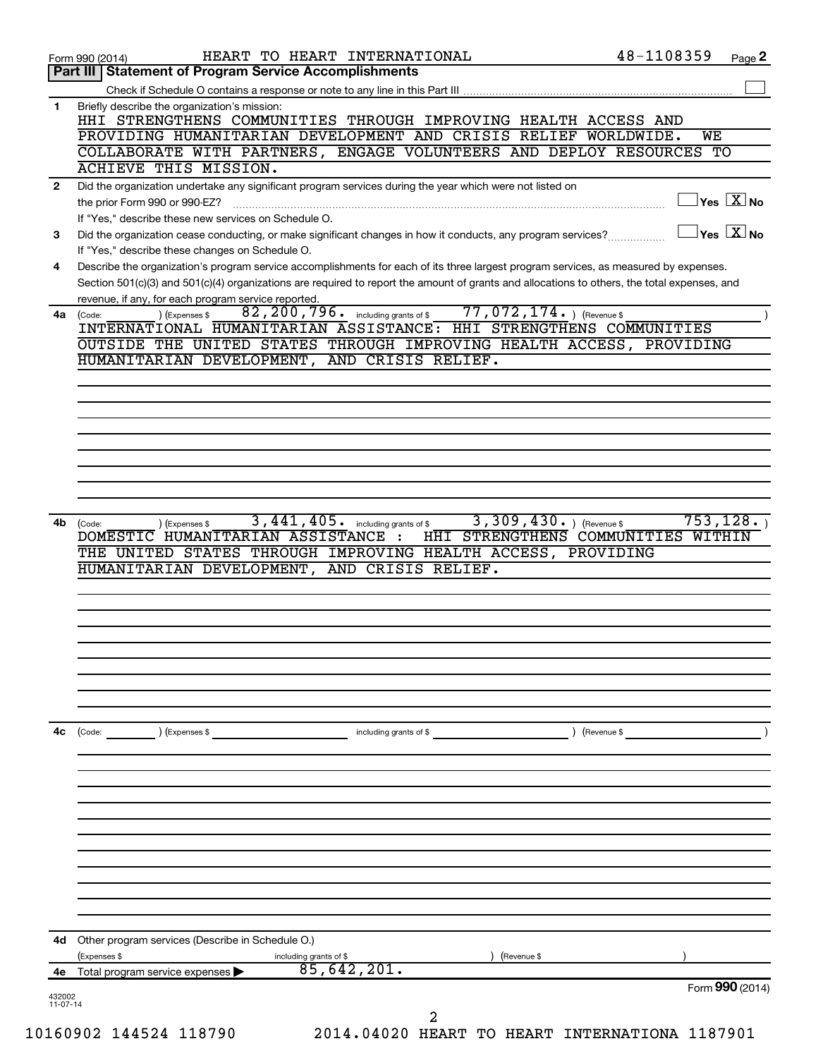|              | Page 2<br>Form 990 (2014)                                                                                                                                                           |
|--------------|-------------------------------------------------------------------------------------------------------------------------------------------------------------------------------------|
|              | Part III   Statement of Program Service Accomplishments                                                                                                                             |
|              |                                                                                                                                                                                     |
| 1            | Briefly describe the organization's mission:<br>HHI STRENGTHENS COMMUNITIES THROUGH IMPROVING HEALTH ACCESS AND                                                                     |
|              | PROVIDING HUMANITARIAN DEVELOPMENT AND CRISIS RELIEF WORLDWIDE.<br>WE                                                                                                               |
|              | COLLABORATE WITH PARTNERS, ENGAGE VOLUNTEERS AND DEPLOY RESOURCES TO                                                                                                                |
|              | ACHIEVE THIS MISSION.                                                                                                                                                               |
| $\mathbf{2}$ | Did the organization undertake any significant program services during the year which were not listed on                                                                            |
|              | $\sqrt{}$ Yes $\sqrt{ \ \overline{\mathrm{X}}}$ No<br>the prior Form 990 or 990-EZ?                                                                                                 |
|              | If "Yes," describe these new services on Schedule O.                                                                                                                                |
| 3            | $ {\mathsf Y}{\mathsf e}{\mathsf s}^\top\overline{{\mathbf X}} $ No<br>Did the organization cease conducting, or make significant changes in how it conducts, any program services? |
|              | If "Yes," describe these changes on Schedule O.                                                                                                                                     |
| 4            | Describe the organization's program service accomplishments for each of its three largest program services, as measured by expenses.                                                |
|              | Section 501(c)(3) and 501(c)(4) organizations are required to report the amount of grants and allocations to others, the total expenses, and                                        |
|              | revenue, if any, for each program service reported.                                                                                                                                 |
| 4a           | $77,072,174.$ (Revenue \$)<br>82, 200, 796. including grants of \$<br>) (Expenses \$<br>(Code:                                                                                      |
|              | INTERNATIONAL HUMANITARIAN ASSISTANCE: HHI STRENGTHENS COMMUNITIES                                                                                                                  |
|              | OUTSIDE THE UNITED STATES THROUGH IMPROVING HEALTH ACCESS, PROVIDING                                                                                                                |
|              | HUMANITARIAN DEVELOPMENT,<br>AND CRISIS RELIEF.                                                                                                                                     |
|              |                                                                                                                                                                                     |
|              |                                                                                                                                                                                     |
|              |                                                                                                                                                                                     |
|              |                                                                                                                                                                                     |
|              |                                                                                                                                                                                     |
|              |                                                                                                                                                                                     |
|              |                                                                                                                                                                                     |
|              |                                                                                                                                                                                     |
|              | 3,309,430.<br>3,441,405.<br>including grants of \$<br>) (Revenue \$<br>(Code:<br>(Expenses \$<br>DOMESTIC HUMANITARIAN ASSISTANCE :                                                 |
|              | THE UNITED STATES THROUGH IMPROVING HEALTH ACCESS, PROVIDING<br>HUMANITARIAN DEVELOPMENT, AND CRISIS RELIEF.                                                                        |
|              |                                                                                                                                                                                     |
|              |                                                                                                                                                                                     |
|              |                                                                                                                                                                                     |
|              |                                                                                                                                                                                     |
|              |                                                                                                                                                                                     |
|              |                                                                                                                                                                                     |
|              |                                                                                                                                                                                     |
|              |                                                                                                                                                                                     |
|              | including grants of \$<br>) (Revenue \$<br>(Code:<br>(Expenses \$                                                                                                                   |
|              |                                                                                                                                                                                     |
|              |                                                                                                                                                                                     |
|              |                                                                                                                                                                                     |
|              |                                                                                                                                                                                     |
|              |                                                                                                                                                                                     |
|              |                                                                                                                                                                                     |
|              |                                                                                                                                                                                     |
|              |                                                                                                                                                                                     |
|              |                                                                                                                                                                                     |
|              |                                                                                                                                                                                     |
| 4b<br>4с     |                                                                                                                                                                                     |
| 4d           | Other program services (Describe in Schedule O.)                                                                                                                                    |
|              | 753, 128.<br>HHI STRENGTHENS COMMUNITIES WITHIN<br>(Expenses \$<br>including grants of \$<br>(Revenue \$                                                                            |
| 4е           | 85,642,201.<br>Total program service expenses<br>Form 990 (2014)                                                                                                                    |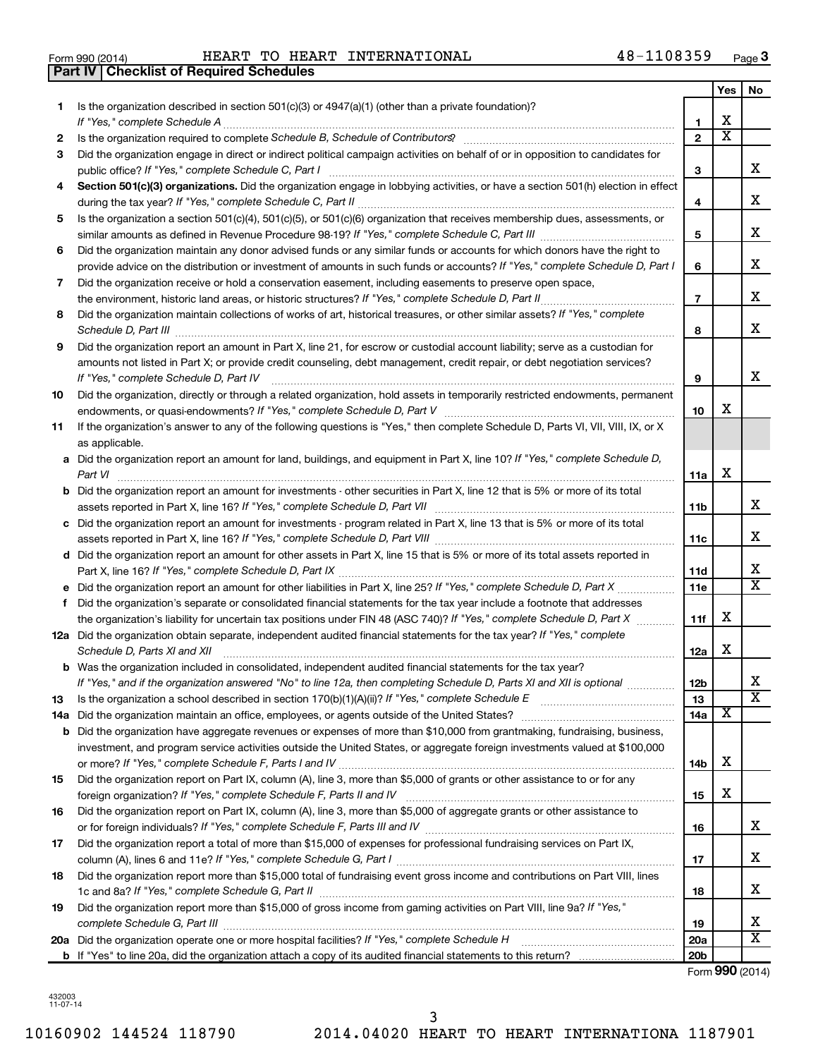| Form 990 (2014) |  |  |
|-----------------|--|--|

**Part IV Checklist of Required Schedules**

Form 990 (2014) Page HEART TO HEART INTERNATIONAL 48-1108359

|     |                                                                                                                                                                                                                                |                 | Yes                     | No                      |
|-----|--------------------------------------------------------------------------------------------------------------------------------------------------------------------------------------------------------------------------------|-----------------|-------------------------|-------------------------|
| 1   | Is the organization described in section $501(c)(3)$ or $4947(a)(1)$ (other than a private foundation)?                                                                                                                        |                 |                         |                         |
|     | If "Yes," complete Schedule A                                                                                                                                                                                                  | 1               | х                       |                         |
| 2   | Is the organization required to complete Schedule B, Schedule of Contributors? [11] non-content content of the organization required to complete Schedule B, Schedule of Contributors? [11] non-content of the organization re | $\overline{2}$  | $\overline{\textbf{x}}$ |                         |
| 3   | Did the organization engage in direct or indirect political campaign activities on behalf of or in opposition to candidates for                                                                                                |                 |                         |                         |
|     |                                                                                                                                                                                                                                | З               |                         | х                       |
| 4   | Section 501(c)(3) organizations. Did the organization engage in lobbying activities, or have a section 501(h) election in effect                                                                                               |                 |                         | x                       |
|     |                                                                                                                                                                                                                                | 4               |                         |                         |
| 5   | Is the organization a section 501(c)(4), 501(c)(5), or 501(c)(6) organization that receives membership dues, assessments, or                                                                                                   |                 |                         | х                       |
|     | Did the organization maintain any donor advised funds or any similar funds or accounts for which donors have the right to                                                                                                      | 5               |                         |                         |
| 6   | provide advice on the distribution or investment of amounts in such funds or accounts? If "Yes," complete Schedule D, Part I                                                                                                   | 6               |                         | x                       |
| 7   | Did the organization receive or hold a conservation easement, including easements to preserve open space,                                                                                                                      |                 |                         |                         |
|     |                                                                                                                                                                                                                                | $\overline{7}$  |                         | х                       |
| 8   | Did the organization maintain collections of works of art, historical treasures, or other similar assets? If "Yes," complete                                                                                                   |                 |                         |                         |
|     |                                                                                                                                                                                                                                | 8               |                         | х                       |
| 9   | Did the organization report an amount in Part X, line 21, for escrow or custodial account liability; serve as a custodian for                                                                                                  |                 |                         |                         |
|     | amounts not listed in Part X; or provide credit counseling, debt management, credit repair, or debt negotiation services?                                                                                                      |                 |                         |                         |
|     | If "Yes," complete Schedule D, Part IV                                                                                                                                                                                         | 9               |                         | х                       |
| 10  | Did the organization, directly or through a related organization, hold assets in temporarily restricted endowments, permanent                                                                                                  |                 |                         |                         |
|     |                                                                                                                                                                                                                                | 10              | x                       |                         |
| 11  | If the organization's answer to any of the following questions is "Yes," then complete Schedule D, Parts VI, VII, VIII, IX, or X                                                                                               |                 |                         |                         |
|     | as applicable.                                                                                                                                                                                                                 |                 |                         |                         |
|     | a Did the organization report an amount for land, buildings, and equipment in Part X, line 10? If "Yes," complete Schedule D,                                                                                                  |                 |                         |                         |
|     | Part VI                                                                                                                                                                                                                        | 11a             | х                       |                         |
|     | <b>b</b> Did the organization report an amount for investments - other securities in Part X, line 12 that is 5% or more of its total                                                                                           |                 |                         |                         |
|     |                                                                                                                                                                                                                                | 11 <sub>b</sub> |                         | x                       |
|     | c Did the organization report an amount for investments - program related in Part X, line 13 that is 5% or more of its total                                                                                                   |                 |                         | x                       |
|     |                                                                                                                                                                                                                                | 11c             |                         |                         |
|     | d Did the organization report an amount for other assets in Part X, line 15 that is 5% or more of its total assets reported in                                                                                                 |                 |                         | x                       |
|     |                                                                                                                                                                                                                                | 11d<br>11e      |                         | $\overline{\texttt{x}}$ |
| f   | Did the organization's separate or consolidated financial statements for the tax year include a footnote that addresses                                                                                                        |                 |                         |                         |
|     | the organization's liability for uncertain tax positions under FIN 48 (ASC 740)? If "Yes," complete Schedule D, Part X                                                                                                         | 11f             | x                       |                         |
|     | 12a Did the organization obtain separate, independent audited financial statements for the tax year? If "Yes," complete                                                                                                        |                 |                         |                         |
|     | Schedule D, Parts XI and XII                                                                                                                                                                                                   | 12a             | x                       |                         |
|     | <b>b</b> Was the organization included in consolidated, independent audited financial statements for the tax year?                                                                                                             |                 |                         |                         |
|     | If "Yes," and if the organization answered "No" to line 12a, then completing Schedule D, Parts XI and XII is optional                                                                                                          | 12 <sub>b</sub> |                         |                         |
| 13  |                                                                                                                                                                                                                                | 13              |                         | $\overline{\text{x}}$   |
| 14a |                                                                                                                                                                                                                                | 14a             | X                       |                         |
| b   | Did the organization have aggregate revenues or expenses of more than \$10,000 from grantmaking, fundraising, business,                                                                                                        |                 |                         |                         |
|     | investment, and program service activities outside the United States, or aggregate foreign investments valued at \$100,000                                                                                                     |                 |                         |                         |
|     |                                                                                                                                                                                                                                | 14b             | х                       |                         |
| 15  | Did the organization report on Part IX, column (A), line 3, more than \$5,000 of grants or other assistance to or for any                                                                                                      |                 |                         |                         |
|     |                                                                                                                                                                                                                                | 15              | х                       |                         |
| 16  | Did the organization report on Part IX, column (A), line 3, more than \$5,000 of aggregate grants or other assistance to                                                                                                       |                 |                         |                         |
|     |                                                                                                                                                                                                                                | 16              |                         | x                       |
| 17  | Did the organization report a total of more than \$15,000 of expenses for professional fundraising services on Part IX,                                                                                                        |                 |                         | x                       |
|     |                                                                                                                                                                                                                                | 17              |                         |                         |
| 18  | Did the organization report more than \$15,000 total of fundraising event gross income and contributions on Part VIII, lines                                                                                                   |                 |                         | x                       |
| 19  | Did the organization report more than \$15,000 of gross income from gaming activities on Part VIII, line 9a? If "Yes,"                                                                                                         | 18              |                         |                         |
|     |                                                                                                                                                                                                                                | 19              |                         | x                       |
|     | 20a Did the organization operate one or more hospital facilities? If "Yes," complete Schedule H                                                                                                                                | 20a             |                         | X                       |
|     |                                                                                                                                                                                                                                | 20 <sub>b</sub> |                         |                         |
|     |                                                                                                                                                                                                                                |                 |                         |                         |

Form (2014) **990**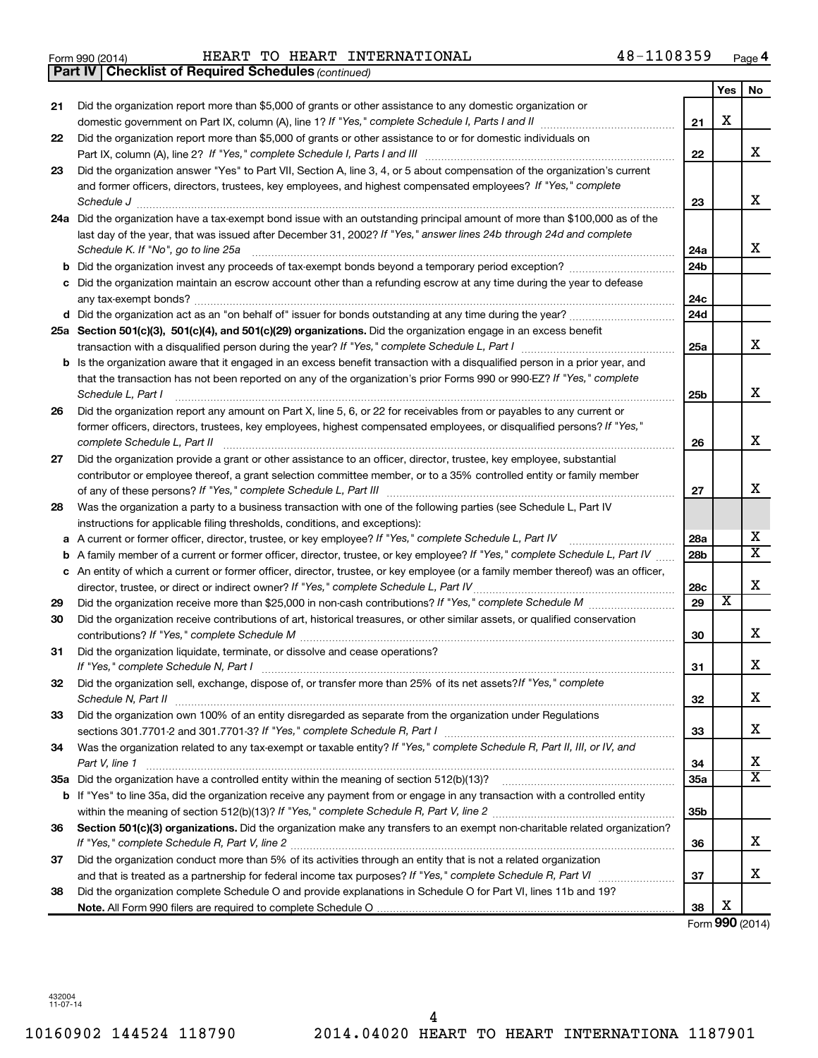Form 990 (2014) Page HEART TO HEART INTERNATIONAL 48-1108359

|    | <b>Part IV   Checklist of Required Schedules (continued)</b>                                                                      |                 |                         |                       |
|----|-----------------------------------------------------------------------------------------------------------------------------------|-----------------|-------------------------|-----------------------|
|    |                                                                                                                                   |                 | Yes                     | No                    |
| 21 | Did the organization report more than \$5,000 of grants or other assistance to any domestic organization or                       |                 |                         |                       |
|    |                                                                                                                                   | 21              | X                       |                       |
| 22 | Did the organization report more than \$5,000 of grants or other assistance to or for domestic individuals on                     |                 |                         |                       |
|    |                                                                                                                                   | 22              |                         | x                     |
| 23 | Did the organization answer "Yes" to Part VII, Section A, line 3, 4, or 5 about compensation of the organization's current        |                 |                         |                       |
|    | and former officers, directors, trustees, key employees, and highest compensated employees? If "Yes," complete                    |                 |                         |                       |
|    |                                                                                                                                   | 23              |                         | X                     |
|    | 24a Did the organization have a tax-exempt bond issue with an outstanding principal amount of more than \$100,000 as of the       |                 |                         |                       |
|    | last day of the year, that was issued after December 31, 2002? If "Yes," answer lines 24b through 24d and complete                |                 |                         |                       |
|    | Schedule K. If "No", go to line 25a                                                                                               | 24a             |                         | x                     |
| b  |                                                                                                                                   | 24 <sub>b</sub> |                         |                       |
|    | Did the organization maintain an escrow account other than a refunding escrow at any time during the year to defease              |                 |                         |                       |
|    |                                                                                                                                   | 24c             |                         |                       |
|    |                                                                                                                                   | 24 <sub>d</sub> |                         |                       |
|    | 25a Section 501(c)(3), 501(c)(4), and 501(c)(29) organizations. Did the organization engage in an excess benefit                  |                 |                         |                       |
|    |                                                                                                                                   | 25a             |                         | X                     |
| b  | Is the organization aware that it engaged in an excess benefit transaction with a disqualified person in a prior year, and        |                 |                         |                       |
|    | that the transaction has not been reported on any of the organization's prior Forms 990 or 990-EZ? If "Yes," complete             |                 |                         |                       |
|    | Schedule L, Part I                                                                                                                | 25b             |                         | X                     |
| 26 | Did the organization report any amount on Part X, line 5, 6, or 22 for receivables from or payables to any current or             |                 |                         |                       |
|    | former officers, directors, trustees, key employees, highest compensated employees, or disqualified persons? If "Yes,"            |                 |                         |                       |
|    | complete Schedule L, Part II                                                                                                      | 26              |                         | X                     |
| 27 | Did the organization provide a grant or other assistance to an officer, director, trustee, key employee, substantial              |                 |                         |                       |
|    | contributor or employee thereof, a grant selection committee member, or to a 35% controlled entity or family member               |                 |                         |                       |
|    |                                                                                                                                   | 27              |                         | X                     |
| 28 | Was the organization a party to a business transaction with one of the following parties (see Schedule L, Part IV                 |                 |                         |                       |
|    | instructions for applicable filing thresholds, conditions, and exceptions):                                                       |                 |                         |                       |
| а  | A current or former officer, director, trustee, or key employee? If "Yes," complete Schedule L, Part IV                           | 28a             |                         | x                     |
| b  | A family member of a current or former officer, director, trustee, or key employee? If "Yes," complete Schedule L, Part IV        | 28 <sub>b</sub> |                         | $\overline{\text{X}}$ |
|    | c An entity of which a current or former officer, director, trustee, or key employee (or a family member thereof) was an officer, |                 |                         |                       |
|    | director, trustee, or direct or indirect owner? If "Yes," complete Schedule L, Part IV                                            | 28c             |                         | X                     |
| 29 |                                                                                                                                   | 29              | $\overline{\textbf{x}}$ |                       |
| 30 | Did the organization receive contributions of art, historical treasures, or other similar assets, or qualified conservation       |                 |                         |                       |
|    |                                                                                                                                   | 30              |                         | х                     |
| 31 | Did the organization liquidate, terminate, or dissolve and cease operations?                                                      |                 |                         |                       |
|    |                                                                                                                                   | 31              |                         | ▵                     |
| 32 | Did the organization sell, exchange, dispose of, or transfer more than 25% of its net assets?/f "Yes," complete                   |                 |                         |                       |
|    |                                                                                                                                   | 32              |                         | x                     |
| 33 | Did the organization own 100% of an entity disregarded as separate from the organization under Regulations                        |                 |                         |                       |
|    |                                                                                                                                   | 33              |                         | х                     |
| 34 | Was the organization related to any tax-exempt or taxable entity? If "Yes," complete Schedule R, Part II, III, or IV, and         |                 |                         |                       |
|    | Part V, line 1                                                                                                                    | 34              |                         | х                     |
|    |                                                                                                                                   | 35a             |                         | $\overline{\text{X}}$ |
|    | b If "Yes" to line 35a, did the organization receive any payment from or engage in any transaction with a controlled entity       |                 |                         |                       |
|    |                                                                                                                                   | 35 <sub>b</sub> |                         |                       |
| 36 | Section 501(c)(3) organizations. Did the organization make any transfers to an exempt non-charitable related organization?        |                 |                         |                       |
|    |                                                                                                                                   | 36              |                         | x                     |
| 37 | Did the organization conduct more than 5% of its activities through an entity that is not a related organization                  |                 |                         |                       |
|    |                                                                                                                                   | 37              |                         | x                     |
| 38 | Did the organization complete Schedule O and provide explanations in Schedule O for Part VI, lines 11b and 19?                    |                 |                         |                       |
|    |                                                                                                                                   | 38              | х                       |                       |

Form (2014) **990**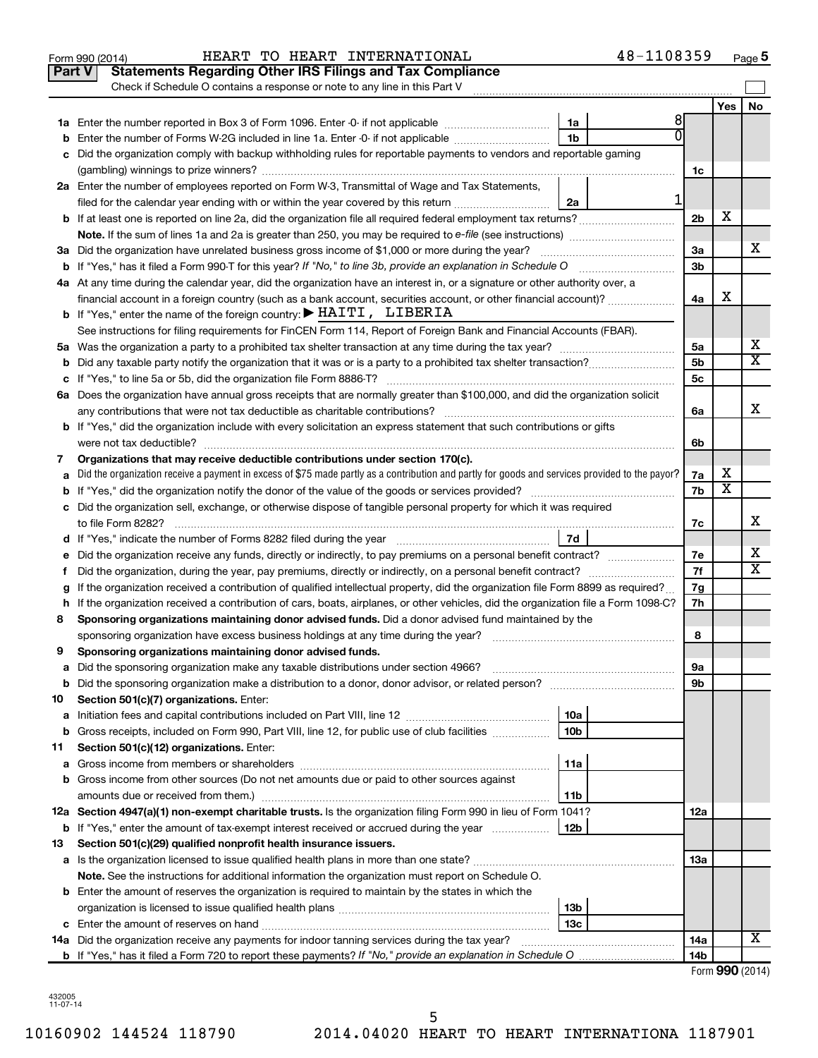|        | 48-1108359<br>HEART TO HEART INTERNATIONAL<br>Form 990 (2014)                                                                                   |                |                         | Page 5                  |
|--------|-------------------------------------------------------------------------------------------------------------------------------------------------|----------------|-------------------------|-------------------------|
| Part V | <b>Statements Regarding Other IRS Filings and Tax Compliance</b>                                                                                |                |                         |                         |
|        | Check if Schedule O contains a response or note to any line in this Part V                                                                      |                |                         |                         |
|        |                                                                                                                                                 |                | Yes                     | No                      |
|        | 8<br>1a                                                                                                                                         |                |                         |                         |
| b      | Enter the number of Forms W-2G included in line 1a. Enter -0- if not applicable<br>1b                                                           |                |                         |                         |
| с      | Did the organization comply with backup withholding rules for reportable payments to vendors and reportable gaming                              |                |                         |                         |
|        |                                                                                                                                                 | 1c             |                         |                         |
|        | 2a Enter the number of employees reported on Form W-3, Transmittal of Wage and Tax Statements,                                                  |                |                         |                         |
|        | 1<br>filed for the calendar year ending with or within the year covered by this return<br>2a                                                    |                |                         |                         |
|        | <b>b</b> If at least one is reported on line 2a, did the organization file all required federal employment tax returns?                         | 2 <sub>b</sub> | х                       |                         |
|        |                                                                                                                                                 |                |                         |                         |
|        | 3a Did the organization have unrelated business gross income of \$1,000 or more during the year?                                                | За             |                         | x                       |
|        | <b>b</b> If "Yes," has it filed a Form 990-T for this year? If "No," to line 3b, provide an explanation in Schedule O                           | 3b             |                         |                         |
|        | 4a At any time during the calendar year, did the organization have an interest in, or a signature or other authority over, a                    |                |                         |                         |
|        | financial account in a foreign country (such as a bank account, securities account, or other financial account)?                                | 4a             | X                       |                         |
|        | b If "Yes," enter the name of the foreign country: $\blacktriangleright$ HAITI, LIBERIA                                                         |                |                         |                         |
|        | See instructions for filing requirements for FinCEN Form 114, Report of Foreign Bank and Financial Accounts (FBAR).                             |                |                         |                         |
|        |                                                                                                                                                 | 5a             |                         | x                       |
| b      | Did any taxable party notify the organization that it was or is a party to a prohibited tax shelter transaction?                                | 5b             |                         | $\overline{\mathtt{x}}$ |
| с      |                                                                                                                                                 | 5c             |                         |                         |
| 6a     | Does the organization have annual gross receipts that are normally greater than \$100,000, and did the organization solicit                     |                |                         |                         |
|        | any contributions that were not tax deductible as charitable contributions?                                                                     | 6a             |                         | X                       |
|        | b If "Yes," did the organization include with every solicitation an express statement that such contributions or gifts                          |                |                         |                         |
|        |                                                                                                                                                 | 6b             |                         |                         |
| 7      | Organizations that may receive deductible contributions under section 170(c).                                                                   |                |                         |                         |
| а      | Did the organization receive a payment in excess of \$75 made partly as a contribution and partly for goods and services provided to the payor? | 7a             | Χ                       |                         |
| b      |                                                                                                                                                 | 7b             | $\overline{\texttt{x}}$ |                         |
|        | c Did the organization sell, exchange, or otherwise dispose of tangible personal property for which it was required                             |                |                         |                         |
|        | to file Form 8282?                                                                                                                              | 7c             |                         | х                       |
|        | 7d                                                                                                                                              |                |                         |                         |
| е      | Did the organization receive any funds, directly or indirectly, to pay premiums on a personal benefit contract?                                 | 7е             |                         | x                       |
| Ť.     | Did the organization, during the year, pay premiums, directly or indirectly, on a personal benefit contract?                                    | 7f             |                         | $\overline{\mathtt{x}}$ |
| g      | If the organization received a contribution of qualified intellectual property, did the organization file Form 8899 as required?                | 7g             |                         |                         |
|        | h If the organization received a contribution of cars, boats, airplanes, or other vehicles, did the organization file a Form 1098-C?            | 7h             |                         |                         |
| 8      | Sponsoring organizations maintaining donor advised funds. Did a donor advised fund maintained by the                                            |                |                         |                         |
|        | sponsoring organization have excess business holdings at any time during the year?                                                              | 8              |                         |                         |
| 9      | Sponsoring organizations maintaining donor advised funds.                                                                                       |                |                         |                         |
| а      | Did the sponsoring organization make any taxable distributions under section 4966?                                                              | 9а             |                         |                         |
| b      | Did the sponsoring organization make a distribution to a donor, donor advisor, or related person?                                               | 9b             |                         |                         |
| 10     | Section 501(c)(7) organizations. Enter:                                                                                                         |                |                         |                         |
| а      | 10a                                                                                                                                             |                |                         |                         |
| b      | Gross receipts, included on Form 990, Part VIII, line 12, for public use of club facilities<br>10 <sub>b</sub>                                  |                |                         |                         |
| 11     | Section 501(c)(12) organizations. Enter:                                                                                                        |                |                         |                         |
| а      | 11a                                                                                                                                             |                |                         |                         |
| b      | Gross income from other sources (Do not net amounts due or paid to other sources against                                                        |                |                         |                         |
|        | 11b                                                                                                                                             |                |                         |                         |
|        | 12a Section 4947(a)(1) non-exempt charitable trusts. Is the organization filing Form 990 in lieu of Form 1041?                                  | 12a            |                         |                         |
| b      | If "Yes," enter the amount of tax-exempt interest received or accrued during the year<br>12b                                                    |                |                         |                         |
| 13     | Section 501(c)(29) qualified nonprofit health insurance issuers.                                                                                |                |                         |                         |
| а      |                                                                                                                                                 | 13а            |                         |                         |
|        | Note. See the instructions for additional information the organization must report on Schedule O.                                               |                |                         |                         |
|        | <b>b</b> Enter the amount of reserves the organization is required to maintain by the states in which the                                       |                |                         |                         |
|        | 13b                                                                                                                                             |                |                         |                         |
|        | 13 <sub>c</sub>                                                                                                                                 |                |                         | X                       |
| 14a    | Did the organization receive any payments for indoor tanning services during the tax year?                                                      | 14a<br>14b     |                         |                         |
|        |                                                                                                                                                 |                |                         | $Form$ QQ $\cap$ (2014) |

| Form 990 (2014) |  |
|-----------------|--|
|-----------------|--|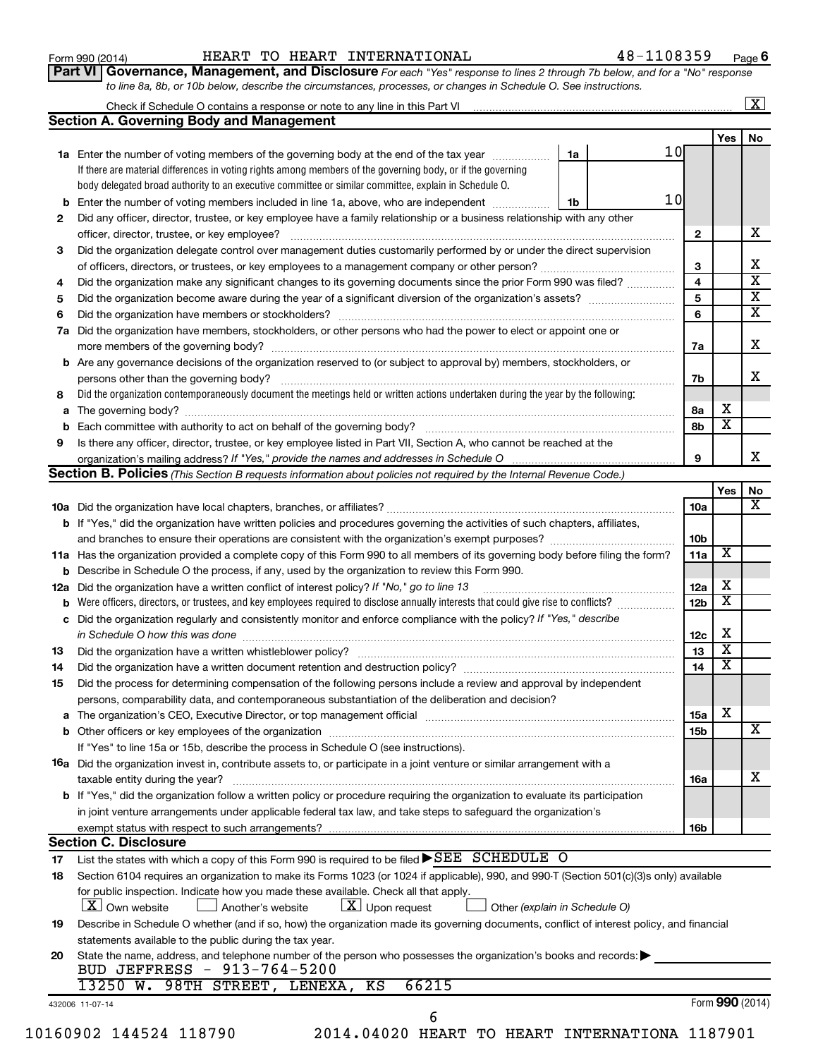| Form 990 (2014) |  |
|-----------------|--|
|-----------------|--|

#### Form 990 (2014) Page HEART TO HEART INTERNATIONAL 48-1108359

**Part VI** Governance, Management, and Disclosure For each "Yes" response to lines 2 through 7b below, and for a "No" response *to line 8a, 8b, or 10b below, describe the circumstances, processes, or changes in Schedule O. See instructions.*

|     | Check if Schedule O contains a response or note to any line in this Part VI                                                                                                                                                    |    |  |                 |                         | $\overline{\mathbf{x}}$ |
|-----|--------------------------------------------------------------------------------------------------------------------------------------------------------------------------------------------------------------------------------|----|--|-----------------|-------------------------|-------------------------|
|     | <b>Section A. Governing Body and Management</b>                                                                                                                                                                                |    |  |                 |                         |                         |
|     |                                                                                                                                                                                                                                |    |  |                 | <b>Yes</b>              | No                      |
|     | 1a Enter the number of voting members of the governing body at the end of the tax year <i>manumum</i>                                                                                                                          | 1a |  | 10 <sub>l</sub> |                         |                         |
|     | If there are material differences in voting rights among members of the governing body, or if the governing                                                                                                                    |    |  |                 |                         |                         |
|     | body delegated broad authority to an executive committee or similar committee, explain in Schedule O.                                                                                                                          |    |  |                 |                         |                         |
| b   | Enter the number of voting members included in line 1a, above, who are independent                                                                                                                                             | 1b |  | 10              |                         |                         |
| 2   | Did any officer, director, trustee, or key employee have a family relationship or a business relationship with any other                                                                                                       |    |  |                 |                         |                         |
|     |                                                                                                                                                                                                                                |    |  | $\mathbf{2}$    |                         |                         |
| 3   | Did the organization delegate control over management duties customarily performed by or under the direct supervision                                                                                                          |    |  |                 |                         |                         |
|     |                                                                                                                                                                                                                                |    |  | 3               |                         |                         |
| 4   | Did the organization make any significant changes to its governing documents since the prior Form 990 was filed?                                                                                                               |    |  | $\overline{4}$  |                         |                         |
| 5   |                                                                                                                                                                                                                                |    |  | 5               |                         |                         |
| 6   |                                                                                                                                                                                                                                |    |  | 6               |                         |                         |
| 7a  | Did the organization have members, stockholders, or other persons who had the power to elect or appoint one or                                                                                                                 |    |  |                 |                         |                         |
|     |                                                                                                                                                                                                                                |    |  | 7a              |                         |                         |
|     | <b>b</b> Are any governance decisions of the organization reserved to (or subject to approval by) members, stockholders, or                                                                                                    |    |  |                 |                         |                         |
|     | persons other than the governing body?                                                                                                                                                                                         |    |  | 7b              |                         |                         |
|     | Did the organization contemporaneously document the meetings held or written actions undertaken during the year by the following:                                                                                              |    |  |                 |                         |                         |
| 8   |                                                                                                                                                                                                                                |    |  |                 | х                       |                         |
| а   |                                                                                                                                                                                                                                |    |  | 8а              | $\overline{\textbf{x}}$ |                         |
|     |                                                                                                                                                                                                                                |    |  | 8b              |                         |                         |
| 9   | Is there any officer, director, trustee, or key employee listed in Part VII, Section A, who cannot be reached at the                                                                                                           |    |  |                 |                         |                         |
|     | organization's mailing address? If "Yes," provide the names and addresses in Schedule O                                                                                                                                        |    |  | 9               |                         |                         |
|     | Section B. Policies (This Section B requests information about policies not required by the Internal Revenue Code.)                                                                                                            |    |  |                 |                         |                         |
|     |                                                                                                                                                                                                                                |    |  |                 | Yes                     |                         |
|     |                                                                                                                                                                                                                                |    |  | 10a             |                         |                         |
|     | b If "Yes," did the organization have written policies and procedures governing the activities of such chapters, affiliates,                                                                                                   |    |  |                 |                         |                         |
|     |                                                                                                                                                                                                                                |    |  | 10 <sub>b</sub> |                         |                         |
|     | 11a Has the organization provided a complete copy of this Form 990 to all members of its governing body before filing the form?                                                                                                |    |  | 11a             | X                       |                         |
|     | <b>b</b> Describe in Schedule O the process, if any, used by the organization to review this Form 990.                                                                                                                         |    |  |                 |                         |                         |
| 12a | Did the organization have a written conflict of interest policy? If "No," go to line 13                                                                                                                                        |    |  | 12a             | х                       |                         |
|     | Were officers, directors, or trustees, and key employees required to disclose annually interests that could give rise to conflicts?                                                                                            |    |  | 12 <sub>b</sub> | $\overline{\textbf{x}}$ |                         |
| с   | Did the organization regularly and consistently monitor and enforce compliance with the policy? If "Yes," describe                                                                                                             |    |  |                 |                         |                         |
|     | in Schedule O how this was done manufactured and continuum control of the state of the state of the state of t                                                                                                                 |    |  | 12 <sub>c</sub> | X                       |                         |
| 13  |                                                                                                                                                                                                                                |    |  | 13              | $\overline{\textbf{x}}$ |                         |
| 14  | Did the organization have a written document retention and destruction policy? [11] manufaction manufaction in                                                                                                                 |    |  | 14              | $\overline{\textbf{x}}$ |                         |
| 15  | Did the process for determining compensation of the following persons include a review and approval by independent                                                                                                             |    |  |                 |                         |                         |
|     | persons, comparability data, and contemporaneous substantiation of the deliberation and decision?                                                                                                                              |    |  |                 |                         |                         |
|     | a The organization's CEO, Executive Director, or top management official manufactured content content of the organization's CEO, Executive Director, or top management official manufactured content of the state of the state |    |  | 15a             | х                       |                         |
|     |                                                                                                                                                                                                                                |    |  | 15b             |                         |                         |
|     | If "Yes" to line 15a or 15b, describe the process in Schedule O (see instructions).                                                                                                                                            |    |  |                 |                         |                         |
|     |                                                                                                                                                                                                                                |    |  |                 |                         |                         |
|     | 16a Did the organization invest in, contribute assets to, or participate in a joint venture or similar arrangement with a                                                                                                      |    |  |                 |                         |                         |
|     | taxable entity during the year?                                                                                                                                                                                                |    |  | <b>16a</b>      |                         |                         |
|     | <b>b</b> If "Yes," did the organization follow a written policy or procedure requiring the organization to evaluate its participation                                                                                          |    |  |                 |                         |                         |
|     | in joint venture arrangements under applicable federal tax law, and take steps to safeguard the organization's                                                                                                                 |    |  |                 |                         |                         |
|     | exempt status with respect to such arrangements?                                                                                                                                                                               |    |  | 16b             |                         |                         |
|     | <b>Section C. Disclosure</b>                                                                                                                                                                                                   |    |  |                 |                         |                         |
| 17  | List the states with which a copy of this Form 990 is required to be filed $\blacktriangleright$ SEE SCHEDULE O                                                                                                                |    |  |                 |                         |                         |
| 18  | Section 6104 requires an organization to make its Forms 1023 (or 1024 if applicable), 990, and 990-T (Section 501(c)(3)s only) available                                                                                       |    |  |                 |                         |                         |
|     | for public inspection. Indicate how you made these available. Check all that apply.                                                                                                                                            |    |  |                 |                         |                         |
|     | X Own website<br>$ \mathbf{X} $ Upon request<br>Another's website<br>Other (explain in Schedule O)                                                                                                                             |    |  |                 |                         |                         |
| 19  | Describe in Schedule O whether (and if so, how) the organization made its governing documents, conflict of interest policy, and financial                                                                                      |    |  |                 |                         |                         |
|     | statements available to the public during the tax year.                                                                                                                                                                        |    |  |                 |                         |                         |
| 20  | State the name, address, and telephone number of the person who possesses the organization's books and records:                                                                                                                |    |  |                 |                         |                         |
|     | BUD JEFFRESS - 913-764-5200                                                                                                                                                                                                    |    |  |                 |                         |                         |
|     | 66215<br>13250 W. 98TH STREET, LENEXA, KS                                                                                                                                                                                      |    |  |                 |                         |                         |
|     | 432006 11-07-14                                                                                                                                                                                                                |    |  |                 | Form 990 (2014)         |                         |
|     | 6                                                                                                                                                                                                                              |    |  |                 |                         |                         |
|     | 10160902 144524 118790<br>2014.04020 HEART TO HEART INTERNATIONA 1187901                                                                                                                                                       |    |  |                 |                         |                         |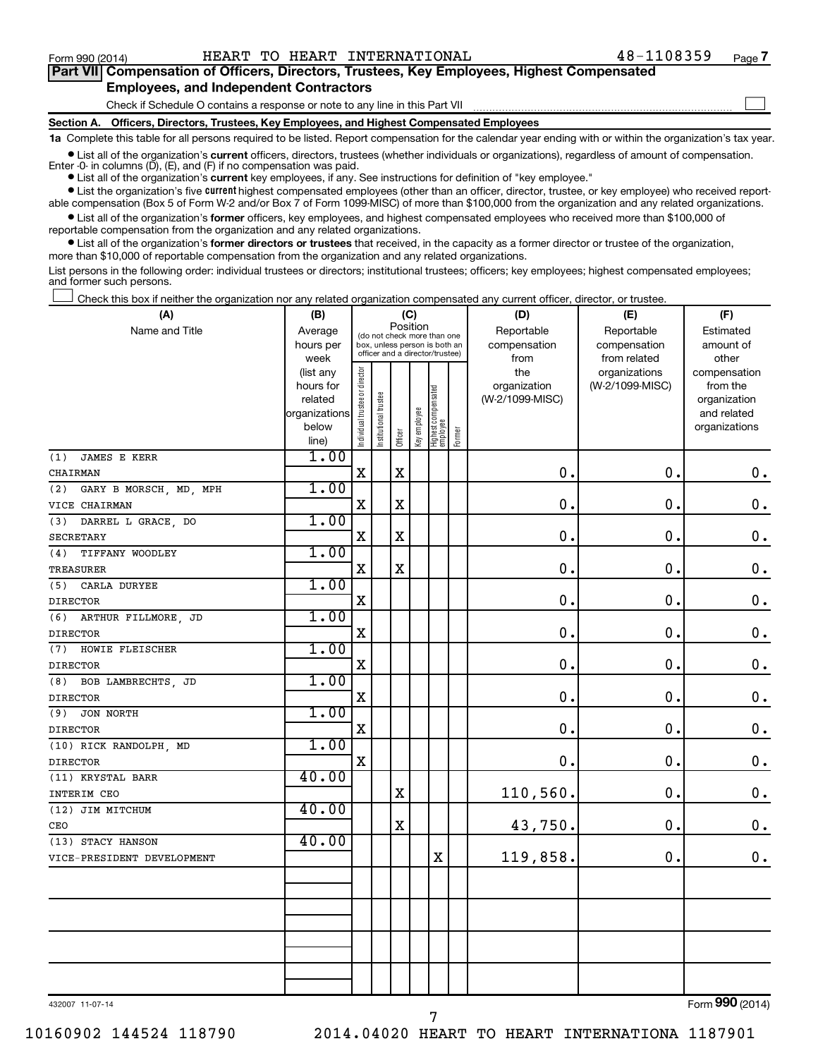$\Box$ 

| Part VII Compensation of Officers, Directors, Trustees, Key Employees, Highest Compensated |  |
|--------------------------------------------------------------------------------------------|--|
| <b>Employees, and Independent Contractors</b>                                              |  |

#### Check if Schedule O contains a response or note to any line in this Part VII

**Section A. Officers, Directors, Trustees, Key Employees, and Highest Compensated Employees**

**1a**  Complete this table for all persons required to be listed. Report compensation for the calendar year ending with or within the organization's tax year.

**•** List all of the organization's current officers, directors, trustees (whether individuals or organizations), regardless of amount of compensation.

**•** List all of the organization's **current** key employees, if any. See instructions for definition of "key employee." Enter -0- in columns  $(D)$ ,  $(E)$ , and  $(F)$  if no compensation was paid.

**•** List the organization's five current highest compensated employees (other than an officer, director, trustee, or key employee) who received report-

**•** List all of the organization's former officers, key employees, and highest compensated employees who received more than \$100,000 of able compensation (Box 5 of Form W-2 and/or Box 7 of Form 1099-MISC) of more than \$100,000 from the organization and any related organizations.

reportable compensation from the organization and any related organizations.

**•** List all of the organization's former directors or trustees that received, in the capacity as a former director or trustee of the organization, more than \$10,000 of reportable compensation from the organization and any related organizations.

List persons in the following order: individual trustees or directors; institutional trustees; officers; key employees; highest compensated employees; and former such persons.

Check this box if neither the organization nor any related organization compensated any current officer, director, or trustee.  $\overline{a}$ 

| (A)                           | (C)<br>(B)             |                                |                                                                  |                                         |              |                                 |        | (D)             | (E)                              | (F)                      |  |
|-------------------------------|------------------------|--------------------------------|------------------------------------------------------------------|-----------------------------------------|--------------|---------------------------------|--------|-----------------|----------------------------------|--------------------------|--|
| Name and Title                | Average                |                                |                                                                  | Position<br>(do not check more than one |              |                                 |        | Reportable      | Reportable                       | Estimated                |  |
|                               | hours per              |                                | box, unless person is both an<br>officer and a director/trustee) |                                         |              |                                 |        | compensation    | compensation                     | amount of                |  |
|                               | week                   |                                |                                                                  |                                         |              |                                 |        | from<br>the     | from related                     | other                    |  |
|                               | (list any<br>hours for |                                |                                                                  |                                         |              |                                 |        | organization    | organizations<br>(W-2/1099-MISC) | compensation<br>from the |  |
|                               | related                |                                |                                                                  |                                         |              |                                 |        | (W-2/1099-MISC) |                                  | organization             |  |
|                               | organizations          |                                |                                                                  |                                         |              |                                 |        |                 |                                  | and related              |  |
|                               | below                  | Individual trustee or director | Institutional trustee                                            |                                         | Key employee | Highest compensated<br>employee |        |                 |                                  | organizations            |  |
|                               | line)                  |                                |                                                                  | Officer                                 |              |                                 | Former |                 |                                  |                          |  |
| <b>JAMES E KERR</b><br>(1)    | 1.00                   |                                |                                                                  |                                         |              |                                 |        |                 |                                  |                          |  |
| CHAIRMAN                      |                        | X                              |                                                                  | $\mathbf x$                             |              |                                 |        | $\mathbf 0$ .   | $\mathbf 0$ .                    | $\mathbf 0$ .            |  |
| GARY B MORSCH, MD, MPH<br>(2) | 1.00                   |                                |                                                                  |                                         |              |                                 |        |                 |                                  |                          |  |
| VICE CHAIRMAN                 |                        | X                              |                                                                  | $\mathbf X$                             |              |                                 |        | $\mathbf 0$ .   | $\mathbf 0$ .                    | $\mathbf 0$ .            |  |
| DARREL L GRACE, DO<br>(3)     | 1.00                   |                                |                                                                  |                                         |              |                                 |        |                 |                                  |                          |  |
| <b>SECRETARY</b>              |                        | $\mathbf X$                    |                                                                  | $\mathbf X$                             |              |                                 |        | $\mathbf 0$     | $\mathbf 0$ .                    | $\mathbf 0$ .            |  |
| (4)<br>TIFFANY WOODLEY        | 1.00                   |                                |                                                                  |                                         |              |                                 |        |                 |                                  |                          |  |
| TREASURER                     |                        | X                              |                                                                  | $\mathbf X$                             |              |                                 |        | 0.              | $\mathbf 0$ .                    | $\mathbf 0$ .            |  |
| CARLA DURYEE<br>(5)           | 1.00                   |                                |                                                                  |                                         |              |                                 |        |                 |                                  |                          |  |
| <b>DIRECTOR</b>               |                        | $\mathbf X$                    |                                                                  |                                         |              |                                 |        | 0.              | $\mathbf 0$ .                    | $\mathbf 0$ .            |  |
| (6) ARTHUR FILLMORE, JD       | 1.00                   |                                |                                                                  |                                         |              |                                 |        |                 |                                  |                          |  |
| <b>DIRECTOR</b>               |                        | $\mathbf X$                    |                                                                  |                                         |              |                                 |        | 0.              | $\mathbf 0$ .                    | $\mathbf 0$ .            |  |
| (7) HOWIE FLEISCHER           | 1.00                   |                                |                                                                  |                                         |              |                                 |        |                 |                                  |                          |  |
| <b>DIRECTOR</b>               |                        | $\mathbf X$                    |                                                                  |                                         |              |                                 |        | 0.              | $\mathbf 0$ .                    | $\mathbf 0$ .            |  |
| BOB LAMBRECHTS, JD<br>(8)     | 1.00                   |                                |                                                                  |                                         |              |                                 |        |                 |                                  |                          |  |
| <b>DIRECTOR</b>               |                        | $\mathbf X$                    |                                                                  |                                         |              |                                 |        | 0.              | $\mathbf 0$ .                    | $\mathbf 0$ .            |  |
| (9)<br>JON NORTH              | 1.00                   |                                |                                                                  |                                         |              |                                 |        |                 |                                  |                          |  |
| <b>DIRECTOR</b>               |                        | $\mathbf X$                    |                                                                  |                                         |              |                                 |        | 0.              | $\mathbf 0$ .                    | $\mathbf 0$ .            |  |
| (10) RICK RANDOLPH, MD        | 1.00                   |                                |                                                                  |                                         |              |                                 |        |                 |                                  |                          |  |
| <b>DIRECTOR</b>               |                        | $\mathbf X$                    |                                                                  |                                         |              |                                 |        | 0.              | $\mathbf 0$ .                    | $\mathbf 0$ .            |  |
| (11) KRYSTAL BARR             | 40.00                  |                                |                                                                  |                                         |              |                                 |        |                 |                                  |                          |  |
| INTERIM CEO                   |                        |                                |                                                                  | $\mathbf X$                             |              |                                 |        | 110,560.        | 0.                               | $\mathbf 0$ .            |  |
| (12) JIM MITCHUM              | 40.00                  |                                |                                                                  |                                         |              |                                 |        |                 |                                  |                          |  |
| CEO                           |                        |                                |                                                                  | $\rm X$                                 |              |                                 |        | 43,750.         | 0.                               | $\mathbf 0$ .            |  |
| (13) STACY HANSON             | 40.00                  |                                |                                                                  |                                         |              |                                 |        |                 |                                  |                          |  |
| VICE-PRESIDENT DEVELOPMENT    |                        |                                |                                                                  |                                         |              | $\mathbf X$                     |        | 119,858.        | $\mathbf 0$ .                    | $\mathbf 0$ .            |  |
|                               |                        |                                |                                                                  |                                         |              |                                 |        |                 |                                  |                          |  |
|                               |                        |                                |                                                                  |                                         |              |                                 |        |                 |                                  |                          |  |
|                               |                        |                                |                                                                  |                                         |              |                                 |        |                 |                                  |                          |  |
|                               |                        |                                |                                                                  |                                         |              |                                 |        |                 |                                  |                          |  |
|                               |                        |                                |                                                                  |                                         |              |                                 |        |                 |                                  |                          |  |
|                               |                        |                                |                                                                  |                                         |              |                                 |        |                 |                                  |                          |  |
|                               |                        |                                |                                                                  |                                         |              |                                 |        |                 |                                  |                          |  |
|                               |                        |                                |                                                                  |                                         |              |                                 |        |                 |                                  |                          |  |

432007 11-07-14

Form (2014) **990**

10160902 144524 118790 2014.04020 HEART TO HEART INTERNATIONA 1187901

7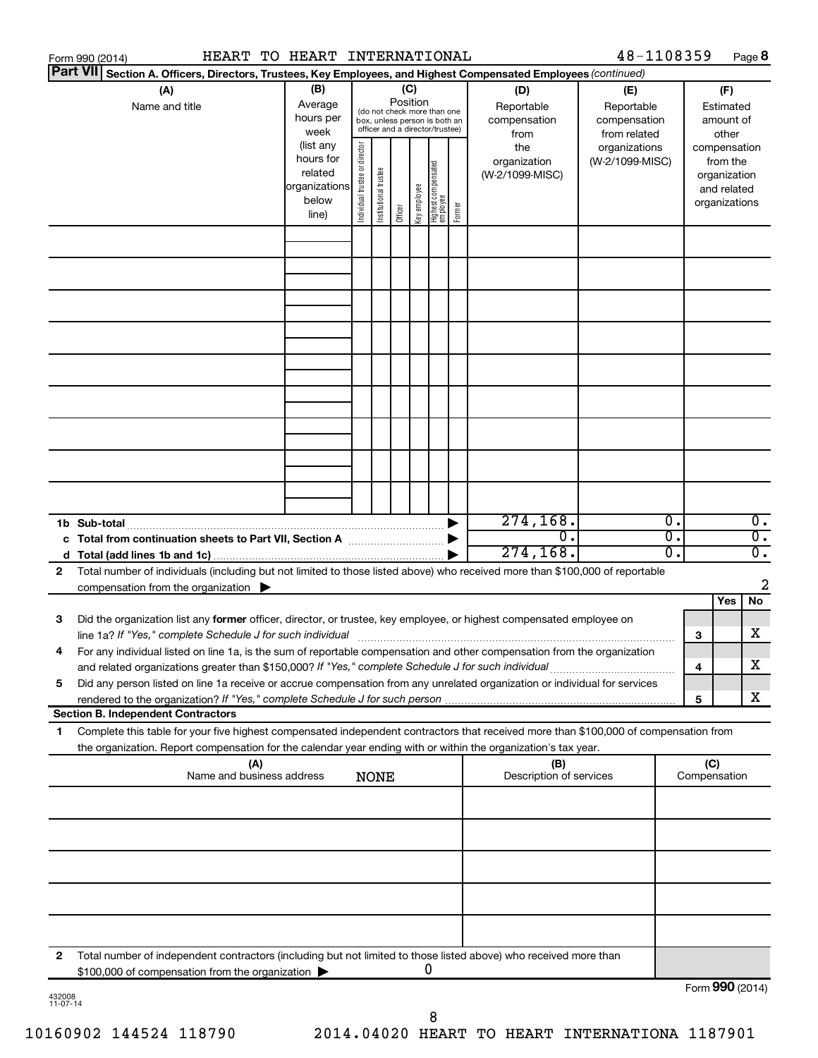|                                 | Form 990 (2014) |                                                                                                     |                           |     | HEART TO HEART INTERNATIONAL |                                |                       |          |              |                                   |        |                                                                                                                                                                                                                                                                                                                             | 48-1108359      |          |                 |                          | Page 8           |
|---------------------------------|-----------------|-----------------------------------------------------------------------------------------------------|---------------------------|-----|------------------------------|--------------------------------|-----------------------|----------|--------------|-----------------------------------|--------|-----------------------------------------------------------------------------------------------------------------------------------------------------------------------------------------------------------------------------------------------------------------------------------------------------------------------------|-----------------|----------|-----------------|--------------------------|------------------|
|                                 | <b>Part VII</b> |                                                                                                     |                           |     |                              |                                |                       |          |              |                                   |        | Section A. Officers, Directors, Trustees, Key Employees, and Highest Compensated Employees (continued)                                                                                                                                                                                                                      |                 |          |                 |                          |                  |
| (B)<br>(C)<br>(A)<br>(D)<br>(E) |                 |                                                                                                     |                           |     |                              |                                |                       |          | (F)          |                                   |        |                                                                                                                                                                                                                                                                                                                             |                 |          |                 |                          |                  |
|                                 |                 | Name and title                                                                                      |                           |     | Average                      |                                |                       | Position |              | (do not check more than one       |        | Reportable                                                                                                                                                                                                                                                                                                                  | Reportable      |          |                 | Estimated                |                  |
|                                 |                 |                                                                                                     |                           |     | hours per                    |                                |                       |          |              | box, unless person is both an     |        | compensation                                                                                                                                                                                                                                                                                                                | compensation    |          |                 | amount of                |                  |
|                                 |                 |                                                                                                     |                           |     | week                         |                                |                       |          |              | officer and a director/trustee)   |        | from                                                                                                                                                                                                                                                                                                                        | from related    |          |                 | other                    |                  |
|                                 |                 |                                                                                                     |                           |     | (list any<br>hours for       |                                |                       |          |              |                                   |        | the                                                                                                                                                                                                                                                                                                                         | organizations   |          |                 | compensation             |                  |
|                                 |                 |                                                                                                     |                           |     | related                      |                                |                       |          |              |                                   |        | organization<br>(W-2/1099-MISC)                                                                                                                                                                                                                                                                                             | (W-2/1099-MISC) |          |                 | from the<br>organization |                  |
|                                 |                 |                                                                                                     |                           |     | organizations                |                                |                       |          |              |                                   |        |                                                                                                                                                                                                                                                                                                                             |                 |          |                 | and related              |                  |
|                                 |                 |                                                                                                     |                           |     | below                        | Individual trustee or director | Institutional trustee |          | Key employee |                                   |        |                                                                                                                                                                                                                                                                                                                             |                 |          |                 | organizations            |                  |
|                                 |                 |                                                                                                     |                           |     | line)                        |                                |                       | Officer  |              | Highest compensated<br>  employee | Former |                                                                                                                                                                                                                                                                                                                             |                 |          |                 |                          |                  |
|                                 |                 |                                                                                                     |                           |     |                              |                                |                       |          |              |                                   |        |                                                                                                                                                                                                                                                                                                                             |                 |          |                 |                          |                  |
|                                 |                 |                                                                                                     |                           |     |                              |                                |                       |          |              |                                   |        |                                                                                                                                                                                                                                                                                                                             |                 |          |                 |                          |                  |
|                                 |                 |                                                                                                     |                           |     |                              |                                |                       |          |              |                                   |        |                                                                                                                                                                                                                                                                                                                             |                 |          |                 |                          |                  |
|                                 |                 |                                                                                                     |                           |     |                              |                                |                       |          |              |                                   |        |                                                                                                                                                                                                                                                                                                                             |                 |          |                 |                          |                  |
|                                 |                 |                                                                                                     |                           |     |                              |                                |                       |          |              |                                   |        |                                                                                                                                                                                                                                                                                                                             |                 |          |                 |                          |                  |
|                                 |                 |                                                                                                     |                           |     |                              |                                |                       |          |              |                                   |        |                                                                                                                                                                                                                                                                                                                             |                 |          |                 |                          |                  |
|                                 |                 |                                                                                                     |                           |     |                              |                                |                       |          |              |                                   |        |                                                                                                                                                                                                                                                                                                                             |                 |          |                 |                          |                  |
|                                 |                 |                                                                                                     |                           |     |                              |                                |                       |          |              |                                   |        |                                                                                                                                                                                                                                                                                                                             |                 |          |                 |                          |                  |
|                                 |                 |                                                                                                     |                           |     |                              |                                |                       |          |              |                                   |        |                                                                                                                                                                                                                                                                                                                             |                 |          |                 |                          |                  |
|                                 |                 |                                                                                                     |                           |     |                              |                                |                       |          |              |                                   |        |                                                                                                                                                                                                                                                                                                                             |                 |          |                 |                          |                  |
|                                 |                 |                                                                                                     |                           |     |                              |                                |                       |          |              |                                   |        |                                                                                                                                                                                                                                                                                                                             |                 |          |                 |                          |                  |
|                                 |                 |                                                                                                     |                           |     |                              |                                |                       |          |              |                                   |        |                                                                                                                                                                                                                                                                                                                             |                 |          |                 |                          |                  |
|                                 |                 |                                                                                                     |                           |     |                              |                                |                       |          |              |                                   |        |                                                                                                                                                                                                                                                                                                                             |                 |          |                 |                          |                  |
|                                 |                 |                                                                                                     |                           |     |                              |                                |                       |          |              |                                   |        |                                                                                                                                                                                                                                                                                                                             |                 |          |                 |                          |                  |
|                                 |                 |                                                                                                     |                           |     |                              |                                |                       |          |              |                                   |        |                                                                                                                                                                                                                                                                                                                             |                 |          |                 |                          |                  |
|                                 |                 |                                                                                                     |                           |     |                              |                                |                       |          |              |                                   |        |                                                                                                                                                                                                                                                                                                                             |                 |          |                 |                          |                  |
|                                 |                 |                                                                                                     |                           |     |                              |                                |                       |          |              |                                   |        |                                                                                                                                                                                                                                                                                                                             |                 |          |                 |                          |                  |
|                                 |                 |                                                                                                     |                           |     |                              |                                |                       |          |              |                                   |        |                                                                                                                                                                                                                                                                                                                             |                 |          |                 |                          |                  |
|                                 |                 | 1b Sub-total                                                                                        |                           |     |                              |                                |                       |          |              |                                   |        | 274, 168.                                                                                                                                                                                                                                                                                                                   |                 | 0.       |                 |                          | $0$ .            |
|                                 |                 |                                                                                                     |                           |     |                              |                                |                       |          |              |                                   |        | $\mathbf{0}$ .                                                                                                                                                                                                                                                                                                              |                 | σ.<br>σ. |                 |                          | $\overline{0}$ . |
|                                 |                 |                                                                                                     |                           |     |                              |                                |                       |          |              |                                   |        | 274, 168.                                                                                                                                                                                                                                                                                                                   |                 |          |                 |                          | $\overline{0}$ . |
| 2                               |                 |                                                                                                     |                           |     |                              |                                |                       |          |              |                                   |        | Total number of individuals (including but not limited to those listed above) who received more than \$100,000 of reportable                                                                                                                                                                                                |                 |          |                 |                          |                  |
|                                 |                 | compensation from the organization $\blacktriangleright$                                            |                           |     |                              |                                |                       |          |              |                                   |        |                                                                                                                                                                                                                                                                                                                             |                 |          |                 | Yes                      | 2<br>No          |
|                                 |                 |                                                                                                     |                           |     |                              |                                |                       |          |              |                                   |        |                                                                                                                                                                                                                                                                                                                             |                 |          |                 |                          |                  |
| 3                               |                 |                                                                                                     |                           |     |                              |                                |                       |          |              |                                   |        | Did the organization list any former officer, director, or trustee, key employee, or highest compensated employee on                                                                                                                                                                                                        |                 |          |                 |                          | X                |
|                                 |                 |                                                                                                     |                           |     |                              |                                |                       |          |              |                                   |        | line 1a? If "Yes," complete Schedule J for such individual [11] manufacture manufacture in the set of the set o                                                                                                                                                                                                             |                 |          | 3               |                          |                  |
|                                 |                 |                                                                                                     |                           |     |                              |                                |                       |          |              |                                   |        | For any individual listed on line 1a, is the sum of reportable compensation and other compensation from the organization                                                                                                                                                                                                    |                 |          |                 |                          | х                |
|                                 |                 | and related organizations greater than \$150,000? If "Yes," complete Schedule J for such individual |                           |     |                              |                                |                       |          |              |                                   |        |                                                                                                                                                                                                                                                                                                                             |                 |          | 4               |                          |                  |
| 5                               |                 |                                                                                                     |                           |     |                              |                                |                       |          |              |                                   |        | Did any person listed on line 1a receive or accrue compensation from any unrelated organization or individual for services<br>rendered to the organization? If "Yes," complete Schedule J for such person manufactured to the organization? If "Yes," complete Schedule J for such person manufactured to the organization? |                 |          | 5               |                          | х                |
|                                 |                 | <b>Section B. Independent Contractors</b>                                                           |                           |     |                              |                                |                       |          |              |                                   |        |                                                                                                                                                                                                                                                                                                                             |                 |          |                 |                          |                  |
| 1.                              |                 |                                                                                                     |                           |     |                              |                                |                       |          |              |                                   |        | Complete this table for your five highest compensated independent contractors that received more than \$100,000 of compensation from                                                                                                                                                                                        |                 |          |                 |                          |                  |
|                                 |                 |                                                                                                     |                           |     |                              |                                |                       |          |              |                                   |        | the organization. Report compensation for the calendar year ending with or within the organization's tax year.                                                                                                                                                                                                              |                 |          |                 |                          |                  |
|                                 |                 |                                                                                                     |                           | (A) |                              |                                |                       |          |              |                                   |        | (B)                                                                                                                                                                                                                                                                                                                         |                 |          | (C)             |                          |                  |
|                                 |                 |                                                                                                     | Name and business address |     |                              |                                | <b>NONE</b>           |          |              |                                   |        | Description of services                                                                                                                                                                                                                                                                                                     |                 |          | Compensation    |                          |                  |
|                                 |                 |                                                                                                     |                           |     |                              |                                |                       |          |              |                                   |        |                                                                                                                                                                                                                                                                                                                             |                 |          |                 |                          |                  |
|                                 |                 |                                                                                                     |                           |     |                              |                                |                       |          |              |                                   |        |                                                                                                                                                                                                                                                                                                                             |                 |          |                 |                          |                  |
|                                 |                 |                                                                                                     |                           |     |                              |                                |                       |          |              |                                   |        |                                                                                                                                                                                                                                                                                                                             |                 |          |                 |                          |                  |
|                                 |                 |                                                                                                     |                           |     |                              |                                |                       |          |              |                                   |        |                                                                                                                                                                                                                                                                                                                             |                 |          |                 |                          |                  |
|                                 |                 |                                                                                                     |                           |     |                              |                                |                       |          |              |                                   |        |                                                                                                                                                                                                                                                                                                                             |                 |          |                 |                          |                  |
|                                 |                 |                                                                                                     |                           |     |                              |                                |                       |          |              |                                   |        |                                                                                                                                                                                                                                                                                                                             |                 |          |                 |                          |                  |
|                                 |                 |                                                                                                     |                           |     |                              |                                |                       |          |              |                                   |        |                                                                                                                                                                                                                                                                                                                             |                 |          |                 |                          |                  |
|                                 |                 |                                                                                                     |                           |     |                              |                                |                       |          |              |                                   |        |                                                                                                                                                                                                                                                                                                                             |                 |          |                 |                          |                  |
|                                 |                 |                                                                                                     |                           |     |                              |                                |                       |          |              |                                   |        |                                                                                                                                                                                                                                                                                                                             |                 |          |                 |                          |                  |
|                                 |                 |                                                                                                     |                           |     |                              |                                |                       |          |              |                                   |        |                                                                                                                                                                                                                                                                                                                             |                 |          |                 |                          |                  |
| 2                               |                 |                                                                                                     |                           |     |                              |                                |                       |          |              |                                   |        | Total number of independent contractors (including but not limited to those listed above) who received more than                                                                                                                                                                                                            |                 |          |                 |                          |                  |
|                                 |                 | \$100,000 of compensation from the organization                                                     |                           |     |                              |                                |                       |          |              | U                                 |        |                                                                                                                                                                                                                                                                                                                             |                 |          |                 |                          |                  |
|                                 |                 |                                                                                                     |                           |     |                              |                                |                       |          |              |                                   |        |                                                                                                                                                                                                                                                                                                                             |                 |          | Form 990 (2014) |                          |                  |

| 432008   |  |
|----------|--|
| 11-07-14 |  |

8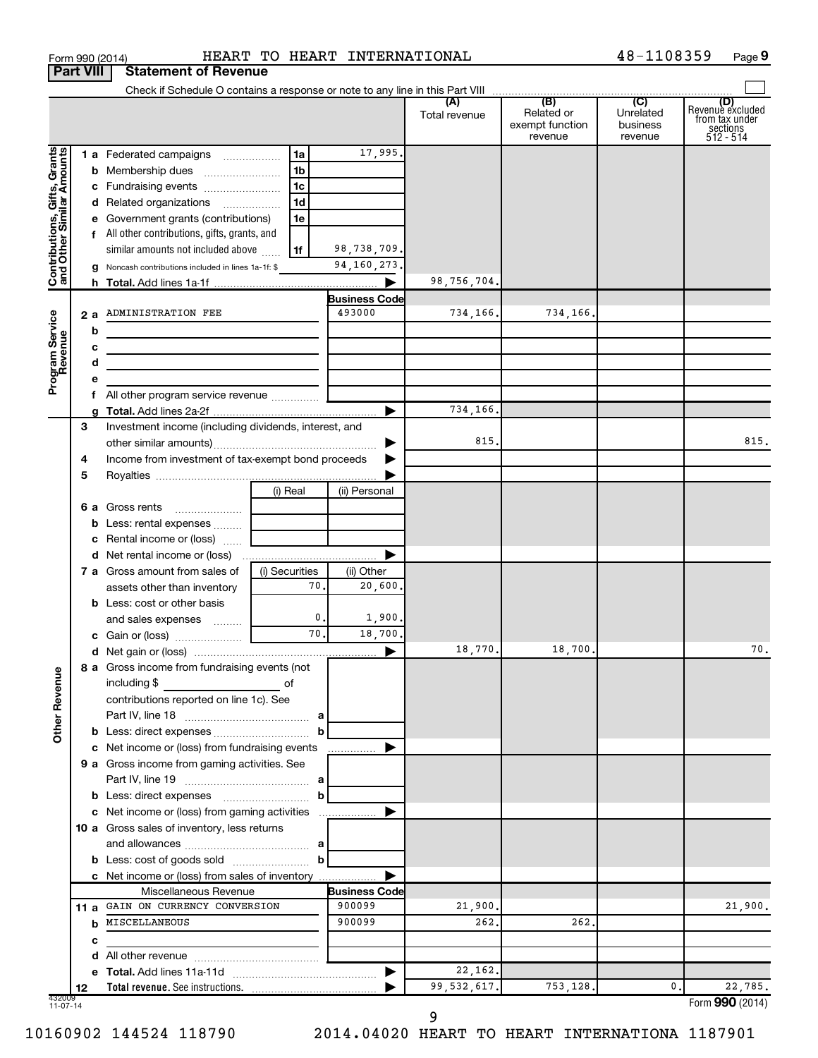|                                                           |      |   | Form 990 (2014)                                                                           | HEART TO HEART INTERNATIONAL |                      |               |                                          | 48-1108359                       | Page 9                                                      |
|-----------------------------------------------------------|------|---|-------------------------------------------------------------------------------------------|------------------------------|----------------------|---------------|------------------------------------------|----------------------------------|-------------------------------------------------------------|
| <b>Part VIII</b>                                          |      |   | <b>Statement of Revenue</b>                                                               |                              |                      |               |                                          |                                  |                                                             |
|                                                           |      |   |                                                                                           |                              |                      |               |                                          |                                  |                                                             |
|                                                           |      |   |                                                                                           |                              |                      | Total revenue | Related or<br>exempt function<br>revenue | Unrelated<br>business<br>revenue | Revenue excluded<br>trom tax under<br>sections<br>512 - 514 |
|                                                           |      |   | 1 a Federated campaigns                                                                   | 1a                           | 17,995.              |               |                                          |                                  |                                                             |
|                                                           |      |   |                                                                                           | 1 <sub>b</sub>               |                      |               |                                          |                                  |                                                             |
|                                                           |      |   | c Fundraising events                                                                      | 1c                           |                      |               |                                          |                                  |                                                             |
|                                                           |      |   | d Related organizations                                                                   | 1d                           |                      |               |                                          |                                  |                                                             |
|                                                           |      |   | e Government grants (contributions)                                                       | 1e                           |                      |               |                                          |                                  |                                                             |
|                                                           |      |   | f All other contributions, gifts, grants, and                                             |                              |                      |               |                                          |                                  |                                                             |
| Contributions, Gifts, Grants<br>and Other Similar Amounts |      |   | similar amounts not included above                                                        | 1f                           | 98,738,709.          |               |                                          |                                  |                                                             |
|                                                           |      |   | <b>g</b> Noncash contributions included in lines 1a-1f: $\$                               |                              | 94,160,273.          |               |                                          |                                  |                                                             |
|                                                           |      |   |                                                                                           |                              |                      | 98,756,704.   |                                          |                                  |                                                             |
|                                                           |      |   |                                                                                           |                              | Business Code        |               |                                          |                                  |                                                             |
|                                                           |      |   | 2 a ADMINISTRATION FEE                                                                    |                              | 493000               | 734,166.      | 734,166.                                 |                                  |                                                             |
|                                                           |      | b |                                                                                           |                              |                      |               |                                          |                                  |                                                             |
|                                                           |      | c | the control of the control of the control of the control of the control of the control of |                              |                      |               |                                          |                                  |                                                             |
|                                                           |      | d | the control of the control of the control of the control of the control of                |                              |                      |               |                                          |                                  |                                                             |
| Program Service<br>Revenue                                |      | е |                                                                                           |                              |                      |               |                                          |                                  |                                                             |
|                                                           |      |   | f All other program service revenue                                                       |                              |                      |               |                                          |                                  |                                                             |
|                                                           |      |   |                                                                                           |                              |                      | 734,166.      |                                          |                                  |                                                             |
|                                                           | З    |   | Investment income (including dividends, interest, and                                     |                              |                      |               |                                          |                                  |                                                             |
|                                                           |      |   |                                                                                           |                              | ▶                    | 815.          |                                          |                                  | 815.                                                        |
|                                                           | 4    |   | Income from investment of tax-exempt bond proceeds                                        |                              |                      |               |                                          |                                  |                                                             |
|                                                           | 5    |   |                                                                                           |                              |                      |               |                                          |                                  |                                                             |
|                                                           |      |   |                                                                                           | (i) Real                     | (ii) Personal        |               |                                          |                                  |                                                             |
|                                                           |      |   | 6 a Gross rents                                                                           |                              |                      |               |                                          |                                  |                                                             |
|                                                           |      |   | <b>b</b> Less: rental expenses                                                            |                              |                      |               |                                          |                                  |                                                             |
|                                                           |      |   | c Rental income or (loss)                                                                 |                              |                      |               |                                          |                                  |                                                             |
|                                                           |      |   |                                                                                           |                              | ▶                    |               |                                          |                                  |                                                             |
|                                                           |      |   | <b>7 a</b> Gross amount from sales of                                                     | (i) Securities<br>70.        | (ii) Other           |               |                                          |                                  |                                                             |
|                                                           |      |   | assets other than inventory                                                               |                              | 20,600.              |               |                                          |                                  |                                                             |
|                                                           |      |   | <b>b</b> Less: cost or other basis                                                        | 0.                           |                      |               |                                          |                                  |                                                             |
|                                                           |      |   | and sales expenses                                                                        | 70.                          | 1,900.<br>18,700.    |               |                                          |                                  |                                                             |
|                                                           |      |   |                                                                                           |                              |                      |               |                                          |                                  |                                                             |
|                                                           |      |   | 8 a Gross income from fundraising events (not                                             |                              |                      | 18,770.       | 18,700.                                  |                                  | 70.                                                         |
| <b>Other Revenue</b>                                      |      |   | including \$                                                                              |                              |                      |               |                                          |                                  |                                                             |
|                                                           |      |   | contributions reported on line 1c). See                                                   |                              |                      |               |                                          |                                  |                                                             |
|                                                           |      |   |                                                                                           |                              |                      |               |                                          |                                  |                                                             |
|                                                           |      |   |                                                                                           |                              |                      |               |                                          |                                  |                                                             |
|                                                           |      |   | c Net income or (loss) from fundraising events                                            |                              | ▶                    |               |                                          |                                  |                                                             |
|                                                           |      |   | 9 a Gross income from gaming activities. See                                              |                              |                      |               |                                          |                                  |                                                             |
|                                                           |      |   |                                                                                           |                              |                      |               |                                          |                                  |                                                             |
|                                                           |      |   |                                                                                           |                              |                      |               |                                          |                                  |                                                             |
|                                                           |      |   | c Net income or (loss) from gaming activities                                             |                              | ▶                    |               |                                          |                                  |                                                             |
|                                                           |      |   | 10 a Gross sales of inventory, less returns                                               |                              |                      |               |                                          |                                  |                                                             |
|                                                           |      |   |                                                                                           |                              |                      |               |                                          |                                  |                                                             |
|                                                           |      |   | <b>b</b> Less: cost of goods sold $\ldots$ $\ldots$ $\ldots$ <b>b</b>                     |                              |                      |               |                                          |                                  |                                                             |
|                                                           |      |   | c Net income or (loss) from sales of inventory                                            |                              |                      |               |                                          |                                  |                                                             |
|                                                           |      |   | Miscellaneous Revenue                                                                     |                              | <b>Business Code</b> |               |                                          |                                  |                                                             |
|                                                           | 11 a |   | GAIN ON CURRENCY CONVERSION                                                               |                              | 900099               | 21,900.       |                                          |                                  | 21,900.                                                     |
|                                                           |      | b | MISCELLANEOUS                                                                             |                              | 900099               | 262.          | 262.                                     |                                  |                                                             |
|                                                           |      | с |                                                                                           |                              |                      |               |                                          |                                  |                                                             |
|                                                           |      | d |                                                                                           |                              |                      |               |                                          |                                  |                                                             |
|                                                           |      |   |                                                                                           |                              |                      | 22,162.       |                                          |                                  |                                                             |
|                                                           | 12   |   |                                                                                           |                              |                      | 99, 532, 617. | 753,128.                                 | $\mathbf 0$ .                    | 22,785.                                                     |
| 432009<br>$11-07-14$                                      |      |   |                                                                                           |                              |                      |               |                                          |                                  | Form 990 (2014)                                             |

10160902 144524 118790 2014.04020 HEART TO HEART INTERNATIONA 1187901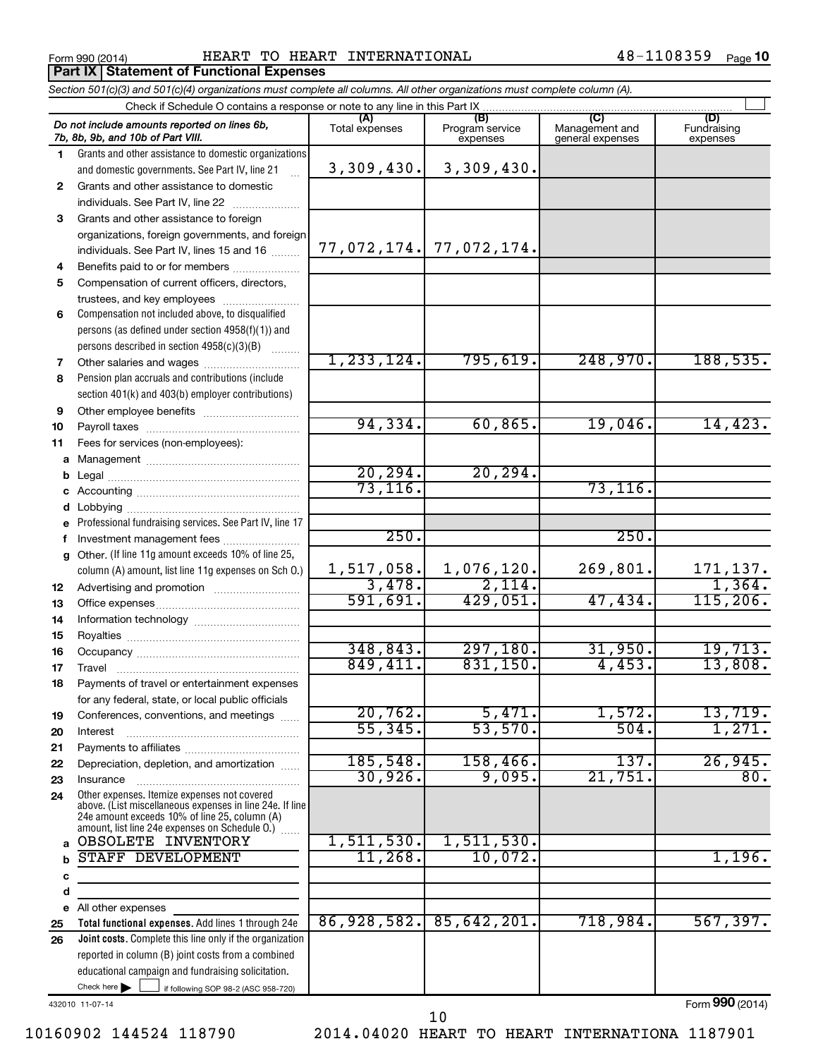**Part IX Statement of Functional Expenses** 

Form 990 (2014) Page HEART TO HEART INTERNATIONAL 48-1108359

*Section 501(c)(3) and 501(c)(4) organizations must complete all columns. All other organizations must complete column (A).*

|    | Do not include amounts reported on lines 6b,<br>7b, 8b, 9b, and 10b of Part VIII.                                                                                                                           | (A)<br>Total expenses | (B)<br>Program service<br>expenses | Management and<br>general expenses | (D)<br>Fundraising<br>expenses |  |  |  |
|----|-------------------------------------------------------------------------------------------------------------------------------------------------------------------------------------------------------------|-----------------------|------------------------------------|------------------------------------|--------------------------------|--|--|--|
| 1  | Grants and other assistance to domestic organizations                                                                                                                                                       |                       |                                    |                                    |                                |  |  |  |
|    | and domestic governments. See Part IV, line 21                                                                                                                                                              | 3,309,430.            | 3,309,430.                         |                                    |                                |  |  |  |
| 2  | Grants and other assistance to domestic                                                                                                                                                                     |                       |                                    |                                    |                                |  |  |  |
|    | individuals. See Part IV, line 22                                                                                                                                                                           |                       |                                    |                                    |                                |  |  |  |
| 3  | Grants and other assistance to foreign                                                                                                                                                                      |                       |                                    |                                    |                                |  |  |  |
|    | organizations, foreign governments, and foreign                                                                                                                                                             |                       |                                    |                                    |                                |  |  |  |
|    | individuals. See Part IV, lines 15 and 16                                                                                                                                                                   |                       | $77,072,174.$ $77,072,174.$        |                                    |                                |  |  |  |
| 4  | Benefits paid to or for members                                                                                                                                                                             |                       |                                    |                                    |                                |  |  |  |
| 5  | Compensation of current officers, directors,                                                                                                                                                                |                       |                                    |                                    |                                |  |  |  |
|    | trustees, and key employees                                                                                                                                                                                 |                       |                                    |                                    |                                |  |  |  |
| 6  | Compensation not included above, to disqualified                                                                                                                                                            |                       |                                    |                                    |                                |  |  |  |
|    | persons (as defined under section 4958(f)(1)) and                                                                                                                                                           |                       |                                    |                                    |                                |  |  |  |
|    | persons described in section 4958(c)(3)(B)                                                                                                                                                                  |                       |                                    |                                    |                                |  |  |  |
| 7  | Other salaries and wages                                                                                                                                                                                    | 1, 233, 124.          | 795,619.                           | 248,970.                           | 188, 535.                      |  |  |  |
| 8  | Pension plan accruals and contributions (include                                                                                                                                                            |                       |                                    |                                    |                                |  |  |  |
|    | section 401(k) and 403(b) employer contributions)                                                                                                                                                           |                       |                                    |                                    |                                |  |  |  |
| 9  | Other employee benefits                                                                                                                                                                                     |                       |                                    |                                    |                                |  |  |  |
| 10 |                                                                                                                                                                                                             | 94, 334.              | 60, 865.                           | 19,046.                            | 14,423.                        |  |  |  |
| 11 | Fees for services (non-employees):                                                                                                                                                                          |                       |                                    |                                    |                                |  |  |  |
| a  |                                                                                                                                                                                                             |                       |                                    |                                    |                                |  |  |  |
| b  |                                                                                                                                                                                                             | 20, 294.              | 20, 294.                           |                                    |                                |  |  |  |
| c  |                                                                                                                                                                                                             | 73, 116.              |                                    | 73, 116.                           |                                |  |  |  |
|    |                                                                                                                                                                                                             |                       |                                    |                                    |                                |  |  |  |
| е  | Professional fundraising services. See Part IV, line 17                                                                                                                                                     |                       |                                    |                                    |                                |  |  |  |
| f  | Investment management fees                                                                                                                                                                                  | 250.                  |                                    | 250.                               |                                |  |  |  |
|    | g Other. (If line 11g amount exceeds 10% of line 25,                                                                                                                                                        |                       |                                    |                                    |                                |  |  |  |
|    | column (A) amount, list line 11g expenses on Sch 0.)                                                                                                                                                        | 1,517,058.            | 1,076,120.                         | 269,801.                           | $\frac{171,137.}{1,364.}$      |  |  |  |
| 12 |                                                                                                                                                                                                             | 3,478.                | 2,114.                             |                                    |                                |  |  |  |
| 13 |                                                                                                                                                                                                             | 591,691.              | 429,051.                           | 47,434.                            | 115, 206.                      |  |  |  |
| 14 |                                                                                                                                                                                                             |                       |                                    |                                    |                                |  |  |  |
| 15 |                                                                                                                                                                                                             |                       |                                    |                                    |                                |  |  |  |
| 16 |                                                                                                                                                                                                             | 348, 843.             | 297,180.                           | 31,950.                            | 19,713.                        |  |  |  |
| 17 | Travel                                                                                                                                                                                                      | 849,411.              | 831,150.                           | 4,453.                             | 13,808.                        |  |  |  |
| 18 | Payments of travel or entertainment expenses                                                                                                                                                                |                       |                                    |                                    |                                |  |  |  |
|    | for any federal, state, or local public officials                                                                                                                                                           |                       |                                    |                                    |                                |  |  |  |
| 19 | Conferences, conventions, and meetings                                                                                                                                                                      | 20,762.               | 5,471.                             | 1,572.                             | 13,719.                        |  |  |  |
| 20 | Interest                                                                                                                                                                                                    | 55, 345.              | 53,570.                            | 504.                               | 1,271.                         |  |  |  |
| 21 |                                                                                                                                                                                                             |                       |                                    |                                    |                                |  |  |  |
| 22 | Depreciation, depletion, and amortization                                                                                                                                                                   | 185,548.              | 158,466.                           | 137.                               | 26,945.                        |  |  |  |
| 23 | Insurance                                                                                                                                                                                                   | 30,926.               | 9,095.                             | $\overline{21,751}$ .              | 80.                            |  |  |  |
| 24 | Other expenses. Itemize expenses not covered<br>above. (List miscellaneous expenses in line 24e. If line<br>24e amount exceeds 10% of line 25, column (A)<br>amount, list line 24e expenses on Schedule O.) |                       |                                    |                                    |                                |  |  |  |
| a  | OBSOLETE INVENTORY                                                                                                                                                                                          | 1,511,530.            | 1,511,530.                         |                                    |                                |  |  |  |
| b  | <b>STAFF DEVELOPMENT</b>                                                                                                                                                                                    | 11,268.               | 10,072.                            |                                    | 1,196.                         |  |  |  |
| C  |                                                                                                                                                                                                             |                       |                                    |                                    |                                |  |  |  |
| d  |                                                                                                                                                                                                             |                       |                                    |                                    |                                |  |  |  |
|    | e All other expenses                                                                                                                                                                                        |                       |                                    |                                    |                                |  |  |  |
| 25 | Total functional expenses. Add lines 1 through 24e                                                                                                                                                          | 86,928,582.           | 85,642,201.                        | 718,984.                           | 567,397.                       |  |  |  |
| 26 | Joint costs. Complete this line only if the organization                                                                                                                                                    |                       |                                    |                                    |                                |  |  |  |
|    | reported in column (B) joint costs from a combined                                                                                                                                                          |                       |                                    |                                    |                                |  |  |  |
|    | educational campaign and fundraising solicitation.                                                                                                                                                          |                       |                                    |                                    |                                |  |  |  |
|    | Check here $\blacktriangleright$<br>if following SOP 98-2 (ASC 958-720)                                                                                                                                     |                       |                                    |                                    |                                |  |  |  |

432010 11-07-14

10160902 144524 118790 2014.04020 HEART TO HEART INTERNATIONA 1187901

10

Form (2014) **990**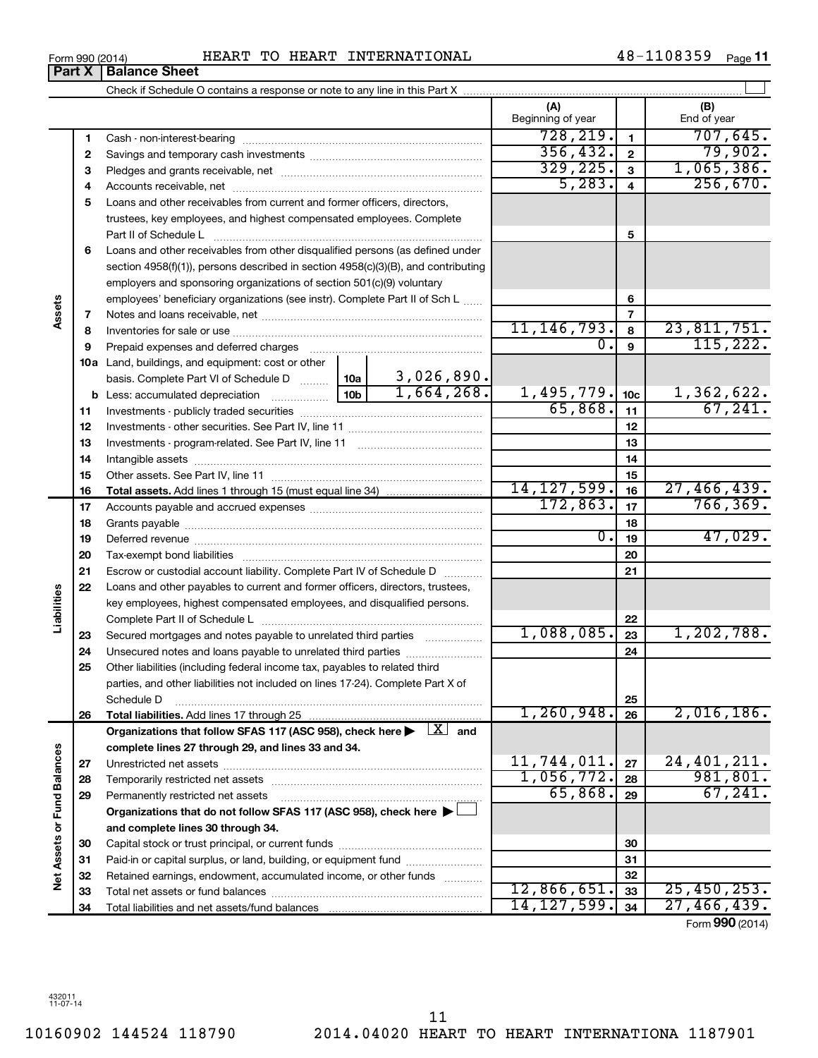**Net Assets or Fund Balances**

Net Assets or Fund Balances

**Assets**

**Part X** | Balance Sheet

**Liabilities**

Total liabilities and net assets/fund balances

Form (2014) **990**

27,466,439.

|    |                                                                                                                                                                                                                                | (A)<br>Beginning of year |                         | (B)<br>End of year |
|----|--------------------------------------------------------------------------------------------------------------------------------------------------------------------------------------------------------------------------------|--------------------------|-------------------------|--------------------|
| 1  | Cash - non-interest-bearing                                                                                                                                                                                                    | 728, 219.                | $\mathbf{1}$            | 707,645.           |
| 2  |                                                                                                                                                                                                                                | 356, 432.                | $\mathbf{2}$            | 79,902.            |
| 3  |                                                                                                                                                                                                                                | 329, 225.                | 3                       | 1,065,386.         |
| 4  |                                                                                                                                                                                                                                | 5,283.                   | $\overline{\mathbf{4}}$ | 256,670.           |
| 5  | Loans and other receivables from current and former officers, directors,                                                                                                                                                       |                          |                         |                    |
|    | trustees, key employees, and highest compensated employees. Complete                                                                                                                                                           |                          |                         |                    |
|    | Part II of Schedule L                                                                                                                                                                                                          |                          | 5                       |                    |
| 6  | Loans and other receivables from other disqualified persons (as defined under                                                                                                                                                  |                          |                         |                    |
|    | section $4958(f)(1)$ , persons described in section $4958(c)(3)(B)$ , and contributing                                                                                                                                         |                          |                         |                    |
|    | employers and sponsoring organizations of section 501(c)(9) voluntary                                                                                                                                                          |                          |                         |                    |
|    | employees' beneficiary organizations (see instr). Complete Part II of Sch L                                                                                                                                                    |                          | 6                       |                    |
| 7  |                                                                                                                                                                                                                                |                          | 7                       |                    |
| 8  |                                                                                                                                                                                                                                | 11, 146, 793.            | 8                       | 23,811,751.        |
| 9  | Prepaid expenses and deferred charges                                                                                                                                                                                          | 0.                       | 9                       | 115,222.           |
|    | 10a Land, buildings, and equipment: cost or other                                                                                                                                                                              |                          |                         |                    |
|    | 3,026,890.<br>basis. Complete Part VI of Schedule D  [10a                                                                                                                                                                      |                          |                         |                    |
|    | 1,664,268.<br>10 <sub>b</sub>                                                                                                                                                                                                  | 1,495,779.               | 10 <sub>c</sub>         | 1,362,622.         |
| 11 |                                                                                                                                                                                                                                | 65,868.                  | 11                      | 67, 241.           |
| 12 |                                                                                                                                                                                                                                |                          | 12                      |                    |
| 13 |                                                                                                                                                                                                                                |                          | 13                      |                    |
| 14 | Intangible assets [111] intervention and assets an intervention and intervention and intervention and intervention and intervention and intervention and intervention and intervention and intervention and intervention and i |                          | 14                      |                    |
| 15 |                                                                                                                                                                                                                                |                          | 15                      |                    |
| 16 |                                                                                                                                                                                                                                | 14, 127, 599.            | 16                      | 27,466,439.        |
| 17 |                                                                                                                                                                                                                                | 172,863.                 | 17                      | 766, 369.          |
| 18 |                                                                                                                                                                                                                                |                          | 18                      |                    |
| 19 |                                                                                                                                                                                                                                | $\overline{0}$ .         | 19                      | 47,029.            |
| 20 |                                                                                                                                                                                                                                |                          | 20                      |                    |
| 21 | Escrow or custodial account liability. Complete Part IV of Schedule D                                                                                                                                                          |                          | 21                      |                    |
| 22 | Loans and other payables to current and former officers, directors, trustees,                                                                                                                                                  |                          |                         |                    |
|    | key employees, highest compensated employees, and disqualified persons.                                                                                                                                                        |                          |                         |                    |
|    |                                                                                                                                                                                                                                |                          | 22                      |                    |
| 23 | Secured mortgages and notes payable to unrelated third parties                                                                                                                                                                 | 1,088,085.               | 23                      | 1,202,788.         |
| 24 | Unsecured notes and loans payable to unrelated third parties                                                                                                                                                                   |                          | 24                      |                    |
| 25 | Other liabilities (including federal income tax, payables to related third                                                                                                                                                     |                          |                         |                    |
|    | parties, and other liabilities not included on lines 17-24). Complete Part X of                                                                                                                                                |                          |                         |                    |
| 26 | Schedule D<br>Total liabilities. Add lines 17 through 25                                                                                                                                                                       | 1, 260, 948.             | 25<br>26                | 2,016,186.         |
|    | Organizations that follow SFAS 117 (ASC 958), check here $\blacktriangleright \begin{array}{c} \boxed{X} \\ \end{array}$ and                                                                                                   |                          |                         |                    |
|    | complete lines 27 through 29, and lines 33 and 34.                                                                                                                                                                             |                          |                         |                    |
| 27 |                                                                                                                                                                                                                                | 11,744,011.              | 27                      | 24, 401, 211.      |
| 28 |                                                                                                                                                                                                                                | 1,056,772.               | 28                      | 981, 801.          |
| 29 | Permanently restricted net assets                                                                                                                                                                                              | 65,868.                  | 29                      | 67,241.            |
|    | Organizations that do not follow SFAS 117 (ASC 958), check here ▶ □                                                                                                                                                            |                          |                         |                    |
|    | and complete lines 30 through 34.                                                                                                                                                                                              |                          |                         |                    |
| 30 |                                                                                                                                                                                                                                |                          | 30                      |                    |
| 31 | Paid-in or capital surplus, or land, building, or equipment fund                                                                                                                                                               |                          | 31                      |                    |
| 32 | Retained earnings, endowment, accumulated income, or other funds                                                                                                                                                               |                          | 32                      |                    |
| 33 |                                                                                                                                                                                                                                | 12,866,651.              | 33                      | 25,450,253.        |
| 34 | Total liabilities and net assets/fund balances                                                                                                                                                                                 | $14, 127, 599$ , 34      |                         | 27,466,439.        |

Form 990 (2014) Page HEART TO HEART INTERNATIONAL 48-1108359

**11**

 $\perp$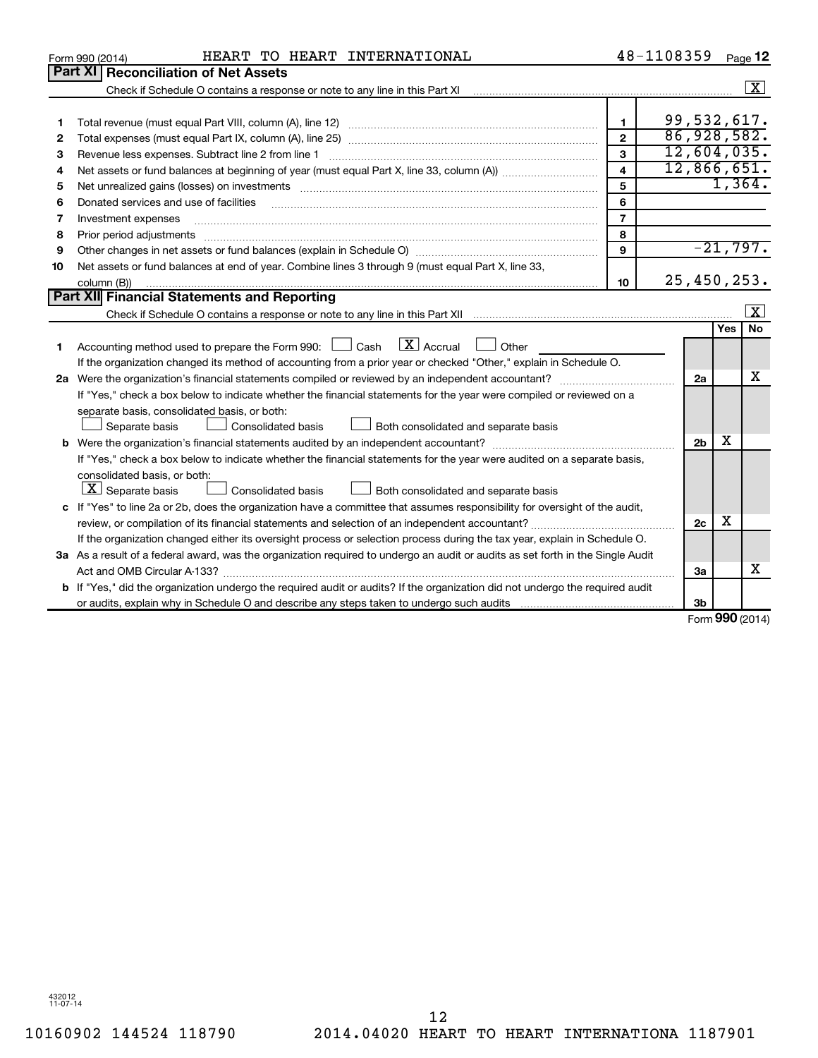| Part XI<br><b>Reconciliation of Net Assets</b>                                                                                                                                                                                          |                         |
|-----------------------------------------------------------------------------------------------------------------------------------------------------------------------------------------------------------------------------------------|-------------------------|
|                                                                                                                                                                                                                                         |                         |
|                                                                                                                                                                                                                                         | $\overline{\mathbf{x}}$ |
|                                                                                                                                                                                                                                         |                         |
| 99,532,617.<br>$\mathbf{1}$<br>1                                                                                                                                                                                                        |                         |
| 86,928,582.<br>$\overline{2}$<br>2                                                                                                                                                                                                      |                         |
| 12,604,035.<br>3<br>Revenue less expenses. Subtract line 2 from line 1<br>З                                                                                                                                                             |                         |
| 12,866,651.<br>$\overline{\mathbf{4}}$<br>4                                                                                                                                                                                             |                         |
| 5<br>Net unrealized gains (losses) on investments [11] matter in the content of the state of the state of the state of the state of the state of the state of the state of the state of the state of the state of the state of the<br>5 | 1,364.                  |
| 6<br>Donated services and use of facilities<br>6                                                                                                                                                                                        |                         |
| $\overline{7}$<br>Investment expenses<br>7                                                                                                                                                                                              |                         |
| 8<br>8                                                                                                                                                                                                                                  |                         |
| 9<br>9                                                                                                                                                                                                                                  | $-21,797.$              |
| Net assets or fund balances at end of year. Combine lines 3 through 9 (must equal Part X, line 33,<br>10                                                                                                                                |                         |
| 25,450,253.<br>10<br>column (B))                                                                                                                                                                                                        |                         |
| Part XII Financial Statements and Reporting                                                                                                                                                                                             |                         |
|                                                                                                                                                                                                                                         | X                       |
|                                                                                                                                                                                                                                         | <b>No</b><br>Yes        |
| $\lfloor \mathbf{X} \rfloor$ Accrual<br>Accounting method used to prepare the Form 990: $\Box$ Cash<br>$\Box$ Other<br>1                                                                                                                |                         |
| If the organization changed its method of accounting from a prior year or checked "Other," explain in Schedule O.                                                                                                                       |                         |
| 2a                                                                                                                                                                                                                                      | x                       |
| If "Yes," check a box below to indicate whether the financial statements for the year were compiled or reviewed on a                                                                                                                    |                         |
| separate basis, consolidated basis, or both:                                                                                                                                                                                            |                         |
| Consolidated basis<br>Both consolidated and separate basis<br>Separate basis                                                                                                                                                            |                         |
| 2 <sub>b</sub>                                                                                                                                                                                                                          | x                       |
| If "Yes," check a box below to indicate whether the financial statements for the year were audited on a separate basis,                                                                                                                 |                         |
| consolidated basis, or both:                                                                                                                                                                                                            |                         |
| $ \mathbf{X} $ Separate basis<br>Consolidated basis<br>Both consolidated and separate basis                                                                                                                                             |                         |
| c If "Yes" to line 2a or 2b, does the organization have a committee that assumes responsibility for oversight of the audit,                                                                                                             |                         |
| 2c                                                                                                                                                                                                                                      | х                       |
| If the organization changed either its oversight process or selection process during the tax year, explain in Schedule O.                                                                                                               |                         |
| 3a As a result of a federal award, was the organization required to undergo an audit or audits as set forth in the Single Audit                                                                                                         |                         |
| Act and OMB Circular A-133?<br>3a                                                                                                                                                                                                       | x                       |
| <b>b</b> If "Yes," did the organization undergo the required audit or audits? If the organization did not undergo the required audit                                                                                                    |                         |
| 3b                                                                                                                                                                                                                                      | $000 \, \text{m}$       |

Form (2014) **990**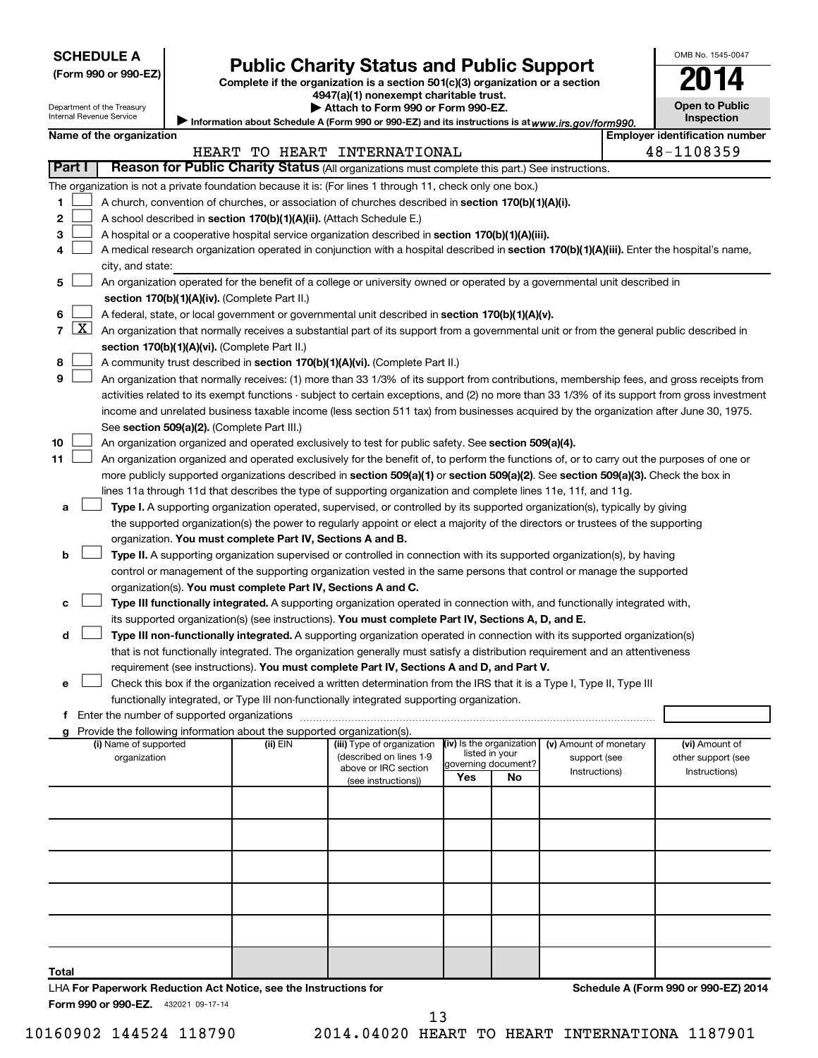| <b>SCHEDULE A</b> |  |
|-------------------|--|
|-------------------|--|

Department of the Treasury

# **Public Charity Status and Public Support 2014**

**(Form 990 or 990-EZ) Complete if the organization is a section 501(c)(3) organization or a section**

**4947(a)(1) nonexempt charitable trust.**

| Attach to Form 990 or Form 990-EZ.                                                                  |
|-----------------------------------------------------------------------------------------------------|
| / Information about Schedule A (Form 990 or 990-EZ) and its instructions is at www.irs.gov/form990. |

| OMB No. 1545-0047                   |
|-------------------------------------|
|                                     |
| <b>Open to Public</b><br>Inspection |

Internal Revenue Service

|                |                     | Name of the organization                                                                                                                      |          |                                                       |                          |                     |                                        | <b>Employer identification number</b> |
|----------------|---------------------|-----------------------------------------------------------------------------------------------------------------------------------------------|----------|-------------------------------------------------------|--------------------------|---------------------|----------------------------------------|---------------------------------------|
|                | Part I              | Reason for Public Charity Status (All organizations must complete this part.) See instructions.                                               |          | HEART TO HEART INTERNATIONAL                          |                          |                     |                                        | 48-1108359                            |
|                |                     |                                                                                                                                               |          |                                                       |                          |                     |                                        |                                       |
|                |                     | The organization is not a private foundation because it is: (For lines 1 through 11, check only one box.)                                     |          |                                                       |                          |                     |                                        |                                       |
| 1              |                     | A church, convention of churches, or association of churches described in section 170(b)(1)(A)(i).                                            |          |                                                       |                          |                     |                                        |                                       |
| 2              |                     | A school described in section 170(b)(1)(A)(ii). (Attach Schedule E.)                                                                          |          |                                                       |                          |                     |                                        |                                       |
| з              |                     | A hospital or a cooperative hospital service organization described in section 170(b)(1)(A)(iii).                                             |          |                                                       |                          |                     |                                        |                                       |
| 4              |                     | A medical research organization operated in conjunction with a hospital described in section 170(b)(1)(A)(iii). Enter the hospital's name,    |          |                                                       |                          |                     |                                        |                                       |
|                |                     | city, and state:<br>An organization operated for the benefit of a college or university owned or operated by a governmental unit described in |          |                                                       |                          |                     |                                        |                                       |
| 5              |                     | section 170(b)(1)(A)(iv). (Complete Part II.)                                                                                                 |          |                                                       |                          |                     |                                        |                                       |
| 6              |                     | A federal, state, or local government or governmental unit described in section 170(b)(1)(A)(v).                                              |          |                                                       |                          |                     |                                        |                                       |
| $\overline{7}$ | $\lfloor x \rfloor$ |                                                                                                                                               |          |                                                       |                          |                     |                                        |                                       |
|                |                     | An organization that normally receives a substantial part of its support from a governmental unit or from the general public described in     |          |                                                       |                          |                     |                                        |                                       |
| 8              |                     | section 170(b)(1)(A)(vi). (Complete Part II.)<br>A community trust described in section 170(b)(1)(A)(vi). (Complete Part II.)                 |          |                                                       |                          |                     |                                        |                                       |
| 9              |                     | An organization that normally receives: (1) more than 33 1/3% of its support from contributions, membership fees, and gross receipts from     |          |                                                       |                          |                     |                                        |                                       |
|                |                     | activities related to its exempt functions - subject to certain exceptions, and (2) no more than 33 1/3% of its support from gross investment |          |                                                       |                          |                     |                                        |                                       |
|                |                     | income and unrelated business taxable income (less section 511 tax) from businesses acquired by the organization after June 30, 1975.         |          |                                                       |                          |                     |                                        |                                       |
|                |                     | See section 509(a)(2). (Complete Part III.)                                                                                                   |          |                                                       |                          |                     |                                        |                                       |
| 10             |                     | An organization organized and operated exclusively to test for public safety. See section 509(a)(4).                                          |          |                                                       |                          |                     |                                        |                                       |
| 11             |                     | An organization organized and operated exclusively for the benefit of, to perform the functions of, or to carry out the purposes of one or    |          |                                                       |                          |                     |                                        |                                       |
|                |                     | more publicly supported organizations described in section 509(a)(1) or section 509(a)(2). See section 509(a)(3). Check the box in            |          |                                                       |                          |                     |                                        |                                       |
|                |                     | lines 11a through 11d that describes the type of supporting organization and complete lines 11e, 11f, and 11g.                                |          |                                                       |                          |                     |                                        |                                       |
| a              |                     | Type I. A supporting organization operated, supervised, or controlled by its supported organization(s), typically by giving                   |          |                                                       |                          |                     |                                        |                                       |
|                |                     | the supported organization(s) the power to regularly appoint or elect a majority of the directors or trustees of the supporting               |          |                                                       |                          |                     |                                        |                                       |
|                |                     | organization. You must complete Part IV, Sections A and B.                                                                                    |          |                                                       |                          |                     |                                        |                                       |
| b              |                     | Type II. A supporting organization supervised or controlled in connection with its supported organization(s), by having                       |          |                                                       |                          |                     |                                        |                                       |
|                |                     | control or management of the supporting organization vested in the same persons that control or manage the supported                          |          |                                                       |                          |                     |                                        |                                       |
|                |                     | organization(s). You must complete Part IV, Sections A and C.                                                                                 |          |                                                       |                          |                     |                                        |                                       |
| с              |                     | Type III functionally integrated. A supporting organization operated in connection with, and functionally integrated with,                    |          |                                                       |                          |                     |                                        |                                       |
|                |                     | its supported organization(s) (see instructions). You must complete Part IV, Sections A, D, and E.                                            |          |                                                       |                          |                     |                                        |                                       |
| d              |                     | Type III non-functionally integrated. A supporting organization operated in connection with its supported organization(s)                     |          |                                                       |                          |                     |                                        |                                       |
|                |                     | that is not functionally integrated. The organization generally must satisfy a distribution requirement and an attentiveness                  |          |                                                       |                          |                     |                                        |                                       |
|                |                     | requirement (see instructions). You must complete Part IV, Sections A and D, and Part V.                                                      |          |                                                       |                          |                     |                                        |                                       |
| е              |                     | Check this box if the organization received a written determination from the IRS that it is a Type I, Type II, Type III                       |          |                                                       |                          |                     |                                        |                                       |
|                |                     | functionally integrated, or Type III non-functionally integrated supporting organization.                                                     |          |                                                       |                          |                     |                                        |                                       |
|                |                     |                                                                                                                                               |          |                                                       |                          |                     |                                        |                                       |
|                |                     | g Provide the following information about the supported organization(s).                                                                      |          |                                                       |                          |                     |                                        |                                       |
|                |                     | (i) Name of supported<br>organization                                                                                                         | (ii) EIN | (iii) Type of organization<br>(described on lines 1-9 | (iv) Is the organization | listed in your      | (v) Amount of monetary<br>support (see | (vi) Amount of<br>other support (see  |
|                |                     |                                                                                                                                               |          | above or IRC section                                  |                          | governing document? | Instructions)                          | Instructions)                         |
|                |                     |                                                                                                                                               |          | (see instructions))                                   | Yes                      | No                  |                                        |                                       |
|                |                     |                                                                                                                                               |          |                                                       |                          |                     |                                        |                                       |
|                |                     |                                                                                                                                               |          |                                                       |                          |                     |                                        |                                       |
|                |                     |                                                                                                                                               |          |                                                       |                          |                     |                                        |                                       |
|                |                     |                                                                                                                                               |          |                                                       |                          |                     |                                        |                                       |
|                |                     |                                                                                                                                               |          |                                                       |                          |                     |                                        |                                       |
|                |                     |                                                                                                                                               |          |                                                       |                          |                     |                                        |                                       |
|                |                     |                                                                                                                                               |          |                                                       |                          |                     |                                        |                                       |
|                |                     |                                                                                                                                               |          |                                                       |                          |                     |                                        |                                       |
|                |                     |                                                                                                                                               |          |                                                       |                          |                     |                                        |                                       |
|                |                     |                                                                                                                                               |          |                                                       |                          |                     |                                        |                                       |
| Total          |                     |                                                                                                                                               |          |                                                       |                          |                     |                                        |                                       |

432021 09-17-14 **Form 990 or 990-EZ.** LHA **For Paperwork Reduction Act Notice, see the Instructions for**  **Schedule A (Form 990 or 990-EZ) 2014**

10160902 144524 118790 2014.04020 HEART TO HEART INTERNATIONA 1187901 13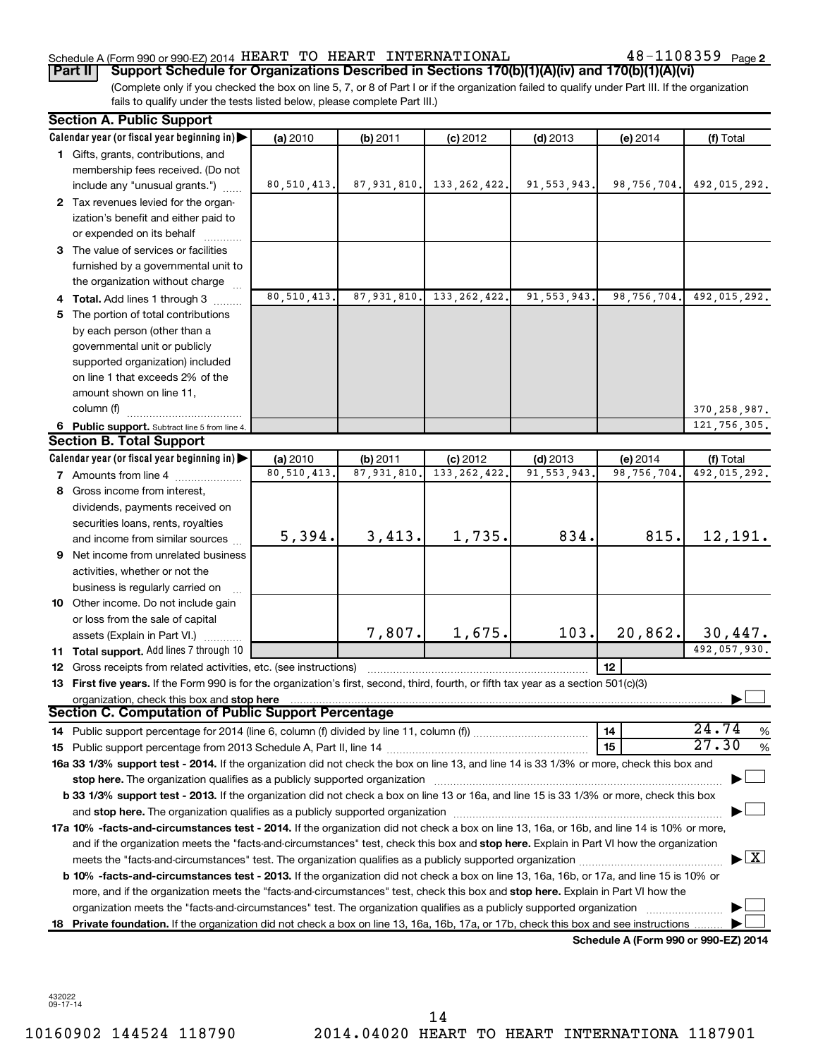### Schedule A (Form 990 or 990-EZ) 2014  $\rm HEART$   $\rm TO$   $\rm HEART$   $\rm INTERNATIONAL$   $\rm 48-1108359$   $\rm Page$

48-1108359 Page 2

(Complete only if you checked the box on line 5, 7, or 8 of Part I or if the organization failed to qualify under Part III. If the organization fails to qualify under the tests listed below, please complete Part III.) **Part II Support Schedule for Organizations Described in Sections 170(b)(1)(A)(iv) and 170(b)(1)(A)(vi)**

|    | <b>Section A. Public Support</b>                                                                                                                                                                                               |               |               |                |               |                                      |                                         |
|----|--------------------------------------------------------------------------------------------------------------------------------------------------------------------------------------------------------------------------------|---------------|---------------|----------------|---------------|--------------------------------------|-----------------------------------------|
|    | Calendar year (or fiscal year beginning in)                                                                                                                                                                                    | (a) 2010      | (b) 2011      | $(c)$ 2012     | $(d)$ 2013    | (e) 2014                             | (f) Total                               |
|    | 1 Gifts, grants, contributions, and                                                                                                                                                                                            |               |               |                |               |                                      |                                         |
|    | membership fees received. (Do not                                                                                                                                                                                              |               |               |                |               |                                      |                                         |
|    | include any "unusual grants.")                                                                                                                                                                                                 | 80,510,413.   | 87,931,810.   | 133, 262, 422. | 91, 553, 943. | 98,756,704.                          | 492,015,292.                            |
|    | 2 Tax revenues levied for the organ-                                                                                                                                                                                           |               |               |                |               |                                      |                                         |
|    | ization's benefit and either paid to                                                                                                                                                                                           |               |               |                |               |                                      |                                         |
|    | or expended on its behalf                                                                                                                                                                                                      |               |               |                |               |                                      |                                         |
|    | 3 The value of services or facilities                                                                                                                                                                                          |               |               |                |               |                                      |                                         |
|    | furnished by a governmental unit to                                                                                                                                                                                            |               |               |                |               |                                      |                                         |
|    | the organization without charge                                                                                                                                                                                                |               |               |                |               |                                      |                                         |
|    | 4 Total. Add lines 1 through 3                                                                                                                                                                                                 | 80, 510, 413. | 87, 931, 810. | 133, 262, 422. | 91, 553, 943. | 98.756.704.                          | 492,015,292.                            |
|    | 5 The portion of total contributions                                                                                                                                                                                           |               |               |                |               |                                      |                                         |
|    | by each person (other than a                                                                                                                                                                                                   |               |               |                |               |                                      |                                         |
|    | governmental unit or publicly                                                                                                                                                                                                  |               |               |                |               |                                      |                                         |
|    | supported organization) included                                                                                                                                                                                               |               |               |                |               |                                      |                                         |
|    | on line 1 that exceeds 2% of the                                                                                                                                                                                               |               |               |                |               |                                      |                                         |
|    | amount shown on line 11,                                                                                                                                                                                                       |               |               |                |               |                                      |                                         |
|    | column (f)                                                                                                                                                                                                                     |               |               |                |               |                                      | 370, 258, 987.                          |
|    | 6 Public support. Subtract line 5 from line 4.                                                                                                                                                                                 |               |               |                |               |                                      | 121, 756, 305.                          |
|    | <b>Section B. Total Support</b>                                                                                                                                                                                                |               |               |                |               |                                      |                                         |
|    | Calendar year (or fiscal year beginning in)                                                                                                                                                                                    | (a) 2010      | (b) 2011      | $(c)$ 2012     | $(d)$ 2013    | (e) 2014                             | (f) Total                               |
|    | 7 Amounts from line 4                                                                                                                                                                                                          | 80,510,413.   | 87, 931, 810. | 133, 262, 422  | 91, 553, 943. | 98,756,704                           | 492,015,292.                            |
| 8  | Gross income from interest,                                                                                                                                                                                                    |               |               |                |               |                                      |                                         |
|    | dividends, payments received on                                                                                                                                                                                                |               |               |                |               |                                      |                                         |
|    | securities loans, rents, royalties                                                                                                                                                                                             |               |               |                |               |                                      |                                         |
|    | and income from similar sources                                                                                                                                                                                                | 5,394.        | 3,413.        | 1,735.         | 834.          | 815.                                 | 12,191.                                 |
|    | <b>9</b> Net income from unrelated business                                                                                                                                                                                    |               |               |                |               |                                      |                                         |
|    | activities, whether or not the                                                                                                                                                                                                 |               |               |                |               |                                      |                                         |
|    | business is regularly carried on                                                                                                                                                                                               |               |               |                |               |                                      |                                         |
|    | 10 Other income. Do not include gain                                                                                                                                                                                           |               |               |                |               |                                      |                                         |
|    | or loss from the sale of capital                                                                                                                                                                                               |               |               |                |               |                                      |                                         |
|    | assets (Explain in Part VI.)                                                                                                                                                                                                   |               | 7,807.        | 1,675.         | 103.          | 20,862.                              | 30,447.                                 |
|    | 11 Total support. Add lines 7 through 10                                                                                                                                                                                       |               |               |                |               |                                      | 492,057,930.                            |
|    | 12 Gross receipts from related activities, etc. (see instructions)                                                                                                                                                             |               |               |                |               | 12                                   |                                         |
|    | 13 First five years. If the Form 990 is for the organization's first, second, third, fourth, or fifth tax year as a section 501(c)(3)                                                                                          |               |               |                |               |                                      |                                         |
|    | organization, check this box and stop here                                                                                                                                                                                     |               |               |                |               |                                      |                                         |
|    | <b>Section C. Computation of Public Support Percentage</b>                                                                                                                                                                     |               |               |                |               |                                      |                                         |
|    |                                                                                                                                                                                                                                |               |               |                |               | 14                                   | 24.74<br>%                              |
|    |                                                                                                                                                                                                                                |               |               |                |               | 15                                   | 27.30<br>$\%$                           |
|    | 16a 33 1/3% support test - 2014. If the organization did not check the box on line 13, and line 14 is 33 1/3% or more, check this box and                                                                                      |               |               |                |               |                                      |                                         |
|    | stop here. The organization qualifies as a publicly supported organization manufactured content and the support of the state of the state of the state of the state of the state of the state of the state of the state of the |               |               |                |               |                                      |                                         |
|    | b 33 1/3% support test - 2013. If the organization did not check a box on line 13 or 16a, and line 15 is 33 1/3% or more, check this box                                                                                       |               |               |                |               |                                      |                                         |
|    |                                                                                                                                                                                                                                |               |               |                |               |                                      |                                         |
|    | 17a 10% -facts-and-circumstances test - 2014. If the organization did not check a box on line 13, 16a, or 16b, and line 14 is 10% or more,                                                                                     |               |               |                |               |                                      |                                         |
|    | and if the organization meets the "facts-and-circumstances" test, check this box and stop here. Explain in Part VI how the organization                                                                                        |               |               |                |               |                                      |                                         |
|    |                                                                                                                                                                                                                                |               |               |                |               |                                      | $\blacktriangleright$ $\vert$ X $\vert$ |
|    | b 10% -facts-and-circumstances test - 2013. If the organization did not check a box on line 13, 16a, 16b, or 17a, and line 15 is 10% or                                                                                        |               |               |                |               |                                      |                                         |
|    | more, and if the organization meets the "facts-and-circumstances" test, check this box and stop here. Explain in Part VI how the                                                                                               |               |               |                |               |                                      |                                         |
|    | organization meets the "facts-and-circumstances" test. The organization qualifies as a publicly supported organization                                                                                                         |               |               |                |               |                                      |                                         |
| 18 | Private foundation. If the organization did not check a box on line 13, 16a, 16b, 17a, or 17b, check this box and see instructions                                                                                             |               |               |                |               |                                      |                                         |
|    |                                                                                                                                                                                                                                |               |               |                |               | Schedule A (Form 990 or 990-EZ) 2014 |                                         |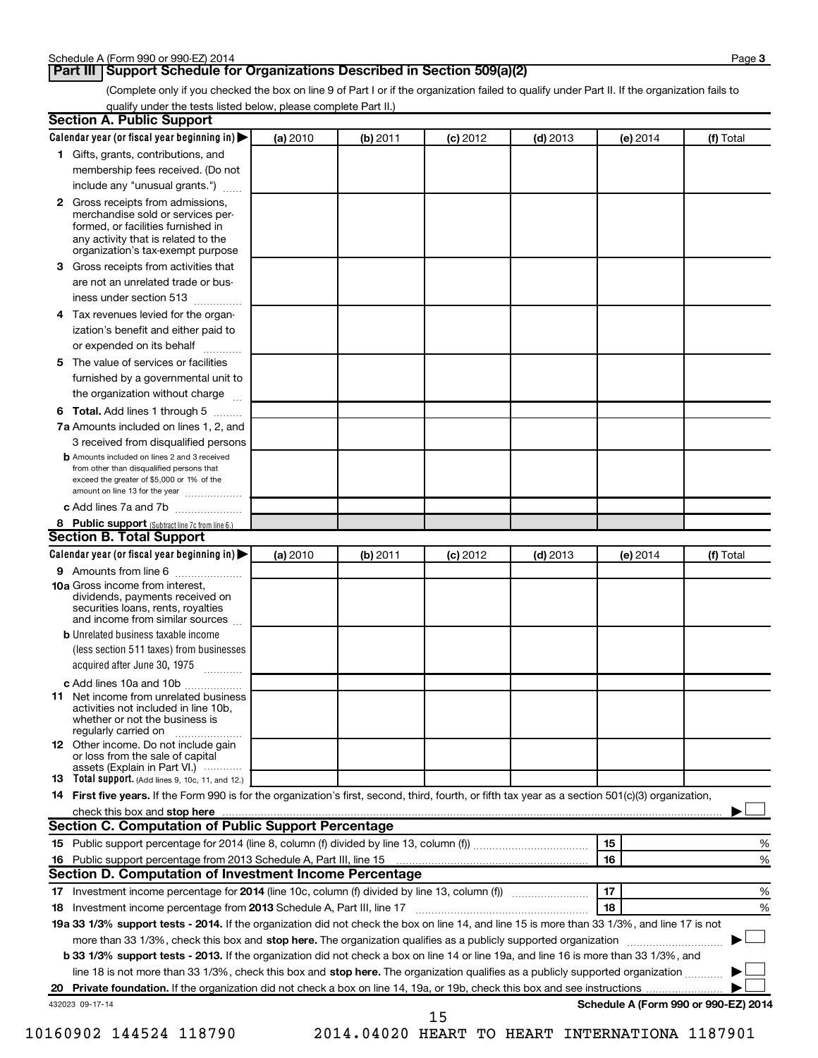# **Part III Support Schedule for Organizations Described in Section 509(a)(2)**

(Complete only if you checked the box on line 9 of Part I or if the organization failed to qualify under Part II. If the organization fails to qualify under the tests listed below, please complete Part II.)

| <b>Section A. Public Support</b>                                                                                                                                                 |          |          |            |            |                                      |           |
|----------------------------------------------------------------------------------------------------------------------------------------------------------------------------------|----------|----------|------------|------------|--------------------------------------|-----------|
| Calendar year (or fiscal year beginning in)                                                                                                                                      | (a) 2010 | (b) 2011 | $(c)$ 2012 | $(d)$ 2013 | (e) 2014                             | (f) Total |
| 1 Gifts, grants, contributions, and                                                                                                                                              |          |          |            |            |                                      |           |
| membership fees received. (Do not                                                                                                                                                |          |          |            |            |                                      |           |
| include any "unusual grants.")                                                                                                                                                   |          |          |            |            |                                      |           |
| 2 Gross receipts from admissions,<br>merchandise sold or services per-<br>formed, or facilities furnished in<br>any activity that is related to the                              |          |          |            |            |                                      |           |
| organization's tax-exempt purpose                                                                                                                                                |          |          |            |            |                                      |           |
| 3 Gross receipts from activities that                                                                                                                                            |          |          |            |            |                                      |           |
| are not an unrelated trade or bus-                                                                                                                                               |          |          |            |            |                                      |           |
| iness under section 513                                                                                                                                                          |          |          |            |            |                                      |           |
| 4 Tax revenues levied for the organ-                                                                                                                                             |          |          |            |            |                                      |           |
| ization's benefit and either paid to<br>or expended on its behalf<br>.                                                                                                           |          |          |            |            |                                      |           |
| 5 The value of services or facilities                                                                                                                                            |          |          |            |            |                                      |           |
| furnished by a governmental unit to                                                                                                                                              |          |          |            |            |                                      |           |
| the organization without charge                                                                                                                                                  |          |          |            |            |                                      |           |
| 6 Total. Add lines 1 through 5                                                                                                                                                   |          |          |            |            |                                      |           |
| 7a Amounts included on lines 1, 2, and                                                                                                                                           |          |          |            |            |                                      |           |
| 3 received from disqualified persons                                                                                                                                             |          |          |            |            |                                      |           |
| <b>b</b> Amounts included on lines 2 and 3 received<br>from other than disqualified persons that<br>exceed the greater of \$5,000 or 1% of the<br>amount on line 13 for the year |          |          |            |            |                                      |           |
| c Add lines 7a and 7b                                                                                                                                                            |          |          |            |            |                                      |           |
| 8 Public support (Subtract line 7c from line 6.)                                                                                                                                 |          |          |            |            |                                      |           |
| <b>Section B. Total Support</b>                                                                                                                                                  |          |          |            |            |                                      |           |
| Calendar year (or fiscal year beginning in)                                                                                                                                      | (a) 2010 | (b) 2011 | $(c)$ 2012 | $(d)$ 2013 | (e) 2014                             | (f) Total |
| 9 Amounts from line 6                                                                                                                                                            |          |          |            |            |                                      |           |
| <b>10a</b> Gross income from interest,<br>dividends, payments received on<br>securities loans, rents, royalties<br>and income from similar sources                               |          |          |            |            |                                      |           |
| <b>b</b> Unrelated business taxable income                                                                                                                                       |          |          |            |            |                                      |           |
| (less section 511 taxes) from businesses                                                                                                                                         |          |          |            |            |                                      |           |
| acquired after June 30, 1975<br>$\overline{\phantom{a}}$                                                                                                                         |          |          |            |            |                                      |           |
| c Add lines 10a and 10b                                                                                                                                                          |          |          |            |            |                                      |           |
| <b>11</b> Net income from unrelated business<br>activities not included in line 10b,<br>whether or not the business is<br>regularly carried on                                   |          |          |            |            |                                      |           |
| 12 Other income. Do not include gain<br>or loss from the sale of capital<br>assets (Explain in Part VI.)                                                                         |          |          |            |            |                                      |           |
| <b>13</b> Total support. (Add lines 9, 10c, 11, and 12.)                                                                                                                         |          |          |            |            |                                      |           |
| 14 First five years. If the Form 990 is for the organization's first, second, third, fourth, or fifth tax year as a section 501(c)(3) organization,                              |          |          |            |            |                                      |           |
| check this box and stop here                                                                                                                                                     |          |          |            |            |                                      |           |
| <b>Section C. Computation of Public Support Percentage</b>                                                                                                                       |          |          |            |            |                                      |           |
|                                                                                                                                                                                  |          |          |            |            | 15                                   | %         |
|                                                                                                                                                                                  |          |          |            |            | 16                                   | %         |
| Section D. Computation of Investment Income Percentage                                                                                                                           |          |          |            |            |                                      |           |
|                                                                                                                                                                                  |          |          |            |            | 17                                   | %         |
| 18 Investment income percentage from 2013 Schedule A, Part III, line 17                                                                                                          |          |          |            |            | 18                                   | %         |
| 19a 33 1/3% support tests - 2014. If the organization did not check the box on line 14, and line 15 is more than 33 1/3%, and line 17 is not                                     |          |          |            |            |                                      |           |
| more than 33 1/3%, check this box and stop here. The organization qualifies as a publicly supported organization                                                                 |          |          |            |            |                                      |           |
| b 33 1/3% support tests - 2013. If the organization did not check a box on line 14 or line 19a, and line 16 is more than 33 1/3%, and                                            |          |          |            |            |                                      |           |
| line 18 is not more than 33 1/3%, check this box and stop here. The organization qualifies as a publicly supported organization <i></i>                                          |          |          |            |            |                                      |           |
|                                                                                                                                                                                  |          |          |            |            |                                      |           |
| 432023 09-17-14                                                                                                                                                                  |          |          | 15         |            | Schedule A (Form 990 or 990-EZ) 2014 |           |

10160902 144524 118790 2014.04020 HEART TO HEART INTERNATIONA 1187901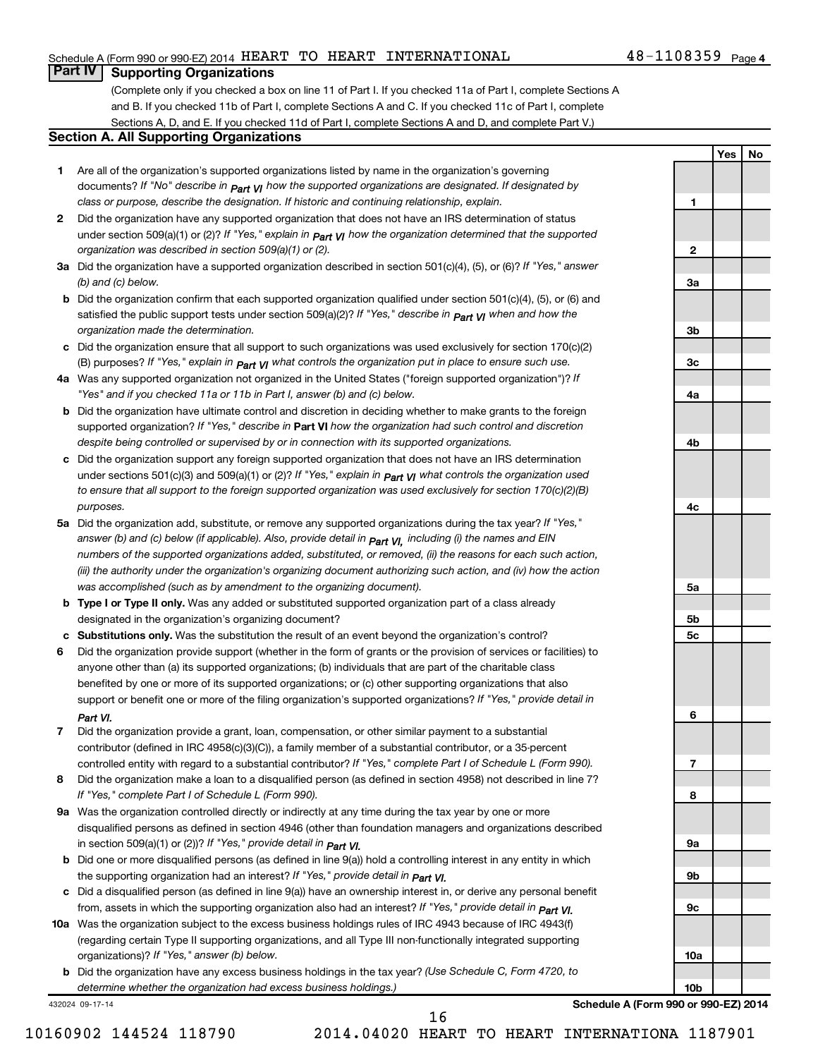### Schedule A (Form 990 or 990-EZ) 2014  $\rm HEART$   $\rm TO$   $\rm HEART$   $\rm INTERNATIONAL$   $\rm 48-1108359$   $\rm Page$

# **Part IV Supporting Organizations**

(Complete only if you checked a box on line 11 of Part I. If you checked 11a of Part I, complete Sections A and B. If you checked 11b of Part I, complete Sections A and C. If you checked 11c of Part I, complete Sections A, D, and E. If you checked 11d of Part I, complete Sections A and D, and complete Part V.)

#### **Section A. All Supporting Organizations**

- **1** Are all of the organization's supported organizations listed by name in the organization's governing documents? If "No" describe in  $_{\mathsf{Part}}$   $_{\mathsf{V}}$  how the supported organizations are designated. If designated by *class or purpose, describe the designation. If historic and continuing relationship, explain.*
- **2** Did the organization have any supported organization that does not have an IRS determination of status under section 509(a)(1) or (2)? If "Yes," explain in  $_{\sf Part}$   $_{\sf VI}$  how the organization determined that the supported *organization was described in section 509(a)(1) or (2).*
- **3a** Did the organization have a supported organization described in section 501(c)(4), (5), or (6)? If "Yes," answer *(b) and (c) below.*
- **b** Did the organization confirm that each supported organization qualified under section 501(c)(4), (5), or (6) and satisfied the public support tests under section 509(a)(2)? If "Yes," describe in  $_{\rm Part}$   $_{\rm VI}$  when and how the *organization made the determination.*
- **c** Did the organization ensure that all support to such organizations was used exclusively for section 170(c)(2) (B) purposes? If "Yes," explain in  $_{\mathsf{Part}}$   $_{\mathsf{V}}$  what controls the organization put in place to ensure such use.
- **4 a** *If* Was any supported organization not organized in the United States ("foreign supported organization")? *"Yes" and if you checked 11a or 11b in Part I, answer (b) and (c) below.*
- **b** Did the organization have ultimate control and discretion in deciding whether to make grants to the foreign supported organization? If "Yes," describe in Part VI how the organization had such control and discretion *despite being controlled or supervised by or in connection with its supported organizations.*
- **c** Did the organization support any foreign supported organization that does not have an IRS determination under sections 501(c)(3) and 509(a)(1) or (2)? If "Yes," ex*plain in*  $_{\sf Part}$  *v*J what controls the organization used *to ensure that all support to the foreign supported organization was used exclusively for section 170(c)(2)(B) purposes.*
- **5a** Did the organization add, substitute, or remove any supported organizations during the tax year? If "Yes," answer (b) and (c) below (if applicable). Also, provide detail in  $_{\mathsf{Part}}$   $_{\mathsf{V{\mathsf{I}}}}$ , including (i) the names and EIN *numbers of the supported organizations added, substituted, or removed, (ii) the reasons for each such action, (iii) the authority under the organization's organizing document authorizing such action, and (iv) how the action was accomplished (such as by amendment to the organizing document).*
- **b** Type I or Type II only. Was any added or substituted supported organization part of a class already designated in the organization's organizing document?
- **c Substitutions only.**  Was the substitution the result of an event beyond the organization's control?
- **6** Did the organization provide support (whether in the form of grants or the provision of services or facilities) to support or benefit one or more of the filing organization's supported organizations? If "Yes," provide detail in anyone other than (a) its supported organizations; (b) individuals that are part of the charitable class benefited by one or more of its supported organizations; or (c) other supporting organizations that also *Part VI.*
- **7** Did the organization provide a grant, loan, compensation, or other similar payment to a substantial controlled entity with regard to a substantial contributor? If "Yes," complete Part I of Schedule L (Form 990). contributor (defined in IRC 4958(c)(3)(C)), a family member of a substantial contributor, or a 35-percent
- **8** Did the organization make a loan to a disqualified person (as defined in section 4958) not described in line 7? *If "Yes," complete Part I of Schedule L (Form 990).*
- **9 a** Was the organization controlled directly or indirectly at any time during the tax year by one or more *If "Yes," provide detail in*  in section 509(a)(1) or (2))? *Part VI.* disqualified persons as defined in section 4946 (other than foundation managers and organizations described
- **b** Did one or more disqualified persons (as defined in line 9(a)) hold a controlling interest in any entity in which  *If "Yes," provide detail in*  the supporting organization had an interest? *Part VI.*
- **c** Did a disqualified person (as defined in line 9(a)) have an ownership interest in, or derive any personal benefit from, assets in which the supporting organization also had an interest? If "Yes," *provide detail in Part VI.*
- **10 a** Was the organization subject to the excess business holdings rules of IRC 4943 because of IRC 4943(f)  *If "Yes," answer (b) below.* organizations)? (regarding certain Type II supporting organizations, and all Type III non-functionally integrated supporting
- **b** Did the organization have any excess business holdings in the tax year? (Use Schedule C, Form 4720, to *determine whether the organization had excess business holdings.)*

432024 09-17-14

48-1108359 Page 4 **Yes No 1 2 3a 3b 3c 4a 4b**

**4c**

**5a**

**5b 5c**

**6**

**7**

**8**

**9a**

**9b**

**9c**

**10a**

**10b**

**Schedule A (Form 990 or 990-EZ) 2014**

16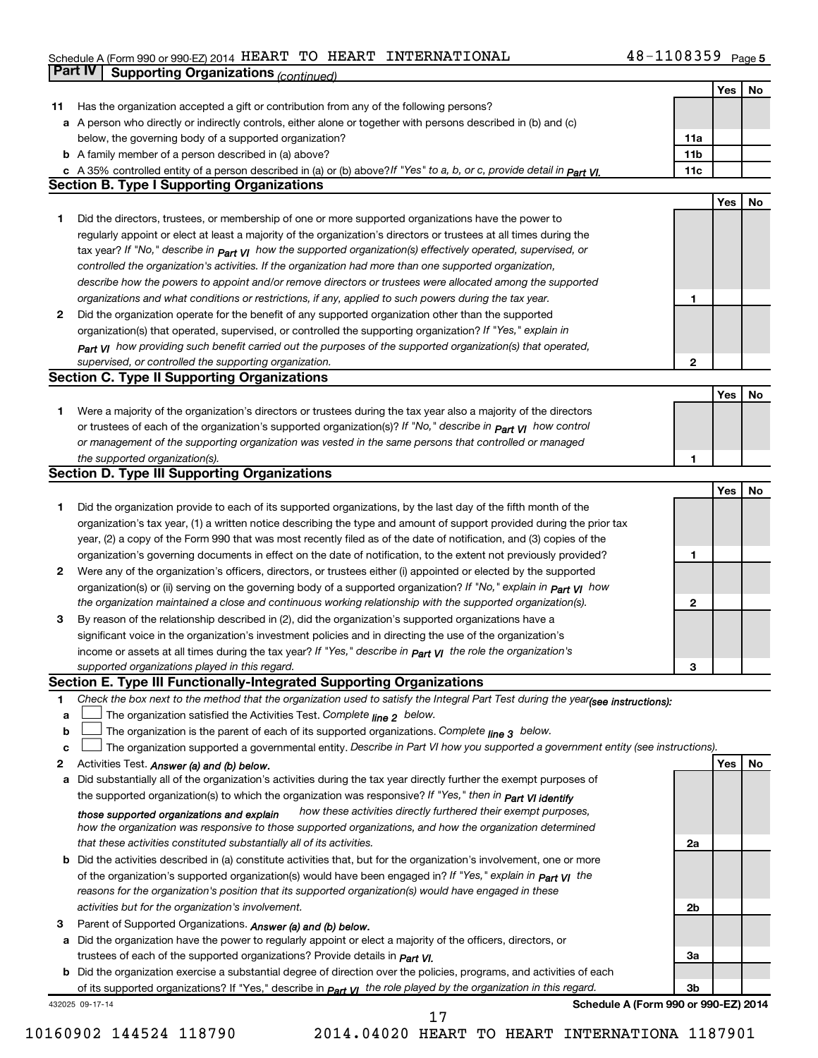#### Schedule A (Form 990 or 990-EZ) 2014 HEART TO HEART INTERNATIONAL 4 8-IIU8359 Page HEART TO HEART INTERNATIONAL 48-1108359

|    | <b>Part IV</b>  | <b>Supporting Organizations (continued)</b>                                                                                      |                 |     |    |
|----|-----------------|----------------------------------------------------------------------------------------------------------------------------------|-----------------|-----|----|
|    |                 |                                                                                                                                  |                 | Yes | No |
| 11 |                 | Has the organization accepted a gift or contribution from any of the following persons?                                          |                 |     |    |
|    |                 | a A person who directly or indirectly controls, either alone or together with persons described in (b) and (c)                   |                 |     |    |
|    |                 | below, the governing body of a supported organization?                                                                           | 11a             |     |    |
|    |                 | <b>b</b> A family member of a person described in (a) above?                                                                     | 11 <sub>b</sub> |     |    |
|    |                 | c A 35% controlled entity of a person described in (a) or (b) above?If "Yes" to a, b, or c, provide detail in Part VI.           | 11c             |     |    |
|    |                 | <b>Section B. Type I Supporting Organizations</b>                                                                                |                 |     |    |
|    |                 |                                                                                                                                  |                 | Yes | No |
| 1  |                 | Did the directors, trustees, or membership of one or more supported organizations have the power to                              |                 |     |    |
|    |                 | regularly appoint or elect at least a majority of the organization's directors or trustees at all times during the               |                 |     |    |
|    |                 |                                                                                                                                  |                 |     |    |
|    |                 | tax year? If "No," describe in $_{Part}$ $_{VI}$ how the supported organization(s) effectively operated, supervised, or          |                 |     |    |
|    |                 | controlled the organization's activities. If the organization had more than one supported organization,                          |                 |     |    |
|    |                 | describe how the powers to appoint and/or remove directors or trustees were allocated among the supported                        |                 |     |    |
|    |                 | organizations and what conditions or restrictions, if any, applied to such powers during the tax year.                           | 1               |     |    |
| 2  |                 | Did the organization operate for the benefit of any supported organization other than the supported                              |                 |     |    |
|    |                 | organization(s) that operated, supervised, or controlled the supporting organization? If "Yes," explain in                       |                 |     |    |
|    |                 | Part VI how providing such benefit carried out the purposes of the supported organization(s) that operated,                      |                 |     |    |
|    |                 | supervised, or controlled the supporting organization.                                                                           | $\mathbf{2}$    |     |    |
|    |                 | <b>Section C. Type II Supporting Organizations</b>                                                                               |                 |     |    |
|    |                 |                                                                                                                                  |                 | Yes | No |
| 1. |                 | Were a majority of the organization's directors or trustees during the tax year also a majority of the directors                 |                 |     |    |
|    |                 | or trustees of each of the organization's supported organization(s)? If "No," describe in <b>Part VI</b> how control             |                 |     |    |
|    |                 | or management of the supporting organization was vested in the same persons that controlled or managed                           |                 |     |    |
|    |                 | the supported organization(s).                                                                                                   | 1               |     |    |
|    |                 | <b>Section D. Type III Supporting Organizations</b>                                                                              |                 |     |    |
|    |                 |                                                                                                                                  |                 | Yes | No |
| 1  |                 | Did the organization provide to each of its supported organizations, by the last day of the fifth month of the                   |                 |     |    |
|    |                 | organization's tax year, (1) a written notice describing the type and amount of support provided during the prior tax            |                 |     |    |
|    |                 | year, (2) a copy of the Form 990 that was most recently filed as of the date of notification, and (3) copies of the              |                 |     |    |
|    |                 | organization's governing documents in effect on the date of notification, to the extent not previously provided?                 | 1               |     |    |
| 2  |                 | Were any of the organization's officers, directors, or trustees either (i) appointed or elected by the supported                 |                 |     |    |
|    |                 | organization(s) or (ii) serving on the governing body of a supported organization? If "No," explain in part VI how               |                 |     |    |
|    |                 | the organization maintained a close and continuous working relationship with the supported organization(s).                      | 2               |     |    |
| 3  |                 | By reason of the relationship described in (2), did the organization's supported organizations have a                            |                 |     |    |
|    |                 | significant voice in the organization's investment policies and in directing the use of the organization's                       |                 |     |    |
|    |                 | income or assets at all times during the tax year? If "Yes," describe in $P_{\text{art } VI}$ the role the organization's        |                 |     |    |
|    |                 | supported organizations played in this regard.                                                                                   | з               |     |    |
|    |                 | Section E. Type III Functionally-Integrated Supporting Organizations                                                             |                 |     |    |
| 1  |                 | Check the box next to the method that the organization used to satisfy the Integral Part Test during the year(see instructions): |                 |     |    |
| a  |                 | The organization satisfied the Activities Test. Complete line 2 below.                                                           |                 |     |    |
| b  |                 | The organization is the parent of each of its supported organizations. Complete line 3 below.                                    |                 |     |    |
| c  |                 | The organization supported a governmental entity. Describe in Part VI how you supported a government entity (see instructions).  |                 |     |    |
| 2  |                 | Activities Test. Answer (a) and (b) below.                                                                                       |                 | Yes | No |
| а  |                 | Did substantially all of the organization's activities during the tax year directly further the exempt purposes of               |                 |     |    |
|    |                 | the supported organization(s) to which the organization was responsive? If "Yes," then in Part VI identify                       |                 |     |    |
|    |                 | how these activities directly furthered their exempt purposes,<br>those supported organizations and explain                      |                 |     |    |
|    |                 | how the organization was responsive to those supported organizations, and how the organization determined                        |                 |     |    |
|    |                 | that these activities constituted substantially all of its activities.                                                           | 2a              |     |    |
|    |                 | <b>b</b> Did the activities described in (a) constitute activities that, but for the organization's involvement, one or more     |                 |     |    |
|    |                 | of the organization's supported organization(s) would have been engaged in? If "Yes," explain in <b>Part VI</b> the              |                 |     |    |
|    |                 | reasons for the organization's position that its supported organization(s) would have engaged in these                           |                 |     |    |
|    |                 | activities but for the organization's involvement.                                                                               | 2b              |     |    |
| З  |                 | Parent of Supported Organizations. Answer (a) and (b) below.                                                                     |                 |     |    |
| а  |                 | Did the organization have the power to regularly appoint or elect a majority of the officers, directors, or                      |                 |     |    |
|    |                 | trustees of each of the supported organizations? Provide details in <i>Part VI.</i>                                              | За              |     |    |
|    |                 | <b>b</b> Did the organization exercise a substantial degree of direction over the policies, programs, and activities of each     |                 |     |    |
|    |                 | of its supported organizations? If "Yes," describe in <b>Part VI</b> the role played by the organization in this regard.         | Зb              |     |    |
|    |                 |                                                                                                                                  |                 |     |    |
|    | 432025 09-17-14 | Schedule A (Form 990 or 990-EZ) 2014<br>17                                                                                       |                 |     |    |
|    |                 |                                                                                                                                  |                 |     |    |

10160902 144524 118790 2014.04020 HEART TO HEART INTERNATIONA 1187901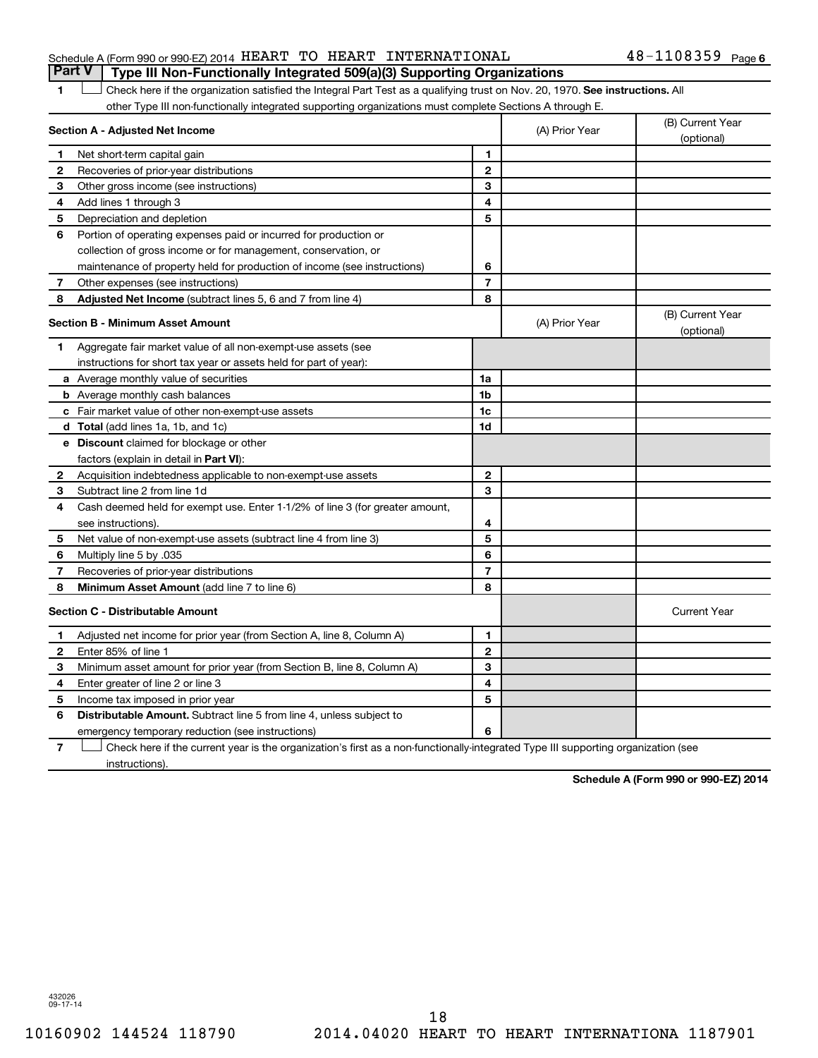### Schedule A (Form 990 or 990-EZ) 2014  $\rm HEART$   $\rm TO$   $\rm HEART$   $\rm INTERNATIONAL$   $\rm 48-1108359$   $\rm Page$ **Part V Type III Non-Functionally Integrated 509(a)(3) Supporting Organizations**

1 **Letter on Reck here if the organization satisfied the Integral Part Test as a qualifying trust on Nov. 20, 1970. See instructions. All** other Type III non-functionally integrated supporting organizations must complete Sections A through E.

| Section A - Adjusted Net Income |                                                                                                                                   |                          | (A) Prior Year | (B) Current Year<br>(optional) |  |
|---------------------------------|-----------------------------------------------------------------------------------------------------------------------------------|--------------------------|----------------|--------------------------------|--|
| 1                               | Net short-term capital gain                                                                                                       | 1                        |                |                                |  |
| $\mathbf{2}$                    | Recoveries of prior-year distributions                                                                                            | $\mathbf{2}$             |                |                                |  |
| З                               | Other gross income (see instructions)                                                                                             | 3                        |                |                                |  |
| 4                               | Add lines 1 through 3                                                                                                             | 4                        |                |                                |  |
| 5                               | Depreciation and depletion                                                                                                        | 5                        |                |                                |  |
| 6                               | Portion of operating expenses paid or incurred for production or                                                                  |                          |                |                                |  |
|                                 | collection of gross income or for management, conservation, or                                                                    |                          |                |                                |  |
|                                 | maintenance of property held for production of income (see instructions)                                                          | 6                        |                |                                |  |
| 7                               | Other expenses (see instructions)                                                                                                 | $\overline{7}$           |                |                                |  |
| 8                               | Adjusted Net Income (subtract lines 5, 6 and 7 from line 4)                                                                       | 8                        |                |                                |  |
|                                 | Section B - Minimum Asset Amount                                                                                                  |                          | (A) Prior Year | (B) Current Year<br>(optional) |  |
| 1.                              | Aggregate fair market value of all non-exempt-use assets (see                                                                     |                          |                |                                |  |
|                                 | instructions for short tax year or assets held for part of year):                                                                 |                          |                |                                |  |
|                                 | <b>a</b> Average monthly value of securities                                                                                      | 1a                       |                |                                |  |
|                                 | <b>b</b> Average monthly cash balances                                                                                            | 1 <sub>b</sub>           |                |                                |  |
|                                 | c Fair market value of other non-exempt-use assets                                                                                | 1c                       |                |                                |  |
|                                 | d Total (add lines 1a, 1b, and 1c)                                                                                                | 1d                       |                |                                |  |
|                                 | e Discount claimed for blockage or other                                                                                          |                          |                |                                |  |
|                                 | factors (explain in detail in Part VI):                                                                                           |                          |                |                                |  |
| 2                               | Acquisition indebtedness applicable to non-exempt-use assets                                                                      | $\mathbf{2}$             |                |                                |  |
| З                               | Subtract line 2 from line 1d                                                                                                      | 3                        |                |                                |  |
| 4                               | Cash deemed held for exempt use. Enter 1-1/2% of line 3 (for greater amount,                                                      |                          |                |                                |  |
|                                 | see instructions).                                                                                                                | 4                        |                |                                |  |
| 5                               | Net value of non-exempt-use assets (subtract line 4 from line 3)                                                                  | 5                        |                |                                |  |
| 6                               | Multiply line 5 by .035                                                                                                           | 6                        |                |                                |  |
| 7                               | Recoveries of prior-year distributions                                                                                            | $\overline{\phantom{a}}$ |                |                                |  |
| 8                               | <b>Minimum Asset Amount (add line 7 to line 6)</b>                                                                                | 8                        |                |                                |  |
|                                 | <b>Section C - Distributable Amount</b>                                                                                           |                          |                | <b>Current Year</b>            |  |
| 1.                              | Adjusted net income for prior year (from Section A, line 8, Column A)                                                             | 1                        |                |                                |  |
| $\mathbf{2}$                    | Enter 85% of line 1                                                                                                               | $\mathbf{2}$             |                |                                |  |
| З                               | Minimum asset amount for prior year (from Section B, line 8, Column A)                                                            | 3                        |                |                                |  |
| 4                               | Enter greater of line 2 or line 3                                                                                                 | 4                        |                |                                |  |
| 5                               | Income tax imposed in prior year                                                                                                  | 5                        |                |                                |  |
| 6                               | <b>Distributable Amount.</b> Subtract line 5 from line 4, unless subject to                                                       |                          |                |                                |  |
|                                 | emergency temporary reduction (see instructions)                                                                                  | 6                        |                |                                |  |
| 7                               | Check here if the current year is the organization's first as a non-functionally-integrated Type III supporting organization (see |                          |                |                                |  |

instructions).

**Schedule A (Form 990 or 990-EZ) 2014**

432026 09-17-14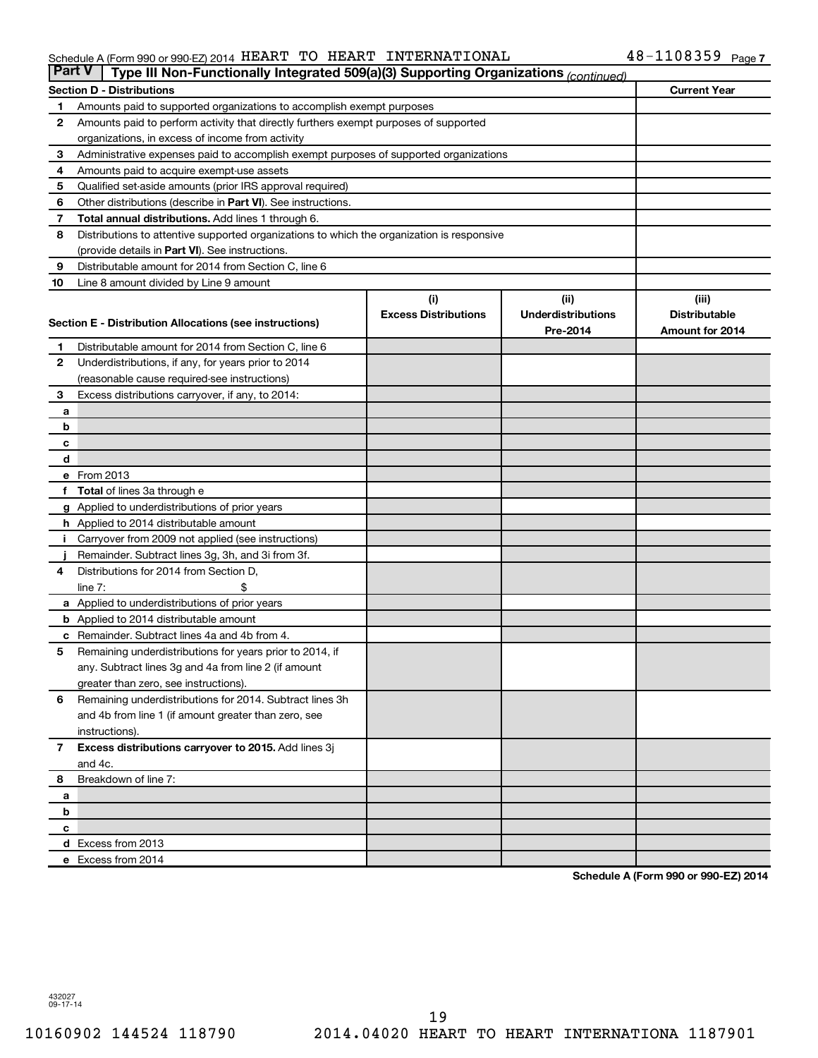#### Schedule A (Form 990 or 990-EZ) 2014  $\rm HEART$   $\rm TO$   $\rm HEART$   $\rm INTERNATIONAL$   $\rm 48-1108359$   $\rm Page$

| <b>Part V</b> | Type III Non-Functionally Integrated 509(a)(3) Supporting Organizations (continued)                 |                             |                           |                      |
|---------------|-----------------------------------------------------------------------------------------------------|-----------------------------|---------------------------|----------------------|
|               | <b>Section D - Distributions</b>                                                                    |                             |                           | <b>Current Year</b>  |
| 1             | Amounts paid to supported organizations to accomplish exempt purposes                               |                             |                           |                      |
| 2             | Amounts paid to perform activity that directly furthers exempt purposes of supported                |                             |                           |                      |
|               | organizations, in excess of income from activity                                                    |                             |                           |                      |
| 3             | Administrative expenses paid to accomplish exempt purposes of supported organizations               |                             |                           |                      |
| 4             | Amounts paid to acquire exempt-use assets                                                           |                             |                           |                      |
| 5             | Qualified set-aside amounts (prior IRS approval required)                                           |                             |                           |                      |
| 6             | Other distributions (describe in Part VI). See instructions.                                        |                             |                           |                      |
| 7             | Total annual distributions. Add lines 1 through 6.                                                  |                             |                           |                      |
| 8             | Distributions to attentive supported organizations to which the organization is responsive          |                             |                           |                      |
|               | (provide details in Part VI). See instructions.                                                     |                             |                           |                      |
| 9             | Distributable amount for 2014 from Section C, line 6                                                |                             |                           |                      |
| 10            | Line 8 amount divided by Line 9 amount                                                              |                             |                           |                      |
|               |                                                                                                     | (i)                         | (ii)                      | (iii)                |
|               | Section E - Distribution Allocations (see instructions)                                             | <b>Excess Distributions</b> | <b>Underdistributions</b> | <b>Distributable</b> |
|               |                                                                                                     |                             | Pre-2014                  | Amount for 2014      |
| 1             | Distributable amount for 2014 from Section C, line 6                                                |                             |                           |                      |
| $\mathbf{2}$  | Underdistributions, if any, for years prior to 2014                                                 |                             |                           |                      |
|               | (reasonable cause required-see instructions)                                                        |                             |                           |                      |
| 3             | Excess distributions carryover, if any, to 2014:                                                    |                             |                           |                      |
| a             |                                                                                                     |                             |                           |                      |
| b             |                                                                                                     |                             |                           |                      |
| с             |                                                                                                     |                             |                           |                      |
| d             |                                                                                                     |                             |                           |                      |
|               | e From 2013                                                                                         |                             |                           |                      |
|               | <b>Total</b> of lines 3a through e                                                                  |                             |                           |                      |
|               | g Applied to underdistributions of prior years                                                      |                             |                           |                      |
|               | <b>h</b> Applied to 2014 distributable amount<br>Carryover from 2009 not applied (see instructions) |                             |                           |                      |
|               | Remainder. Subtract lines 3g, 3h, and 3i from 3f.                                                   |                             |                           |                      |
| 4             | Distributions for 2014 from Section D,                                                              |                             |                           |                      |
|               | $line 7$ :                                                                                          |                             |                           |                      |
|               | a Applied to underdistributions of prior years                                                      |                             |                           |                      |
|               | <b>b</b> Applied to 2014 distributable amount                                                       |                             |                           |                      |
| с             | Remainder. Subtract lines 4a and 4b from 4.                                                         |                             |                           |                      |
| 5             | Remaining underdistributions for years prior to 2014, if                                            |                             |                           |                      |
|               | any. Subtract lines 3g and 4a from line 2 (if amount                                                |                             |                           |                      |
|               | greater than zero, see instructions).                                                               |                             |                           |                      |
| 6             | Remaining underdistributions for 2014. Subtract lines 3h                                            |                             |                           |                      |
|               | and 4b from line 1 (if amount greater than zero, see                                                |                             |                           |                      |
|               | instructions).                                                                                      |                             |                           |                      |
| $\mathbf{7}$  | Excess distributions carryover to 2015. Add lines 3j                                                |                             |                           |                      |
|               | and 4c.                                                                                             |                             |                           |                      |
| 8             | Breakdown of line 7:                                                                                |                             |                           |                      |
| a             |                                                                                                     |                             |                           |                      |
| b             |                                                                                                     |                             |                           |                      |
| с             |                                                                                                     |                             |                           |                      |
|               | d Excess from 2013                                                                                  |                             |                           |                      |
|               | e Excess from 2014                                                                                  |                             |                           |                      |

**Schedule A (Form 990 or 990-EZ) 2014**

432027 09-17-14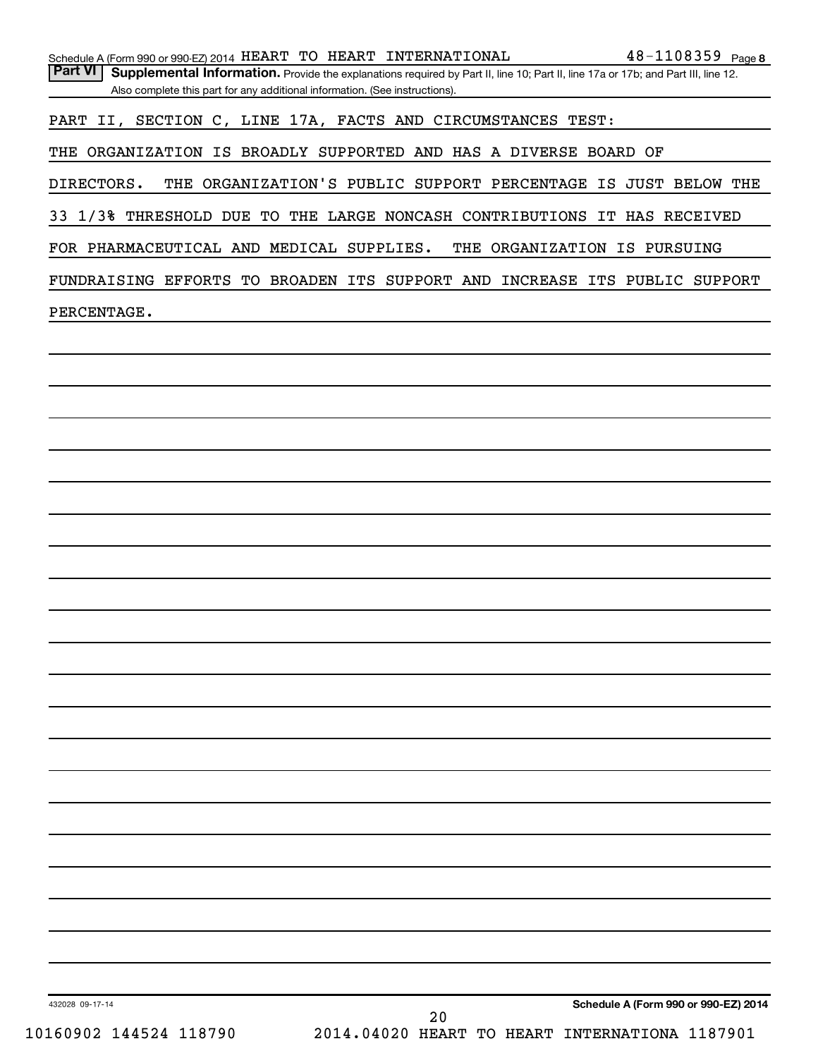|                                                                                               | Schedule A (Form 990 or 990-EZ) 2014 HEART TO HEART INTERNATIONAL $48-1108359$ Page 8                                             |                                      |
|-----------------------------------------------------------------------------------------------|-----------------------------------------------------------------------------------------------------------------------------------|--------------------------------------|
| <b>Part VI</b><br>Also complete this part for any additional information. (See instructions). | Supplemental Information. Provide the explanations required by Part II, line 10; Part II, line 17a or 17b; and Part III, line 12. |                                      |
|                                                                                               | PART II, SECTION C, LINE 17A, FACTS AND CIRCUMSTANCES TEST:                                                                       |                                      |
|                                                                                               | THE ORGANIZATION IS BROADLY SUPPORTED AND HAS A DIVERSE BOARD OF                                                                  |                                      |
| DIRECTORS.                                                                                    | THE ORGANIZATION'S PUBLIC SUPPORT PERCENTAGE IS JUST BELOW THE                                                                    |                                      |
|                                                                                               | 33 1/3% THRESHOLD DUE TO THE LARGE NONCASH CONTRIBUTIONS IT HAS RECEIVED                                                          |                                      |
|                                                                                               | FOR PHARMACEUTICAL AND MEDICAL SUPPLIES. THE ORGANIZATION IS PURSUING                                                             |                                      |
|                                                                                               | FUNDRAISING EFFORTS TO BROADEN ITS SUPPORT AND INCREASE ITS PUBLIC SUPPORT                                                        |                                      |
|                                                                                               |                                                                                                                                   |                                      |
| PERCENTAGE.                                                                                   |                                                                                                                                   |                                      |
|                                                                                               |                                                                                                                                   |                                      |
|                                                                                               |                                                                                                                                   |                                      |
|                                                                                               |                                                                                                                                   |                                      |
|                                                                                               |                                                                                                                                   |                                      |
|                                                                                               |                                                                                                                                   |                                      |
|                                                                                               |                                                                                                                                   |                                      |
|                                                                                               |                                                                                                                                   |                                      |
|                                                                                               |                                                                                                                                   |                                      |
|                                                                                               |                                                                                                                                   |                                      |
|                                                                                               |                                                                                                                                   |                                      |
|                                                                                               |                                                                                                                                   |                                      |
|                                                                                               |                                                                                                                                   |                                      |
|                                                                                               |                                                                                                                                   |                                      |
|                                                                                               |                                                                                                                                   |                                      |
|                                                                                               |                                                                                                                                   |                                      |
|                                                                                               |                                                                                                                                   |                                      |
|                                                                                               |                                                                                                                                   |                                      |
|                                                                                               |                                                                                                                                   |                                      |
|                                                                                               |                                                                                                                                   |                                      |
|                                                                                               |                                                                                                                                   |                                      |
|                                                                                               |                                                                                                                                   |                                      |
|                                                                                               |                                                                                                                                   |                                      |
|                                                                                               |                                                                                                                                   |                                      |
| 432028 09-17-14<br>10160902 144524 118790                                                     | 20<br>2014.04020 HEART TO HEART INTERNATIONA 1187901                                                                              | Schedule A (Form 990 or 990-EZ) 2014 |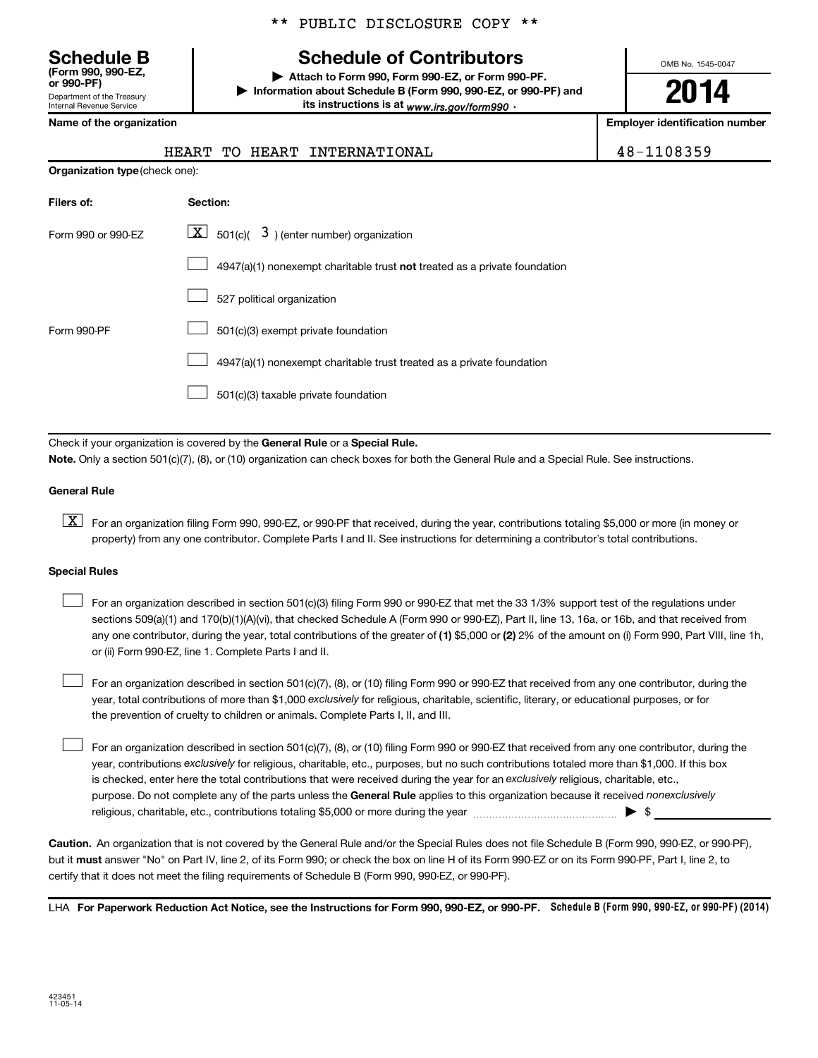Department of the Treasury **(Form 990, 990-EZ,**

Internal Revenue Service

|  |  | ** PUBLIC DISCLOSURE COPY ** |  |  |
|--|--|------------------------------|--|--|
|--|--|------------------------------|--|--|

# **Schedule B Schedule of Contributors**

**or 990-PF) | Attach to Form 990, Form 990-EZ, or Form 990-PF. | Information about Schedule B (Form 990, 990-EZ, or 990-PF) and** its instructions is at <sub>www.irs.gov/form990  $\cdot$ </sub>

OMB No. 1545-0047

# **2014**

**Name of the organization Employer identification number**

|  |  |  | HEART TO HEART INTERNATIONAL | 48-1108359 |
|--|--|--|------------------------------|------------|
|--|--|--|------------------------------|------------|

| <b>Organization type (check one):</b> |                                                                                    |  |  |  |
|---------------------------------------|------------------------------------------------------------------------------------|--|--|--|
| Filers of:                            | Section:                                                                           |  |  |  |
| Form 990 or 990-FZ                    | $ \mathbf{X} $ 501(c)( 3) (enter number) organization                              |  |  |  |
|                                       | $4947(a)(1)$ nonexempt charitable trust <b>not</b> treated as a private foundation |  |  |  |
|                                       | 527 political organization                                                         |  |  |  |
| Form 990-PF                           | 501(c)(3) exempt private foundation                                                |  |  |  |
|                                       | 4947(a)(1) nonexempt charitable trust treated as a private foundation              |  |  |  |
|                                       | 501(c)(3) taxable private foundation                                               |  |  |  |

Check if your organization is covered by the General Rule or a Special Rule. **Note.**  Only a section 501(c)(7), (8), or (10) organization can check boxes for both the General Rule and a Special Rule. See instructions.

#### **General Rule**

**K** For an organization filing Form 990, 990-EZ, or 990-PF that received, during the year, contributions totaling \$5,000 or more (in money or property) from any one contributor. Complete Parts I and II. See instructions for determining a contributor's total contributions.

#### **Special Rules**

 $\Box$ 

any one contributor, during the year, total contributions of the greater of **(1)** \$5,000 or **(2)** 2% of the amount on (i) Form 990, Part VIII, line 1h, For an organization described in section 501(c)(3) filing Form 990 or 990-EZ that met the 33 1/3% support test of the regulations under sections 509(a)(1) and 170(b)(1)(A)(vi), that checked Schedule A (Form 990 or 990-EZ), Part II, line 13, 16a, or 16b, and that received from or (ii) Form 990-EZ, line 1. Complete Parts I and II.  $\Box$ 

year, total contributions of more than \$1,000 *exclusively* for religious, charitable, scientific, literary, or educational purposes, or for For an organization described in section 501(c)(7), (8), or (10) filing Form 990 or 990-EZ that received from any one contributor, during the the prevention of cruelty to children or animals. Complete Parts I, II, and III.  $\Box$ 

purpose. Do not complete any of the parts unless the General Rule applies to this organization because it received nonexclusively year, contributions exclusively for religious, charitable, etc., purposes, but no such contributions totaled more than \$1,000. If this box is checked, enter here the total contributions that were received during the year for an exclusively religious, charitable, etc., For an organization described in section 501(c)(7), (8), or (10) filing Form 990 or 990-EZ that received from any one contributor, during the religious, charitable, etc., contributions totaling \$5,000 or more during the year  $\ldots$  $\ldots$  $\ldots$  $\ldots$  $\ldots$  $\ldots$ 

**Caution.** An organization that is not covered by the General Rule and/or the Special Rules does not file Schedule B (Form 990, 990-EZ, or 990-PF),  **must** but it answer "No" on Part IV, line 2, of its Form 990; or check the box on line H of its Form 990-EZ or on its Form 990-PF, Part I, line 2, to certify that it does not meet the filing requirements of Schedule B (Form 990, 990-EZ, or 990-PF).

LHA For Paperwork Reduction Act Notice, see the Instructions for Form 990, 990-EZ, or 990-PF. Schedule B (Form 990, 990-EZ, or 990-PF) (2014)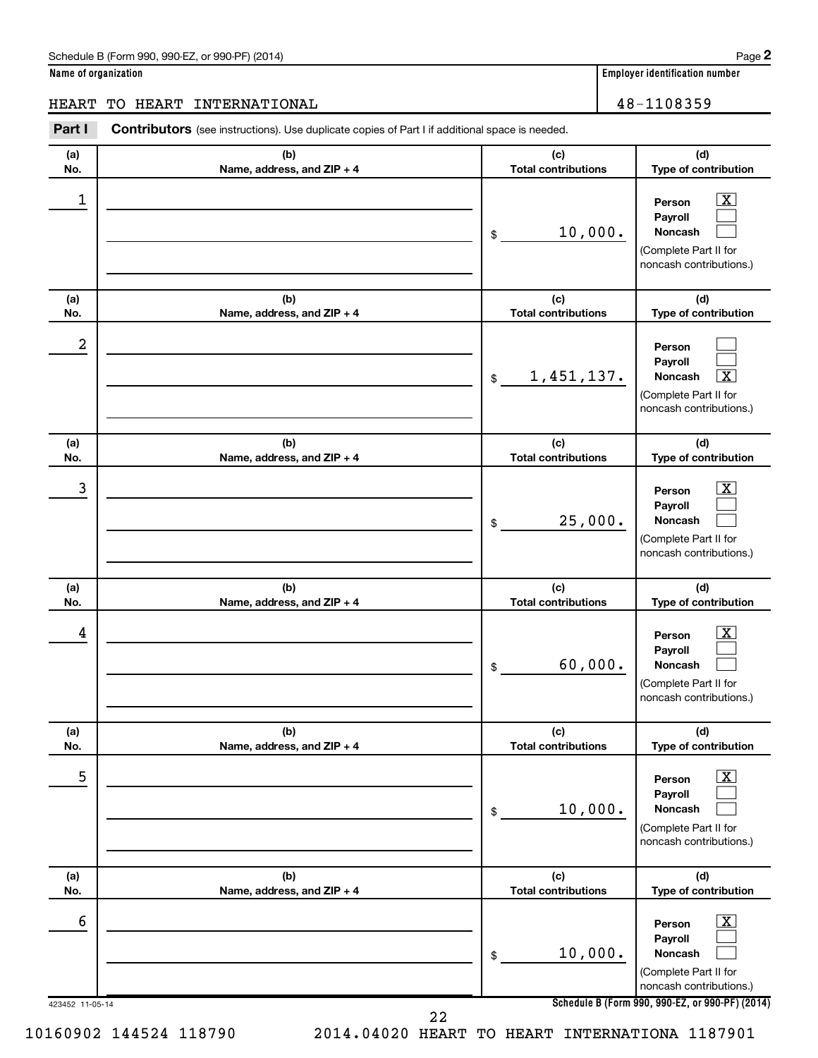$\boxed{\text{X}}$  $\Box$ 

|                      | Schedule B (Form 990, 990-EZ, or 990-PF) (2014)                                                       |                                   | Page                                                                                                               |
|----------------------|-------------------------------------------------------------------------------------------------------|-----------------------------------|--------------------------------------------------------------------------------------------------------------------|
| Name of organization |                                                                                                       |                                   | <b>Employer identification number</b>                                                                              |
| <b>HEART</b>         | TO HEART INTERNATIONAL                                                                                |                                   | 48-1108359                                                                                                         |
| Part I               | <b>Contributors</b> (see instructions). Use duplicate copies of Part I if additional space is needed. |                                   |                                                                                                                    |
| (a)<br>No.           | (b)<br>Name, address, and ZIP + 4                                                                     | (c)<br><b>Total contributions</b> | (d)<br>Type of contribution                                                                                        |
| 1                    |                                                                                                       | 10,000.<br>\$                     | $\overline{\textbf{X}}$<br>Person<br>Payroll<br>Noncash<br>(Complete Part II for<br>noncash contributions.)        |
| (a)<br>No.           | (b)<br>Name, address, and ZIP + 4                                                                     | (c)<br><b>Total contributions</b> | (d)<br>Type of contribution                                                                                        |
| 2                    |                                                                                                       | 1,451,137.<br>\$                  | Person<br>Payroll<br>$\overline{\texttt{x}}$<br>Noncash<br>(Complete Part II for<br>noncash contributions.)        |
| (a)<br>No.           | (b)<br>Name, address, and ZIP + 4                                                                     | (c)<br><b>Total contributions</b> | (d)<br>Type of contribution                                                                                        |
| 3                    |                                                                                                       | 25,000.<br>\$                     | х<br>Person<br>Payroll<br><b>Noncash</b><br>(Complete Part II for<br>noncash contributions.)                       |
| (a)<br>No.           | (b)<br>Name, address, and ZIP + 4                                                                     | (c)<br><b>Total contributions</b> | (d)<br>Type of contribution                                                                                        |
| 4                    |                                                                                                       | 60,000.<br>$\frac{1}{2}$          | $\overline{\textbf{x}}$<br>Person<br>Payroll<br><b>Noncash</b><br>(Complete Part II for<br>noncash contributions.) |
| (a)<br>No.           | (b)<br>Name, address, and ZIP + 4                                                                     | (c)<br><b>Total contributions</b> | (d)<br>Type of contribution                                                                                        |
| 5                    |                                                                                                       | 10,000.<br>\$                     | $\overline{\textbf{x}}$<br>Person<br>Payroll<br>Noncash<br>(Complete Part II for<br>noncash contributions.)        |
| (a)<br>No.           | (b)<br>Name, address, and ZIP + 4                                                                     | (c)<br><b>Total contributions</b> | (d)<br>Type of contribution                                                                                        |
| 6                    |                                                                                                       |                                   | $\boxed{\text{X}}$<br>Person                                                                                       |

**Noncash** (Complete Part II for noncash contributions.)  $\Box$ 10,000.

**Payroll**

**2**

**Schedule B (Form 990, 990-EZ, or 990-PF) (2014)**

22

\$

10160902 144524 118790 2014.04020 HEART TO HEART INTERNATIONA 1187901

423452 11-05-14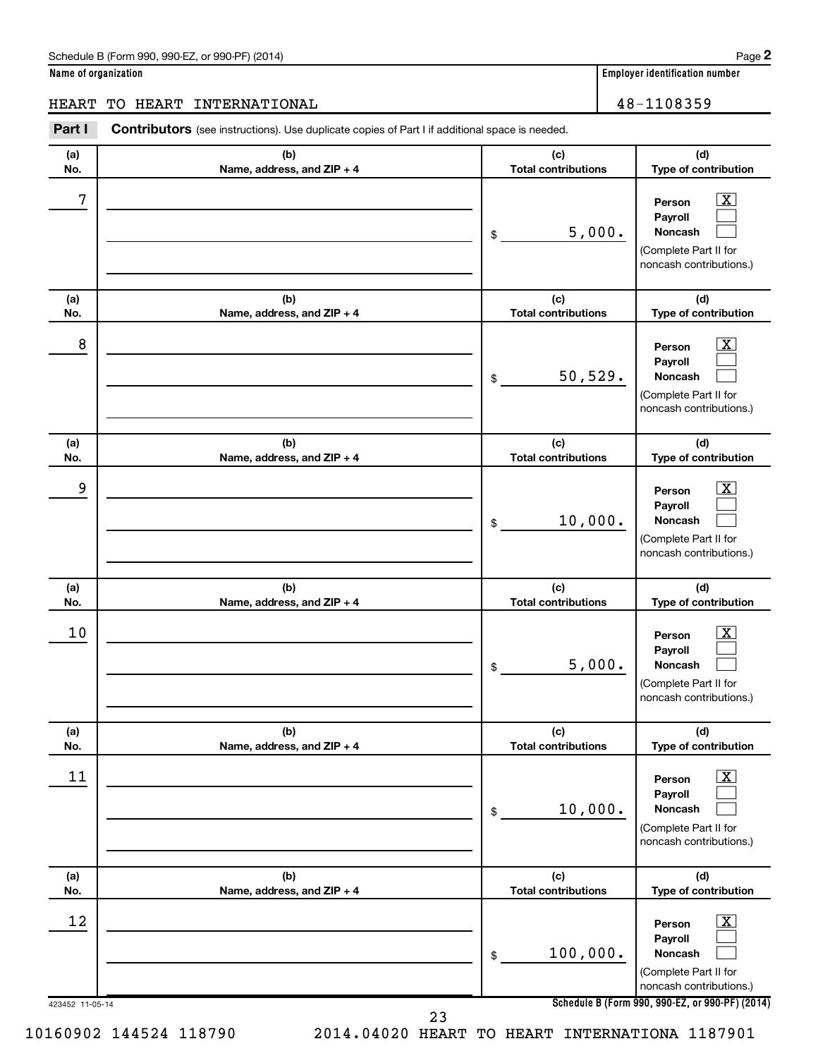|  | Name of organization |
|--|----------------------|
|  |                      |

# HEART TO HEART INTERNATIONAL 48-1108359

**(a) (b) (c) Part I** Contributors (see instructions). Use duplicate copies of Part I if additional space is needed.

| (a) | (b)                        | (c)                        | (d)                                                                                                              |
|-----|----------------------------|----------------------------|------------------------------------------------------------------------------------------------------------------|
| No. | Name, address, and ZIP + 4 | <b>Total contributions</b> | Type of contribution                                                                                             |
| 7   |                            | 5,000.<br>\$               | $\overline{\text{X}}$<br>Person<br>Payroll<br><b>Noncash</b><br>(Complete Part II for<br>noncash contributions.) |
| (a) | (b)                        | (c)                        | (d)                                                                                                              |
| No. | Name, address, and ZIP + 4 | <b>Total contributions</b> | Type of contribution                                                                                             |
| 8   |                            | 50,529.<br>\$              | $\overline{\text{X}}$<br>Person<br>Payroll<br><b>Noncash</b><br>(Complete Part II for<br>noncash contributions.) |
| (a) | (b)                        | (c)                        | (d)                                                                                                              |
| No. | Name, address, and ZIP + 4 | <b>Total contributions</b> | Type of contribution                                                                                             |
| 9   |                            | 10,000.<br>\$              | $\overline{\text{X}}$<br>Person<br>Payroll<br>Noncash<br>(Complete Part II for<br>noncash contributions.)        |
| (a) | (b)                        | (c)                        | (d)                                                                                                              |
| No. | Name, address, and ZIP + 4 | <b>Total contributions</b> | Type of contribution                                                                                             |
| 10  |                            | 5,000.<br>\$               | $\overline{\text{X}}$<br>Person<br>Payroll<br>Noncash<br>(Complete Part II for<br>noncash contributions.)        |
| (a) | (b)                        | (c)                        | (d)                                                                                                              |
| No. | Name, address, and ZIP + 4 | <b>Total contributions</b> | Type of contribution                                                                                             |
| 11  |                            | 10,000.<br>\$              | х<br>Person<br>Payroll<br>Noncash<br>(Complete Part II for<br>noncash contributions.)                            |
| (a) | (b)                        | (c)                        | (d)                                                                                                              |
| No. | Name, address, and ZIP + 4 | <b>Total contributions</b> | Type of contribution                                                                                             |
| 12  |                            | 100,000.<br>\$             | $\overline{\text{X}}$<br>Person<br>Payroll<br>Noncash                                                            |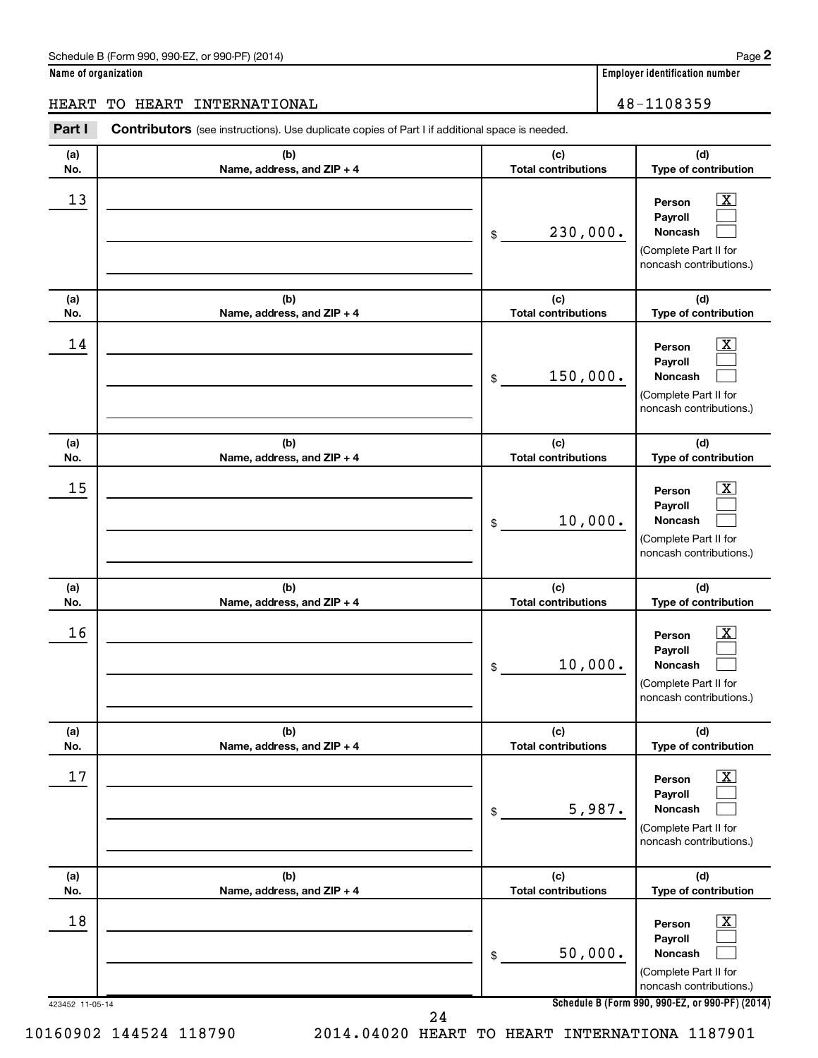| Name of organization |  |  |
|----------------------|--|--|
|                      |  |  |

# HEART TO HEART INTERNATIONAL 18-1108359

| (a) | (b)                        | (c)                        | (d)                                                                                                         |
|-----|----------------------------|----------------------------|-------------------------------------------------------------------------------------------------------------|
| No. | Name, address, and ZIP + 4 | <b>Total contributions</b> | Type of contribution                                                                                        |
| 13  |                            | 230,000.<br>\$             | $\overline{\mathbf{X}}$<br>Person<br>Payroll<br>Noncash<br>(Complete Part II for<br>noncash contributions.) |
| (a) | (b)                        | (c)                        | (d)                                                                                                         |
| No. | Name, address, and ZIP + 4 | <b>Total contributions</b> | Type of contribution                                                                                        |
| 14  |                            | 150,000.<br>\$             | $\overline{\mathbf{X}}$<br>Person<br>Payroll<br>Noncash<br>(Complete Part II for<br>noncash contributions.) |
| (a) | (b)                        | (c)                        | (d)                                                                                                         |
| No. | Name, address, and ZIP + 4 | <b>Total contributions</b> | Type of contribution                                                                                        |
| 15  |                            | 10,000.<br>\$              | $\overline{\text{X}}$<br>Person<br>Payroll<br>Noncash<br>(Complete Part II for<br>noncash contributions.)   |
| (a) | (b)                        | (c)                        | (d)                                                                                                         |
| No. | Name, address, and ZIP + 4 | <b>Total contributions</b> | Type of contribution                                                                                        |
| 16  |                            | 10,000.<br>\$              | $\overline{\text{X}}$<br>Person<br>Payroll<br>Noncash<br>(Complete Part II for<br>noncash contributions.)   |
| (a) | (b)                        | (c)                        | (d)                                                                                                         |
| No. | Name, address, and ZIP + 4 | <b>Total contributions</b> | Type of contribution                                                                                        |
| 17  |                            | 5,987.<br>\$               | $\overline{\mathbf{X}}$<br>Person<br>Payroll<br>Noncash<br>(Complete Part II for<br>noncash contributions.) |
| (a) | (b)                        | (c)                        | (d)                                                                                                         |
| No. | Name, address, and ZIP + 4 | <b>Total contributions</b> | Type of contribution                                                                                        |
| 18  |                            | 50,000.<br>\$              | $\overline{\mathbf{X}}$<br>Person<br>Payroll<br>Noncash<br>(Complete Part II for<br>noncash contributions.) |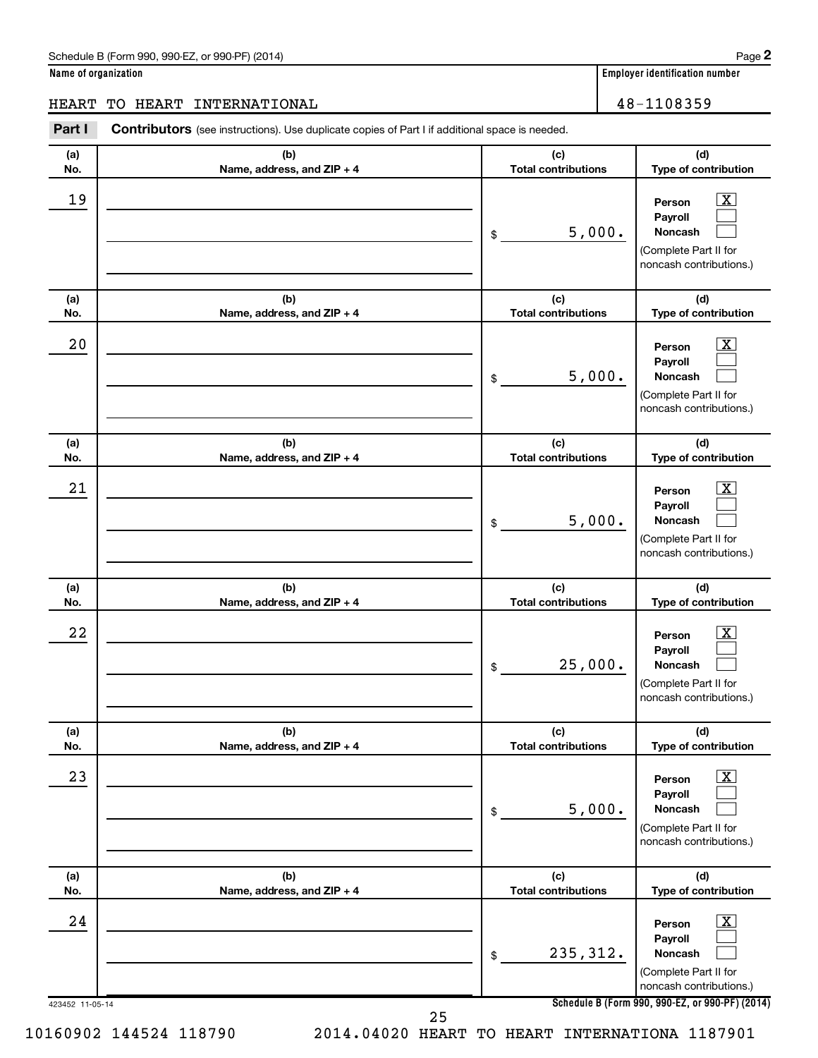|  | Name of organization |
|--|----------------------|
|  |                      |

# HEART TO HEART INTERNATIONAL | 48-1108359

| (a) | (b)                        | (c)                        | (d)                                                                                                                |
|-----|----------------------------|----------------------------|--------------------------------------------------------------------------------------------------------------------|
| No. | Name, address, and ZIP + 4 | <b>Total contributions</b> | Type of contribution                                                                                               |
| 19  |                            | 5,000.<br>\$               | $\overline{\text{X}}$<br>Person<br>Payroll<br>Noncash<br>(Complete Part II for<br>noncash contributions.)          |
| (a) | (b)                        | (c)                        | (d)                                                                                                                |
| No. | Name, address, and ZIP + 4 | <b>Total contributions</b> | Type of contribution                                                                                               |
| 20  |                            | 5,000.<br>\$               | $\overline{\text{X}}$<br>Person<br>Payroll<br>Noncash<br>(Complete Part II for<br>noncash contributions.)          |
| (a) | (b)                        | (c)                        | (d)                                                                                                                |
| No. | Name, address, and ZIP + 4 | <b>Total contributions</b> | Type of contribution                                                                                               |
| 21  |                            | 5,000.<br>\$               | $\overline{\mathbf{X}}$<br>Person<br>Payroll<br>Noncash<br>(Complete Part II for<br>noncash contributions.)        |
| (a) | (b)                        | (c)                        | (d)                                                                                                                |
| No. | Name, address, and ZIP + 4 | <b>Total contributions</b> | Type of contribution                                                                                               |
| 22  |                            | 25,000.<br>\$              | $\overline{\text{X}}$<br>Person<br>Payroll<br>Noncash<br>(Complete Part II for<br>noncash contributions.)          |
| (a) | (b)                        | (c)                        | (d)                                                                                                                |
| No. | Name, address, and ZIP + 4 | <b>Total contributions</b> | Type of contribution                                                                                               |
| 23  |                            | 5,000.<br>\$               | $\overline{\mathbf{X}}$<br>Person<br>Payroll<br>Noncash<br>(Complete Part II for<br>noncash contributions.)        |
| (a) | (b)                        | (c)                        | (d)                                                                                                                |
| No. | Name, address, and ZIP + 4 | <b>Total contributions</b> | Type of contribution                                                                                               |
| 24  |                            | 235, 312.<br>\$            | $\overline{\mathbf{X}}$<br>Person<br>Payroll<br><b>Noncash</b><br>(Complete Part II for<br>noncash contributions.) |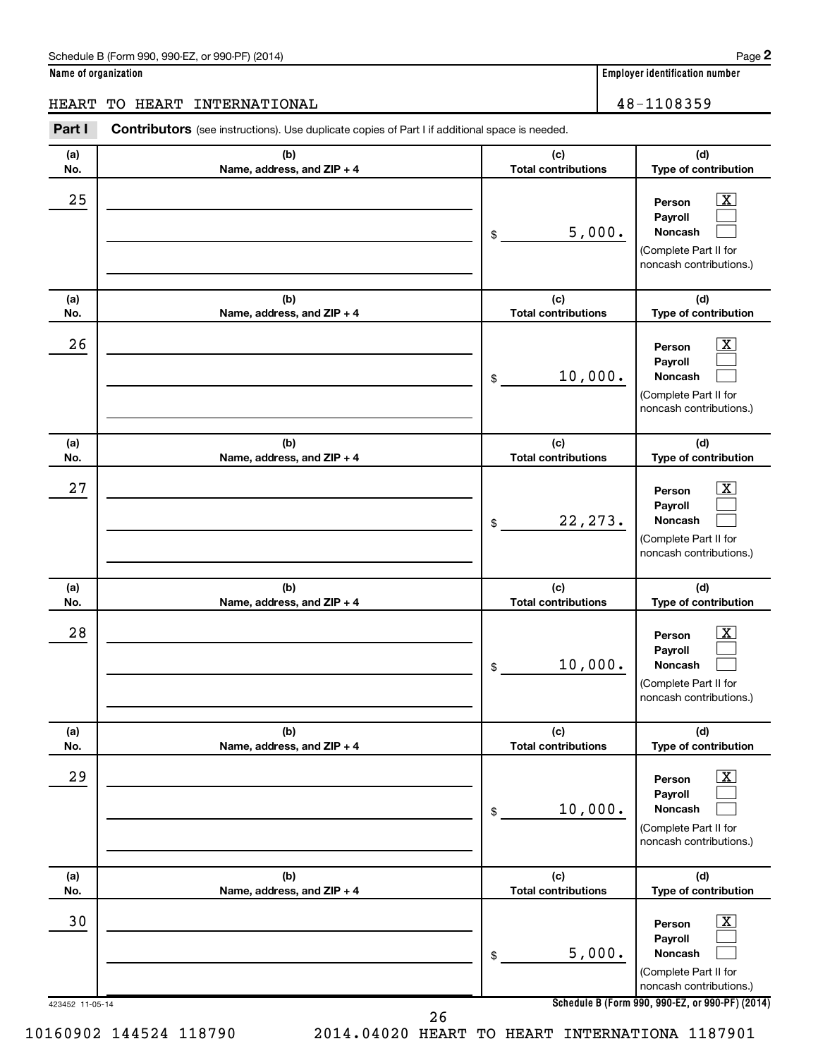|  | Name of organization |
|--|----------------------|
|  |                      |

# HEART TO HEART INTERNATIONAL 18-1108359

| Part I          | Contributors (see instructions). Use duplicate copies of Part I if additional space is needed. |                                   |                                                                                                                                     |
|-----------------|------------------------------------------------------------------------------------------------|-----------------------------------|-------------------------------------------------------------------------------------------------------------------------------------|
| (a)<br>No.      | (b)<br>Name, address, and ZIP + 4                                                              | (c)<br><b>Total contributions</b> | (d)<br>Type of contribution                                                                                                         |
| 25              |                                                                                                | 5,000.<br>\$                      | x<br>Person<br>Payroll<br>Noncash<br>(Complete Part II for<br>noncash contributions.)                                               |
| (a)<br>No.      | (b)<br>Name, address, and ZIP + 4                                                              | (c)<br><b>Total contributions</b> | (d)<br>Type of contribution                                                                                                         |
| 26              |                                                                                                | 10,000.<br>\$                     | Person<br>Payroll<br>Noncash<br>(Complete Part II for<br>noncash contributions.)                                                    |
| (a)<br>No.      | (b)<br>Name, address, and ZIP + 4                                                              | (c)<br><b>Total contributions</b> | (d)<br>Type of contribution                                                                                                         |
| 27              |                                                                                                | 22, 273.<br>\$                    | Person<br>Payroll<br>Noncash<br>(Complete Part II for<br>noncash contributions.)                                                    |
| (a)<br>No.      | (b)<br>Name, address, and ZIP + 4                                                              | (c)<br><b>Total contributions</b> | (d)<br>Type of contribution                                                                                                         |
| 28              |                                                                                                | 10,000.<br>\$                     | x<br>Person<br>Payroll<br>Noncash<br>(Complete Part II for<br>noncash contributions.)                                               |
| (a)<br>No.      | (b)<br>Name, address, and ZIP + 4                                                              | (c)<br><b>Total contributions</b> | (d)<br>Type of contribution                                                                                                         |
| 29              |                                                                                                | 10,000.<br>\$                     | x<br>Person<br>Payroll<br>Noncash<br>(Complete Part II for<br>noncash contributions.)                                               |
| (a)<br>No.      | (b)<br>Name, address, and ZIP + 4                                                              | (c)<br><b>Total contributions</b> | (d)<br>Type of contribution                                                                                                         |
| 30              |                                                                                                | 5,000.<br>\$                      | Person<br>Payroll<br>Noncash<br>(Complete Part II for<br>noncash contributions.)<br>Schedule B (Form 990, 990-EZ, or 990-PF) (2014) |
| 423452 11-05-14 | 26                                                                                             |                                   |                                                                                                                                     |

10160902 144524 118790 2014.04020 HEART TO HEART INTERNATIONA 1187901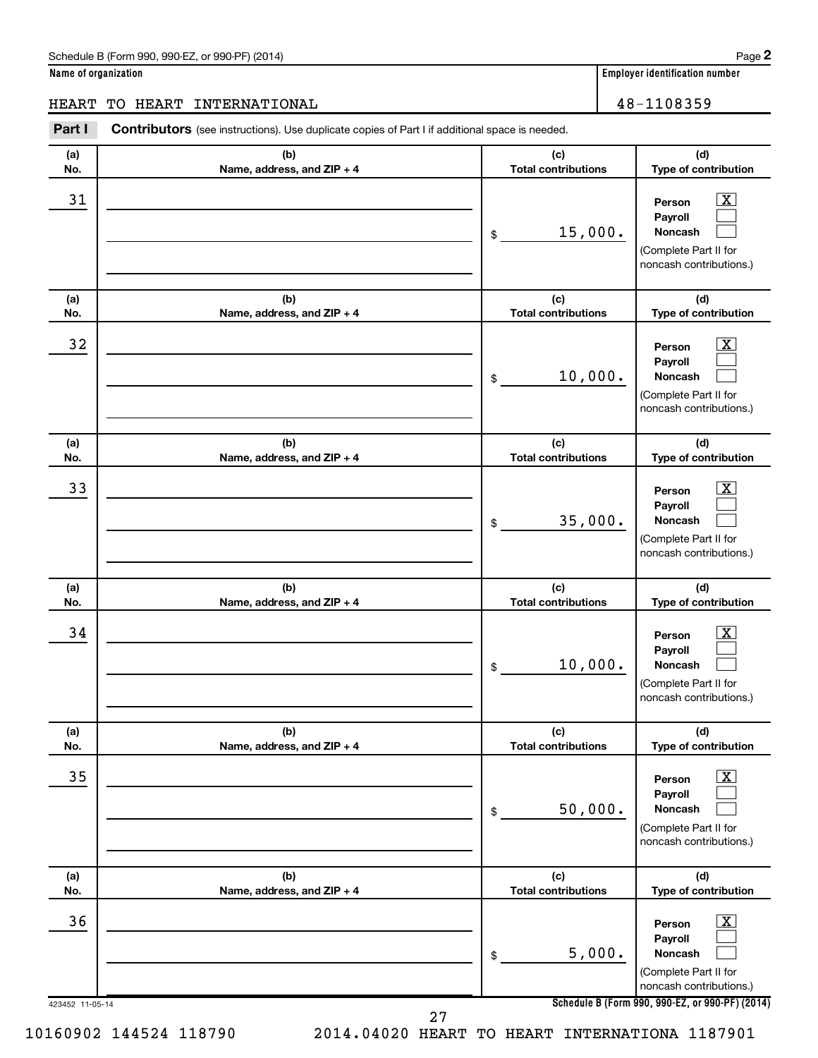| Name of organization |  |  |
|----------------------|--|--|
|                      |  |  |

# HEART TO HEART INTERNATIONAL 28-1108359

| (a) | (b)                        | (c)                        | (d)                                                                                                         |
|-----|----------------------------|----------------------------|-------------------------------------------------------------------------------------------------------------|
| No. | Name, address, and ZIP + 4 | <b>Total contributions</b> | Type of contribution                                                                                        |
| 31  |                            | 15,000.<br>\$              | $\overline{\text{X}}$<br>Person<br>Payroll<br>Noncash<br>(Complete Part II for<br>noncash contributions.)   |
| (a) | (b)                        | (c)                        | (d)                                                                                                         |
| No. | Name, address, and ZIP + 4 | <b>Total contributions</b> | Type of contribution                                                                                        |
| 32  |                            | 10,000.<br>\$              | $\overline{\text{X}}$<br>Person<br>Payroll<br>Noncash<br>(Complete Part II for<br>noncash contributions.)   |
| (a) | (b)                        | (c)                        | (d)                                                                                                         |
| No. | Name, address, and ZIP + 4 | <b>Total contributions</b> | Type of contribution                                                                                        |
| 33  |                            | 35,000.<br>\$              | $\overline{\mathbf{X}}$<br>Person<br>Payroll<br>Noncash<br>(Complete Part II for<br>noncash contributions.) |
| (a) | (b)                        | (c)                        | (d)                                                                                                         |
| No. | Name, address, and ZIP + 4 | <b>Total contributions</b> | Type of contribution                                                                                        |
| 34  |                            | 10,000.<br>\$              | $\overline{\text{X}}$<br>Person<br>Payroll<br>Noncash<br>(Complete Part II for<br>noncash contributions.)   |
| (a) | (b)                        | (c)                        | (d)                                                                                                         |
| No. | Name, address, and ZIP + 4 | <b>Total contributions</b> | Type of contribution                                                                                        |
| 35  |                            | 50,000.<br>\$              | $\overline{\text{X}}$<br>Person<br>Payroll<br>Noncash<br>(Complete Part II for<br>noncash contributions.)   |
| (a) | (b)                        | (c)                        | (d)                                                                                                         |
| No. | Name, address, and ZIP + 4 | <b>Total contributions</b> | Type of contribution                                                                                        |
| 36  |                            | 5,000.<br>\$               | $\overline{\mathbf{X}}$<br>Person<br>Payroll<br>Noncash<br>(Complete Part II for<br>noncash contributions.) |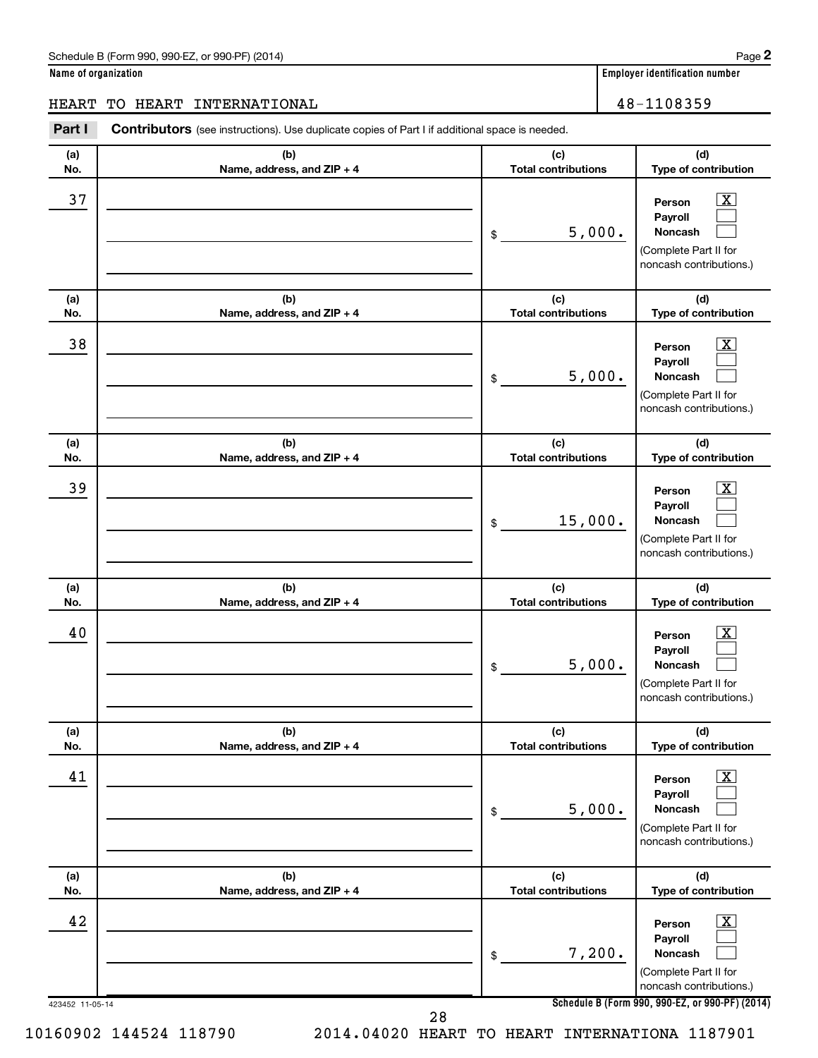|  | Name of organization |
|--|----------------------|
|  |                      |

| <b>HEART</b>    | TO HEART INTERNATIONAL                                                                         |                                   | 48-1108359                                                                                                         |
|-----------------|------------------------------------------------------------------------------------------------|-----------------------------------|--------------------------------------------------------------------------------------------------------------------|
| Part I          | Contributors (see instructions). Use duplicate copies of Part I if additional space is needed. |                                   |                                                                                                                    |
| (a)<br>No.      | (b)<br>Name, address, and ZIP + 4                                                              | (c)<br><b>Total contributions</b> | (d)<br>Type of contribution                                                                                        |
| 37              |                                                                                                | 5,000.<br>\$                      | $\overline{\text{X}}$<br>Person<br>Payroll<br>Noncash<br>(Complete Part II for<br>noncash contributions.)          |
| (a)<br>No.      | (b)<br>Name, address, and ZIP + 4                                                              | (c)<br><b>Total contributions</b> | (d)<br>Type of contribution                                                                                        |
| 38              |                                                                                                | 5,000.<br>\$                      | $\overline{\textbf{x}}$<br>Person<br>Payroll<br><b>Noncash</b><br>(Complete Part II for<br>noncash contributions.) |
| (a)<br>No.      | (b)<br>Name, address, and ZIP + 4                                                              | (c)<br><b>Total contributions</b> | (d)<br>Type of contribution                                                                                        |
| 39              |                                                                                                | 15,000.<br>\$                     | $\overline{\text{X}}$<br>Person<br>Payroll<br><b>Noncash</b><br>(Complete Part II for<br>noncash contributions.)   |
| (a)<br>No.      | (b)<br>Name, address, and ZIP + 4                                                              | (c)<br><b>Total contributions</b> | (d)<br>Type of contribution                                                                                        |
| 40              |                                                                                                | 5,000.<br>\$                      | х<br>Person<br>Payroll<br><b>Noncash</b><br>(Complete Part II for<br>noncash contributions.)                       |
| (a)<br>No.      | (b)<br>Name, address, and ZIP + 4                                                              | (c)<br><b>Total contributions</b> | (d)<br>Type of contribution                                                                                        |
| 41              |                                                                                                | 5,000.<br>\$                      | $\overline{\mathbf{X}}$<br>Person<br>Payroll<br><b>Noncash</b><br>(Complete Part II for<br>noncash contributions.) |
| (a)<br>No.      | (b)<br>Name, address, and ZIP + 4                                                              | (c)<br><b>Total contributions</b> | (d)<br>Type of contribution                                                                                        |
| 42              |                                                                                                | 7,200.<br>\$                      | $\overline{\text{X}}$<br>Person<br>Payroll<br><b>Noncash</b><br>(Complete Part II for<br>noncash contributions.)   |
| 423452 11-05-14 |                                                                                                |                                   | Schedule B (Form 990, 990-EZ, or 990-PF) (2014)                                                                    |

10160902 144524 118790 2014.04020 HEART TO HEART INTERNATIONA 1187901

28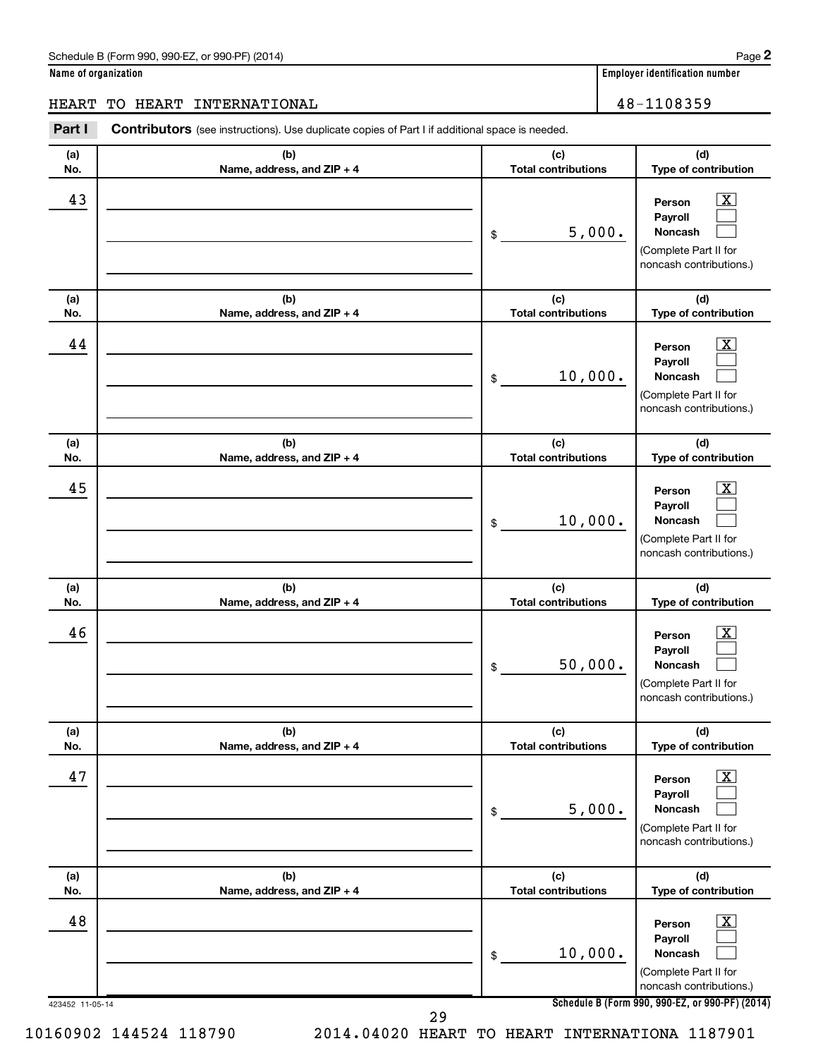|  | Name of organization |
|--|----------------------|
|  |                      |

# HEART TO HEART INTERNATIONAL 48-1108359

| (a) | (b)                        | (c)                        | (d)                                                                                                         |
|-----|----------------------------|----------------------------|-------------------------------------------------------------------------------------------------------------|
| No. | Name, address, and ZIP + 4 | <b>Total contributions</b> | Type of contribution                                                                                        |
| 43  |                            | 5,000.<br>\$               | $\overline{\text{X}}$<br>Person<br>Payroll<br>Noncash<br>(Complete Part II for<br>noncash contributions.)   |
| (a) | (b)                        | (c)                        | (d)                                                                                                         |
| No. | Name, address, and ZIP + 4 | <b>Total contributions</b> | Type of contribution                                                                                        |
| 44  |                            | 10,000.<br>\$              | $\overline{\text{X}}$<br>Person<br>Payroll<br>Noncash<br>(Complete Part II for<br>noncash contributions.)   |
| (a) | (b)                        | (c)                        | (d)                                                                                                         |
| No. | Name, address, and ZIP + 4 | <b>Total contributions</b> | Type of contribution                                                                                        |
| 45  |                            | 10,000.<br>\$              | $\overline{\mathbf{X}}$<br>Person<br>Payroll<br>Noncash<br>(Complete Part II for<br>noncash contributions.) |
| (a) | (b)                        | (c)                        | (d)                                                                                                         |
| No. | Name, address, and ZIP + 4 | <b>Total contributions</b> | Type of contribution                                                                                        |
| 46  |                            | 50,000.<br>\$              | $\overline{\text{X}}$<br>Person<br>Payroll<br>Noncash<br>(Complete Part II for<br>noncash contributions.)   |
| (a) | (b)                        | (c)                        | (d)                                                                                                         |
| No. | Name, address, and ZIP + 4 | <b>Total contributions</b> | Type of contribution                                                                                        |
| 47  |                            | 5,000.<br>\$               | $\overline{\text{X}}$<br>Person<br>Payroll<br>Noncash<br>(Complete Part II for<br>noncash contributions.)   |
| (a) | (b)                        | (c)                        | (d)                                                                                                         |
| No. | Name, address, and ZIP + 4 | <b>Total contributions</b> | Type of contribution                                                                                        |
| 48  |                            | 10,000.<br>\$              | $\overline{\mathbf{X}}$<br>Person<br>Payroll<br>Noncash<br>(Complete Part II for<br>noncash contributions.) |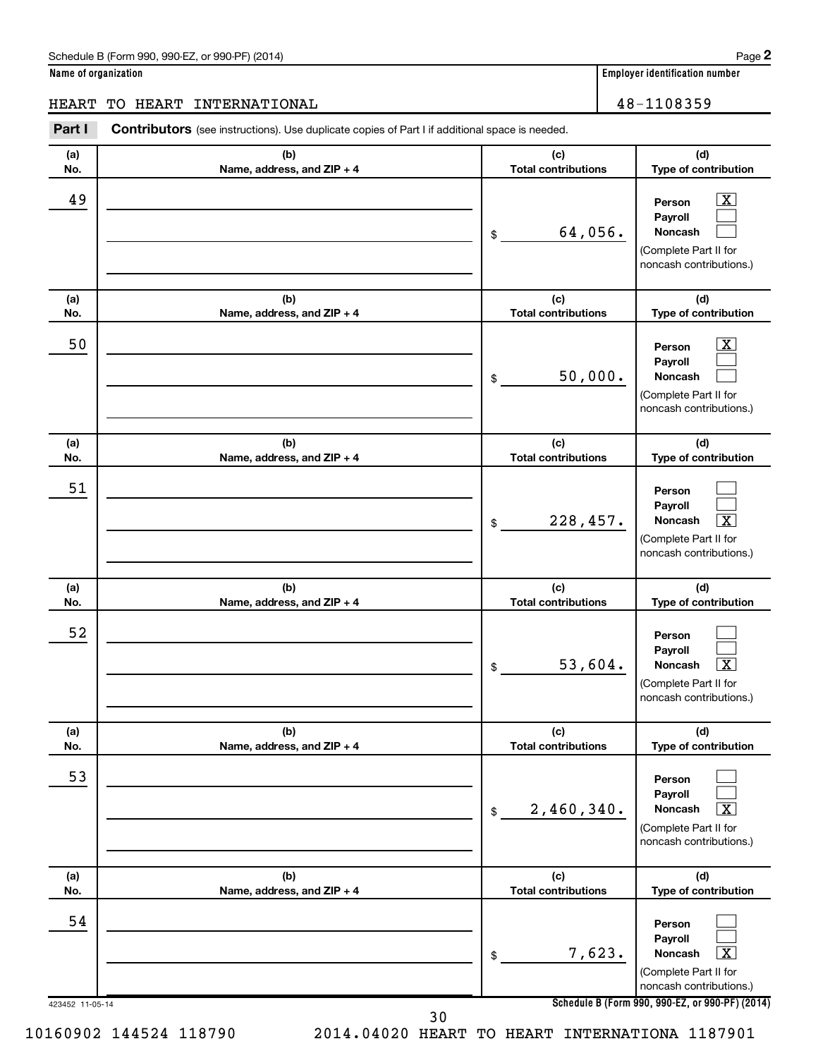|  | Name of organization |
|--|----------------------|
|--|----------------------|

#### HEART TO HEART INTERNATIONAL 48-1108359

423452 11-05-14 **Schedule B (Form 990, 990-EZ, or 990-PF) (2014) (a) No. (b) Name, address, and ZIP + 4 (c) Total contributions (d) Type of contribution Person Payroll Noncash (a) No. (b) Name, address, and ZIP + 4 (c) Total contributions (d) Type of contribution Person Payroll Noncash (a) No. (b) Name, address, and ZIP + 4 (c) Total contributions (d) Type of contribution Person Payroll Noncash (a) No. (b) Name, address, and ZIP + 4 (c) Total contributions (d) Type of contribution Person Payroll Noncash (a) No. (b) Name, address, and ZIP + 4 (c) Total contributions (d) Type of contribution Person Payroll Noncash (a) No. (b) Name, address, and ZIP + 4 (c) Total contributions (d) Type of contribution Person Payroll Noncash Part I** Contributors (see instructions). Use duplicate copies of Part I if additional space is needed. \$ (Complete Part II for noncash contributions.) \$ (Complete Part II for noncash contributions.) \$ (Complete Part II for noncash contributions.) \$ (Complete Part II for noncash contributions.) \$ (Complete Part II for noncash contributions.) \$ (Complete Part II for noncash contributions.)  $\lfloor x \rfloor$  $\Box$  $\Box$  $\boxed{\textbf{X}}$  $\Box$  $\Box$  $\Box$  $\Box$  $\boxed{\textbf{X}}$  $\Box$  $\Box$  $\lceil \texttt{X} \rceil$  $\Box$  $\Box$  $\boxed{\text{X}}$  $\Box$  $\Box$  $\boxed{\textbf{X}}$  $\begin{array}{|c|c|c|c|c|c|}\hline \text{A9} & \text{Person} & \text{X} \end{array}$ 64,056. 50 X 50,000. 51 228,457. 52  $53,604.$ 53  $2,460,340.$ 54 7,623. X 10160902 144524 118790 2014.04020 HEART TO HEART INTERNATIONA 1187901 30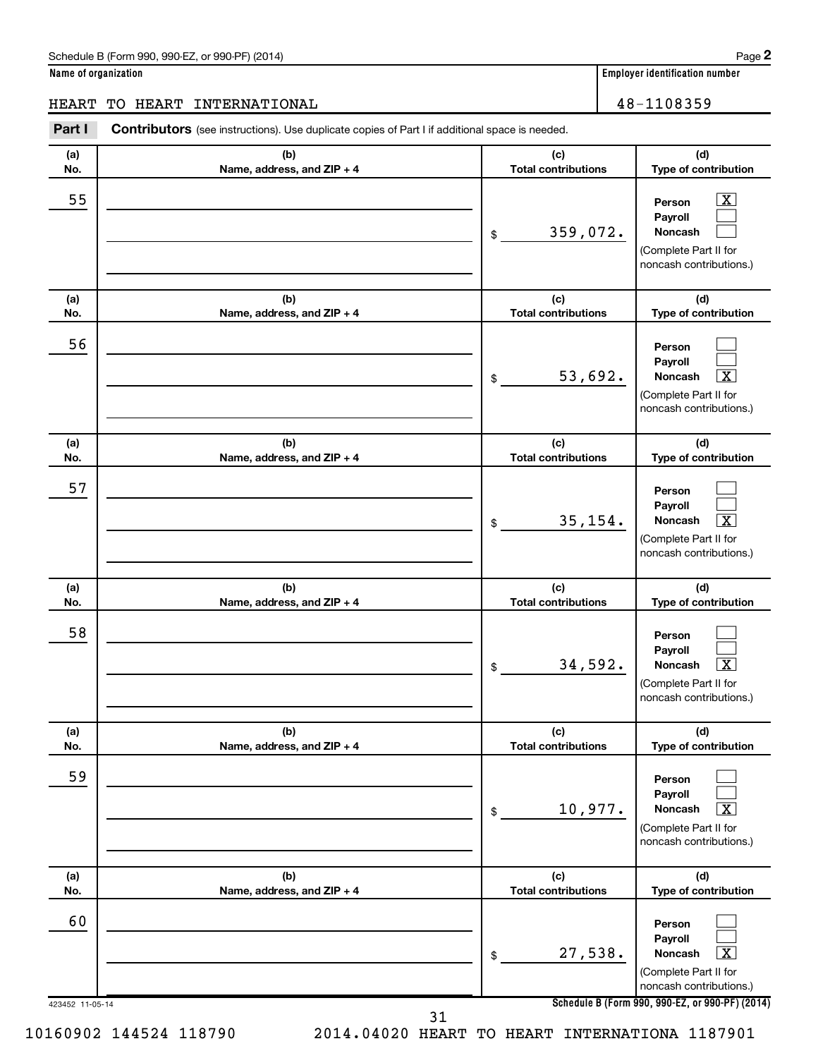|  | Name of organization |
|--|----------------------|
|--|----------------------|

#### HEART TO HEART INTERNATIONAL 48-1108359

423452 11-05-14 **Schedule B (Form 990, 990-EZ, or 990-PF) (2014) (a) No. (b) Name, address, and ZIP + 4 (c) Total contributions (d) Type of contribution Person Payroll Noncash (a) No. (b) Name, address, and ZIP + 4 (c) Total contributions (d) Type of contribution Person Payroll Noncash (a) No. (b) Name, address, and ZIP + 4 (c) Total contributions (d) Type of contribution Person Payroll Noncash (a) No. (b) Name, address, and ZIP + 4 (c) Total contributions (d) Type of contribution Person Payroll Noncash (a) No. (b) Name, address, and ZIP + 4 (c) Total contributions (d) Type of contribution Person Payroll Noncash (a) No. (b) Name, address, and ZIP + 4 (c) Total contributions (d) Type of contribution Person Payroll Noncash Part I** Contributors (see instructions). Use duplicate copies of Part I if additional space is needed. \$ (Complete Part II for noncash contributions.) \$ (Complete Part II for noncash contributions.) \$ (Complete Part II for noncash contributions.) \$ (Complete Part II for noncash contributions.) \$ (Complete Part II for noncash contributions.) \$ (Complete Part II for noncash contributions.)  $\lfloor x \rfloor$  $\Box$  $\Box$  $\Box$  $\Box$ †  $\Box$  $\Box$  $\boxed{\textbf{X}}$  $\Box$  $\Box$  $\lceil \texttt{X} \rceil$  $\Box$  $\Box$  $\boxed{\text{X}}$  $\Box$  $\Box$  $\boxed{\textbf{X}}$  $\overline{\phantom{a}}$  55  $\overline{\phantom{a}}$  Person  $\overline{\phantom{a}}$   $\overline{\phantom{a}}$ 359,072. 56 53,692. X 57 35,154. X 58 34,592. X 59  $10,977.$ 60 27,538. X

10160902 144524 118790 2014.04020 HEART TO HEART INTERNATIONA 1187901 31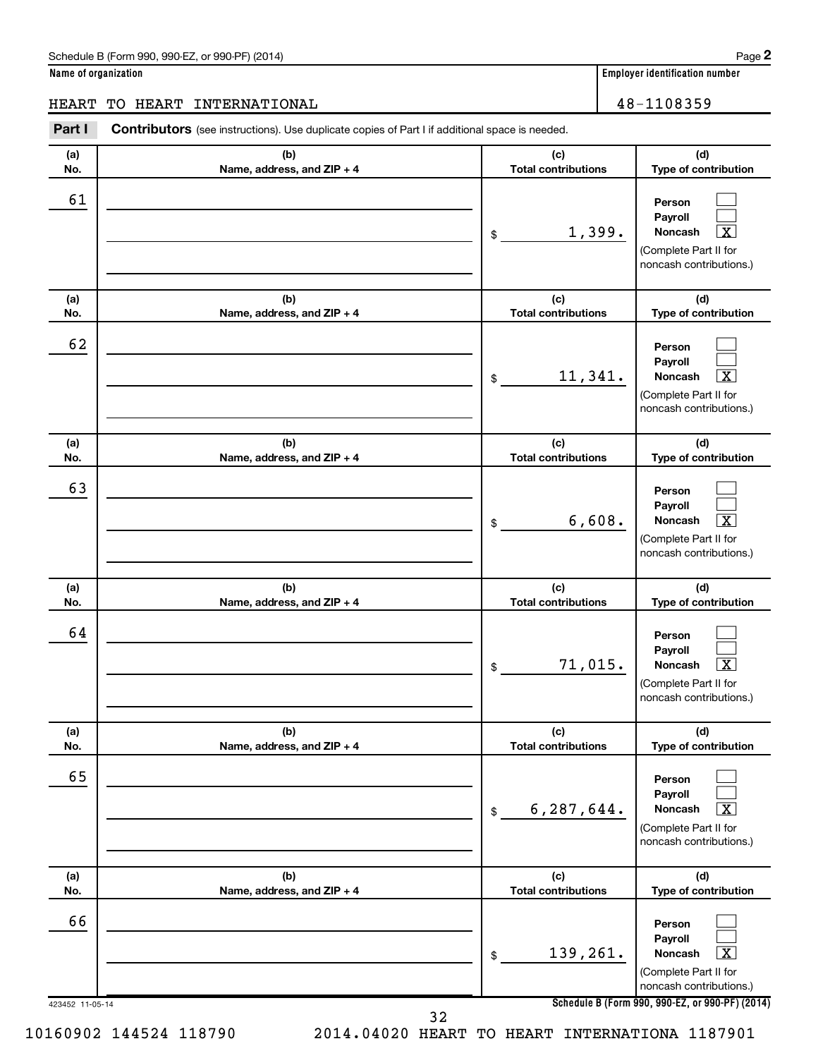|  | Name of organization |
|--|----------------------|
|  |                      |

| <b>HEART</b>    | TO HEART INTERNATIONAL                                                                         |                                   | 48-1108359                                                                                                         |
|-----------------|------------------------------------------------------------------------------------------------|-----------------------------------|--------------------------------------------------------------------------------------------------------------------|
| Part I          | Contributors (see instructions). Use duplicate copies of Part I if additional space is needed. |                                   |                                                                                                                    |
| (a)<br>No.      | (b)<br>Name, address, and ZIP + 4                                                              | (c)<br><b>Total contributions</b> | (d)<br>Type of contribution                                                                                        |
| 61              |                                                                                                | 1,399.<br>\$                      | Person<br>Payroll<br>Noncash<br>x<br>(Complete Part II for<br>noncash contributions.)                              |
| (a)<br>No.      | (b)<br>Name, address, and ZIP + 4                                                              | (c)<br><b>Total contributions</b> | (d)<br>Type of contribution                                                                                        |
| 62              |                                                                                                | 11,341.<br>\$                     | Person<br>Payroll<br>Noncash<br>x<br>(Complete Part II for<br>noncash contributions.)                              |
| (a)<br>No.      | (b)<br>Name, address, and ZIP + 4                                                              | (c)<br><b>Total contributions</b> | (d)<br>Type of contribution                                                                                        |
| 63              |                                                                                                | 6,608.<br>\$                      | Person<br>Payroll<br><b>Noncash</b><br>X<br>(Complete Part II for<br>noncash contributions.)                       |
| (a)<br>No.      | (b)<br>Name, address, and ZIP + 4                                                              | (c)<br><b>Total contributions</b> | (d)<br>Type of contribution                                                                                        |
| 64              |                                                                                                | 71,015.<br>\$                     | Person<br>Payroll<br><b>Noncash</b><br>(Complete Part II for<br>noncash contributions.)                            |
| (a)<br>No.      | (b)<br>Name, address, and ZIP + 4                                                              | (c)<br><b>Total contributions</b> | (d)<br>Type of contribution                                                                                        |
| 65              |                                                                                                | 6,287,644.<br>\$                  | Person<br>Payroll<br><b>Noncash</b><br>$\overline{\mathbf{X}}$<br>(Complete Part II for<br>noncash contributions.) |
| (a)<br>No.      | (b)<br>Name, address, and ZIP + 4                                                              | (c)<br><b>Total contributions</b> | (d)<br>Type of contribution                                                                                        |
| 66              |                                                                                                | 139,261.<br>\$                    | Person<br>Payroll<br>$\overline{\text{X}}$<br><b>Noncash</b><br>(Complete Part II for<br>noncash contributions.)   |
| 423452 11-05-14 |                                                                                                |                                   | Schedule B (Form 990, 990-EZ, or 990-PF) (20                                                                       |

**Schedule B (Form 990, 990-EZ, or 990-PF) (2014)**

32

10160902 144524 118790 2014.04020 HEART TO HEART INTERNATIONA 1187901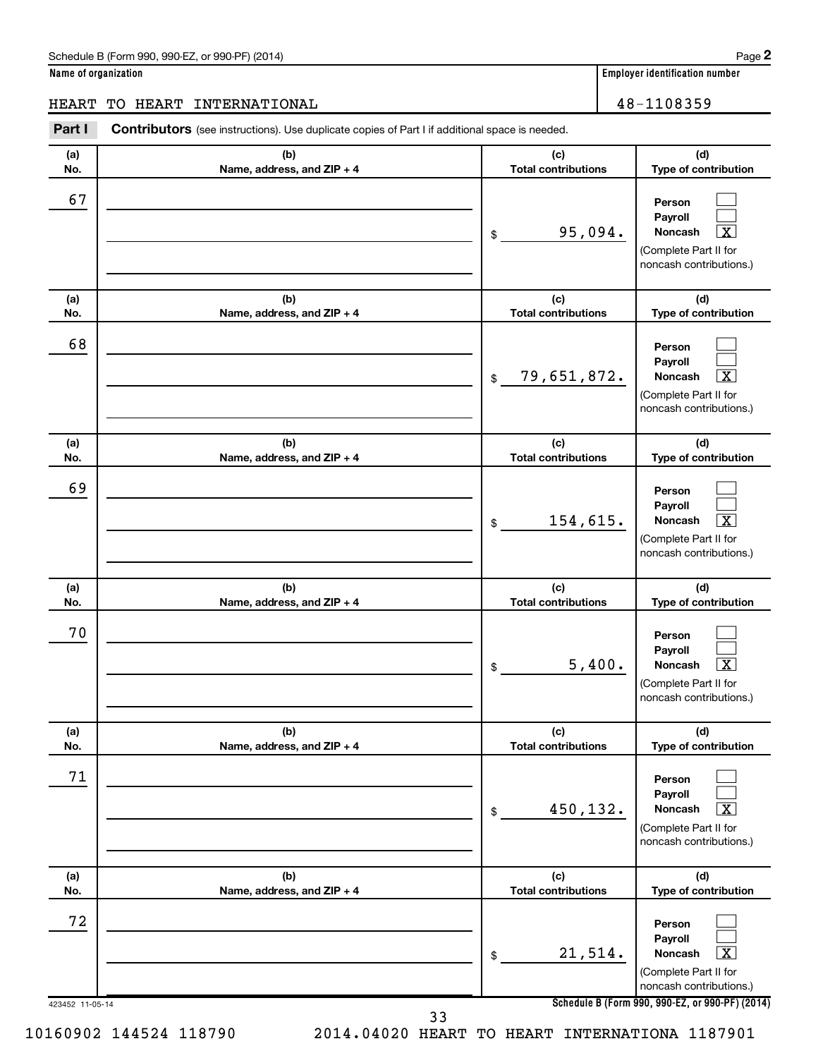| Name of organization |  |  |
|----------------------|--|--|
|                      |  |  |

| HEART                 | HEART INTERNATIONAL<br>TO                                                                             |                                   |          | 48-1108359                                                                                                                               |
|-----------------------|-------------------------------------------------------------------------------------------------------|-----------------------------------|----------|------------------------------------------------------------------------------------------------------------------------------------------|
| Part I                | <b>Contributors</b> (see instructions). Use duplicate copies of Part I if additional space is needed. |                                   |          |                                                                                                                                          |
| (a)<br>No.            | (b)<br>Name, address, and ZIP + 4                                                                     | (c)<br><b>Total contributions</b> |          | (d)<br>Type of contribution                                                                                                              |
| 67                    |                                                                                                       | \$                                | 95,094.  | Person<br>Payroll<br>Noncash<br>х<br>(Complete Part II for<br>noncash contributions.)                                                    |
| (a)<br>No.            | (b)<br>Name, address, and ZIP + 4                                                                     | (c)<br><b>Total contributions</b> |          | (d)<br>Type of contribution                                                                                                              |
| 68                    |                                                                                                       | 79,651,872.<br>\$                 |          | Person<br>Payroll<br>Noncash<br>х<br>(Complete Part II for<br>noncash contributions.)                                                    |
| (a)<br>No.            | (b)<br>Name, address, and ZIP + 4                                                                     | (c)<br><b>Total contributions</b> |          | (d)<br>Type of contribution                                                                                                              |
| 69                    |                                                                                                       | \$                                | 154,615. | Person<br>Payroll<br>$\overline{\texttt{x}}$<br>Noncash<br>(Complete Part II for<br>noncash contributions.)                              |
| (a)<br>No.            | (b)<br>Name, address, and ZIP + 4                                                                     | (c)<br><b>Total contributions</b> |          | (d)<br>Type of contribution                                                                                                              |
| 70                    |                                                                                                       | \$                                | 5,400.   | Person<br>Payroll<br>$\overline{\textbf{x}}$<br>Noncash<br>(Complete Part II for<br>noncash contributions.)                              |
| (a)<br>No.            | (b)<br>Name, address, and ZIP + 4                                                                     | (c)<br><b>Total contributions</b> |          | (d)<br>Type of contribution                                                                                                              |
| 71                    |                                                                                                       | \$                                | 450,132. | Person<br>Payroll<br>Noncash<br>x<br>(Complete Part II for<br>noncash contributions.)                                                    |
| (a)<br>No.            | (b)<br>Name, address, and ZIP + 4                                                                     | (c)<br><b>Total contributions</b> |          | (d)<br>Type of contribution                                                                                                              |
| 72<br>423452 11-05-14 |                                                                                                       | \$                                | 21,514.  | Person<br>Payroll<br>Noncash<br>х<br>(Complete Part II for<br>noncash contributions.)<br>Schedule B (Form 990, 990-EZ, or 990-PF) (2014) |
|                       | วว                                                                                                    |                                   |          |                                                                                                                                          |

33

10160902 144524 118790 2014.04020 HEART TO HEART INTERNATIONA 1187901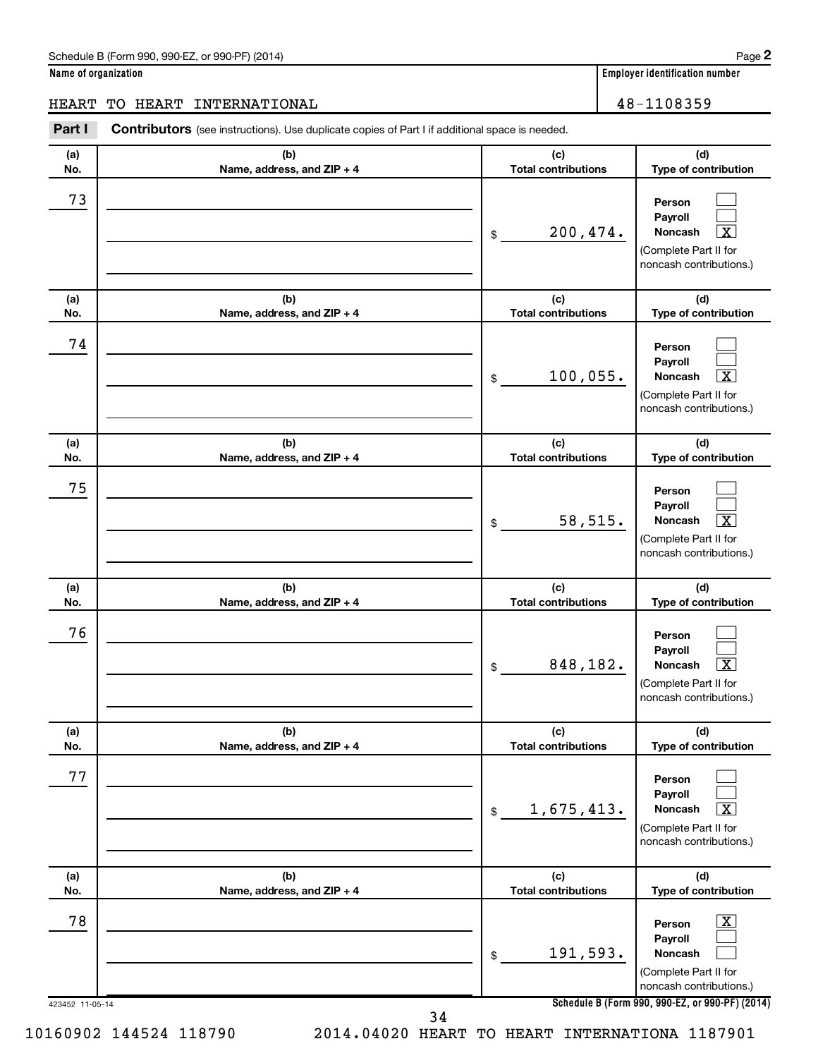|  | Name of organization |
|--|----------------------|
|--|----------------------|

## HEART TO HEART INTERNATIONAL 16 and 18-1108359

| (a) | (b)                        | (c)                        | (d)                                                                                                                |
|-----|----------------------------|----------------------------|--------------------------------------------------------------------------------------------------------------------|
| No. | Name, address, and ZIP + 4 | <b>Total contributions</b> | Type of contribution                                                                                               |
| 73  |                            | 200,474.<br>\$             | Person<br>Payroll<br>$\overline{\mathbf{X}}$<br>Noncash<br>(Complete Part II for<br>noncash contributions.)        |
| (a) | (b)                        | (c)                        | (d)                                                                                                                |
| No. | Name, address, and ZIP + 4 | <b>Total contributions</b> | Type of contribution                                                                                               |
| 74  |                            | 100,055.<br>\$             | Person<br>Payroll<br>$\overline{\mathbf{X}}$<br>Noncash<br>(Complete Part II for<br>noncash contributions.)        |
| (a) | (b)                        | (c)                        | (d)                                                                                                                |
| No. | Name, address, and ZIP + 4 | <b>Total contributions</b> | Type of contribution                                                                                               |
| 75  |                            | 58,515.<br>\$              | Person<br>Payroll<br>$\overline{\mathbf{x}}$<br>Noncash<br>(Complete Part II for<br>noncash contributions.)        |
| (a) | (b)                        | (c)                        | (d)                                                                                                                |
| No. | Name, address, and ZIP + 4 | <b>Total contributions</b> | Type of contribution                                                                                               |
| 76  |                            | 848,182.<br>\$             | Person<br>Payroll<br>$\overline{\mathbf{x}}$<br>Noncash<br>(Complete Part II for<br>noncash contributions.)        |
| (a) | (b)                        | (c)                        | (d)                                                                                                                |
| No. | Name, address, and ZIP + 4 | <b>Total contributions</b> | Type of contribution                                                                                               |
| 77  |                            | 1,675,413.<br>\$           | Person<br>Payroll<br>$\overline{\mathbf{X}}$<br><b>Noncash</b><br>(Complete Part II for<br>noncash contributions.) |
| (a) | (b)                        | (c)                        | (d)                                                                                                                |
| No. | Name, address, and ZIP + 4 | <b>Total contributions</b> | Type of contribution                                                                                               |
| 78  |                            | 191,593.<br>\$             | $\overline{\mathbf{X}}$<br>Person<br>Payroll<br><b>Noncash</b><br>(Complete Part II for<br>noncash contributions.) |

**2**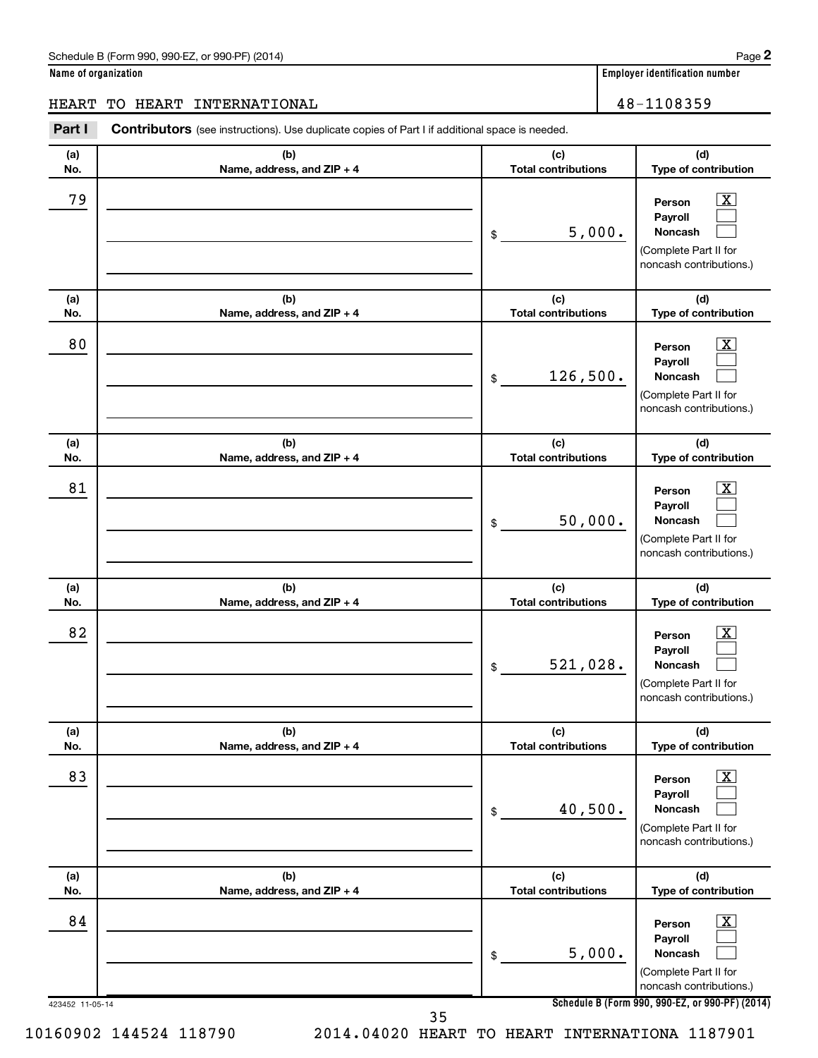|  | Name of organization |
|--|----------------------|
|  |                      |

# HEART TO HEART INTERNATIONAL 48-1108359

| (a) | (b)                        | (c)                        | (d)                                                                                                         |
|-----|----------------------------|----------------------------|-------------------------------------------------------------------------------------------------------------|
| No. | Name, address, and ZIP + 4 | <b>Total contributions</b> | Type of contribution                                                                                        |
| 79  |                            | 5,000.<br>\$               | $\overline{\text{X}}$<br>Person<br>Payroll<br>Noncash<br>(Complete Part II for<br>noncash contributions.)   |
| (a) | (b)                        | (c)                        | (d)                                                                                                         |
| No. | Name, address, and ZIP + 4 | <b>Total contributions</b> | Type of contribution                                                                                        |
| 80  |                            | 126,500.<br>\$             | $\overline{\text{X}}$<br>Person<br>Payroll<br>Noncash<br>(Complete Part II for<br>noncash contributions.)   |
| (a) | (b)                        | (c)                        | (d)                                                                                                         |
| No. | Name, address, and ZIP + 4 | <b>Total contributions</b> | Type of contribution                                                                                        |
| 81  |                            | 50,000.<br>\$              | $\overline{\mathbf{X}}$<br>Person<br>Payroll<br>Noncash<br>(Complete Part II for<br>noncash contributions.) |
| (a) | (b)                        | (c)                        | (d)                                                                                                         |
| No. | Name, address, and ZIP + 4 | <b>Total contributions</b> | Type of contribution                                                                                        |
| 82  |                            | 521,028.<br>\$             | $\overline{\text{X}}$<br>Person<br>Payroll<br>Noncash<br>(Complete Part II for<br>noncash contributions.)   |
| (a) | (b)                        | (c)                        | (d)                                                                                                         |
| No. | Name, address, and ZIP + 4 | <b>Total contributions</b> | Type of contribution                                                                                        |
| 83  |                            | 40,500.<br>\$              | $\overline{\text{X}}$<br>Person<br>Payroll<br>Noncash<br>(Complete Part II for<br>noncash contributions.)   |
| (a) | (b)                        | (c)                        | (d)                                                                                                         |
| No. | Name, address, and ZIP + 4 | <b>Total contributions</b> | Type of contribution                                                                                        |
| 84  |                            | 5,000.<br>\$               | $\overline{\mathbf{X}}$<br>Person<br>Payroll<br>Noncash<br>(Complete Part II for<br>noncash contributions.) |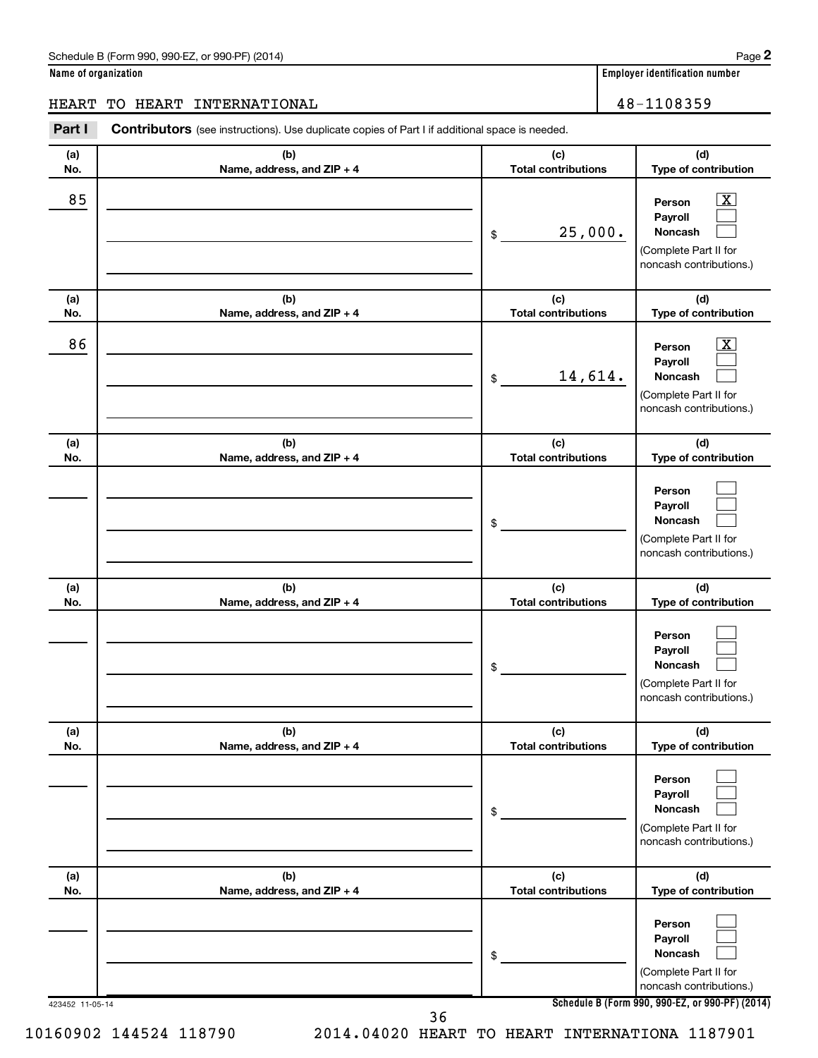|  | Name of organization |
|--|----------------------|
|  |                      |

# HEART TO HEART INTERNATIONAL 28-1108359

| (a) | (b)                        | (c)                        | (d)                                                                                                         |
|-----|----------------------------|----------------------------|-------------------------------------------------------------------------------------------------------------|
| No. | Name, address, and ZIP + 4 | <b>Total contributions</b> | Type of contribution                                                                                        |
| 85  |                            | 25,000.<br>\$              | $\overline{\mathbf{X}}$<br>Person<br>Payroll<br>Noncash<br>(Complete Part II for<br>noncash contributions.) |
| (a) | (b)                        | (c)                        | (d)                                                                                                         |
| No. | Name, address, and ZIP + 4 | <b>Total contributions</b> | Type of contribution                                                                                        |
| 86  |                            | 14,614.<br>\$              | $\overline{\mathbf{X}}$<br>Person<br>Payroll<br>Noncash<br>(Complete Part II for<br>noncash contributions.) |
| (a) | (b)                        | (c)                        | (d)                                                                                                         |
| No. | Name, address, and ZIP + 4 | <b>Total contributions</b> | Type of contribution                                                                                        |
|     |                            | \$                         | Person<br>Payroll<br>Noncash<br>(Complete Part II for<br>noncash contributions.)                            |
| (a) | (b)                        | (c)                        | (d)                                                                                                         |
| No. | Name, address, and ZIP + 4 | <b>Total contributions</b> | Type of contribution                                                                                        |
|     |                            | \$                         | Person<br>Payroll<br>Noncash<br>(Complete Part II for<br>noncash contributions.)                            |
| (a) | (b)                        | (c)                        | (d)                                                                                                         |
| No. | Name, address, and ZIP + 4 | <b>Total contributions</b> | Type of contribution                                                                                        |
|     |                            | \$                         | Person<br>Payroll<br>Noncash<br>(Complete Part II for<br>noncash contributions.)                            |
| (a) | (b)                        | (c)                        | (d)                                                                                                         |
| No. | Name, address, and ZIP + 4 | <b>Total contributions</b> | Type of contribution                                                                                        |
|     |                            | \$                         | Person<br>Payroll<br>Noncash<br>(Complete Part II for<br>noncash contributions.)                            |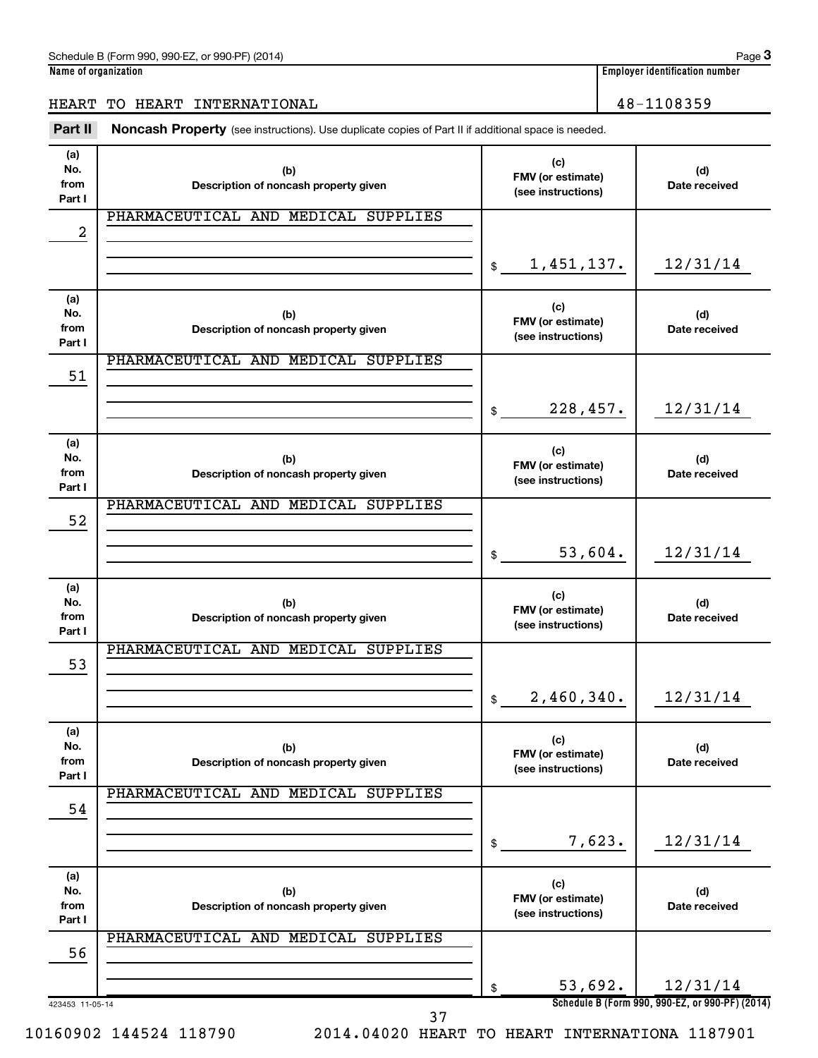## HEART TO HEART INTERNATIONAL 16 and 100 million 100 million 100 million 100 million 100 million 100 million 10

Part II Noncash Property (see instructions). Use duplicate copies of Part II if additional space is needed.

| (a)<br>No.<br>from<br>Part I | (b)<br>Description of noncash property given |               | (c)<br>FMV (or estimate)<br>(see instructions) | (d)<br>Date received                            |
|------------------------------|----------------------------------------------|---------------|------------------------------------------------|-------------------------------------------------|
| 2                            | PHARMACEUTICAL AND MEDICAL SUPPLIES          |               |                                                |                                                 |
|                              |                                              |               |                                                |                                                 |
|                              |                                              | $\frac{1}{2}$ | 1,451,137.                                     | 12/31/14                                        |
| (a)<br>No.<br>from<br>Part I | (b)<br>Description of noncash property given |               | (c)<br>FMV (or estimate)<br>(see instructions) | (d)<br>Date received                            |
| 51                           | PHARMACEUTICAL AND MEDICAL SUPPLIES          |               |                                                |                                                 |
|                              |                                              | \$            | 228,457.                                       | 12/31/14                                        |
| (a)<br>No.<br>from<br>Part I | (b)<br>Description of noncash property given |               | (c)<br>FMV (or estimate)<br>(see instructions) | (d)<br>Date received                            |
| 52                           | PHARMACEUTICAL AND MEDICAL SUPPLIES          |               |                                                |                                                 |
|                              |                                              | \$            | 53,604.                                        | 12/31/14                                        |
| (a)<br>No.<br>from<br>Part I | (b)<br>Description of noncash property given |               | (c)<br>FMV (or estimate)<br>(see instructions) | (d)<br>Date received                            |
| 53                           | PHARMACEUTICAL AND MEDICAL SUPPLIES          |               |                                                |                                                 |
|                              |                                              | \$            | 2,460,340.                                     | 12/31/14                                        |
| (a)<br>No.<br>from<br>Part I | (b)<br>Description of noncash property given |               | (c)<br>FMV (or estimate)<br>(see instructions) | (d)<br>Date received                            |
| 54                           | PHARMACEUTICAL AND MEDICAL SUPPLIES          |               |                                                |                                                 |
|                              |                                              | \$            | 7,623.                                         | 12/31/14                                        |
| (a)<br>No.<br>from<br>Part I | (b)<br>Description of noncash property given |               | (c)<br>FMV (or estimate)<br>(see instructions) | (d)<br>Date received                            |
| 56                           | PHARMACEUTICAL AND MEDICAL SUPPLIES          |               |                                                |                                                 |
|                              |                                              | \$            | 53,692.                                        | 12/31/14                                        |
| 423453 11-05-14              | 37                                           |               |                                                | Schedule B (Form 990, 990-EZ, or 990-PF) (2014) |

10160902 144524 118790 2014.04020 HEART TO HEART INTERNATIONA 1187901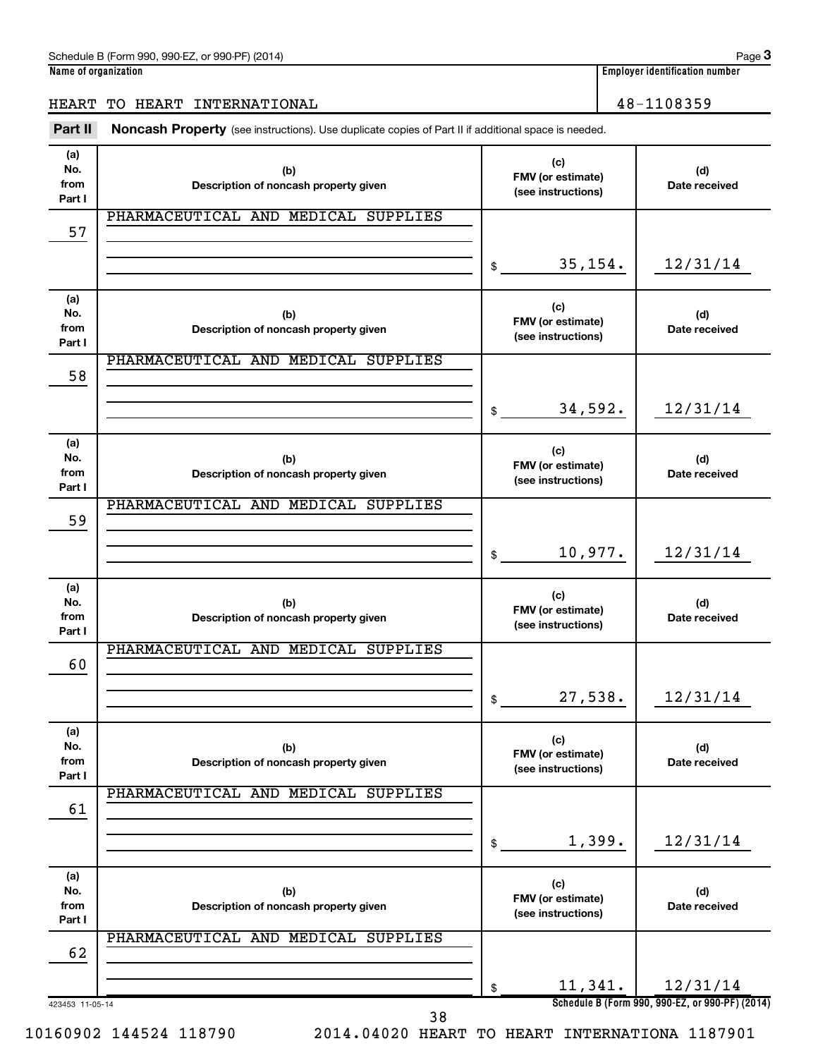## HEART TO HEART INTERNATIONAL 16 and 100 million 100 million 100 million 100 million 100 million 100 million 10

Part II Noncash Property (see instructions). Use duplicate copies of Part II if additional space is needed.

| (a)<br>No.      |                                              | (c)                                     |                                                 |
|-----------------|----------------------------------------------|-----------------------------------------|-------------------------------------------------|
| from            | (b)<br>Description of noncash property given | FMV (or estimate)                       | (d)<br>Date received                            |
| Part I          |                                              | (see instructions)                      |                                                 |
|                 | PHARMACEUTICAL AND MEDICAL SUPPLIES          |                                         |                                                 |
| 57              |                                              |                                         |                                                 |
|                 |                                              |                                         |                                                 |
|                 |                                              | \$<br>35, 154.                          | 12/31/14                                        |
|                 |                                              |                                         |                                                 |
| (a)<br>No.      | (b)                                          | (c)                                     | (d)                                             |
| from            | Description of noncash property given        | FMV (or estimate)                       | Date received                                   |
| Part I          |                                              | (see instructions)                      |                                                 |
|                 | PHARMACEUTICAL AND MEDICAL SUPPLIES          |                                         |                                                 |
| 58              |                                              |                                         |                                                 |
|                 |                                              |                                         |                                                 |
|                 |                                              | \$<br>34,592.                           | 12/31/14                                        |
| (a)             |                                              |                                         |                                                 |
| No.             | (b)                                          | (c)                                     | (d)                                             |
| from            | Description of noncash property given        | FMV (or estimate)<br>(see instructions) | Date received                                   |
| Part I          |                                              |                                         |                                                 |
|                 | PHARMACEUTICAL AND MEDICAL SUPPLIES          |                                         |                                                 |
| 59              |                                              |                                         |                                                 |
|                 |                                              | 10,977.                                 | 12/31/14                                        |
|                 |                                              | \$                                      |                                                 |
| (a)             |                                              |                                         |                                                 |
| No.             | (b)                                          | (c)                                     | (d)                                             |
| from            | Description of noncash property given        | FMV (or estimate)<br>(see instructions) | Date received                                   |
| Part I          |                                              |                                         |                                                 |
| 60              | PHARMACEUTICAL AND MEDICAL SUPPLIES          |                                         |                                                 |
|                 |                                              |                                         |                                                 |
|                 |                                              | \$<br>27,538.                           | 12/31/14                                        |
|                 |                                              |                                         |                                                 |
| (a)             |                                              | (c)                                     |                                                 |
| No.             | (b)                                          | FMV (or estimate)                       | (d)                                             |
| from<br>Part I  | Description of noncash property given        | (see instructions)                      | Date received                                   |
|                 | PHARMACEUTICAL AND MEDICAL SUPPLIES          |                                         |                                                 |
| 61              |                                              |                                         |                                                 |
|                 |                                              |                                         |                                                 |
|                 |                                              | \$<br>1,399.                            | 12/31/14                                        |
|                 |                                              |                                         |                                                 |
| (a)             |                                              | (c)                                     |                                                 |
| No.<br>from     | (b)                                          | FMV (or estimate)                       | (d)                                             |
| Part I          | Description of noncash property given        | (see instructions)                      | Date received                                   |
|                 | PHARMACEUTICAL AND MEDICAL SUPPLIES          |                                         |                                                 |
| 62              |                                              |                                         |                                                 |
|                 |                                              |                                         |                                                 |
|                 |                                              | \$<br>11,341.                           | 12/31/14                                        |
| 423453 11-05-14 | 38                                           |                                         | Schedule B (Form 990, 990-EZ, or 990-PF) (2014) |

10160902 144524 118790 2014.04020 HEART TO HEART INTERNATIONA 1187901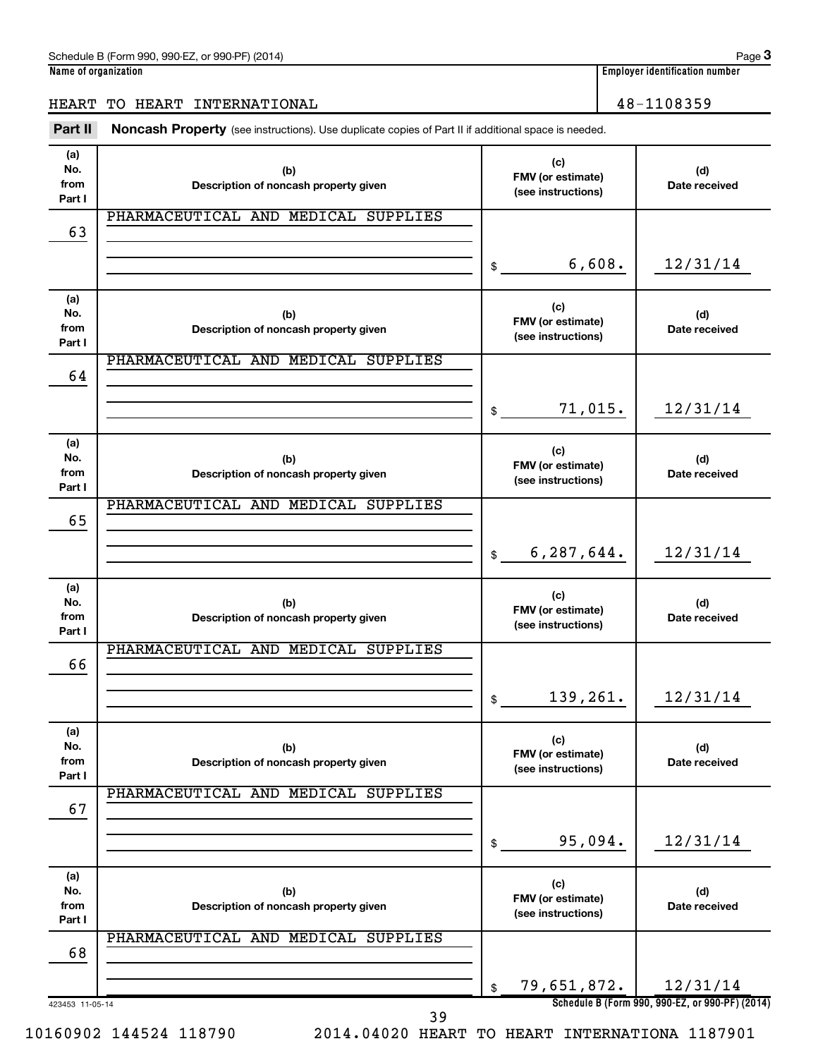**3**

## HEART TO HEART INTERNATIONAL 16 and 100 million 100 million 100 million 100 million 100 million 100 million 10

Part II Noncash Property (see instructions). Use duplicate copies of Part II if additional space is needed.

| (a)<br>No.<br>from<br>Part I | (b)<br>Description of noncash property given |              | (c)<br>FMV (or estimate)<br>(see instructions) | (d)<br>Date received                            |
|------------------------------|----------------------------------------------|--------------|------------------------------------------------|-------------------------------------------------|
| 63                           | PHARMACEUTICAL AND MEDICAL SUPPLIES          |              |                                                |                                                 |
|                              |                                              |              |                                                |                                                 |
|                              |                                              | \$           | 6,608.                                         | 12/31/14                                        |
| (a)<br>No.<br>from<br>Part I | (b)<br>Description of noncash property given |              | (c)<br>FMV (or estimate)<br>(see instructions) | (d)<br>Date received                            |
|                              | PHARMACEUTICAL AND MEDICAL SUPPLIES          |              |                                                |                                                 |
| 64                           |                                              |              |                                                |                                                 |
|                              |                                              | \$           | 71,015.                                        | 12/31/14                                        |
| (a)<br>No.<br>from<br>Part I | (b)<br>Description of noncash property given |              | (c)<br>FMV (or estimate)<br>(see instructions) | (d)<br>Date received                            |
|                              | PHARMACEUTICAL AND MEDICAL SUPPLIES          |              |                                                |                                                 |
| 65                           |                                              |              |                                                |                                                 |
|                              |                                              | $\mathbb{S}$ | 6, 287, 644.                                   | 12/31/14                                        |
| (a)<br>No.<br>from<br>Part I | (b)<br>Description of noncash property given |              | (c)<br>FMV (or estimate)<br>(see instructions) | (d)<br>Date received                            |
|                              | PHARMACEUTICAL AND MEDICAL SUPPLIES          |              |                                                |                                                 |
| 66                           |                                              |              |                                                |                                                 |
|                              |                                              | \$           | 139,261.                                       | 12/31/14                                        |
| (a)<br>No.<br>from<br>Part I | (b)<br>Description of noncash property given |              | (c)<br>FMV (or estimate)<br>(see instructions) | (d)<br>Date received                            |
| 67                           | PHARMACEUTICAL AND MEDICAL SUPPLIES          |              |                                                |                                                 |
|                              |                                              |              |                                                |                                                 |
|                              |                                              | \$           | 95,094.                                        | 12/31/14                                        |
| (a)<br>No.<br>from<br>Part I | (b)<br>Description of noncash property given |              | (c)<br>FMV (or estimate)<br>(see instructions) | (d)<br>Date received                            |
| 68                           | PHARMACEUTICAL AND MEDICAL SUPPLIES          |              |                                                |                                                 |
|                              |                                              |              |                                                |                                                 |
|                              |                                              | \$           | 79,651,872.                                    | 12/31/14                                        |
| 423453 11-05-14              | 39                                           |              |                                                | Schedule B (Form 990, 990-EZ, or 990-PF) (2014) |

10160902 144524 118790 2014.04020 HEART TO HEART INTERNATIONA 1187901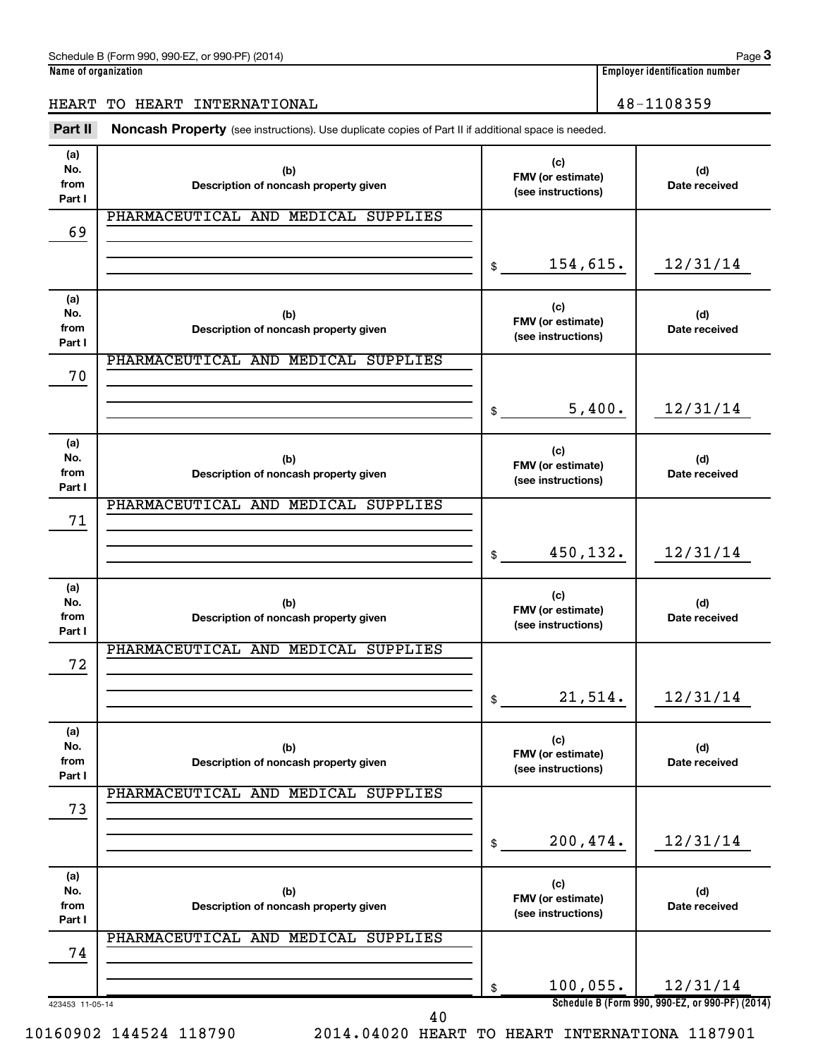## HEART TO HEART INTERNATIONAL 16 and 100 million 100 million 100 million 100 million 100 million 100 million 10

Part II Noncash Property (see instructions). Use duplicate copies of Part II if additional space is needed.

| (a)                          |                                              | (c)                                            |                                                 |
|------------------------------|----------------------------------------------|------------------------------------------------|-------------------------------------------------|
| No.<br>from<br>Part I        | (b)<br>Description of noncash property given | FMV (or estimate)<br>(see instructions)        | (d)<br>Date received                            |
|                              | PHARMACEUTICAL AND MEDICAL SUPPLIES          |                                                |                                                 |
| 69                           |                                              |                                                |                                                 |
|                              |                                              | \$<br>154,615.                                 | 12/31/14                                        |
| (a)<br>No.<br>from<br>Part I | (b)<br>Description of noncash property given | (c)<br>FMV (or estimate)<br>(see instructions) | (d)<br>Date received                            |
| 70                           | PHARMACEUTICAL AND MEDICAL SUPPLIES          |                                                |                                                 |
|                              |                                              |                                                |                                                 |
|                              |                                              | \$<br>5,400.                                   | 12/31/14                                        |
| (a)<br>No.<br>from<br>Part I | (b)<br>Description of noncash property given | (c)<br>FMV (or estimate)<br>(see instructions) | (d)<br>Date received                            |
| 71                           | PHARMACEUTICAL AND MEDICAL SUPPLIES          |                                                |                                                 |
|                              |                                              |                                                |                                                 |
|                              |                                              | \$<br>450,132.                                 | 12/31/14                                        |
| (a)<br>No.<br>from<br>Part I | (b)<br>Description of noncash property given | (c)<br>FMV (or estimate)<br>(see instructions) | (d)<br>Date received                            |
|                              | PHARMACEUTICAL AND MEDICAL SUPPLIES          |                                                |                                                 |
| 72                           |                                              |                                                |                                                 |
|                              |                                              | \$<br>21,514.                                  | 12/31/14                                        |
| (a)<br>No.<br>from<br>Part I | (b)<br>Description of noncash property given | (c)<br>FMV (or estimate)<br>(see instructions) | (d)<br>Date received                            |
| 73                           | PHARMACEUTICAL AND MEDICAL SUPPLIES          |                                                |                                                 |
|                              |                                              |                                                |                                                 |
|                              |                                              | \$<br>200,474.                                 | 12/31/14                                        |
| (a)<br>No.<br>from<br>Part I | (b)<br>Description of noncash property given | (c)<br>FMV (or estimate)<br>(see instructions) | (d)<br>Date received                            |
| 74                           | PHARMACEUTICAL AND MEDICAL SUPPLIES          |                                                |                                                 |
|                              |                                              | 100,055.                                       | 12/31/14                                        |
| 423453 11-05-14              |                                              | \$                                             | Schedule B (Form 990, 990-EZ, or 990-PF) (2014) |
|                              | 40                                           |                                                |                                                 |

10160902 144524 118790 2014.04020 HEART TO HEART INTERNATIONA 1187901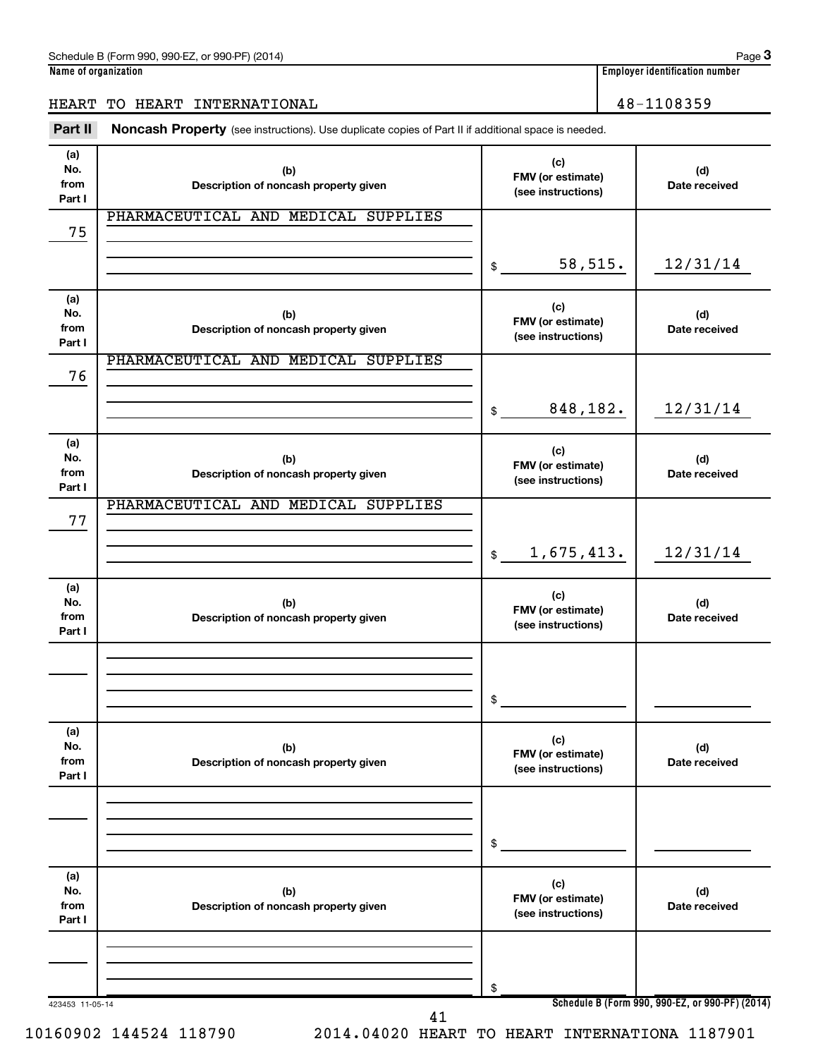**3**

## HEART TO HEART INTERNATIONAL 16 and 100 million 100 million 100 million 100 million 100 million 100 million 10

Part II Noncash Property (see instructions). Use duplicate copies of Part II if additional space is needed.

| (a)<br>No.<br>from           | (b)<br>Description of noncash property given | (c)<br>FMV (or estimate)<br>(see instructions) | (d)<br>Date received                            |
|------------------------------|----------------------------------------------|------------------------------------------------|-------------------------------------------------|
| Part I                       | PHARMACEUTICAL AND MEDICAL SUPPLIES          |                                                |                                                 |
| 75                           |                                              |                                                |                                                 |
|                              |                                              | 58,515.<br>\$                                  | 12/31/14                                        |
| (a)                          |                                              | (c)                                            |                                                 |
| No.<br>from                  | (b)<br>Description of noncash property given | FMV (or estimate)                              | (d)<br>Date received                            |
| Part I                       |                                              | (see instructions)                             |                                                 |
| 76                           | PHARMACEUTICAL AND MEDICAL SUPPLIES          |                                                |                                                 |
|                              |                                              | 848,182.<br>\$                                 | 12/31/14                                        |
| (a)<br>No.<br>from<br>Part I | (b)<br>Description of noncash property given | (c)<br>FMV (or estimate)<br>(see instructions) | (d)<br>Date received                            |
|                              | PHARMACEUTICAL AND MEDICAL SUPPLIES          |                                                |                                                 |
| 77                           |                                              |                                                |                                                 |
|                              |                                              | 1,675,413.<br>\$                               | 12/31/14                                        |
| (a)<br>No.<br>from           | (b)<br>Description of noncash property given | (c)<br>FMV (or estimate)<br>(see instructions) | (d)<br>Date received                            |
| Part I                       |                                              |                                                |                                                 |
|                              |                                              |                                                |                                                 |
|                              |                                              | \$                                             |                                                 |
| (a)                          |                                              | (c)                                            |                                                 |
| No.<br>from<br>Part I        | (b)<br>Description of noncash property given | FMV (or estimate)<br>(see instructions)        | (d)<br>Date received                            |
|                              |                                              |                                                |                                                 |
|                              |                                              | \$                                             |                                                 |
| (a)                          |                                              | (c)                                            |                                                 |
| No.<br>from<br>Part I        | (b)<br>Description of noncash property given | FMV (or estimate)<br>(see instructions)        | (d)<br>Date received                            |
|                              |                                              |                                                |                                                 |
|                              |                                              | \$                                             |                                                 |
| 423453 11-05-14              | 41                                           |                                                | Schedule B (Form 990, 990-EZ, or 990-PF) (2014) |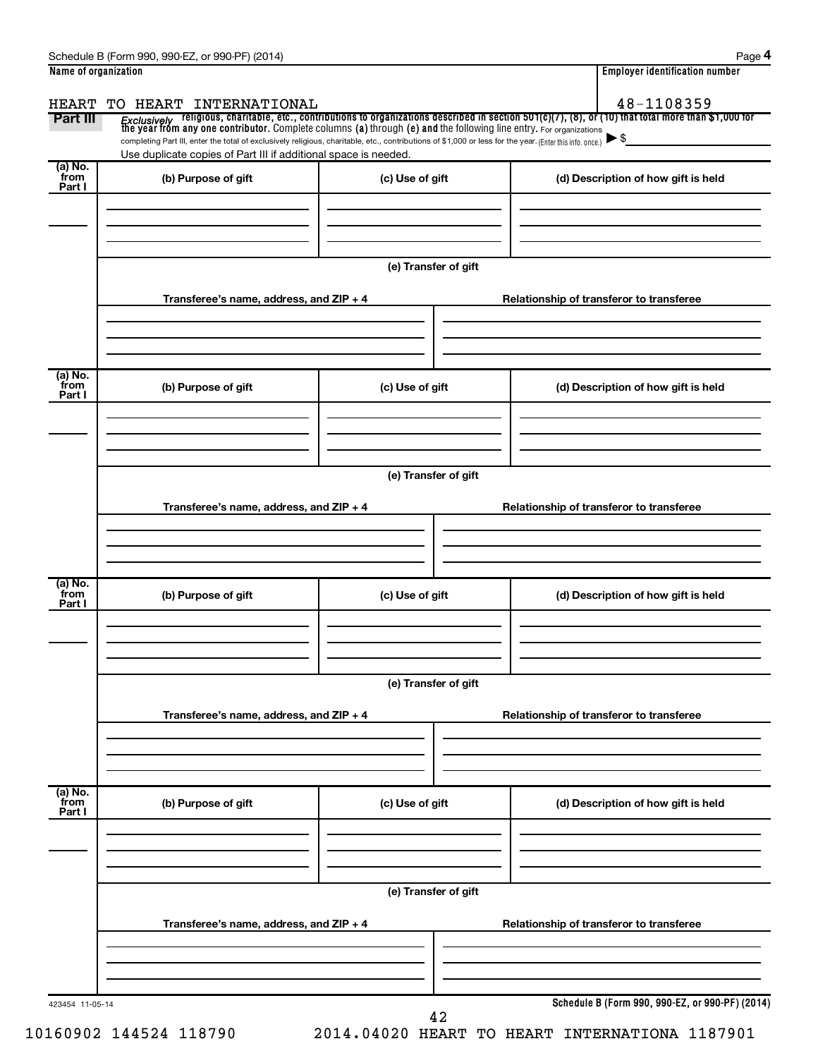| HEART                     | TO HEART INTERNATIONAL                                                                                                                                                                                                      |                      | 48-1108359                                                                                                                                                                                                                         |
|---------------------------|-----------------------------------------------------------------------------------------------------------------------------------------------------------------------------------------------------------------------------|----------------------|------------------------------------------------------------------------------------------------------------------------------------------------------------------------------------------------------------------------------------|
| Part III                  |                                                                                                                                                                                                                             |                      | Exclusively religious, charitable, etc., contributions to organizations described in section 501(c)(7), (8), or (10) that total more than \$1,000 for<br>the year from any one contributor. Complete columns (a) through (e) and t |
|                           | completing Part III, enter the total of exclusively religious, charitable, etc., contributions of \$1,000 or less for the year. (Enter this info. once.)<br>Use duplicate copies of Part III if additional space is needed. |                      |                                                                                                                                                                                                                                    |
| (a) No.<br>from<br>Part I | (b) Purpose of gift                                                                                                                                                                                                         | (c) Use of gift      | (d) Description of how gift is held                                                                                                                                                                                                |
|                           |                                                                                                                                                                                                                             | (e) Transfer of gift |                                                                                                                                                                                                                                    |
|                           | Transferee's name, address, and ZIP + 4                                                                                                                                                                                     |                      | Relationship of transferor to transferee                                                                                                                                                                                           |
| (a) No.<br>from<br>Part I | (b) Purpose of gift                                                                                                                                                                                                         | (c) Use of gift      | (d) Description of how gift is held                                                                                                                                                                                                |
|                           | Transferee's name, address, and ZIP + 4                                                                                                                                                                                     | (e) Transfer of gift | Relationship of transferor to transferee                                                                                                                                                                                           |
| (a) No.<br>from<br>Part I | (b) Purpose of gift                                                                                                                                                                                                         | (c) Use of gift      | (d) Description of how gift is held                                                                                                                                                                                                |
|                           | Transferee's name, address, and ZIP + 4                                                                                                                                                                                     | (e) Transfer of gift | Relationship of transferor to transferee                                                                                                                                                                                           |
| (a) No.<br>from<br>Part I | (b) Purpose of gift                                                                                                                                                                                                         | (c) Use of gift      | (d) Description of how gift is held                                                                                                                                                                                                |
|                           | Transferee's name, address, and ZIP + 4                                                                                                                                                                                     | (e) Transfer of gift | Relationship of transferor to transferee                                                                                                                                                                                           |
|                           |                                                                                                                                                                                                                             |                      |                                                                                                                                                                                                                                    |

10160902 144524 118790 2014.04020 HEART TO HEART INTERNATIONA 1187901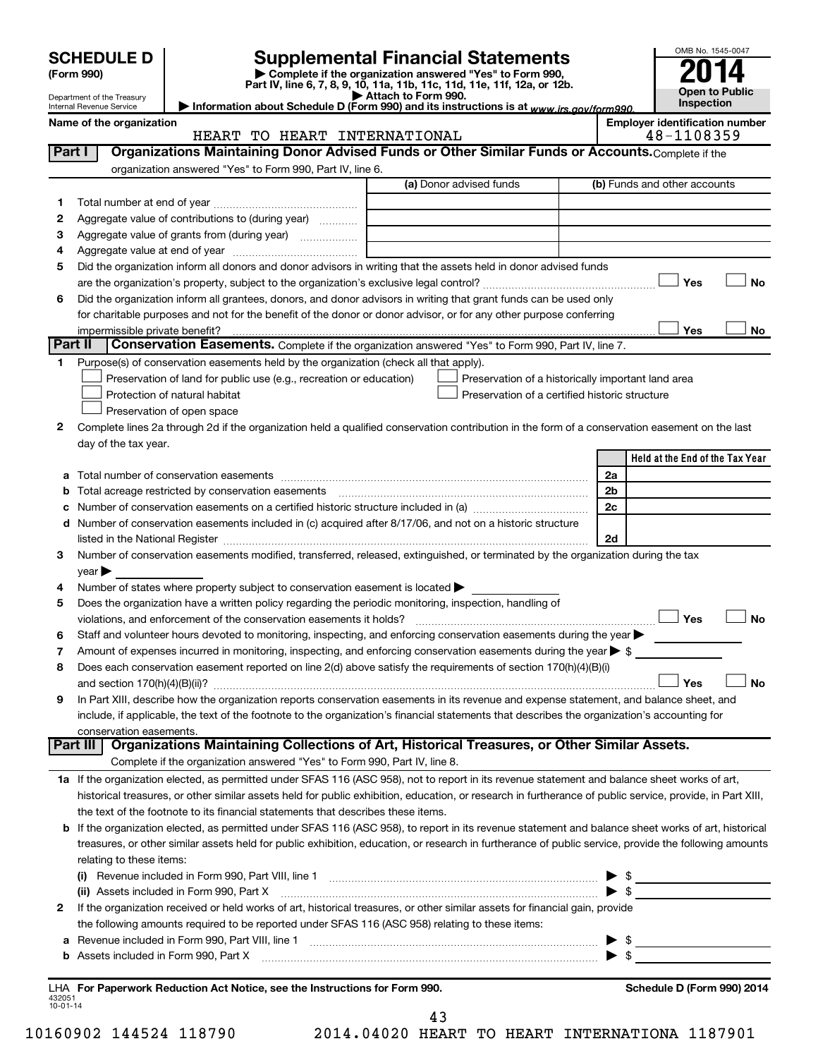|                |                                                             |                                                                                                        |                                                                                                                                                                                                                               |                | OMB No. 1545-0047                     |
|----------------|-------------------------------------------------------------|--------------------------------------------------------------------------------------------------------|-------------------------------------------------------------------------------------------------------------------------------------------------------------------------------------------------------------------------------|----------------|---------------------------------------|
|                | <b>SCHEDULE D</b><br>(Form 990)                             |                                                                                                        | <b>Supplemental Financial Statements</b><br>Complete if the organization answered "Yes" to Form 990,                                                                                                                          |                |                                       |
|                | Department of the Treasury                                  |                                                                                                        | Part IV, line 6, 7, 8, 9, 10, 11a, 11b, 11c, 11d, 11e, 11f, 12a, or 12b.<br>Attach to Form 990.                                                                                                                               |                | Open to Public<br>Inspection          |
|                | <b>Internal Revenue Service</b><br>Name of the organization |                                                                                                        | Information about Schedule D (Form 990) and its instructions is at www.irs.gov/form990.                                                                                                                                       |                | <b>Employer identification number</b> |
|                |                                                             | HEART TO HEART INTERNATIONAL                                                                           |                                                                                                                                                                                                                               |                | 48-1108359                            |
|                | Part I                                                      |                                                                                                        | Organizations Maintaining Donor Advised Funds or Other Similar Funds or Accounts. Complete if the                                                                                                                             |                |                                       |
|                |                                                             | organization answered "Yes" to Form 990, Part IV, line 6.                                              |                                                                                                                                                                                                                               |                |                                       |
|                |                                                             |                                                                                                        | (a) Donor advised funds                                                                                                                                                                                                       |                | (b) Funds and other accounts          |
| 1              |                                                             |                                                                                                        |                                                                                                                                                                                                                               |                |                                       |
| 2              |                                                             | Aggregate value of contributions to (during year)                                                      |                                                                                                                                                                                                                               |                |                                       |
| З<br>4         |                                                             | Aggregate value of grants from (during year)                                                           |                                                                                                                                                                                                                               |                |                                       |
| 5              |                                                             |                                                                                                        | Did the organization inform all donors and donor advisors in writing that the assets held in donor advised funds                                                                                                              |                |                                       |
|                |                                                             |                                                                                                        |                                                                                                                                                                                                                               |                | <b>No</b><br>Yes                      |
| 6              |                                                             |                                                                                                        | Did the organization inform all grantees, donors, and donor advisors in writing that grant funds can be used only                                                                                                             |                |                                       |
|                |                                                             |                                                                                                        | for charitable purposes and not for the benefit of the donor or donor advisor, or for any other purpose conferring                                                                                                            |                |                                       |
|                | impermissible private benefit?                              |                                                                                                        |                                                                                                                                                                                                                               |                | Yes<br>No                             |
|                | Part II                                                     |                                                                                                        | Conservation Easements. Complete if the organization answered "Yes" to Form 990, Part IV, line 7.                                                                                                                             |                |                                       |
| 1              |                                                             | Purpose(s) of conservation easements held by the organization (check all that apply).                  |                                                                                                                                                                                                                               |                |                                       |
|                |                                                             | Preservation of land for public use (e.g., recreation or education)                                    | Preservation of a historically important land area                                                                                                                                                                            |                |                                       |
|                |                                                             | Protection of natural habitat                                                                          | Preservation of a certified historic structure                                                                                                                                                                                |                |                                       |
|                |                                                             | Preservation of open space                                                                             |                                                                                                                                                                                                                               |                |                                       |
| 2              |                                                             |                                                                                                        | Complete lines 2a through 2d if the organization held a qualified conservation contribution in the form of a conservation easement on the last                                                                                |                |                                       |
|                | day of the tax year.                                        |                                                                                                        |                                                                                                                                                                                                                               |                |                                       |
|                |                                                             |                                                                                                        |                                                                                                                                                                                                                               |                | Held at the End of the Tax Year       |
|                |                                                             |                                                                                                        |                                                                                                                                                                                                                               | 2a             |                                       |
| b              |                                                             | Total acreage restricted by conservation easements                                                     |                                                                                                                                                                                                                               | 2 <sub>b</sub> |                                       |
| с              |                                                             |                                                                                                        |                                                                                                                                                                                                                               | 2c             |                                       |
| d              |                                                             |                                                                                                        | Number of conservation easements included in (c) acquired after 8/17/06, and not on a historic structure                                                                                                                      |                |                                       |
|                |                                                             |                                                                                                        | listed in the National Register [111] Marshall Register [11] Marshall Register [11] Marshall Register [11] Marshall Register [11] Marshall Register [11] Marshall Register [11] Marshall Register [11] Marshall Register [11] | 2d             |                                       |
| З              |                                                             |                                                                                                        | Number of conservation easements modified, transferred, released, extinguished, or terminated by the organization during the tax                                                                                              |                |                                       |
| 4              | $year \blacktriangleright$                                  | Number of states where property subject to conservation easement is located >                          |                                                                                                                                                                                                                               |                |                                       |
| 5              |                                                             | Does the organization have a written policy regarding the periodic monitoring, inspection, handling of |                                                                                                                                                                                                                               |                |                                       |
|                |                                                             | violations, and enforcement of the conservation easements it holds?                                    |                                                                                                                                                                                                                               |                | Yes<br>No                             |
| 6              |                                                             |                                                                                                        | Staff and volunteer hours devoted to monitoring, inspecting, and enforcing conservation easements during the year $\blacktriangleright$                                                                                       |                |                                       |
| 7              |                                                             |                                                                                                        | Amount of expenses incurred in monitoring, inspecting, and enforcing conservation easements during the year $\triangleright$ \$                                                                                               |                |                                       |
| 8              |                                                             |                                                                                                        | Does each conservation easement reported on line 2(d) above satisfy the requirements of section 170(h)(4)(B)(i)                                                                                                               |                |                                       |
|                |                                                             |                                                                                                        |                                                                                                                                                                                                                               |                | Yes<br>No                             |
| 9              |                                                             |                                                                                                        | In Part XIII, describe how the organization reports conservation easements in its revenue and expense statement, and balance sheet, and                                                                                       |                |                                       |
|                |                                                             |                                                                                                        | include, if applicable, the text of the footnote to the organization's financial statements that describes the organization's accounting for                                                                                  |                |                                       |
|                | conservation easements.                                     |                                                                                                        |                                                                                                                                                                                                                               |                |                                       |
|                |                                                             |                                                                                                        | Part III   Organizations Maintaining Collections of Art, Historical Treasures, or Other Similar Assets.                                                                                                                       |                |                                       |
|                |                                                             | Complete if the organization answered "Yes" to Form 990, Part IV, line 8.                              |                                                                                                                                                                                                                               |                |                                       |
|                |                                                             |                                                                                                        | 1a If the organization elected, as permitted under SFAS 116 (ASC 958), not to report in its revenue statement and balance sheet works of art,                                                                                 |                |                                       |
|                |                                                             |                                                                                                        | historical treasures, or other similar assets held for public exhibition, education, or research in furtherance of public service, provide, in Part XIII,                                                                     |                |                                       |
|                |                                                             | the text of the footnote to its financial statements that describes these items.                       |                                                                                                                                                                                                                               |                |                                       |
| b              |                                                             |                                                                                                        | If the organization elected, as permitted under SFAS 116 (ASC 958), to report in its revenue statement and balance sheet works of art, historical                                                                             |                |                                       |
|                |                                                             |                                                                                                        | treasures, or other similar assets held for public exhibition, education, or research in furtherance of public service, provide the following amounts                                                                         |                |                                       |
|                | relating to these items:                                    |                                                                                                        |                                                                                                                                                                                                                               |                |                                       |
|                |                                                             |                                                                                                        | (i) Revenue included in Form 990, Part VIII, line 1 [2000] [2010] Contained a material contained in European S                                                                                                                | ▶              | $\frac{1}{2}$                         |
|                |                                                             |                                                                                                        | (ii) Assets included in Form 990, Part X [11] [12] Assets included in Form 990, Part X                                                                                                                                        |                | $\blacktriangleright$ \$              |
| 2              |                                                             |                                                                                                        | If the organization received or held works of art, historical treasures, or other similar assets for financial gain, provide                                                                                                  |                |                                       |
|                |                                                             | the following amounts required to be reported under SFAS 116 (ASC 958) relating to these items:        |                                                                                                                                                                                                                               |                |                                       |
| а              |                                                             |                                                                                                        |                                                                                                                                                                                                                               | ▶              | $\frac{1}{2}$                         |
|                |                                                             |                                                                                                        |                                                                                                                                                                                                                               |                |                                       |
|                |                                                             | LHA For Paperwork Reduction Act Notice, see the Instructions for Form 990.                             |                                                                                                                                                                                                                               |                | Schedule D (Form 990) 2014            |
| 432051         |                                                             |                                                                                                        |                                                                                                                                                                                                                               |                |                                       |
| $10 - 01 - 14$ |                                                             |                                                                                                        | 43                                                                                                                                                                                                                            |                |                                       |

10160902 144524 118790 2014.04020 HEART TO HEART INTERNATIONA 1187901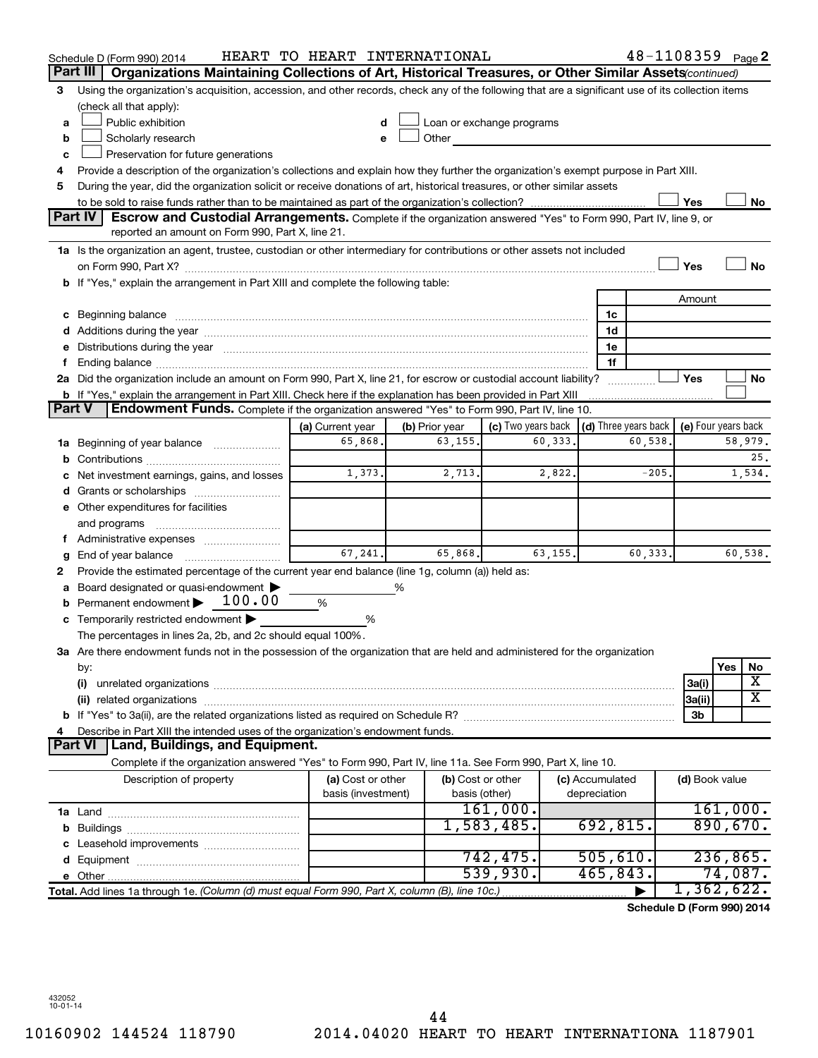|                                                                                                                                                        | 48-1108359 Page 2<br>HEART TO HEART INTERNATIONAL<br>Schedule D (Form 990) 2014                                                                                                                                                |                    |                |                           |                 |                                      |                     |          |         |
|--------------------------------------------------------------------------------------------------------------------------------------------------------|--------------------------------------------------------------------------------------------------------------------------------------------------------------------------------------------------------------------------------|--------------------|----------------|---------------------------|-----------------|--------------------------------------|---------------------|----------|---------|
| Part III<br>Organizations Maintaining Collections of Art, Historical Treasures, or Other Similar Assets (continued)                                    |                                                                                                                                                                                                                                |                    |                |                           |                 |                                      |                     |          |         |
| Using the organization's acquisition, accession, and other records, check any of the following that are a significant use of its collection items<br>3 |                                                                                                                                                                                                                                |                    |                |                           |                 |                                      |                     |          |         |
|                                                                                                                                                        | (check all that apply):                                                                                                                                                                                                        |                    |                |                           |                 |                                      |                     |          |         |
| a                                                                                                                                                      | Public exhibition                                                                                                                                                                                                              |                    |                | Loan or exchange programs |                 |                                      |                     |          |         |
| b                                                                                                                                                      | Scholarly research                                                                                                                                                                                                             |                    | Other          |                           |                 |                                      |                     |          |         |
| c                                                                                                                                                      | Preservation for future generations                                                                                                                                                                                            |                    |                |                           |                 |                                      |                     |          |         |
| 4                                                                                                                                                      | Provide a description of the organization's collections and explain how they further the organization's exempt purpose in Part XIII.                                                                                           |                    |                |                           |                 |                                      |                     |          |         |
| 5                                                                                                                                                      | During the year, did the organization solicit or receive donations of art, historical treasures, or other similar assets                                                                                                       |                    |                |                           |                 |                                      |                     |          |         |
|                                                                                                                                                        | Yes<br>No                                                                                                                                                                                                                      |                    |                |                           |                 |                                      |                     |          |         |
|                                                                                                                                                        | <b>Part IV</b><br>Escrow and Custodial Arrangements. Complete if the organization answered "Yes" to Form 990, Part IV, line 9, or<br>reported an amount on Form 990, Part X, line 21.                                          |                    |                |                           |                 |                                      |                     |          |         |
|                                                                                                                                                        | 1a Is the organization an agent, trustee, custodian or other intermediary for contributions or other assets not included                                                                                                       |                    |                |                           |                 |                                      |                     |          |         |
|                                                                                                                                                        |                                                                                                                                                                                                                                |                    |                |                           |                 |                                      | Yes                 |          | No      |
|                                                                                                                                                        | <b>b</b> If "Yes," explain the arrangement in Part XIII and complete the following table:                                                                                                                                      |                    |                |                           |                 |                                      |                     |          |         |
|                                                                                                                                                        |                                                                                                                                                                                                                                |                    |                |                           |                 |                                      | Amount              |          |         |
|                                                                                                                                                        | c Beginning balance                                                                                                                                                                                                            |                    |                |                           | 1c              |                                      |                     |          |         |
|                                                                                                                                                        |                                                                                                                                                                                                                                |                    |                |                           | 1d              |                                      |                     |          |         |
|                                                                                                                                                        | e Distributions during the year manufactured and continuum and contact the year manufactured and contact the year manufactured and contact the year manufactured and contact the year manufactured and contact the year manufa |                    |                |                           | 1e              |                                      |                     |          |         |
|                                                                                                                                                        |                                                                                                                                                                                                                                |                    |                |                           | 1f              |                                      |                     |          |         |
|                                                                                                                                                        | 2a Did the organization include an amount on Form 990, Part X, line 21, for escrow or custodial account liability?                                                                                                             |                    |                |                           |                 |                                      | Yes                 |          | No      |
|                                                                                                                                                        | <b>b</b> If "Yes," explain the arrangement in Part XIII. Check here if the explanation has been provided in Part XIII                                                                                                          |                    |                |                           |                 |                                      |                     |          |         |
| Part V                                                                                                                                                 | Endowment Funds. Complete if the organization answered "Yes" to Form 990, Part IV, line 10.                                                                                                                                    |                    |                |                           |                 |                                      |                     |          |         |
|                                                                                                                                                        |                                                                                                                                                                                                                                | (a) Current year   | (b) Prior year | (c) Two years back        |                 | $\vert$ (d) Three years back $\vert$ | (e) Four years back |          |         |
| 1а                                                                                                                                                     | Beginning of year balance                                                                                                                                                                                                      | 65,868.            | 63,155.        | 60,333.                   |                 | 60,538                               |                     |          | 58,979. |
| b                                                                                                                                                      |                                                                                                                                                                                                                                |                    |                |                           |                 |                                      |                     |          | 25.     |
|                                                                                                                                                        | Net investment earnings, gains, and losses                                                                                                                                                                                     | 1,373.             | 2,713.         | 2,822.                    |                 | $-205.$                              |                     |          | 1,534.  |
|                                                                                                                                                        | Grants or scholarships                                                                                                                                                                                                         |                    |                |                           |                 |                                      |                     |          |         |
|                                                                                                                                                        | e Other expenditures for facilities                                                                                                                                                                                            |                    |                |                           |                 |                                      |                     |          |         |
|                                                                                                                                                        | and programs                                                                                                                                                                                                                   |                    |                |                           |                 |                                      |                     |          |         |
|                                                                                                                                                        |                                                                                                                                                                                                                                |                    |                |                           |                 |                                      |                     |          |         |
| g                                                                                                                                                      | End of year balance                                                                                                                                                                                                            | 67,241.            | 65.868.        | 63, 155.                  |                 | 60,333.                              |                     |          | 60,538. |
| 2                                                                                                                                                      | Provide the estimated percentage of the current year end balance (line 1g, column (a)) held as:                                                                                                                                |                    |                |                           |                 |                                      |                     |          |         |
|                                                                                                                                                        | Board designated or quasi-endowment                                                                                                                                                                                            |                    | %              |                           |                 |                                      |                     |          |         |
| b                                                                                                                                                      | Permanent endowment > 100.00                                                                                                                                                                                                   | %                  |                |                           |                 |                                      |                     |          |         |
| С                                                                                                                                                      | Temporarily restricted endowment                                                                                                                                                                                               | %                  |                |                           |                 |                                      |                     |          |         |
|                                                                                                                                                        | The percentages in lines 2a, 2b, and 2c should equal 100%.                                                                                                                                                                     |                    |                |                           |                 |                                      |                     |          |         |
|                                                                                                                                                        | ${\bf 3a}$ Are there endowment funds not in the possession of the organization that are held and administered for the organization                                                                                             |                    |                |                           |                 |                                      |                     |          |         |
|                                                                                                                                                        | by:                                                                                                                                                                                                                            |                    |                |                           |                 |                                      |                     | Yes      | No      |
|                                                                                                                                                        | (i)                                                                                                                                                                                                                            |                    |                |                           |                 |                                      | 3a(i)               |          | х       |
|                                                                                                                                                        | (ii) related organizations                                                                                                                                                                                                     |                    |                |                           |                 |                                      | 3a(ii)              |          | х       |
|                                                                                                                                                        |                                                                                                                                                                                                                                |                    |                |                           |                 |                                      | 3b                  |          |         |
|                                                                                                                                                        | Describe in Part XIII the intended uses of the organization's endowment funds.<br>Part VI                                                                                                                                      |                    |                |                           |                 |                                      |                     |          |         |
|                                                                                                                                                        | Land, Buildings, and Equipment.                                                                                                                                                                                                |                    |                |                           |                 |                                      |                     |          |         |
|                                                                                                                                                        | Complete if the organization answered "Yes" to Form 990, Part IV, line 11a. See Form 990, Part X, line 10.                                                                                                                     |                    |                |                           |                 |                                      |                     |          |         |
|                                                                                                                                                        | Description of property                                                                                                                                                                                                        | (a) Cost or other  |                | (b) Cost or other         | (c) Accumulated |                                      | (d) Book value      |          |         |
|                                                                                                                                                        |                                                                                                                                                                                                                                | basis (investment) |                | basis (other)<br>161,000. | depreciation    |                                      |                     | 161,000. |         |
|                                                                                                                                                        |                                                                                                                                                                                                                                |                    |                | 1,583,485.                | 692, 815.       |                                      |                     | 890,670. |         |
|                                                                                                                                                        |                                                                                                                                                                                                                                |                    |                |                           |                 |                                      |                     |          |         |
|                                                                                                                                                        |                                                                                                                                                                                                                                |                    |                | 742,475.                  | 505,610.        |                                      |                     | 236,865. |         |
|                                                                                                                                                        |                                                                                                                                                                                                                                |                    |                | 539,930.                  | 465,843.        |                                      |                     | 74,087.  |         |
|                                                                                                                                                        | Total. Add lines 1a through 1e. (Column (d) must equal Form 990, Part X, column (B), line 10c.)                                                                                                                                |                    |                |                           |                 |                                      | 1,362,622.          |          |         |
|                                                                                                                                                        |                                                                                                                                                                                                                                |                    |                |                           |                 | Schedule D (Form 990) 2014           |                     |          |         |
|                                                                                                                                                        |                                                                                                                                                                                                                                |                    |                |                           |                 |                                      |                     |          |         |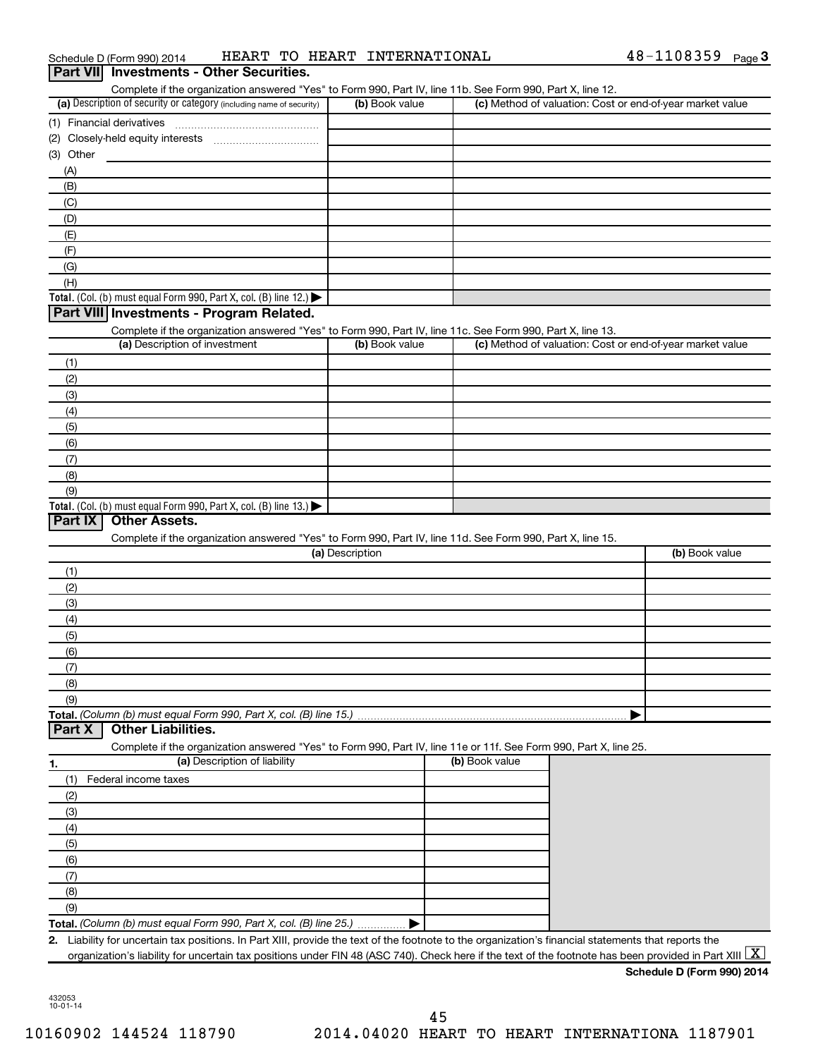| Complete if the organization answered "Yes" to Form 990, Part IV, line 11b. See Form 990, Part X, line 12.        |                 |                |                                                           |
|-------------------------------------------------------------------------------------------------------------------|-----------------|----------------|-----------------------------------------------------------|
| (a) Description of security or category (including name of security)                                              | (b) Book value  |                | (c) Method of valuation: Cost or end-of-year market value |
| (1) Financial derivatives                                                                                         |                 |                |                                                           |
|                                                                                                                   |                 |                |                                                           |
| (3) Other                                                                                                         |                 |                |                                                           |
| (A)                                                                                                               |                 |                |                                                           |
| (B)                                                                                                               |                 |                |                                                           |
| (C)                                                                                                               |                 |                |                                                           |
| (D)                                                                                                               |                 |                |                                                           |
| (E)                                                                                                               |                 |                |                                                           |
| (F)                                                                                                               |                 |                |                                                           |
| (G)                                                                                                               |                 |                |                                                           |
| (H)                                                                                                               |                 |                |                                                           |
| Total. (Col. (b) must equal Form 990, Part X, col. (B) line 12.)                                                  |                 |                |                                                           |
| Part VIII Investments - Program Related.                                                                          |                 |                |                                                           |
| Complete if the organization answered "Yes" to Form 990, Part IV, line 11c. See Form 990, Part X, line 13.        |                 |                |                                                           |
| (a) Description of investment                                                                                     | (b) Book value  |                | (c) Method of valuation: Cost or end-of-year market value |
| (1)                                                                                                               |                 |                |                                                           |
| (2)                                                                                                               |                 |                |                                                           |
| (3)                                                                                                               |                 |                |                                                           |
| (4)                                                                                                               |                 |                |                                                           |
| (5)                                                                                                               |                 |                |                                                           |
| (6)                                                                                                               |                 |                |                                                           |
| (7)                                                                                                               |                 |                |                                                           |
| (8)                                                                                                               |                 |                |                                                           |
|                                                                                                                   |                 |                |                                                           |
| (9)                                                                                                               |                 |                |                                                           |
| Total. (Col. (b) must equal Form 990, Part X, col. (B) line 13.) $\blacktriangleright$                            |                 |                |                                                           |
| Part IX<br><b>Other Assets.</b>                                                                                   |                 |                |                                                           |
| Complete if the organization answered "Yes" to Form 990, Part IV, line 11d. See Form 990, Part X, line 15.        |                 |                |                                                           |
|                                                                                                                   | (a) Description |                | (b) Book value                                            |
| (1)                                                                                                               |                 |                |                                                           |
| (2)                                                                                                               |                 |                |                                                           |
| (3)                                                                                                               |                 |                |                                                           |
| (4)                                                                                                               |                 |                |                                                           |
| (5)                                                                                                               |                 |                |                                                           |
| (6)                                                                                                               |                 |                |                                                           |
| (7)                                                                                                               |                 |                |                                                           |
| (8)                                                                                                               |                 |                |                                                           |
| (9)                                                                                                               |                 |                |                                                           |
|                                                                                                                   |                 |                |                                                           |
| <b>Other Liabilities.</b>                                                                                         |                 |                |                                                           |
| Complete if the organization answered "Yes" to Form 990, Part IV, line 11e or 11f. See Form 990, Part X, line 25. |                 |                |                                                           |
| (a) Description of liability                                                                                      |                 | (b) Book value |                                                           |
| (1)<br>Federal income taxes                                                                                       |                 |                |                                                           |
| (2)                                                                                                               |                 |                |                                                           |
| (3)                                                                                                               |                 |                |                                                           |
| (4)                                                                                                               |                 |                |                                                           |
| (5)                                                                                                               |                 |                |                                                           |
| (6)                                                                                                               |                 |                |                                                           |
| (7)                                                                                                               |                 |                |                                                           |
| (8)                                                                                                               |                 |                |                                                           |
| Total. (Column (b) must equal Form 990, Part X, col. (B) line 15.)<br>Part X<br>1.<br>(9)                         |                 |                |                                                           |
| Total. (Column (b) must equal Form 990, Part X, col. (B) line 25.)                                                |                 |                |                                                           |

Schedule D (Form 990) 2014 Page HEART TO HEART INTERNATIONAL 48-1108359

48-1108359 Page 3

432053 10-01-14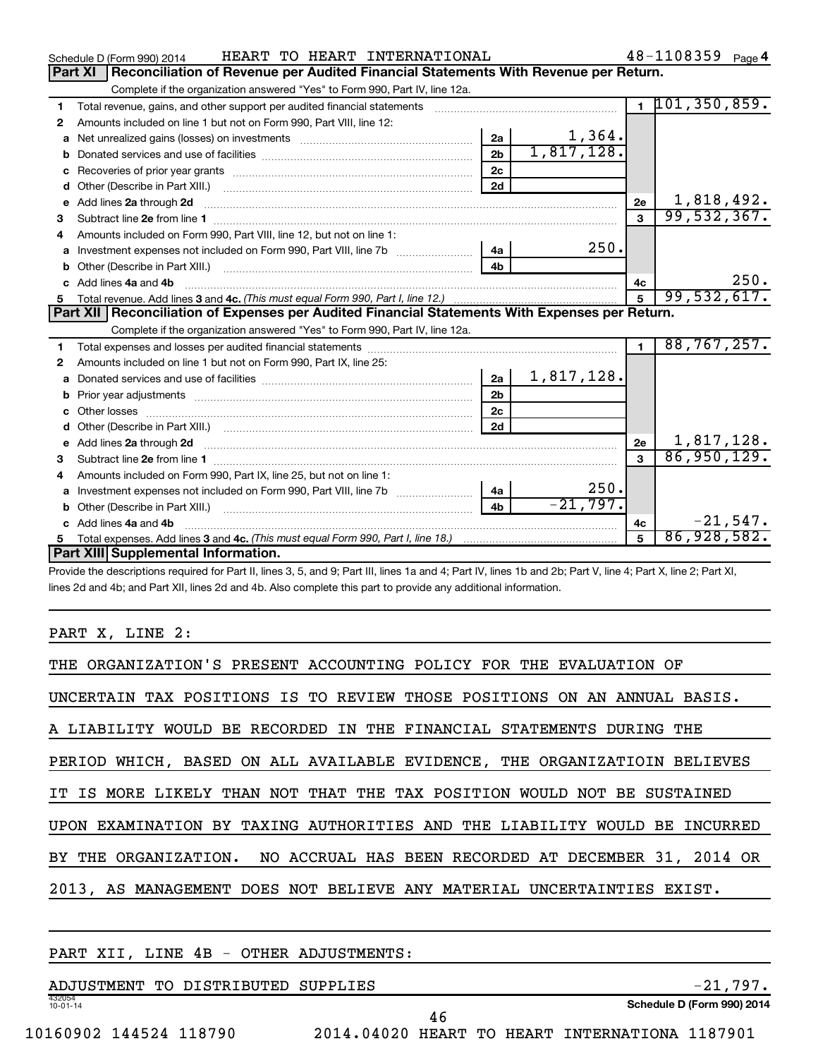|                                                                                                | HEART TO HEART INTERNATIONAL<br>Schedule D (Form 990) 2014                                                                                                                                                                           |                |            |              | $48 - 1108359$ Page 4 |  |
|------------------------------------------------------------------------------------------------|--------------------------------------------------------------------------------------------------------------------------------------------------------------------------------------------------------------------------------------|----------------|------------|--------------|-----------------------|--|
| Reconciliation of Revenue per Audited Financial Statements With Revenue per Return.<br>Part XI |                                                                                                                                                                                                                                      |                |            |              |                       |  |
|                                                                                                | Complete if the organization answered "Yes" to Form 990, Part IV, line 12a.                                                                                                                                                          |                |            |              |                       |  |
| 1                                                                                              | Total revenue, gains, and other support per audited financial statements [111][11] Total revenue, gains, and other support per audited financial statements                                                                          |                |            |              | $1$ 101, 350, 859.    |  |
| $\mathbf{2}$                                                                                   | Amounts included on line 1 but not on Form 990, Part VIII, line 12:                                                                                                                                                                  |                |            |              |                       |  |
| a                                                                                              |                                                                                                                                                                                                                                      | 2a             | 1,364.     |              |                       |  |
|                                                                                                |                                                                                                                                                                                                                                      | 2 <sub>b</sub> | 1,817,128. |              |                       |  |
| с                                                                                              | Recoveries of prior year grants [11] matter contracts and prior year grants and prior year grants and prior year grants and prior year of the state of the state of the state of the state of the state of the state of the st       | 2 <sub>c</sub> |            |              |                       |  |
| d                                                                                              |                                                                                                                                                                                                                                      | 2d             |            |              |                       |  |
| е                                                                                              | Add lines 2a through 2d <b>Martin Martin Martin Martin Martin Martin Martin Martin Martin Martin Martin Martin Martin Martin Martin Martin Martin Martin Martin Martin Martin Martin Martin Martin Martin Martin Martin Martin M</b> |                |            | 2e           | 1,818,492.            |  |
| з                                                                                              |                                                                                                                                                                                                                                      |                |            |              | 99,532,367.           |  |
| 4                                                                                              | Amounts included on Form 990, Part VIII, line 12, but not on line 1:                                                                                                                                                                 |                |            |              |                       |  |
| a                                                                                              |                                                                                                                                                                                                                                      | 4a             | 250.       |              |                       |  |
| b                                                                                              |                                                                                                                                                                                                                                      | 4 <sub>b</sub> |            |              |                       |  |
| C.                                                                                             | Add lines 4a and 4b                                                                                                                                                                                                                  |                |            | 4c           | 250.                  |  |
| 5                                                                                              |                                                                                                                                                                                                                                      |                |            | 5            | 99,532,617.           |  |
|                                                                                                |                                                                                                                                                                                                                                      |                |            |              |                       |  |
|                                                                                                | Part XII   Reconciliation of Expenses per Audited Financial Statements With Expenses per Return.                                                                                                                                     |                |            |              |                       |  |
|                                                                                                | Complete if the organization answered "Yes" to Form 990, Part IV, line 12a.                                                                                                                                                          |                |            |              |                       |  |
| 1                                                                                              |                                                                                                                                                                                                                                      |                |            | $\mathbf{1}$ | 88, 767, 257.         |  |
| 2                                                                                              | Amounts included on line 1 but not on Form 990, Part IX, line 25:                                                                                                                                                                    |                |            |              |                       |  |
| a                                                                                              |                                                                                                                                                                                                                                      | 2a             | 1,817,128. |              |                       |  |
|                                                                                                |                                                                                                                                                                                                                                      | 2 <sub>b</sub> |            |              |                       |  |
| с                                                                                              |                                                                                                                                                                                                                                      | 2 <sub>c</sub> |            |              |                       |  |
| d                                                                                              |                                                                                                                                                                                                                                      | 2d             |            |              |                       |  |
| е                                                                                              | Add lines 2a through 2d <b>contained a contained a contained a contained a</b> contained a contained a contact the set                                                                                                               |                |            | 2e           | 1,817,128.            |  |
| з                                                                                              |                                                                                                                                                                                                                                      |                |            |              | 86,950,129.           |  |
| 4                                                                                              | Amounts included on Form 990, Part IX, line 25, but not on line 1:                                                                                                                                                                   |                |            |              |                       |  |
| a                                                                                              |                                                                                                                                                                                                                                      |                | 250.       |              |                       |  |
| b                                                                                              |                                                                                                                                                                                                                                      | 4 <sub>h</sub> | $-21.797.$ |              |                       |  |
|                                                                                                | Add lines 4a and 4b                                                                                                                                                                                                                  |                |            | 4c           | $-21,547.$            |  |
|                                                                                                | <b>Part XIII Supplemental Information.</b>                                                                                                                                                                                           |                |            | 5            | 86,928,582.           |  |

Provide the descriptions required for Part II, lines 3, 5, and 9; Part III, lines 1a and 4; Part IV, lines 1b and 2b; Part V, line 4; Part X, line 2; Part XI, lines 2d and 4b; and Part XII, lines 2d and 4b. Also complete this part to provide any additional information.

PART X, LINE 2:

| THE ORGANIZATION'S PRESENT ACCOUNTING POLICY FOR THE EVALUATION OF         |
|----------------------------------------------------------------------------|
| UNCERTAIN TAX POSITIONS IS TO REVIEW THOSE POSITIONS ON AN ANNUAL BASIS.   |
| A LIABILITY WOULD BE RECORDED IN THE FINANCIAL STATEMENTS DURING THE       |
| PERIOD WHICH, BASED ON ALL AVAILABLE EVIDENCE, THE ORGANIZATIOIN BELIEVES  |
| IT IS MORE LIKELY THAN NOT THAT THE TAX POSITION WOULD NOT BE SUSTAINED    |
| UPON EXAMINATION BY TAXING AUTHORITIES AND THE LIABILITY WOULD BE INCURRED |
| BY THE ORGANIZATION. NO ACCRUAL HAS BEEN RECORDED AT DECEMBER 31, 2014 OR  |
| 2013, AS MANAGEMENT DOES NOT BELIEVE ANY MATERIAL UNCERTAINTIES EXIST.     |
|                                                                            |

## PART XII, LINE 4B - OTHER ADJUSTMENTS:

| TO DISTRIBUTED<br>ADJUSTMENT | SUPPLIES | 7 Q T                      |
|------------------------------|----------|----------------------------|
| 432054<br>$10 - 01 - 14$     |          | Schedule D (Form 990) 2014 |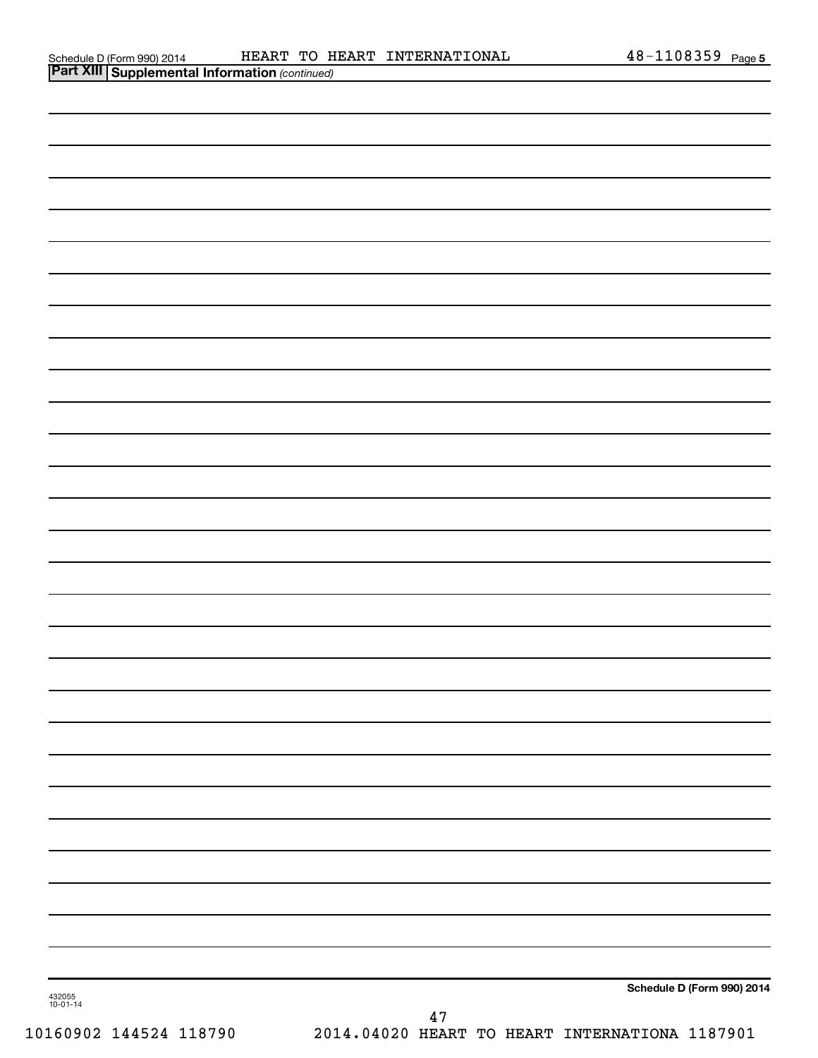| Schedule D (Form 990) 2014 |  |
|----------------------------|--|
| ________                   |  |

| <b>Part XIII   Supplemental Information (continued)</b> |        |                            |
|---------------------------------------------------------|--------|----------------------------|
|                                                         |        |                            |
|                                                         |        |                            |
|                                                         |        |                            |
|                                                         |        |                            |
|                                                         |        |                            |
|                                                         |        |                            |
|                                                         |        |                            |
|                                                         |        |                            |
|                                                         |        |                            |
|                                                         |        |                            |
|                                                         |        |                            |
|                                                         |        |                            |
|                                                         |        |                            |
|                                                         |        |                            |
|                                                         |        |                            |
|                                                         |        |                            |
|                                                         |        |                            |
|                                                         |        |                            |
|                                                         |        |                            |
|                                                         |        |                            |
|                                                         |        |                            |
|                                                         |        |                            |
|                                                         |        |                            |
|                                                         |        |                            |
|                                                         |        |                            |
|                                                         |        |                            |
|                                                         |        |                            |
|                                                         |        |                            |
| 432055<br>10-01-14                                      |        | Schedule D (Form 990) 2014 |
|                                                         | $47\,$ |                            |

10160902 144524 118790 2014.04020 HEART TO HEART INTERNATIONA 1187901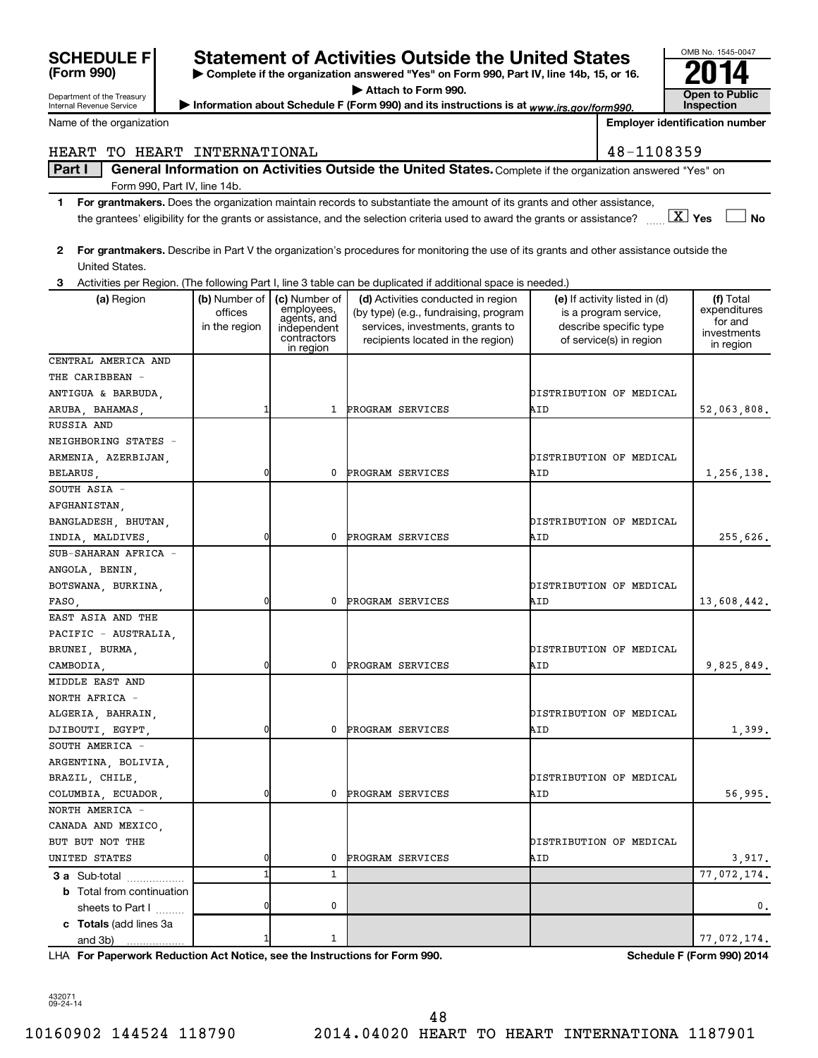| <b>SCHEDULE I</b> |  |
|-------------------|--|
| (Form 990)        |  |

Department of the Treasury

**| Complete if the organization answered "Yes" on Form 990, Part IV, line 14b, 15, or 16. | Attach to Form 990.** Statement of Activities Outside the United States<br>  $\triangleright$  Complete if the organization answered "Yes" on Form 990, Part IV, line 14b, 15, or 16.<br>  $\triangleright$  Attach to Form 990.

Information about Schedule F (Form 990) and its instructions is at *www.irs.gov/form990.* Public line pection

**Inspection**

OMB No. 1545-0047

Internal Revenue Service Name of the organization

**Employer identification number**

## HEART TO HEART INTERNATIONAL 48-1108359

Part I | General Information on Activities Outside the United States. Complete if the organization answered "Yes" on Form 990, Part IV, line 14b.

- **1 For grantmakers.**  Does the organization maintain records to substantiate the amount of its grants and other assistance, **Yes No** the grantees' eligibility for the grants or assistance, and the selection criteria used to award the grants or assistance? ~~ † † X
- **2 For grantmakers.**  Describe in Part V the organization's procedures for monitoring the use of its grants and other assistance outside the United States.
- **3** Activities per Region. (The following Part I, line 3 table can be duplicated if additional space is needed.)

| (a) Region                       | (b) Number of  <br>offices<br>in the region | (c) Number of<br>employees,<br>agents, and<br>independent<br>contractors<br>in region | (d) Activities conducted in region<br>(by type) (e.g., fundraising, program<br>services, investments, grants to<br>recipients located in the region) | (e) If activity listed in (d)<br>is a program service,<br>describe specific type<br>of service(s) in region | (f) Total<br>expenditures<br>for and<br>investments<br>in region |
|----------------------------------|---------------------------------------------|---------------------------------------------------------------------------------------|------------------------------------------------------------------------------------------------------------------------------------------------------|-------------------------------------------------------------------------------------------------------------|------------------------------------------------------------------|
| CENTRAL AMERICA AND              |                                             |                                                                                       |                                                                                                                                                      |                                                                                                             |                                                                  |
| THE CARIBBEAN -                  |                                             |                                                                                       |                                                                                                                                                      |                                                                                                             |                                                                  |
| ANTIGUA & BARBUDA,               |                                             |                                                                                       |                                                                                                                                                      | DISTRIBUTION OF MEDICAL                                                                                     |                                                                  |
| ARUBA, BAHAMAS,                  |                                             |                                                                                       | 1 PROGRAM SERVICES                                                                                                                                   | AID                                                                                                         | 52,063,808.                                                      |
| RUSSIA AND                       |                                             |                                                                                       |                                                                                                                                                      |                                                                                                             |                                                                  |
| NEIGHBORING STATES -             |                                             |                                                                                       |                                                                                                                                                      |                                                                                                             |                                                                  |
| ARMENIA, AZERBIJAN,              |                                             |                                                                                       |                                                                                                                                                      | DISTRIBUTION OF MEDICAL                                                                                     |                                                                  |
| BELARUS,                         | 0                                           | 0                                                                                     | PROGRAM SERVICES                                                                                                                                     | AID                                                                                                         | 1,256,138.                                                       |
| SOUTH ASIA -                     |                                             |                                                                                       |                                                                                                                                                      |                                                                                                             |                                                                  |
| AFGHANISTAN,                     |                                             |                                                                                       |                                                                                                                                                      |                                                                                                             |                                                                  |
| BANGLADESH, BHUTAN,              |                                             |                                                                                       |                                                                                                                                                      | DISTRIBUTION OF MEDICAL                                                                                     |                                                                  |
| INDIA, MALDIVES,                 | 0                                           | 0                                                                                     | PROGRAM SERVICES                                                                                                                                     | AID                                                                                                         | 255,626.                                                         |
| SUB-SAHARAN AFRICA -             |                                             |                                                                                       |                                                                                                                                                      |                                                                                                             |                                                                  |
| ANGOLA, BENIN,                   |                                             |                                                                                       |                                                                                                                                                      |                                                                                                             |                                                                  |
| BOTSWANA, BURKINA,               |                                             |                                                                                       |                                                                                                                                                      | DISTRIBUTION OF MEDICAL                                                                                     |                                                                  |
| FASO,                            | 0                                           | 0                                                                                     | PROGRAM SERVICES                                                                                                                                     | AID                                                                                                         | 13,608,442.                                                      |
| EAST ASIA AND THE                |                                             |                                                                                       |                                                                                                                                                      |                                                                                                             |                                                                  |
| PACIFIC - AUSTRALIA,             |                                             |                                                                                       |                                                                                                                                                      |                                                                                                             |                                                                  |
| BRUNEI, BURMA,                   |                                             |                                                                                       |                                                                                                                                                      | DISTRIBUTION OF MEDICAL                                                                                     |                                                                  |
| CAMBODIA,                        | 0                                           | 0                                                                                     | PROGRAM SERVICES                                                                                                                                     | AID                                                                                                         | 9,825,849.                                                       |
| MIDDLE EAST AND                  |                                             |                                                                                       |                                                                                                                                                      |                                                                                                             |                                                                  |
| NORTH AFRICA -                   |                                             |                                                                                       |                                                                                                                                                      |                                                                                                             |                                                                  |
| ALGERIA, BAHRAIN,                |                                             |                                                                                       |                                                                                                                                                      | DISTRIBUTION OF MEDICAL                                                                                     |                                                                  |
| DJIBOUTI, EGYPT,                 | 0                                           | 0                                                                                     | PROGRAM SERVICES                                                                                                                                     | AID                                                                                                         | 1,399.                                                           |
| SOUTH AMERICA -                  |                                             |                                                                                       |                                                                                                                                                      |                                                                                                             |                                                                  |
| ARGENTINA, BOLIVIA,              |                                             |                                                                                       |                                                                                                                                                      |                                                                                                             |                                                                  |
| BRAZIL, CHILE,                   |                                             |                                                                                       |                                                                                                                                                      | DISTRIBUTION OF MEDICAL                                                                                     |                                                                  |
| COLUMBIA, ECUADOR,               | 0                                           | 0                                                                                     | PROGRAM SERVICES                                                                                                                                     | AID                                                                                                         | 56,995.                                                          |
| NORTH AMERICA -                  |                                             |                                                                                       |                                                                                                                                                      |                                                                                                             |                                                                  |
| CANADA AND MEXICO,               |                                             |                                                                                       |                                                                                                                                                      |                                                                                                             |                                                                  |
| BUT BUT NOT THE                  |                                             |                                                                                       |                                                                                                                                                      | DISTRIBUTION OF MEDICAL                                                                                     |                                                                  |
| UNITED STATES                    | 0                                           | 0                                                                                     | PROGRAM SERVICES                                                                                                                                     | AID                                                                                                         | 3,917.                                                           |
| 3 a Sub-total                    | $\mathbf{1}$                                | $\mathbf{1}$                                                                          |                                                                                                                                                      |                                                                                                             | 77,072,174.                                                      |
| <b>b</b> Total from continuation |                                             |                                                                                       |                                                                                                                                                      |                                                                                                             |                                                                  |
| sheets to Part I                 | $\overline{0}$                              | 0                                                                                     |                                                                                                                                                      |                                                                                                             | 0.                                                               |
| c Totals (add lines 3a           |                                             |                                                                                       |                                                                                                                                                      |                                                                                                             |                                                                  |
|                                  | 1                                           | 1                                                                                     |                                                                                                                                                      |                                                                                                             | 77,072,174.                                                      |
| and 3b)                          |                                             |                                                                                       |                                                                                                                                                      |                                                                                                             |                                                                  |

**For Paperwork Reduction Act Notice, see the Instructions for Form 990. Schedule F (Form 990) 2014** LHA

432071 09-24-14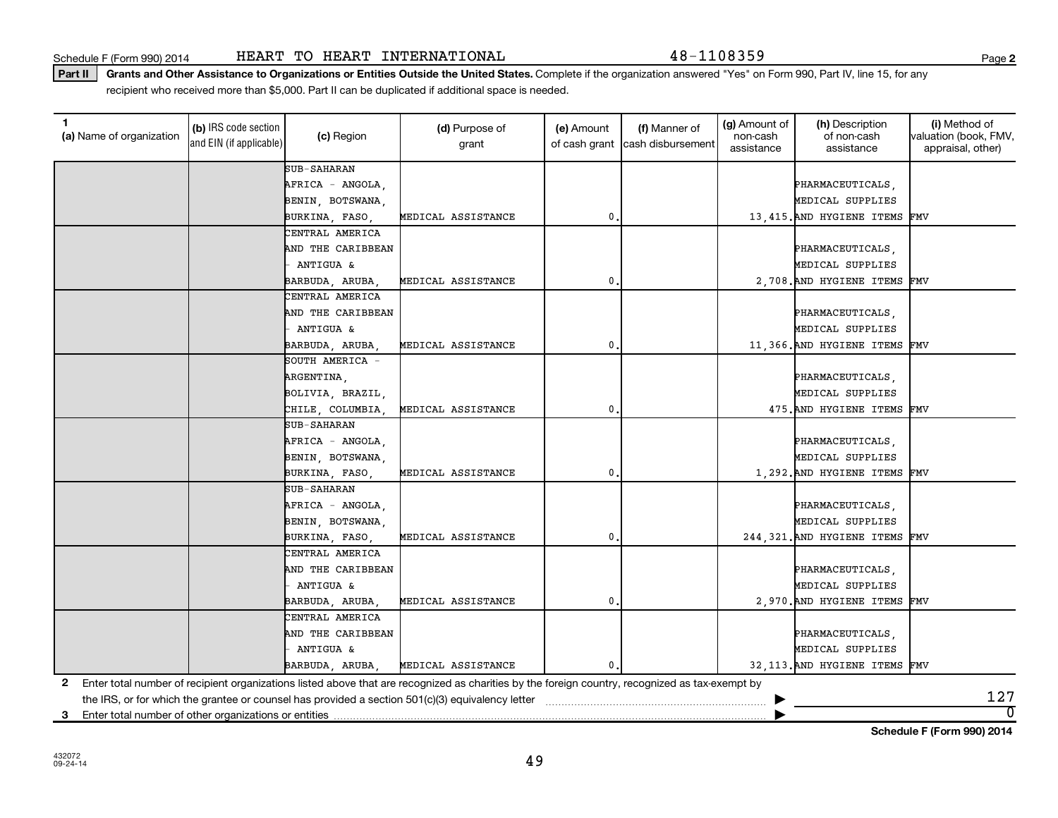Schedule F (Form 990) 2014 HEART TO HEART INTERNATIONAL  $48-1108359$ 

Part II | Grants and Other Assistance to Organizations or Entities Outside the United States. Complete if the organization answered "Yes" on Form 990, Part IV, line 15, for any recipient who received more than \$5,000. Part II can be duplicated if additional space is needed.

| (a) Name of organization                                   | (b) IRS code section<br>and EIN (if applicable) | (c) Region        | (d) Purpose of<br>grant                                                                                                                         | (e) Amount   | (f) Manner of<br>of cash grant cash disbursement | (g) Amount of<br>non-cash<br>assistance | (h) Description<br>of non-cash<br>assistance | (i) Method of<br>valuation (book, FMV,<br>appraisal, other) |
|------------------------------------------------------------|-------------------------------------------------|-------------------|-------------------------------------------------------------------------------------------------------------------------------------------------|--------------|--------------------------------------------------|-----------------------------------------|----------------------------------------------|-------------------------------------------------------------|
|                                                            |                                                 | SUB-SAHARAN       |                                                                                                                                                 |              |                                                  |                                         |                                              |                                                             |
|                                                            |                                                 | AFRICA - ANGOLA,  |                                                                                                                                                 |              |                                                  |                                         | PHARMACEUTICALS,                             |                                                             |
|                                                            |                                                 | BENIN, BOTSWANA,  |                                                                                                                                                 |              |                                                  |                                         | MEDICAL SUPPLIES                             |                                                             |
|                                                            |                                                 | BURKINA, FASO,    | MEDICAL ASSISTANCE                                                                                                                              | $\mathbf{0}$ |                                                  |                                         | 13,415. AND HYGIENE ITEMS FMV                |                                                             |
|                                                            |                                                 | CENTRAL AMERICA   |                                                                                                                                                 |              |                                                  |                                         |                                              |                                                             |
|                                                            |                                                 | AND THE CARIBBEAN |                                                                                                                                                 |              |                                                  |                                         | PHARMACEUTICALS,                             |                                                             |
|                                                            |                                                 | ANTIGUA &         |                                                                                                                                                 |              |                                                  |                                         | MEDICAL SUPPLIES                             |                                                             |
|                                                            |                                                 | BARBUDA, ARUBA,   | MEDICAL ASSISTANCE                                                                                                                              | $\mathbf 0$  |                                                  |                                         | 2,708. AND HYGIENE ITEMS                     | FMV                                                         |
|                                                            |                                                 | CENTRAL AMERICA   |                                                                                                                                                 |              |                                                  |                                         |                                              |                                                             |
|                                                            |                                                 | AND THE CARIBBEAN |                                                                                                                                                 |              |                                                  |                                         | PHARMACEUTICALS,                             |                                                             |
|                                                            |                                                 | - ANTIGUA &       |                                                                                                                                                 |              |                                                  |                                         | MEDICAL SUPPLIES                             |                                                             |
|                                                            |                                                 | BARBUDA, ARUBA    | MEDICAL ASSISTANCE                                                                                                                              | $\mathbf 0$  |                                                  |                                         | 11,366. AND HYGIENE ITEMS FMV                |                                                             |
|                                                            |                                                 | SOUTH AMERICA -   |                                                                                                                                                 |              |                                                  |                                         |                                              |                                                             |
|                                                            |                                                 | ARGENTINA,        |                                                                                                                                                 |              |                                                  |                                         | PHARMACEUTICALS,                             |                                                             |
|                                                            |                                                 | BOLIVIA, BRAZIL,  |                                                                                                                                                 |              |                                                  |                                         | MEDICAL SUPPLIES                             |                                                             |
|                                                            |                                                 | CHILE, COLUMBIA   | MEDICAL ASSISTANCE                                                                                                                              | $\mathbf 0$  |                                                  |                                         | 475. AND HYGIENE ITEMS FMV                   |                                                             |
|                                                            |                                                 | SUB-SAHARAN       |                                                                                                                                                 |              |                                                  |                                         |                                              |                                                             |
|                                                            |                                                 | AFRICA - ANGOLA,  |                                                                                                                                                 |              |                                                  |                                         | PHARMACEUTICALS,                             |                                                             |
|                                                            |                                                 | BENIN, BOTSWANA,  |                                                                                                                                                 |              |                                                  |                                         | MEDICAL SUPPLIES                             |                                                             |
|                                                            |                                                 | BURKINA, FASO,    | MEDICAL ASSISTANCE                                                                                                                              | $\mathbf 0$  |                                                  |                                         | 1,292. AND HYGIENE ITEMS FMV                 |                                                             |
|                                                            |                                                 | SUB-SAHARAN       |                                                                                                                                                 |              |                                                  |                                         |                                              |                                                             |
|                                                            |                                                 | AFRICA - ANGOLA,  |                                                                                                                                                 |              |                                                  |                                         | PHARMACEUTICALS,                             |                                                             |
|                                                            |                                                 | BENIN, BOTSWANA,  |                                                                                                                                                 |              |                                                  |                                         | MEDICAL SUPPLIES                             |                                                             |
|                                                            |                                                 | BURKINA, FASO,    | MEDICAL ASSISTANCE                                                                                                                              | $\mathbf 0$  |                                                  |                                         | 244, 321. AND HYGIENE ITEMS FMV              |                                                             |
|                                                            |                                                 | CENTRAL AMERICA   |                                                                                                                                                 |              |                                                  |                                         |                                              |                                                             |
|                                                            |                                                 | AND THE CARIBBEAN |                                                                                                                                                 |              |                                                  |                                         | PHARMACEUTICALS,                             |                                                             |
|                                                            |                                                 | ANTIGUA &         |                                                                                                                                                 |              |                                                  |                                         | MEDICAL SUPPLIES                             |                                                             |
|                                                            |                                                 | BARBUDA, ARUBA,   | MEDICAL ASSISTANCE                                                                                                                              | 0            |                                                  |                                         | 2,970. AND HYGIENE ITEMS FMV                 |                                                             |
|                                                            |                                                 | CENTRAL AMERICA   |                                                                                                                                                 |              |                                                  |                                         |                                              |                                                             |
|                                                            |                                                 | AND THE CARIBBEAN |                                                                                                                                                 |              |                                                  |                                         | PHARMACEUTICALS,                             |                                                             |
|                                                            |                                                 | ANTIGUA &         |                                                                                                                                                 |              |                                                  |                                         | MEDICAL SUPPLIES                             |                                                             |
|                                                            |                                                 | BARBUDA, ARUBA,   | MEDICAL ASSISTANCE                                                                                                                              | 0.           |                                                  |                                         | 32,113. AND HYGIENE ITEMS FMV                |                                                             |
| 2                                                          |                                                 |                   | Enter total number of recipient organizations listed above that are recognized as charities by the foreign country, recognized as tax-exempt by |              |                                                  |                                         |                                              |                                                             |
|                                                            |                                                 |                   | the IRS, or for which the grantee or counsel has provided a section 501(c)(3) equivalency letter                                                |              |                                                  |                                         |                                              | 127                                                         |
| Enter total number of other organizations or entities<br>3 |                                                 |                   |                                                                                                                                                 |              |                                                  |                                         |                                              | $\overline{0}$                                              |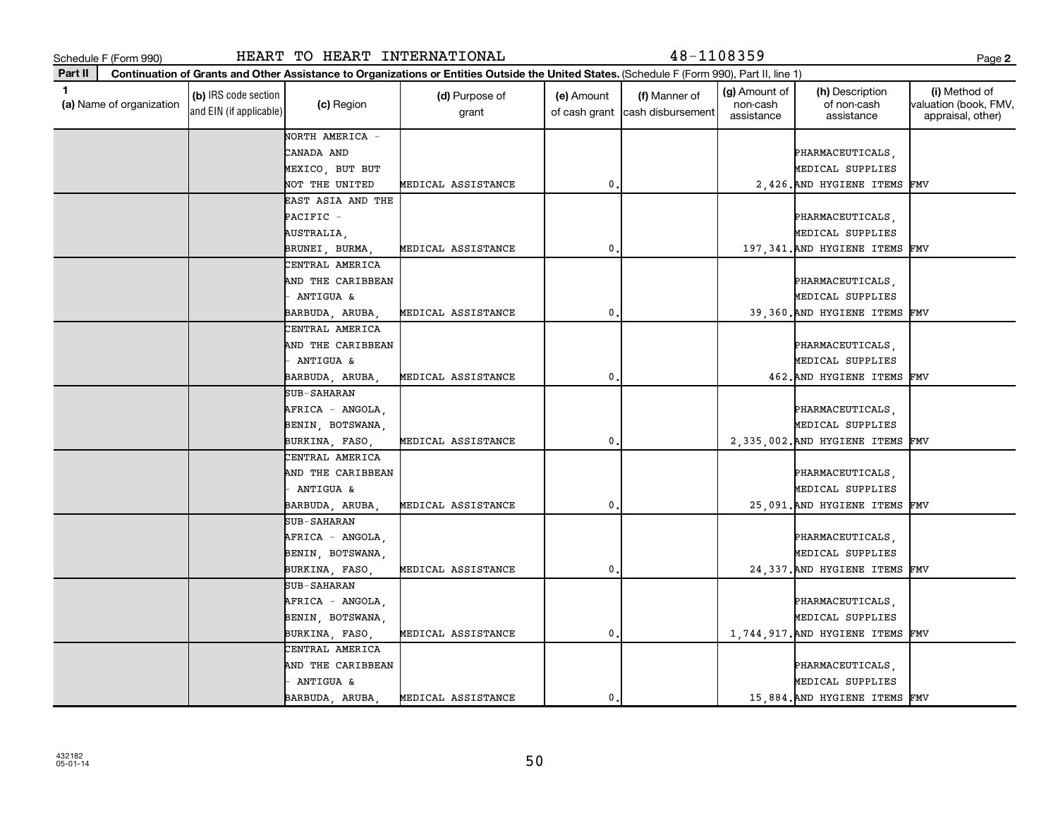**(a)**  Name of organization

and EIN (if applicable)

**Part II**

Schedule F (Form 990) HEART TO HEART INTERNATIONAL 48-1108359 Page

(c) Region (d) Purpose of

**Continuation of Grants and Other Assistance to Organizations or Entities Outside the United States.**  (Schedule F (Form 990), Part II, line 1)

grant

**(b)** IRS code section (c) Region (c) Region (d) Purpose of (e) Amount (f) Manner of (g) Amount of (h) Description (i)<br>
(a) Name of organization (the content of non-cash valuation (d) Region (d) Purpose of (e) Amount (f) M

(e) Amount

of cash grant |cash disbursement

(f) Manner of

(g) Amount of non-cash assistance

(h) Description of non-cash assistance

|  | NORTH AMERICA -      |                    |                |  |                                  |  |
|--|----------------------|--------------------|----------------|--|----------------------------------|--|
|  | CANADA AND           |                    |                |  | PHARMACEUTICALS,                 |  |
|  | MEXICO, BUT BUT      |                    |                |  | MEDICAL SUPPLIES                 |  |
|  | NOT THE UNITED       | MEDICAL ASSISTANCE | 0.             |  | 2,426. AND HYGIENE ITEMS FMV     |  |
|  | EAST ASIA AND THE    |                    |                |  |                                  |  |
|  | PACIFIC -            |                    |                |  | PHARMACEUTICALS,                 |  |
|  | AUSTRALIA,           |                    |                |  | MEDICAL SUPPLIES                 |  |
|  | BRUNEI, BURMA,       | MEDICAL ASSISTANCE | $\mathbf{0}$   |  | 197,341. AND HYGIENE ITEMS FMV   |  |
|  | CENTRAL AMERICA      |                    |                |  |                                  |  |
|  | AND THE CARIBBEAN    |                    |                |  | PHARMACEUTICALS,                 |  |
|  | ANTIGUA &            |                    |                |  | MEDICAL SUPPLIES                 |  |
|  | BARBUDA, ARUBA,      | MEDICAL ASSISTANCE | 0.             |  | 39,360. AND HYGIENE ITEMS FMV    |  |
|  | CENTRAL AMERICA      |                    |                |  |                                  |  |
|  | AND THE CARIBBEAN    |                    |                |  | PHARMACEUTICALS,                 |  |
|  | <b>ANTIGUA &amp;</b> |                    |                |  | MEDICAL SUPPLIES                 |  |
|  | BARBUDA, ARUBA,      | MEDICAL ASSISTANCE | 0.             |  | 462. AND HYGIENE ITEMS FMV       |  |
|  | SUB-SAHARAN          |                    |                |  |                                  |  |
|  | AFRICA - ANGOLA,     |                    |                |  | PHARMACEUTICALS,                 |  |
|  | BENIN, BOTSWANA,     |                    |                |  | MEDICAL SUPPLIES                 |  |
|  | BURKINA, FASO,       | MEDICAL ASSISTANCE | $^{\rm 0}$ .   |  | 2,335,002. AND HYGIENE ITEMS FMV |  |
|  | CENTRAL AMERICA      |                    |                |  |                                  |  |
|  | AND THE CARIBBEAN    |                    |                |  | PHARMACEUTICALS,                 |  |
|  | - ANTIGUA &          |                    |                |  | MEDICAL SUPPLIES                 |  |
|  | BARBUDA, ARUBA,      | MEDICAL ASSISTANCE | $\mathbf{0}$ . |  | 25,091. AND HYGIENE ITEMS FMV    |  |
|  | <b>SUB-SAHARAN</b>   |                    |                |  |                                  |  |
|  | AFRICA - ANGOLA,     |                    |                |  | PHARMACEUTICALS,                 |  |
|  | BENIN, BOTSWANA,     |                    |                |  | MEDICAL SUPPLIES                 |  |
|  | BURKINA, FASO,       | MEDICAL ASSISTANCE | $\mathbf{0}$ . |  | 24,337. AND HYGIENE ITEMS FMV    |  |
|  | SUB-SAHARAN          |                    |                |  |                                  |  |
|  | AFRICA - ANGOLA,     |                    |                |  | PHARMACEUTICALS,                 |  |
|  | BENIN, BOTSWANA,     |                    |                |  | MEDICAL SUPPLIES                 |  |
|  | BURKINA, FASO,       | MEDICAL ASSISTANCE | $\mathbf{0}$ . |  | 1,744,917. AND HYGIENE ITEMS FMV |  |
|  | CENTRAL AMERICA      |                    |                |  |                                  |  |
|  | AND THE CARIBBEAN    |                    |                |  | PHARMACEUTICALS,                 |  |
|  | ANTIGUA &            |                    |                |  | MEDICAL SUPPLIES                 |  |
|  | BARBUDA, ARUBA,      | MEDICAL ASSISTANCE | $\mathbf 0$    |  | 15,884. AND HYGIENE ITEMS FMV    |  |

**2**

(i) Method of valuation (book, FMV, appraisal, other)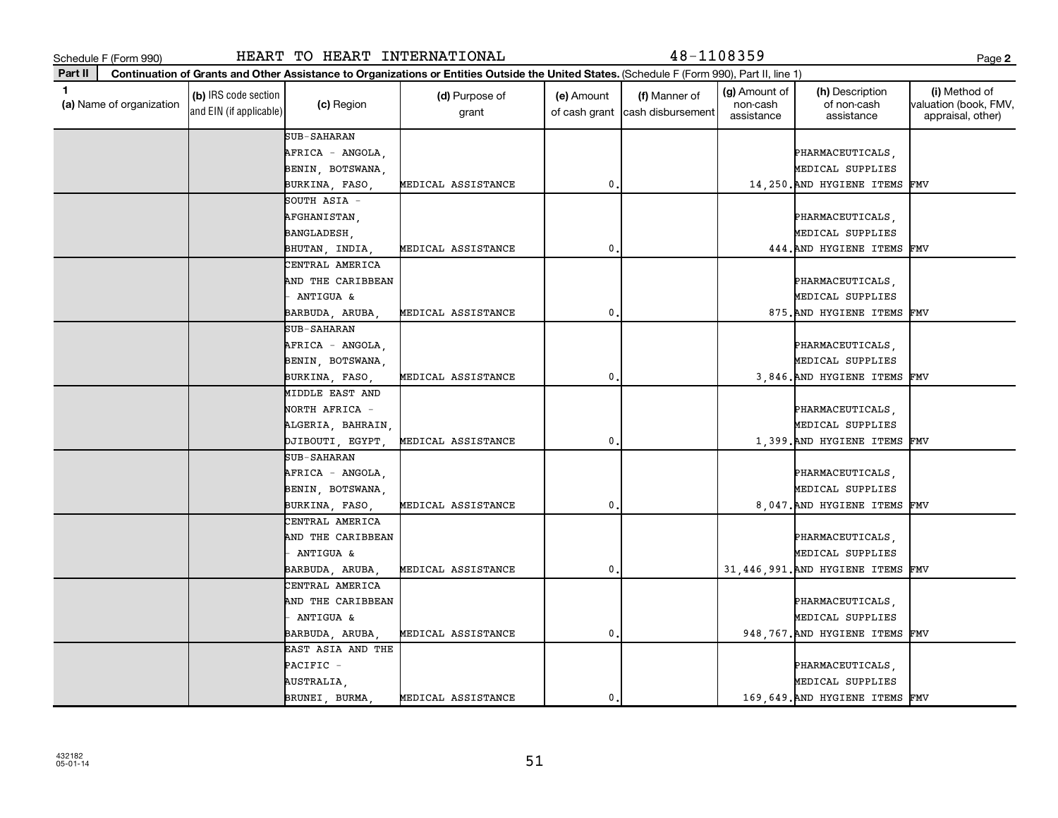$\overline{\phantom{a}}$ 

| 432182<br>05-01-14 |  |  |
|--------------------|--|--|

|         | Schedule F (Form 990)    |                                                 | HEART TO HEART INTERNATIONAL         |                                                                                                                                              |                             | 48-1108359                         |                                         |                                              | Page 2                                                      |
|---------|--------------------------|-------------------------------------------------|--------------------------------------|----------------------------------------------------------------------------------------------------------------------------------------------|-----------------------------|------------------------------------|-----------------------------------------|----------------------------------------------|-------------------------------------------------------------|
| Part II |                          |                                                 |                                      | Continuation of Grants and Other Assistance to Organizations or Entities Outside the United States. (Schedule F (Form 990), Part II, line 1) |                             |                                    |                                         |                                              |                                                             |
| 1       | (a) Name of organization | (b) IRS code section<br>and EIN (if applicable) | (c) Region                           | (d) Purpose of<br>grant                                                                                                                      | (e) Amount<br>of cash grant | (f) Manner of<br>cash disbursement | (g) Amount of<br>non-cash<br>assistance | (h) Description<br>of non-cash<br>assistance | (i) Method of<br>valuation (book, FMV,<br>appraisal, other) |
|         |                          |                                                 | SUB-SAHARAN                          |                                                                                                                                              |                             |                                    |                                         |                                              |                                                             |
|         |                          |                                                 | AFRICA - ANGOLA,                     |                                                                                                                                              |                             |                                    |                                         | PHARMACEUTICALS,<br>MEDICAL SUPPLIES         |                                                             |
|         |                          |                                                 | BENIN, BOTSWANA,<br>BURKINA, FASO,   | MEDICAL ASSISTANCE                                                                                                                           | 0                           |                                    |                                         | 14,250. AND HYGIENE ITEMS FMV                |                                                             |
|         |                          |                                                 | SOUTH ASIA -                         |                                                                                                                                              |                             |                                    |                                         |                                              |                                                             |
|         |                          |                                                 | AFGHANISTAN,                         |                                                                                                                                              |                             |                                    |                                         | PHARMACEUTICALS,                             |                                                             |
|         |                          |                                                 | BANGLADESH,                          |                                                                                                                                              |                             |                                    |                                         | MEDICAL SUPPLIES                             |                                                             |
|         |                          |                                                 | BHUTAN, INDIA                        | MEDICAL ASSISTANCE                                                                                                                           | 0                           |                                    |                                         | 444. AND HYGIENE ITEMS FMV                   |                                                             |
|         |                          |                                                 | CENTRAL AMERICA                      |                                                                                                                                              |                             |                                    |                                         |                                              |                                                             |
|         |                          |                                                 | AND THE CARIBBEAN                    |                                                                                                                                              |                             |                                    |                                         | PHARMACEUTICALS,                             |                                                             |
|         |                          |                                                 | ANTIGUA &                            |                                                                                                                                              |                             |                                    |                                         | MEDICAL SUPPLIES                             |                                                             |
|         |                          |                                                 | BARBUDA, ARUBA                       | MEDICAL ASSISTANCE                                                                                                                           | 0                           |                                    |                                         | 875. AND HYGIENE ITEMS FMV                   |                                                             |
|         |                          |                                                 | SUB-SAHARAN                          |                                                                                                                                              |                             |                                    |                                         |                                              |                                                             |
|         |                          |                                                 | AFRICA - ANGOLA,                     |                                                                                                                                              |                             |                                    |                                         | PHARMACEUTICALS,                             |                                                             |
|         |                          |                                                 | BENIN, BOTSWANA,                     |                                                                                                                                              |                             |                                    |                                         | MEDICAL SUPPLIES                             |                                                             |
|         |                          |                                                 | BURKINA, FASO,                       | MEDICAL ASSISTANCE                                                                                                                           | 0                           |                                    |                                         | 3,846. AND HYGIENE ITEMS FMV                 |                                                             |
|         |                          |                                                 | MIDDLE EAST AND                      |                                                                                                                                              |                             |                                    |                                         |                                              |                                                             |
|         |                          |                                                 | NORTH AFRICA -                       |                                                                                                                                              |                             |                                    |                                         | PHARMACEUTICALS,                             |                                                             |
|         |                          |                                                 | ALGERIA, BAHRAIN                     |                                                                                                                                              |                             |                                    |                                         | MEDICAL SUPPLIES                             |                                                             |
|         |                          |                                                 | DJIBOUTI, EGYPT,                     | MEDICAL ASSISTANCE                                                                                                                           | 0                           |                                    |                                         | 1,399. AND HYGIENE ITEMS FMV                 |                                                             |
|         |                          |                                                 | SUB-SAHARAN                          |                                                                                                                                              |                             |                                    |                                         |                                              |                                                             |
|         |                          |                                                 | AFRICA - ANGOLA,                     |                                                                                                                                              |                             |                                    |                                         | PHARMACEUTICALS,                             |                                                             |
|         |                          |                                                 | BENIN, BOTSWANA,                     |                                                                                                                                              |                             |                                    |                                         | MEDICAL SUPPLIES                             |                                                             |
|         |                          |                                                 | BURKINA, FASO,                       | MEDICAL ASSISTANCE                                                                                                                           | $\mathbf{0}$                |                                    |                                         | 8,047. AND HYGIENE ITEMS FMV                 |                                                             |
|         |                          |                                                 | CENTRAL AMERICA                      |                                                                                                                                              |                             |                                    |                                         |                                              |                                                             |
|         |                          |                                                 | AND THE CARIBBEAN                    |                                                                                                                                              |                             |                                    |                                         | PHARMACEUTICALS,                             |                                                             |
|         |                          |                                                 | ANTIGUA &                            |                                                                                                                                              |                             |                                    |                                         | MEDICAL SUPPLIES                             |                                                             |
|         |                          |                                                 | BARBUDA, ARUBA,                      | MEDICAL ASSISTANCE                                                                                                                           | 0                           |                                    |                                         | 31,446,991. AND HYGIENE ITEMS FMV            |                                                             |
|         |                          |                                                 | CENTRAL AMERICA<br>AND THE CARIBBEAN |                                                                                                                                              |                             |                                    |                                         |                                              |                                                             |
|         |                          |                                                 | ANTIGUA &                            |                                                                                                                                              |                             |                                    |                                         | PHARMACEUTICALS,<br>MEDICAL SUPPLIES         |                                                             |
|         |                          |                                                 | BARBUDA, ARUBA                       | MEDICAL ASSISTANCE                                                                                                                           | 0                           |                                    |                                         | 948, 767. AND HYGIENE ITEMS FMV              |                                                             |
|         |                          |                                                 | EAST ASIA AND THE                    |                                                                                                                                              |                             |                                    |                                         |                                              |                                                             |
|         |                          |                                                 | PACIFIC -                            |                                                                                                                                              |                             |                                    |                                         | PHARMACEUTICALS,                             |                                                             |
|         |                          |                                                 | AUSTRALIA,                           |                                                                                                                                              |                             |                                    |                                         | MEDICAL SUPPLIES                             |                                                             |
|         |                          |                                                 | BRUNEI, BURMA                        | MEDICAL ASSISTANCE                                                                                                                           | $\mathbf{0}$                |                                    |                                         | 169,649. AND HYGIENE ITEMS FMV               |                                                             |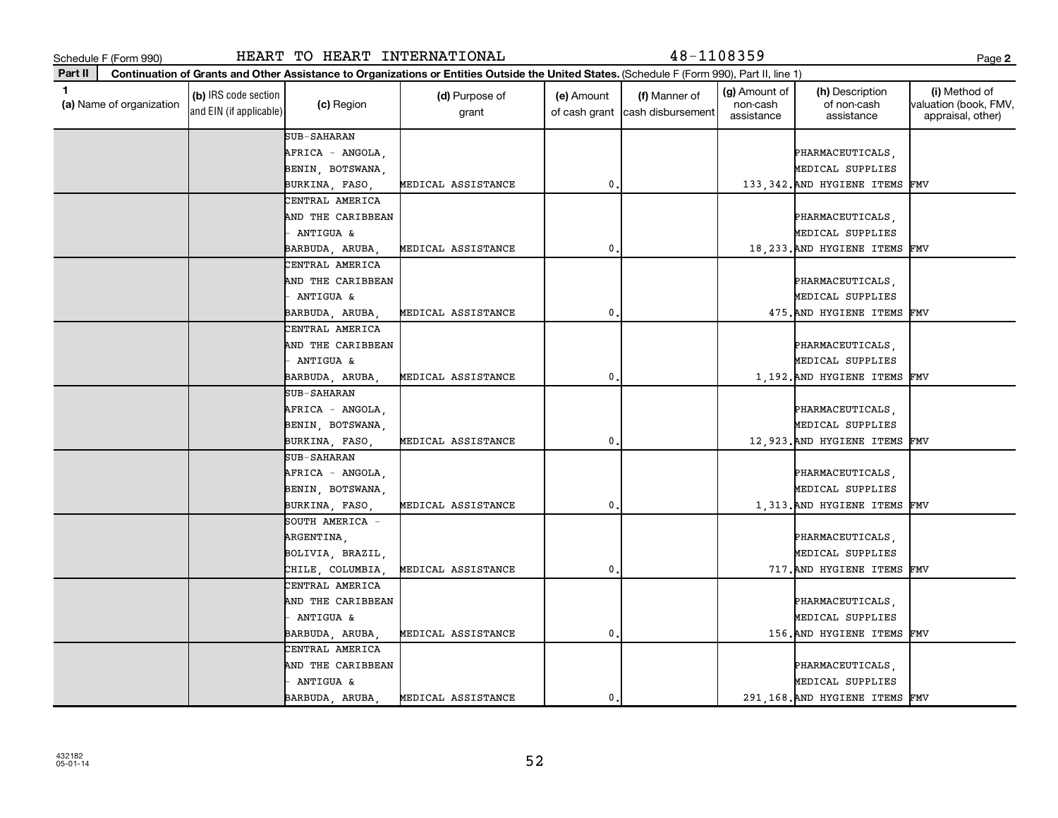| 432182   |  |
|----------|--|
|          |  |
| 05-01-14 |  |
|          |  |

| ٠<br>. .<br>. .<br>۰. |  |
|-----------------------|--|
|-----------------------|--|

| Schedule F (Form 990)         |                                                 | HEART TO HEART INTERNATIONAL                               |                                                                                                                                              |               | 48-1108359                                       |                                         |                                              | Page 2                                                       |
|-------------------------------|-------------------------------------------------|------------------------------------------------------------|----------------------------------------------------------------------------------------------------------------------------------------------|---------------|--------------------------------------------------|-----------------------------------------|----------------------------------------------|--------------------------------------------------------------|
| Part II                       |                                                 |                                                            | Continuation of Grants and Other Assistance to Organizations or Entities Outside the United States. (Schedule F (Form 990), Part II, line 1) |               |                                                  |                                         |                                              |                                                              |
| 1<br>(a) Name of organization | (b) IRS code section<br>and EIN (if applicable) | (c) Region                                                 | (d) Purpose of<br>grant                                                                                                                      | (e) Amount    | (f) Manner of<br>of cash grant cash disbursement | (g) Amount of<br>non-cash<br>assistance | (h) Description<br>of non-cash<br>assistance | (i) Method of<br> valuation (book, FMV,<br>appraisal, other) |
|                               |                                                 | <b>SUB-SAHARAN</b><br>AFRICA - ANGOLA,<br>BENIN, BOTSWANA, |                                                                                                                                              |               |                                                  |                                         | PHARMACEUTICALS,<br>MEDICAL SUPPLIES         |                                                              |
|                               |                                                 | BURKINA, FASO,                                             | MEDICAL ASSISTANCE                                                                                                                           | $\mathbf{0}$  |                                                  |                                         | 133, 342. AND HYGIENE ITEMS FMV              |                                                              |
|                               |                                                 | CENTRAL AMERICA<br>AND THE CARIBBEAN                       |                                                                                                                                              |               |                                                  |                                         | PHARMACEUTICALS,                             |                                                              |
|                               |                                                 | ANTIGUA &                                                  |                                                                                                                                              |               |                                                  |                                         | MEDICAL SUPPLIES                             |                                                              |
|                               |                                                 | BARBUDA, ARUBA                                             | MEDICAL ASSISTANCE                                                                                                                           | 0             |                                                  |                                         | 18, 233. AND HYGIENE ITEMS                   | FMV                                                          |
|                               |                                                 | CENTRAL AMERICA                                            |                                                                                                                                              |               |                                                  |                                         |                                              |                                                              |
|                               |                                                 | AND THE CARIBBEAN                                          |                                                                                                                                              |               |                                                  |                                         | PHARMACEUTICALS,                             |                                                              |
|                               |                                                 | ANTIGUA &                                                  |                                                                                                                                              |               |                                                  |                                         | MEDICAL SUPPLIES                             |                                                              |
|                               |                                                 | BARBUDA, ARUBA,                                            | MEDICAL ASSISTANCE                                                                                                                           | 0             |                                                  |                                         | 475. AND HYGIENE ITEMS                       | FMV                                                          |
|                               |                                                 | CENTRAL AMERICA                                            |                                                                                                                                              |               |                                                  |                                         |                                              |                                                              |
|                               |                                                 | AND THE CARIBBEAN                                          |                                                                                                                                              |               |                                                  |                                         | PHARMACEUTICALS,                             |                                                              |
|                               |                                                 | ANTIGUA &                                                  |                                                                                                                                              |               |                                                  |                                         | MEDICAL SUPPLIES                             |                                                              |
|                               |                                                 | BARBUDA, ARUBA,                                            | MEDICAL ASSISTANCE                                                                                                                           | $\mathbf 0$   |                                                  |                                         | 1,192. AND HYGIENE ITEMS FMV                 |                                                              |
|                               |                                                 | <b>SUB-SAHARAN</b>                                         |                                                                                                                                              |               |                                                  |                                         |                                              |                                                              |
|                               |                                                 | AFRICA - ANGOLA,                                           |                                                                                                                                              |               |                                                  |                                         | PHARMACEUTICALS,                             |                                                              |
|                               |                                                 | BENIN, BOTSWANA,                                           |                                                                                                                                              |               |                                                  |                                         | MEDICAL SUPPLIES                             |                                                              |
|                               |                                                 | BURKINA, FASO,                                             | MEDICAL ASSISTANCE                                                                                                                           | $\mathbf{0}$  |                                                  |                                         | 12,923. AND HYGIENE ITEMS                    | FMV                                                          |
|                               |                                                 | SUB-SAHARAN                                                |                                                                                                                                              |               |                                                  |                                         |                                              |                                                              |
|                               |                                                 | AFRICA - ANGOLA,                                           |                                                                                                                                              |               |                                                  |                                         | PHARMACEUTICALS,                             |                                                              |
|                               |                                                 | BENIN, BOTSWANA,                                           |                                                                                                                                              | 0             |                                                  |                                         | MEDICAL SUPPLIES                             |                                                              |
|                               |                                                 | BURKINA, FASO,<br>SOUTH AMERICA -                          | MEDICAL ASSISTANCE                                                                                                                           |               |                                                  |                                         | 1,313. AND HYGIENE ITEMS FMV                 |                                                              |
|                               |                                                 | ARGENTINA,                                                 |                                                                                                                                              |               |                                                  |                                         | PHARMACEUTICALS,                             |                                                              |
|                               |                                                 | BOLIVIA, BRAZIL,                                           |                                                                                                                                              |               |                                                  |                                         | MEDICAL SUPPLIES                             |                                                              |
|                               |                                                 | CHILE, COLUMBIA                                            | MEDICAL ASSISTANCE                                                                                                                           | $\mathbf{0}$  |                                                  |                                         | 717. AND HYGIENE ITEMS FMV                   |                                                              |
|                               |                                                 | CENTRAL AMERICA                                            |                                                                                                                                              |               |                                                  |                                         |                                              |                                                              |
|                               |                                                 | AND THE CARIBBEAN                                          |                                                                                                                                              |               |                                                  |                                         | PHARMACEUTICALS,                             |                                                              |
|                               |                                                 | <b>ANTIGUA &amp;</b>                                       |                                                                                                                                              |               |                                                  |                                         | MEDICAL SUPPLIES                             |                                                              |
|                               |                                                 | BARBUDA, ARUBA,                                            | MEDICAL ASSISTANCE                                                                                                                           | $\mathbf 0$ . |                                                  |                                         | 156. AND HYGIENE ITEMS FMV                   |                                                              |
|                               |                                                 | CENTRAL AMERICA                                            |                                                                                                                                              |               |                                                  |                                         |                                              |                                                              |
|                               |                                                 | AND THE CARIBBEAN                                          |                                                                                                                                              |               |                                                  |                                         | PHARMACEUTICALS,                             |                                                              |
|                               |                                                 | ANTIGUA &                                                  |                                                                                                                                              |               |                                                  |                                         | MEDICAL SUPPLIES                             |                                                              |
|                               |                                                 | BARBUDA, ARUBA,                                            | MEDICAL ASSISTANCE                                                                                                                           | $\mathbf{0}$  |                                                  |                                         | 291,168. AND HYGIENE ITEMS FMV               |                                                              |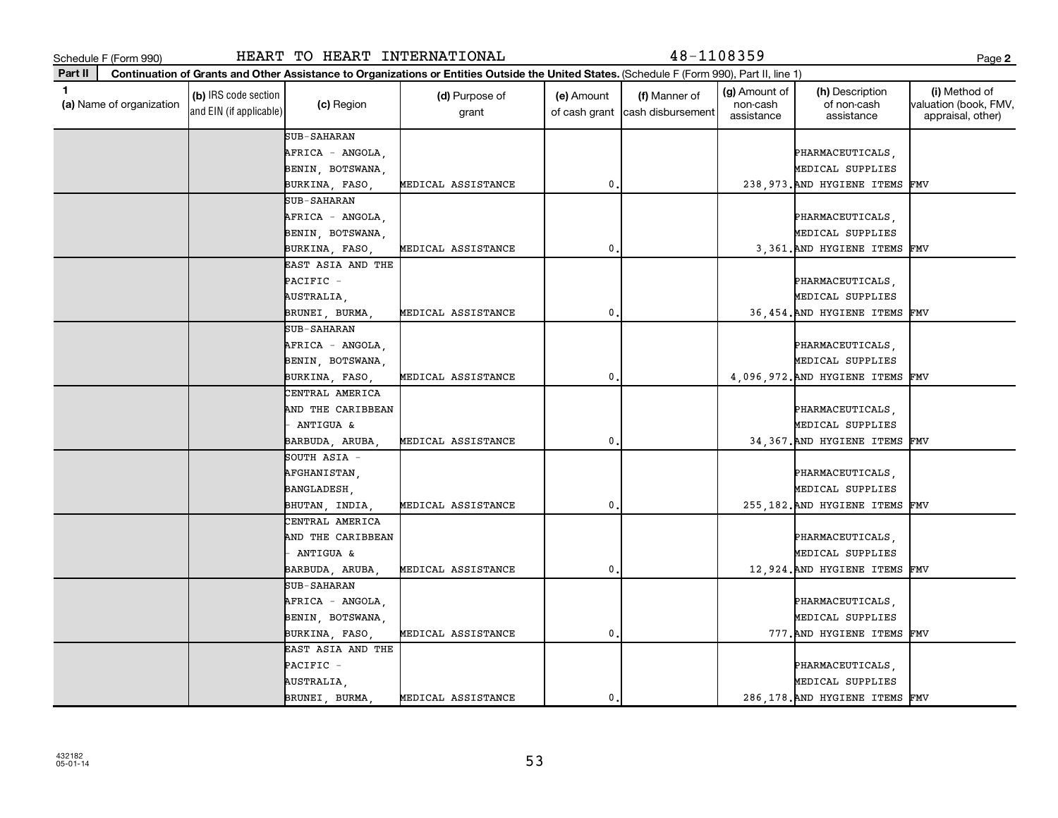**(a)**  Name of organization

and EIN (if applicable)

|  | SUB-SAHARAN        |                    |                |  |                                  |  |
|--|--------------------|--------------------|----------------|--|----------------------------------|--|
|  | AFRICA - ANGOLA,   |                    |                |  | PHARMACEUTICALS,                 |  |
|  | BENIN, BOTSWANA,   |                    |                |  | MEDICAL SUPPLIES                 |  |
|  | BURKINA, FASO,     | MEDICAL ASSISTANCE | 0.             |  | 238, 973. AND HYGIENE ITEMS FMV  |  |
|  | SUB-SAHARAN        |                    |                |  |                                  |  |
|  | AFRICA - ANGOLA,   |                    |                |  | PHARMACEUTICALS,                 |  |
|  | BENIN, BOTSWANA,   |                    |                |  | MEDICAL SUPPLIES                 |  |
|  | BURKINA, FASO,     | MEDICAL ASSISTANCE | $\mathbf{0}$ . |  | 3,361. AND HYGIENE ITEMS FMV     |  |
|  | EAST ASIA AND THE  |                    |                |  |                                  |  |
|  | PACIFIC -          |                    |                |  | PHARMACEUTICALS,                 |  |
|  | AUSTRALIA,         |                    |                |  | MEDICAL SUPPLIES                 |  |
|  | BRUNEI, BURMA,     | MEDICAL ASSISTANCE | $\mathbf{0}$ . |  | 36,454. AND HYGIENE ITEMS FMV    |  |
|  | SUB-SAHARAN        |                    |                |  |                                  |  |
|  | AFRICA - ANGOLA,   |                    |                |  | PHARMACEUTICALS,                 |  |
|  | BENIN, BOTSWANA,   |                    |                |  | MEDICAL SUPPLIES                 |  |
|  | BURKINA, FASO,     | MEDICAL ASSISTANCE | $\mathbf{0}$ . |  | 4,096,972. AND HYGIENE ITEMS FMV |  |
|  | CENTRAL AMERICA    |                    |                |  |                                  |  |
|  | AND THE CARIBBEAN  |                    |                |  | PHARMACEUTICALS,                 |  |
|  | $-$ ANTIGUA &      |                    |                |  | MEDICAL SUPPLIES                 |  |
|  | BARBUDA, ARUBA,    | MEDICAL ASSISTANCE | 0              |  | 34, 367. AND HYGIENE ITEMS FMV   |  |
|  | SOUTH ASIA -       |                    |                |  |                                  |  |
|  | AFGHANISTAN,       |                    |                |  | PHARMACEUTICALS,                 |  |
|  | BANGLADESH,        |                    |                |  | MEDICAL SUPPLIES                 |  |
|  | BHUTAN, INDIA,     | MEDICAL ASSISTANCE | 0              |  | 255,182. AND HYGIENE ITEMS FMV   |  |
|  | CENTRAL AMERICA    |                    |                |  |                                  |  |
|  | AND THE CARIBBEAN  |                    |                |  | PHARMACEUTICALS,                 |  |
|  | - ANTIGUA &        |                    |                |  | MEDICAL SUPPLIES                 |  |
|  | BARBUDA, ARUBA,    | MEDICAL ASSISTANCE | 0              |  | 12,924. AND HYGIENE ITEMS FMV    |  |
|  | <b>SUB-SAHARAN</b> |                    |                |  |                                  |  |
|  | AFRICA - ANGOLA,   |                    |                |  | PHARMACEUTICALS,                 |  |
|  | BENIN, BOTSWANA,   |                    |                |  | MEDICAL SUPPLIES                 |  |
|  | BURKINA, FASO,     | MEDICAL ASSISTANCE | 0.             |  | 777. AND HYGIENE ITEMS FMV       |  |
|  | EAST ASIA AND THE  |                    |                |  |                                  |  |
|  | PACIFIC -          |                    |                |  | PHARMACEUTICALS,                 |  |
|  | AUSTRALIA,         |                    |                |  | MEDICAL SUPPLIES                 |  |
|  | BRUNEI, BURMA,     | MEDICAL ASSISTANCE | $\mathbf 0$    |  | 286, 178. AND HYGIENE ITEMS FMV  |  |
|  |                    |                    |                |  |                                  |  |

 $\begin{array}{c|c}\n\text{(c) Region}\n\end{array}$  **(d)** Purpose of

**Continuation of Grants and Other Assistance to Organizations or Entities Outside the United States.**  (Schedule F (Form 990), Part II, line 1)

grant

**(b)** IRS code section (c) Region (c) Region (d) Purpose of (e) Amount (f) Manner of (g) Amount of (h) Description (i)<br>
(a) Name of organization (the content of non-cash valuation (d) Region (d) Purpose of (e) Amount (f) M

(e) Amount

(g) Amount of non-cash assistance

(h) Description of non-cash assistance

**2**

(i) Method of valuation (book, FMV, appraisal, other)

(f) Manner of

of cash grant |cash disbursement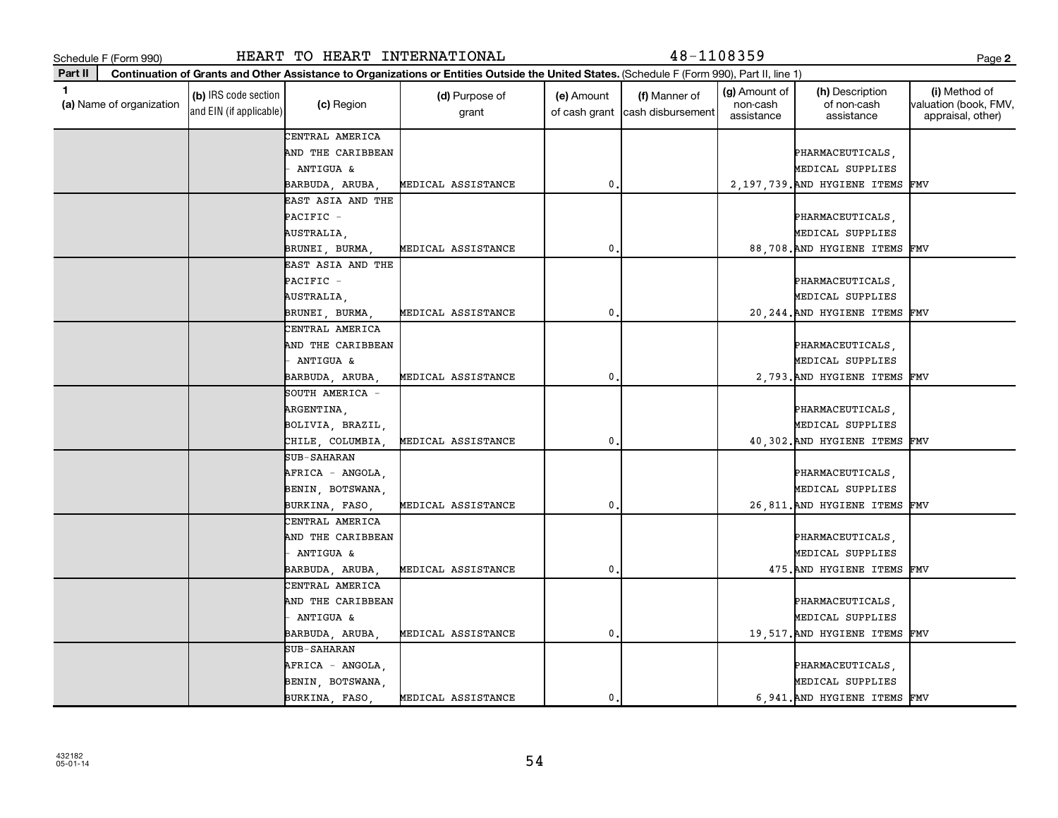| 1.<br>(a) Name of organization | (b) IRS code section<br>and EIN (if applicable) | (c) Region        | (d) Purpose of<br>grant   | (e) Amount<br>of cash grant | (f) Manner of<br>cash disbursement | (g) Amount of<br>non-cash<br>assistance | (h) Description<br>of non-cash<br>assistance | (i) Method of<br>valuation (book, FMV,<br>appraisal, other) |
|--------------------------------|-------------------------------------------------|-------------------|---------------------------|-----------------------------|------------------------------------|-----------------------------------------|----------------------------------------------|-------------------------------------------------------------|
|                                |                                                 | CENTRAL AMERICA   |                           |                             |                                    |                                         |                                              |                                                             |
|                                |                                                 | AND THE CARIBBEAN |                           |                             |                                    |                                         | PHARMACEUTICALS,                             |                                                             |
|                                |                                                 | ANTIGUA &         |                           |                             |                                    |                                         | MEDICAL SUPPLIES                             |                                                             |
|                                |                                                 | BARBUDA, ARUBA,   | <b>MEDICAL ASSISTANCE</b> | 0                           |                                    |                                         | 2,197,739. AND HYGIENE ITEMS FMV             |                                                             |
|                                |                                                 | EAST ASIA AND THE |                           |                             |                                    |                                         |                                              |                                                             |
|                                |                                                 | PACIFIC -         |                           |                             |                                    |                                         | PHARMACEUTICALS,                             |                                                             |
|                                |                                                 | AUSTRALIA,        |                           |                             |                                    |                                         | MEDICAL SUPPLIES                             |                                                             |
|                                |                                                 | BRUNEI, BURMA     | MEDICAL ASSISTANCE        | $\mathbf{0}$                |                                    |                                         | 88,708. AND HYGIENE ITEMS FMV                |                                                             |
|                                |                                                 | EAST ASIA AND THE |                           |                             |                                    |                                         |                                              |                                                             |
|                                |                                                 | PACIFIC -         |                           |                             |                                    |                                         | PHARMACEUTICALS,                             |                                                             |
|                                |                                                 | AUSTRALIA,        |                           |                             |                                    |                                         | MEDICAL SUPPLIES                             |                                                             |
|                                |                                                 | BRUNEI, BURMA,    | <b>MEDICAL ASSISTANCE</b> | 0                           |                                    |                                         | 20, 244. AND HYGIENE ITEMS FMV               |                                                             |
|                                |                                                 | CENTRAL AMERICA   |                           |                             |                                    |                                         |                                              |                                                             |
|                                |                                                 | AND THE CARIBBEAN |                           |                             |                                    |                                         | PHARMACEUTICALS,                             |                                                             |
|                                |                                                 | ANTIGUA &         |                           |                             |                                    |                                         | MEDICAL SUPPLIES                             |                                                             |
|                                |                                                 | BARBUDA, ARUBA,   | MEDICAL ASSISTANCE        | 0                           |                                    |                                         | 2,793. AND HYGIENE ITEMS FMV                 |                                                             |
|                                |                                                 | SOUTH AMERICA -   |                           |                             |                                    |                                         |                                              |                                                             |
|                                |                                                 | ARGENTINA,        |                           |                             |                                    |                                         | PHARMACEUTICALS,                             |                                                             |
|                                |                                                 | BOLIVIA, BRAZIL,  |                           |                             |                                    |                                         | MEDICAL SUPPLIES                             |                                                             |
|                                |                                                 | CHILE, COLUMBIA,  | MEDICAL ASSISTANCE        | 0                           |                                    |                                         | 40,302. AND HYGIENE ITEMS FMV                |                                                             |
|                                |                                                 | SUB-SAHARAN       |                           |                             |                                    |                                         |                                              |                                                             |
|                                |                                                 | AFRICA - ANGOLA,  |                           |                             |                                    |                                         | PHARMACEUTICALS,                             |                                                             |
|                                |                                                 | BENIN, BOTSWANA,  |                           |                             |                                    |                                         | MEDICAL SUPPLIES                             |                                                             |
|                                |                                                 | BURKINA, FASO,    | MEDICAL ASSISTANCE        | $\mathbf{0}$                |                                    |                                         | 26,811. AND HYGIENE ITEMS FMV                |                                                             |
|                                |                                                 | CENTRAL AMERICA   |                           |                             |                                    |                                         |                                              |                                                             |
|                                |                                                 | AND THE CARIBBEAN |                           |                             |                                    |                                         | PHARMACEUTICALS,                             |                                                             |
|                                |                                                 | ANTIGUA &         |                           |                             |                                    |                                         | MEDICAL SUPPLIES                             |                                                             |
|                                |                                                 | BARBUDA, ARUBA,   | MEDICAL ASSISTANCE        | 0                           |                                    |                                         | 475. AND HYGIENE ITEMS FMV                   |                                                             |
|                                |                                                 | CENTRAL AMERICA   |                           |                             |                                    |                                         |                                              |                                                             |
|                                |                                                 | AND THE CARIBBEAN |                           |                             |                                    |                                         | PHARMACEUTICALS,                             |                                                             |
|                                |                                                 | ANTIGUA &         |                           |                             |                                    |                                         | MEDICAL SUPPLIES                             |                                                             |
|                                |                                                 | BARBUDA, ARUBA,   | MEDICAL ASSISTANCE        | $\mathbf{0}$                |                                    |                                         | 19,517. AND HYGIENE ITEMS FMV                |                                                             |
|                                |                                                 | SUB-SAHARAN       |                           |                             |                                    |                                         |                                              |                                                             |
|                                |                                                 | AFRICA - ANGOLA,  |                           |                             |                                    |                                         | PHARMACEUTICALS,                             |                                                             |
|                                |                                                 | BENIN, BOTSWANA,  |                           |                             |                                    |                                         | MEDICAL SUPPLIES                             |                                                             |
|                                |                                                 | BURKINA, FASO     | <b>MEDICAL ASSISTANCE</b> | 0                           |                                    |                                         | 6,941. AND HYGIENE ITEMS FMV                 |                                                             |

**Continuation of Grants and Other Assistance to Organizations or Entities Outside the United States.**  (Schedule F (Form 990), Part II, line 1)

Schedule F (Form 990) HEART TO HEART INTERNATIONAL 48-1108359 Page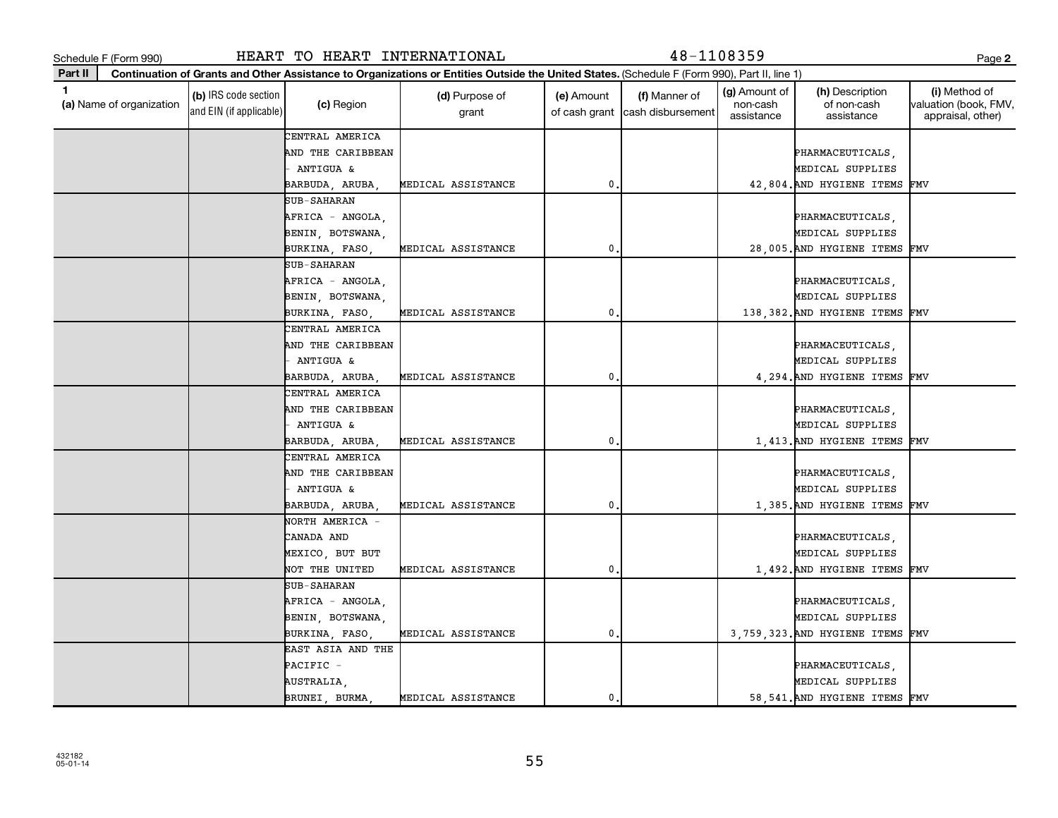| HEART TO HEAR |  |
|---------------|--|

Schedule F (Form 990) HEART TO HEART INTERNATIONAL 48-1108359 Page

**Continuation of Grants and Other Assistance to Organizations or Entities Outside the United States.** 

(Schedule F (Form 990), Part II, line 1)

| 1.<br>(a) Name of organization | (b) IRS code section<br>and EIN (if applicable) | (c) Region        | (d) Purpose of<br>grant | (e) Amount     | (f) Manner of<br>of cash grant cash disbursement | (g) Amount of<br>non-cash<br>assistance | (h) Description<br>of non-cash<br>assistance | (i) Method of<br>valuation (book, FMV,<br>appraisal, other) |
|--------------------------------|-------------------------------------------------|-------------------|-------------------------|----------------|--------------------------------------------------|-----------------------------------------|----------------------------------------------|-------------------------------------------------------------|
|                                |                                                 | CENTRAL AMERICA   |                         |                |                                                  |                                         |                                              |                                                             |
|                                |                                                 | AND THE CARIBBEAN |                         |                |                                                  |                                         | PHARMACEUTICALS,                             |                                                             |
|                                |                                                 | ANTIGUA &         |                         |                |                                                  |                                         | MEDICAL SUPPLIES                             |                                                             |
|                                |                                                 | BARBUDA, ARUBA,   | MEDICAL ASSISTANCE      | $\mathbf{0}$ . |                                                  |                                         | 42,804. AND HYGIENE ITEMS                    | FMV                                                         |
|                                |                                                 | SUB-SAHARAN       |                         |                |                                                  |                                         |                                              |                                                             |
|                                |                                                 | AFRICA - ANGOLA,  |                         |                |                                                  |                                         | PHARMACEUTICALS,                             |                                                             |
|                                |                                                 | BENIN, BOTSWANA,  |                         |                |                                                  |                                         | MEDICAL SUPPLIES                             |                                                             |
|                                |                                                 | BURKINA, FASO,    | MEDICAL ASSISTANCE      | 0.             |                                                  |                                         | 28,005. AND HYGIENE ITEMS FMV                |                                                             |
|                                |                                                 | SUB-SAHARAN       |                         |                |                                                  |                                         |                                              |                                                             |
|                                |                                                 | AFRICA - ANGOLA,  |                         |                |                                                  |                                         | PHARMACEUTICALS,                             |                                                             |
|                                |                                                 | BENIN, BOTSWANA,  |                         |                |                                                  |                                         | MEDICAL SUPPLIES                             |                                                             |
|                                |                                                 | BURKINA, FASO,    | MEDICAL ASSISTANCE      | 0.             |                                                  |                                         | 138, 382. AND HYGIENE ITEMS                  | FMV                                                         |
|                                |                                                 | CENTRAL AMERICA   |                         |                |                                                  |                                         |                                              |                                                             |
|                                |                                                 | AND THE CARIBBEAN |                         |                |                                                  |                                         | PHARMACEUTICALS,                             |                                                             |
|                                |                                                 | - ANTIGUA &       |                         |                |                                                  |                                         | MEDICAL SUPPLIES                             |                                                             |
|                                |                                                 | BARBUDA, ARUBA,   | MEDICAL ASSISTANCE      | 0.             |                                                  |                                         | 4,294. AND HYGIENE ITEMS                     | FMV                                                         |
|                                |                                                 | CENTRAL AMERICA   |                         |                |                                                  |                                         |                                              |                                                             |
|                                |                                                 | AND THE CARIBBEAN |                         |                |                                                  |                                         | PHARMACEUTICALS,                             |                                                             |
|                                |                                                 | ANTIGUA &         |                         |                |                                                  |                                         | MEDICAL SUPPLIES                             |                                                             |
|                                |                                                 | BARBUDA, ARUBA,   | MEDICAL ASSISTANCE      | 0.             |                                                  |                                         | 1,413. AND HYGIENE ITEMS                     | FMV                                                         |
|                                |                                                 | CENTRAL AMERICA   |                         |                |                                                  |                                         |                                              |                                                             |
|                                |                                                 | AND THE CARIBBEAN |                         |                |                                                  |                                         | PHARMACEUTICALS,                             |                                                             |
|                                |                                                 | ANTIGUA &         |                         |                |                                                  |                                         | MEDICAL SUPPLIES                             |                                                             |
|                                |                                                 | BARBUDA, ARUBA,   | MEDICAL ASSISTANCE      | 0.             |                                                  |                                         | 1,385. AND HYGIENE ITEMS FMV                 |                                                             |
|                                |                                                 | NORTH AMERICA -   |                         |                |                                                  |                                         |                                              |                                                             |
|                                |                                                 | CANADA AND        |                         |                |                                                  |                                         | PHARMACEUTICALS,                             |                                                             |
|                                |                                                 | MEXICO, BUT BUT   |                         |                |                                                  |                                         | MEDICAL SUPPLIES                             |                                                             |
|                                |                                                 | NOT THE UNITED    | MEDICAL ASSISTANCE      | 0              |                                                  |                                         | 1,492. AND HYGIENE ITEMS FMV                 |                                                             |
|                                |                                                 | SUB-SAHARAN       |                         |                |                                                  |                                         |                                              |                                                             |
|                                |                                                 | AFRICA - ANGOLA,  |                         |                |                                                  |                                         | PHARMACEUTICALS,                             |                                                             |
|                                |                                                 | BENIN, BOTSWANA,  |                         |                |                                                  |                                         | MEDICAL SUPPLIES                             |                                                             |
|                                |                                                 | BURKINA, FASO,    | MEDICAL ASSISTANCE      | 0.             |                                                  |                                         | 3,759,323. AND HYGIENE ITEMS                 | FMV                                                         |
|                                |                                                 | EAST ASIA AND THE |                         |                |                                                  |                                         |                                              |                                                             |
|                                |                                                 | PACIFIC -         |                         |                |                                                  |                                         | PHARMACEUTICALS,                             |                                                             |
|                                |                                                 | AUSTRALIA,        |                         |                |                                                  |                                         | MEDICAL SUPPLIES                             |                                                             |
|                                |                                                 | BRUNEI, BURMA     | MEDICAL ASSISTANCE      | 0.             |                                                  |                                         | 58,541. AND HYGIENE ITEMS FMV                |                                                             |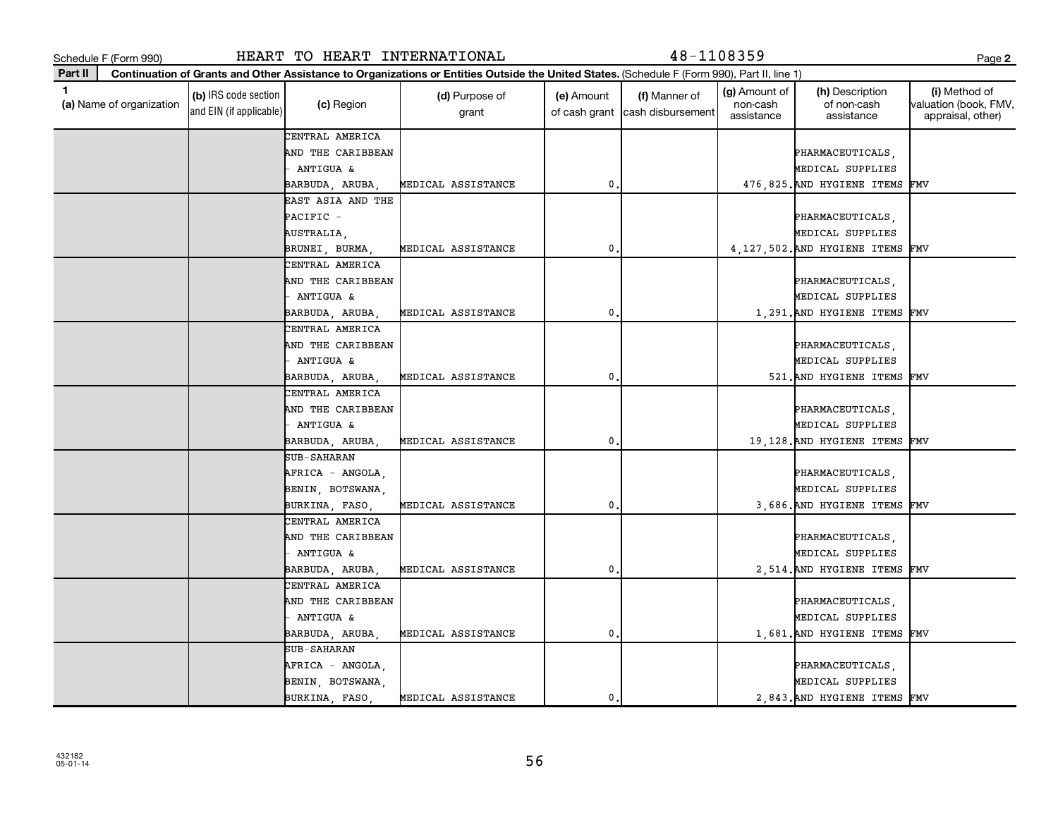| 432182   |  |
|----------|--|
|          |  |
| 05-01-14 |  |

| I<br>I<br>۰,<br>. .<br>۰.<br>× |
|--------------------------------|
|--------------------------------|

|         | Schedule F (Form 990)    |                                                 | HEART TO HEART INTERNATIONAL                                          |                                                                                                                                              |                             | 48-1108359                         |                                         |                                                                      | Page 2                                                      |
|---------|--------------------------|-------------------------------------------------|-----------------------------------------------------------------------|----------------------------------------------------------------------------------------------------------------------------------------------|-----------------------------|------------------------------------|-----------------------------------------|----------------------------------------------------------------------|-------------------------------------------------------------|
| Part II |                          |                                                 |                                                                       | Continuation of Grants and Other Assistance to Organizations or Entities Outside the United States. (Schedule F (Form 990), Part II, line 1) |                             |                                    |                                         |                                                                      |                                                             |
| 1       | (a) Name of organization | (b) IRS code section<br>and EIN (if applicable) | (c) Region                                                            | (d) Purpose of<br>grant                                                                                                                      | (e) Amount<br>of cash grant | (f) Manner of<br>cash disbursement | (g) Amount of<br>non-cash<br>assistance | (h) Description<br>of non-cash<br>assistance                         | (i) Method of<br>valuation (book, FMV,<br>appraisal, other) |
|         |                          |                                                 | CENTRAL AMERICA<br>AND THE CARIBBEAN<br>ANTIGUA &                     |                                                                                                                                              |                             |                                    |                                         | PHARMACEUTICALS,<br>MEDICAL SUPPLIES                                 |                                                             |
|         |                          |                                                 | BARBUDA, ARUBA                                                        | MEDICAL ASSISTANCE                                                                                                                           | $\mathbf 0$                 |                                    |                                         | 476,825. AND HYGIENE ITEMS FMV                                       |                                                             |
|         |                          |                                                 | EAST ASIA AND THE<br>PACIFIC -<br>AUSTRALIA,                          |                                                                                                                                              |                             |                                    |                                         | PHARMACEUTICALS,<br>MEDICAL SUPPLIES                                 |                                                             |
|         |                          |                                                 | BRUNEI, BURMA                                                         | MEDICAL ASSISTANCE                                                                                                                           | 0                           |                                    |                                         | 4, 127, 502. AND HYGIENE ITEMS                                       | FMV                                                         |
|         |                          |                                                 | CENTRAL AMERICA<br>AND THE CARIBBEAN<br>ANTIGUA &                     |                                                                                                                                              |                             |                                    |                                         | PHARMACEUTICALS,<br>MEDICAL SUPPLIES                                 |                                                             |
|         |                          |                                                 | BARBUDA, ARUBA                                                        | MEDICAL ASSISTANCE                                                                                                                           | 0                           |                                    |                                         | 1,291. AND HYGIENE ITEMS FMV                                         |                                                             |
|         |                          |                                                 | CENTRAL AMERICA<br>AND THE CARIBBEAN<br>ANTIGUA &                     |                                                                                                                                              |                             |                                    |                                         | PHARMACEUTICALS,<br>MEDICAL SUPPLIES                                 |                                                             |
|         |                          |                                                 | BARBUDA, ARUBA,                                                       | MEDICAL ASSISTANCE                                                                                                                           | $\mathbf 0$                 |                                    |                                         | 521. AND HYGIENE ITEMS FMV                                           |                                                             |
|         |                          |                                                 | CENTRAL AMERICA<br>AND THE CARIBBEAN<br>ANTIGUA &<br>BARBUDA, ARUBA,  | MEDICAL ASSISTANCE                                                                                                                           | $\mathbf 0$                 |                                    |                                         | PHARMACEUTICALS,<br>MEDICAL SUPPLIES<br>19,128. AND HYGIENE ITEMS    | FMV                                                         |
|         |                          |                                                 | SUB-SAHARAN<br>AFRICA - ANGOLA,<br>BENIN, BOTSWANA,<br>BURKINA, FASO, | MEDICAL ASSISTANCE                                                                                                                           | 0                           |                                    |                                         | PHARMACEUTICALS,<br>MEDICAL SUPPLIES<br>3,686. AND HYGIENE ITEMS FMV |                                                             |
|         |                          |                                                 | CENTRAL AMERICA<br>AND THE CARIBBEAN<br>ANTIGUA &<br>BARBUDA, ARUBA   | MEDICAL ASSISTANCE                                                                                                                           | $\mathbf 0$                 |                                    |                                         | PHARMACEUTICALS,<br>MEDICAL SUPPLIES<br>2,514. AND HYGIENE ITEMS FMV |                                                             |
|         |                          |                                                 | CENTRAL AMERICA<br>AND THE CARIBBEAN<br>- ANTIGUA &<br>BARBUDA, ARUBA | MEDICAL ASSISTANCE                                                                                                                           | $\mathbf 0$ .               |                                    |                                         | PHARMACEUTICALS,<br>MEDICAL SUPPLIES<br>1,681. AND HYGIENE ITEMS FMV |                                                             |
|         |                          |                                                 | SUB-SAHARAN<br>AFRICA - ANGOLA,<br>BENIN, BOTSWANA,<br>BURKINA, FASO, | MEDICAL ASSISTANCE                                                                                                                           | 0.                          |                                    |                                         | PHARMACEUTICALS,<br>MEDICAL SUPPLIES<br>2.843. AND HYGIENE ITEMS FMV |                                                             |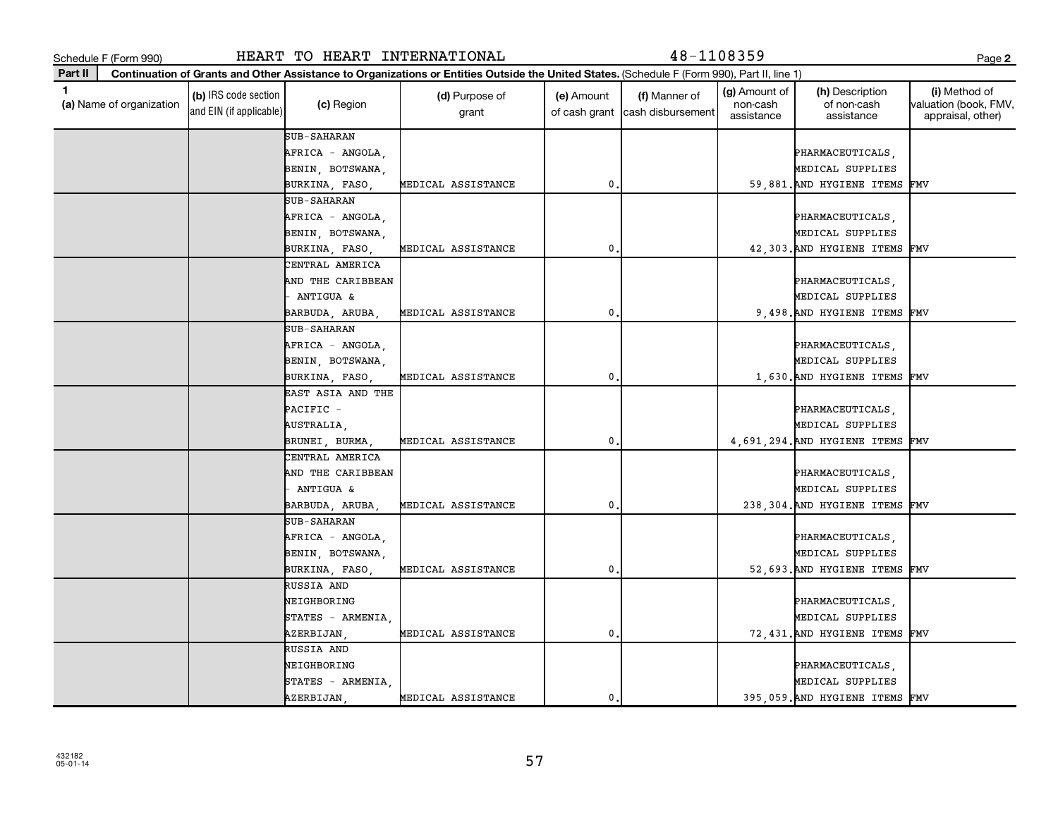Schedule F (Form 990) HEART TO HEART INTERNATIONAL 48-1108359 Page

**Continuation of Grants and Other Assistance to Organizations or Entities Outside the United States.**  (Schedule F (Form 990), Part II, line 1)

| 1<br>(a) Name of organization | (b) IRS code section<br>and EIN (if applicable) | (c) Region               | (d) Purpose of<br>grant | (e) Amount<br>of cash grant | (f) Manner of<br>cash disbursement | (g) Amount of<br>non-cash<br>assistance | (h) Description<br>of non-cash<br>assistance | (i) Method of<br>valuation (book, FMV,<br>appraisal, other) |
|-------------------------------|-------------------------------------------------|--------------------------|-------------------------|-----------------------------|------------------------------------|-----------------------------------------|----------------------------------------------|-------------------------------------------------------------|
|                               |                                                 | SUB-SAHARAN              |                         |                             |                                    |                                         |                                              |                                                             |
|                               |                                                 | AFRICA - ANGOLA,         |                         |                             |                                    |                                         | PHARMACEUTICALS                              |                                                             |
|                               |                                                 | BENIN, BOTSWANA,         |                         |                             |                                    |                                         | MEDICAL SUPPLIES                             |                                                             |
|                               |                                                 | BURKINA, FASO,           | MEDICAL ASSISTANCE      | 0.                          |                                    |                                         | 59,881. AND HYGIENE ITEMS                    | FMV                                                         |
|                               |                                                 | SUB-SAHARAN              |                         |                             |                                    |                                         |                                              |                                                             |
|                               |                                                 | AFRICA - ANGOLA,         |                         |                             |                                    |                                         | PHARMACEUTICALS,                             |                                                             |
|                               |                                                 | BENIN, BOTSWANA,         |                         |                             |                                    |                                         | MEDICAL SUPPLIES                             |                                                             |
|                               |                                                 | BURKINA, FASO,           | MEDICAL ASSISTANCE      | 0.                          |                                    |                                         | 42,303. AND HYGIENE ITEMS                    | FMV                                                         |
|                               |                                                 | CENTRAL AMERICA          |                         |                             |                                    |                                         |                                              |                                                             |
|                               |                                                 | AND THE CARIBBEAN        |                         |                             |                                    |                                         | PHARMACEUTICALS,                             |                                                             |
|                               |                                                 | - ANTIGUA &              |                         |                             |                                    |                                         | MEDICAL SUPPLIES                             |                                                             |
|                               |                                                 | BARBUDA, ARUBA,          | MEDICAL ASSISTANCE      | 0.                          |                                    |                                         | 9,498. AND HYGIENE ITEMS FMV                 |                                                             |
|                               |                                                 | SUB-SAHARAN              |                         |                             |                                    |                                         |                                              |                                                             |
|                               |                                                 | AFRICA - ANGOLA,         |                         |                             |                                    |                                         | PHARMACEUTICALS,                             |                                                             |
|                               |                                                 | BENIN, BOTSWANA,         |                         |                             |                                    |                                         | MEDICAL SUPPLIES                             |                                                             |
|                               |                                                 | BURKINA, FASO,           | MEDICAL ASSISTANCE      | $\mathbf{0}$                |                                    |                                         | 1,630. AND HYGIENE ITEMS FMV                 |                                                             |
|                               |                                                 | <b>EAST ASIA AND THE</b> |                         |                             |                                    |                                         |                                              |                                                             |
|                               |                                                 | PACIFIC -                |                         |                             |                                    |                                         | PHARMACEUTICALS                              |                                                             |
|                               |                                                 | AUSTRALIA,               |                         |                             |                                    |                                         | MEDICAL SUPPLIES                             |                                                             |
|                               |                                                 | BRUNEI, BURMA,           | MEDICAL ASSISTANCE      | 0.                          |                                    |                                         | 4,691,294. AND HYGIENE ITEMS                 | FMV                                                         |
|                               |                                                 | CENTRAL AMERICA          |                         |                             |                                    |                                         |                                              |                                                             |
|                               |                                                 | AND THE CARIBBEAN        |                         |                             |                                    |                                         | PHARMACEUTICALS,                             |                                                             |
|                               |                                                 | - ANTIGUA &              |                         |                             |                                    |                                         | MEDICAL SUPPLIES                             |                                                             |
|                               |                                                 | BARBUDA, ARUBA,          | MEDICAL ASSISTANCE      | 0.                          |                                    |                                         | 238,304. AND HYGIENE ITEMS                   | FMV                                                         |
|                               |                                                 | SUB-SAHARAN              |                         |                             |                                    |                                         |                                              |                                                             |
|                               |                                                 | AFRICA - ANGOLA,         |                         |                             |                                    |                                         | PHARMACEUTICALS,                             |                                                             |
|                               |                                                 | BENIN, BOTSWANA,         |                         |                             |                                    |                                         | MEDICAL SUPPLIES                             |                                                             |
|                               |                                                 | BURKINA, FASO,           | MEDICAL ASSISTANCE      | 0                           |                                    |                                         | 52,693. AND HYGIENE ITEMS FMV                |                                                             |
|                               |                                                 | RUSSIA AND               |                         |                             |                                    |                                         |                                              |                                                             |
|                               |                                                 | NEIGHBORING              |                         |                             |                                    |                                         | PHARMACEUTICALS,                             |                                                             |
|                               |                                                 | STATES - ARMENIA,        |                         |                             |                                    |                                         | MEDICAL SUPPLIES                             |                                                             |
|                               |                                                 | AZERBIJAN,               | MEDICAL ASSISTANCE      | 0.                          |                                    |                                         | 72,431. AND HYGIENE ITEMS FMV                |                                                             |
|                               |                                                 | RUSSIA AND               |                         |                             |                                    |                                         |                                              |                                                             |
|                               |                                                 | NEIGHBORING              |                         |                             |                                    |                                         | PHARMACEUTICALS,                             |                                                             |
|                               |                                                 | STATES - ARMENIA         |                         |                             |                                    |                                         | MEDICAL SUPPLIES                             |                                                             |
|                               |                                                 | AZERBIJAN                | MEDICAL ASSISTANCE      | 0.                          |                                    |                                         | 395,059. AND HYGIENE ITEMS FMV               |                                                             |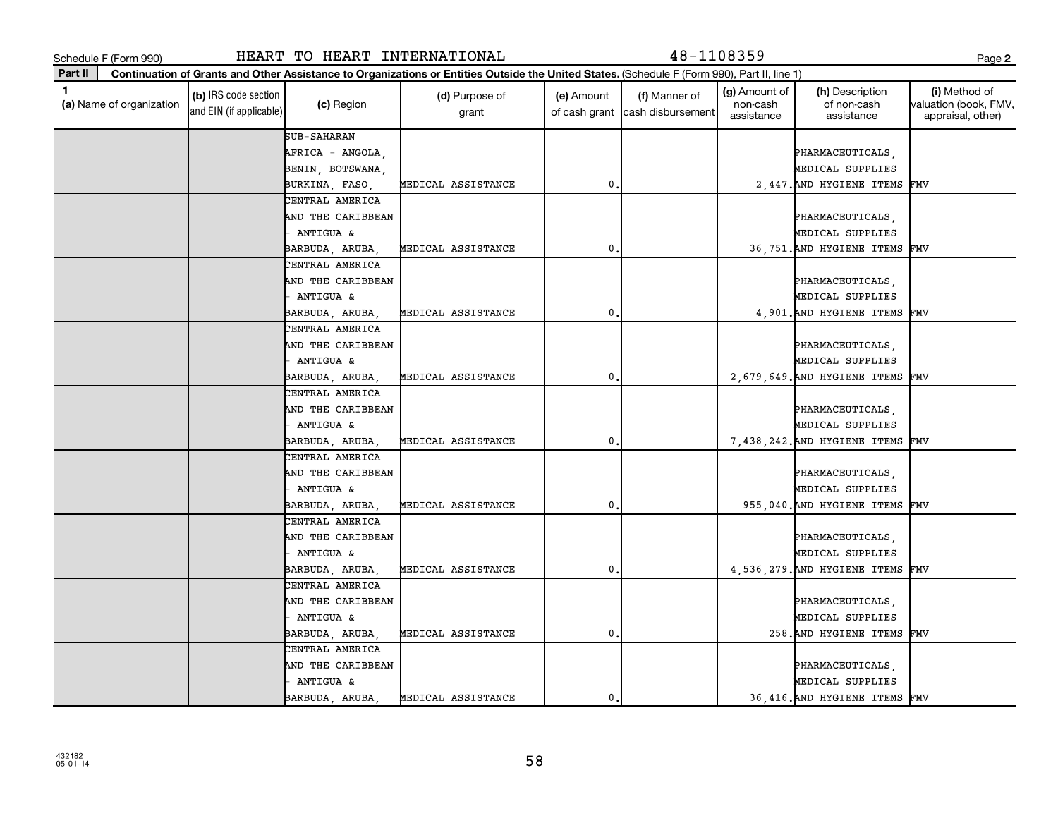432182 05-01-14

**Part II**

**(a)**  Name of organization

and EIN (if applicable)

|  | CENTRAL AMERICA   |                    |    |  |                                  |  |
|--|-------------------|--------------------|----|--|----------------------------------|--|
|  | AND THE CARIBBEAN |                    |    |  | PHARMACEUTICALS.                 |  |
|  | ANTIGUA &         |                    |    |  | MEDICAL SUPPLIES                 |  |
|  | BARBUDA, ARUBA,   | MEDICAL ASSISTANCE | 0. |  | 955 040. AND HYGIENE ITEMS FMV   |  |
|  | CENTRAL AMERICA   |                    |    |  |                                  |  |
|  | AND THE CARIBBEAN |                    |    |  | PHARMACEUTICALS.                 |  |
|  | ANTIGUA &         |                    |    |  | MEDICAL SUPPLIES                 |  |
|  | BARBUDA, ARUBA,   | MEDICAL ASSISTANCE | 0. |  | 4,536,279. AND HYGIENE ITEMS FMV |  |
|  | CENTRAL AMERICA   |                    |    |  |                                  |  |
|  | AND THE CARIBBEAN |                    |    |  | PHARMACEUTICALS.                 |  |
|  | ANTIGUA &         |                    |    |  | MEDICAL SUPPLIES                 |  |
|  | BARBUDA, ARUBA,   | MEDICAL ASSISTANCE | 0. |  | 258. AND HYGIENE ITEMS FMV       |  |
|  | CENTRAL AMERICA   |                    |    |  |                                  |  |
|  | AND THE CARIBBEAN |                    |    |  | <b>PHARMACEUTICALS</b>           |  |

CENTRAL AMERICA AND THE CARIBBEAN PHARMACEUTICALS, AND THE CARIBBEAN PHARMACEUTICALS, AND THE RESERVE TO A PHARMACEUTICALS, AND - ANTIGUA & MEDICAL SUPPLIES BARBUDA, ARUBA, MEDICAL ASSISTANCE | 0. 36,751.AND HYGIENE ITEMS FMV CENTRAL AMERICA AND THE CARIBBEAN PHARMACEUTICALS, - ANTIGUA & MEDICAL SUPPLIES BARBUDA, ARUBA, MEDICAL ASSISTANCE | 0. 0. 4,901.AND HYGIENE ITEMS FMV CENTRAL AMERICA AND THE CARIBBEAN PHARMACEUTICALS, AND THE CARIBBEAN PHARMACEUTICALS, AND THE RESERVE TO A PHARMACEUTICALS, AND - ANTIGUA & MEDICAL SUPPLIES BARBUDA, ARUBA, MEDICAL ASSISTANCE | 2,679,649.AND HYGIENE ITEMS FMV CENTRAL AMERICA

**Continuation of Grants and Other Assistance to Organizations or Entities Outside the United States.**  (Schedule F (Form 990), Part II, line 1)

grant

**(b)** IRS code section (c) Region (c) Region (d) Purpose of (e) Amount (f) Manner of (g) Amount of (h) Description (i)<br>
(a) Name of organization (the content of non-cash valuation (d) Region (d) Purpose of (e) Amount (f) M

(e) Amount of cash grant

AFRICA - ANGOLA, PHARMACEUTICALS, BENIN, BOTSWANA, NASA ENGLES EN MEDICAL SUPPLIES BURKINA, FASO, MEDICAL ASSISTANCE 0. 2,447.AND HYGIENE ITEMS FMV

AND THE CARIBBEAN PHARMACEUTICALS, AND THE CARIBBEAN PHARMACEUTICALS, AND THE RESERVE TO A PHARMACEUTICALS, AND - ANTIGUA & MEDICAL SUPPLIES BARBUDA, ARUBA, MEDICAL ASSISTANCE | 0. 0. 7.438,242.AND HYGIENE ITEMS FMV

- ANTIGUA & MEDICAL SUPPLIES BARBUDA, ARUBA, MEDICAL ASSISTANCE 0. 36,416.AND HYGIENE ITEMS FMV

58

# Schedule F (Form 990) HEART TO HEART INTERNATIONAL 48-1108359 Page

SUB-SAHARAN

(c) Region (d) Purpose of

(g) Amount of non-cash assistance

(h) Description of non-cash assistance

(f) Manner of cash disbursement **2**

Method of valuation (book, FMV, appraisal, other)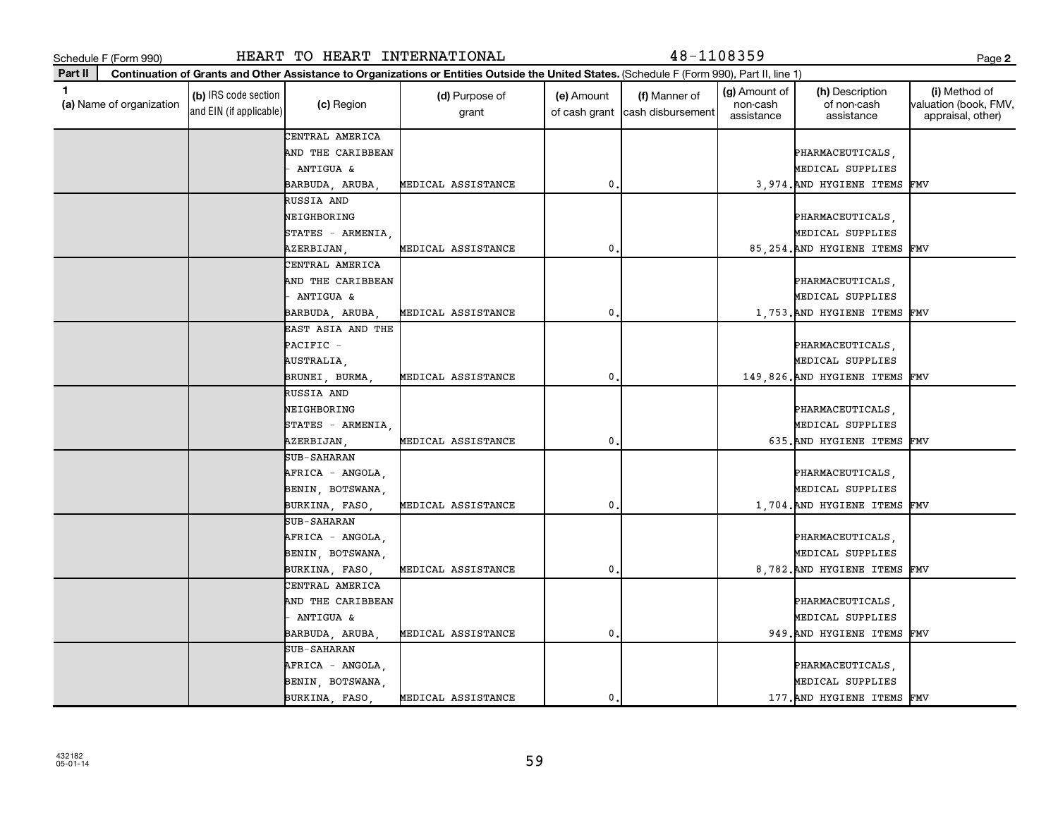Schedule F (Form 990) HEART TO HEART INTERNATIONAL 48-1108359 Page

**Continuation of Grants and Other Assistance to Organizations or Entities Outside the United States.** 

(Schedule F (Form 990), Part II, line 1)

| 1<br>(a) Name of organization | (b) IRS code section<br>and EIN (if applicable) | (c) Region         | (d) Purpose of<br>grant | (e) Amount<br>of cash grant | (f) Manner of<br>cash disbursement | (g) Amount of<br>non-cash<br>assistance | (h) Description<br>of non-cash<br>assistance | (i) Method of<br>valuation (book, FMV,<br>appraisal, other) |
|-------------------------------|-------------------------------------------------|--------------------|-------------------------|-----------------------------|------------------------------------|-----------------------------------------|----------------------------------------------|-------------------------------------------------------------|
|                               |                                                 | CENTRAL AMERICA    |                         |                             |                                    |                                         |                                              |                                                             |
|                               |                                                 | AND THE CARIBBEAN  |                         |                             |                                    |                                         | PHARMACEUTICALS,                             |                                                             |
|                               |                                                 | ANTIGUA &          |                         |                             |                                    |                                         | MEDICAL SUPPLIES                             |                                                             |
|                               |                                                 | BARBUDA, ARUBA,    | MEDICAL ASSISTANCE      | $\mathbf 0$                 |                                    |                                         | 3,974. AND HYGIENE ITEMS FMV                 |                                                             |
|                               |                                                 | RUSSIA AND         |                         |                             |                                    |                                         |                                              |                                                             |
|                               |                                                 | NEIGHBORING        |                         |                             |                                    |                                         | PHARMACEUTICALS,                             |                                                             |
|                               |                                                 | STATES - ARMENIA   |                         |                             |                                    |                                         | MEDICAL SUPPLIES                             |                                                             |
|                               |                                                 | AZERBIJAN,         | MEDICAL ASSISTANCE      | $\mathbf 0$                 |                                    |                                         | 85, 254. AND HYGIENE ITEMS FMV               |                                                             |
|                               |                                                 | CENTRAL AMERICA    |                         |                             |                                    |                                         |                                              |                                                             |
|                               |                                                 | AND THE CARIBBEAN  |                         |                             |                                    |                                         | PHARMACEUTICALS,                             |                                                             |
|                               |                                                 | ANTIGUA &          |                         |                             |                                    |                                         | MEDICAL SUPPLIES                             |                                                             |
|                               |                                                 | BARBUDA, ARUBA,    | MEDICAL ASSISTANCE      | $\mathbf 0$                 |                                    |                                         | 1,753. AND HYGIENE ITEMS                     | FMV                                                         |
|                               |                                                 | EAST ASIA AND THE  |                         |                             |                                    |                                         |                                              |                                                             |
|                               |                                                 | PACIFIC -          |                         |                             |                                    |                                         | PHARMACEUTICALS,                             |                                                             |
|                               |                                                 | AUSTRALIA,         |                         |                             |                                    |                                         | MEDICAL SUPPLIES                             |                                                             |
|                               |                                                 | BRUNEI, BURMA,     | MEDICAL ASSISTANCE      | $\mathbf 0$                 |                                    |                                         | 149,826. AND HYGIENE ITEMS                   | FMV                                                         |
|                               |                                                 | RUSSIA AND         |                         |                             |                                    |                                         |                                              |                                                             |
|                               |                                                 | NEIGHBORING        |                         |                             |                                    |                                         | PHARMACEUTICALS,                             |                                                             |
|                               |                                                 | STATES - ARMENIA,  |                         |                             |                                    |                                         | MEDICAL SUPPLIES                             |                                                             |
|                               |                                                 | AZERBIJAN,         | MEDICAL ASSISTANCE      | $\mathbf 0$                 |                                    |                                         | 635. AND HYGIENE ITEMS                       | FMV                                                         |
|                               |                                                 | SUB-SAHARAN        |                         |                             |                                    |                                         |                                              |                                                             |
|                               |                                                 | AFRICA - ANGOLA,   |                         |                             |                                    |                                         | PHARMACEUTICALS,                             |                                                             |
|                               |                                                 | BENIN, BOTSWANA,   |                         |                             |                                    |                                         | MEDICAL SUPPLIES                             |                                                             |
|                               |                                                 | BURKINA, FASO,     | MEDICAL ASSISTANCE      | $\mathbf 0$                 |                                    |                                         | 1,704. AND HYGIENE ITEMS FMV                 |                                                             |
|                               |                                                 | <b>SUB-SAHARAN</b> |                         |                             |                                    |                                         |                                              |                                                             |
|                               |                                                 | AFRICA - ANGOLA,   |                         |                             |                                    |                                         | PHARMACEUTICALS,                             |                                                             |
|                               |                                                 | BENIN, BOTSWANA,   |                         |                             |                                    |                                         | MEDICAL SUPPLIES                             |                                                             |
|                               |                                                 | BURKINA, FASO,     | MEDICAL ASSISTANCE      | 0                           |                                    |                                         | 8,782. AND HYGIENE ITEMS                     | FMV                                                         |
|                               |                                                 | CENTRAL AMERICA    |                         |                             |                                    |                                         |                                              |                                                             |
|                               |                                                 | AND THE CARIBBEAN  |                         |                             |                                    |                                         | PHARMACEUTICALS,                             |                                                             |
|                               |                                                 | ANTIGUA &          |                         |                             |                                    |                                         | MEDICAL SUPPLIES                             |                                                             |
|                               |                                                 | BARBUDA, ARUBA,    | MEDICAL ASSISTANCE      | $\mathbf 0$                 |                                    |                                         | 949. AND HYGIENE ITEMS                       | FMV                                                         |
|                               |                                                 | SUB-SAHARAN        |                         |                             |                                    |                                         |                                              |                                                             |
|                               |                                                 | AFRICA - ANGOLA,   |                         |                             |                                    |                                         | PHARMACEUTICALS,                             |                                                             |
|                               |                                                 | BENIN, BOTSWANA,   |                         |                             |                                    |                                         | MEDICAL SUPPLIES                             |                                                             |
|                               |                                                 | BURKINA, FASO,     | MEDICAL ASSISTANCE      | 0.                          |                                    |                                         | 177. AND HYGIENE ITEMS FMV                   |                                                             |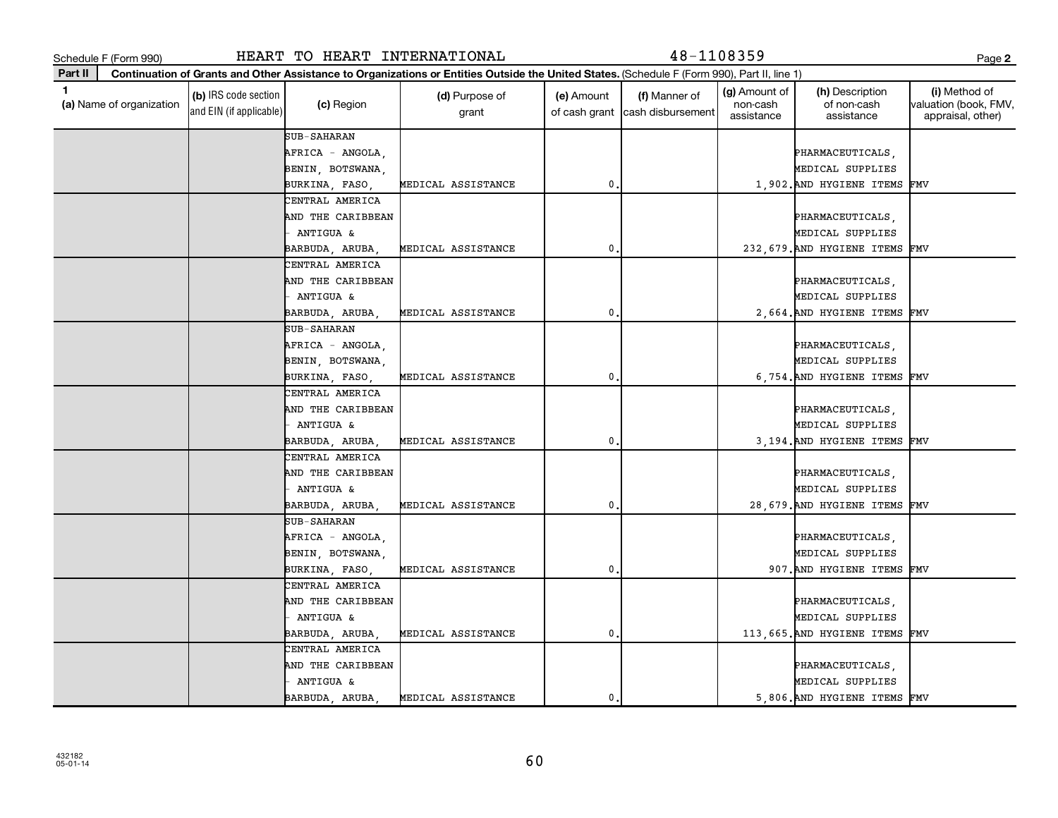432182 05-01-14

**Part II**

**(a)**  Name of organization

and EIN (if applicable)

|  | BURKINA FASO      | MEDICAL ASSISTANCE |  | 907. AND HYGIENE ITEMS FMV     |  |
|--|-------------------|--------------------|--|--------------------------------|--|
|  | CENTRAL AMERICA   |                    |  |                                |  |
|  | AND THE CARIBBEAN |                    |  | PHARMACEUTICALS                |  |
|  | ANTIGUA &         |                    |  | MEDICAL SUPPLIES               |  |
|  | BARBUDA ARUBA     | MEDICAL ASSISTANCE |  | 113 665. AND HYGIENE ITEMS FMV |  |
|  | CENTRAL AMERICA   |                    |  |                                |  |

|  | ANTIGUA &          |                                    |                |  | MEDICAL SUPPLIES                |  |
|--|--------------------|------------------------------------|----------------|--|---------------------------------|--|
|  |                    | BARBUDA, ARUBA, MEDICAL ASSISTANCE | $\mathbf{0}$ . |  | 232, 679. AND HYGIENE ITEMS FMV |  |
|  | CENTRAL AMERICA    |                                    |                |  |                                 |  |
|  | AND THE CARIBBEAN  |                                    |                |  | PHARMACEUTICALS,                |  |
|  | ANTIGUA &          |                                    |                |  | MEDICAL SUPPLIES                |  |
|  |                    | BARBUDA, ARUBA, MEDICAL ASSISTANCE | $0$ .          |  | 2,664. AND HYGIENE ITEMS FMV    |  |
|  | SUB-SAHARAN        |                                    |                |  |                                 |  |
|  | AFRICA - ANGOLA,   |                                    |                |  | PHARMACEUTICALS,                |  |
|  | BENIN, BOTSWANA,   |                                    |                |  | MEDICAL SUPPLIES                |  |
|  |                    | BURKINA, FASO, MEDICAL ASSISTANCE  | 0.             |  | 6,754. AND HYGIENE ITEMS FMV    |  |
|  | CENTRAL AMERICA    |                                    |                |  |                                 |  |
|  | AND THE CARIBBEAN  |                                    |                |  | PHARMACEUTICALS,                |  |
|  | - ANTIGUA &        |                                    |                |  | MEDICAL SUPPLIES                |  |
|  |                    | BARBUDA, ARUBA, MEDICAL ASSISTANCE | 0.             |  | 3,194. AND HYGIENE ITEMS FMV    |  |
|  | CENTRAL AMERICA    |                                    |                |  |                                 |  |
|  | AND THE CARIBBEAN  |                                    |                |  | PHARMACEUTICALS,                |  |
|  | ANTIGUA &          |                                    |                |  | MEDICAL SUPPLIES                |  |
|  |                    | BARBUDA, ARUBA, MEDICAL ASSISTANCE | 0.             |  | 28,679. AND HYGIENE ITEMS FMV   |  |
|  | <b>SUB-SAHARAN</b> |                                    |                |  |                                 |  |
|  | AFRICA - ANGOLA,   |                                    |                |  | PHARMACEUTICALS,                |  |
|  | BENIN, BOTSWANA,   |                                    |                |  | MEDICAL SUPPLIES                |  |
|  | BURKINA FASO       | MEDICAL ASSISTANCE                 | 0.             |  | 907. AND HYGIENE ITEMS FMV      |  |

**Continuation of Grants and Other Assistance to Organizations or Entities Outside the United States.**  (Schedule F (Form 990), Part II, line 1)

grant

 $\begin{array}{c|c}\n\text{(c) Region}\n\end{array}$  **(d)** Purpose of

**(b)** IRS code section (c) Region (c) Region (d) Purpose of (e) Amount (f) Manner of (g) Amount of (h) Description (i)<br>
(a) Name of organization (the content of non-cash valuation (d) Region (d) Purpose of (e) Amount (f) M

(e) Amount of cash grant

AFRICA - ANGOLA, PHARMACEUTICALS, PHARMACEUTICALS, PHARMACEUTICALS, PHARMACEUTICALS, PHARMACEUTICALS, PHARMACEUTICALS, PHARMACEUTICALS, PHARMACEUTICALS, PHARMACEUTICALS, PHARMACEUTICALS, PHARMACEUTICALS, PHARMACEUTICALS, P BENIN, BOTSWANA, NASA ENGLES EN MEDICAL SUPPLIES BURKINA, FASO, MEDICAL ASSISTANCE 0. 1,902.AND HYGIENE ITEMS FMV

AND THE CARIBBEAN PHARMACEUTICALS, AND THE CARIBBEAN PHARMACEUTICALS, AND THE RESERVED BEHARMACEUTICALS,

Schedule F (Form 990) HEART TO HEART INTERNATIONAL 48-1108359 Page

SUB-SAHARAN

CENTRAL AMERICA

(g) Amount of non-cash assistance

(h) Description of non-cash assistance

(f) Manner of cash disbursement **2**

(i) Method of valuation (book, FMV, appraisal, other)

AND THE CARIBBEAN PHARMACEUTICALS, AND THE CARIBBEAN PHARMACEUTICALS, AND THE RESERVED BEHARMACEUTICALS, - ANTIGUA & MEDICAL SUPPLIES BARBUDA, ARUBA, MEDICAL ASSISTANCE | 0. 0. 5,806.AND HYGIENE ITEMS FMV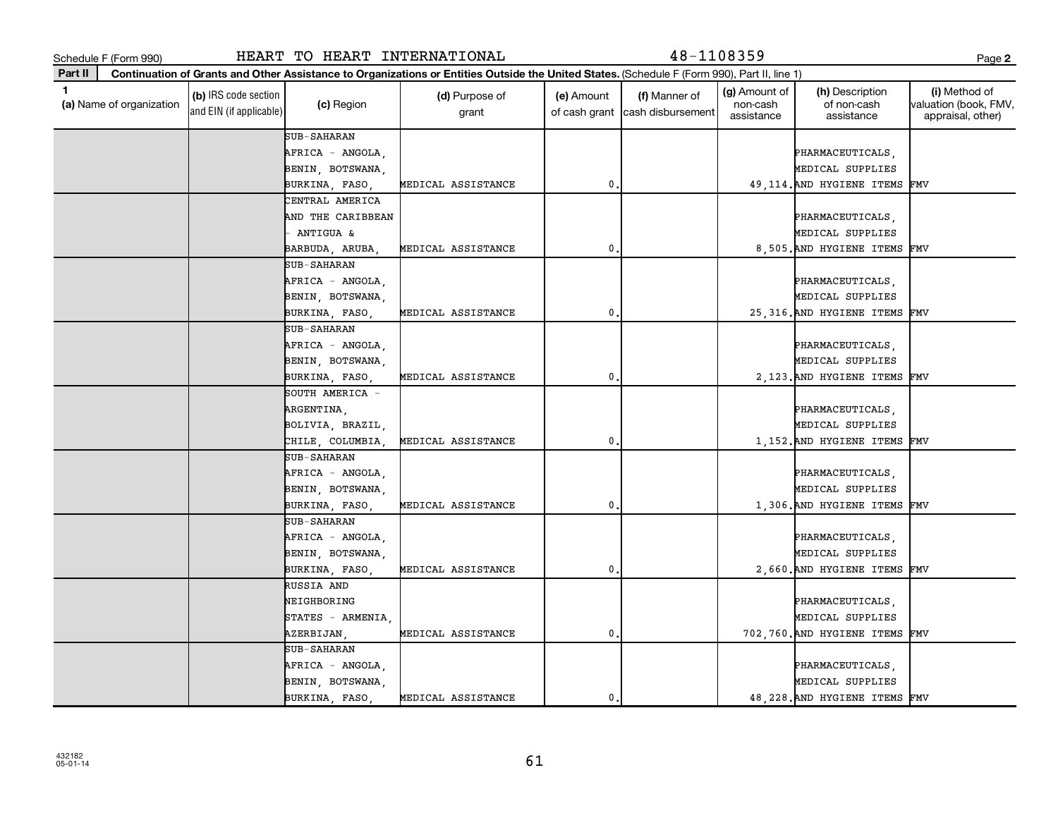432182 05-01-14

| Schedule F (Form 990)         |                                                 | HEART TO HEART INTERNATIONAL |                                                                                                                                              |                             | 48-1108359                         |                                         |                                              | Page 2                                                      |
|-------------------------------|-------------------------------------------------|------------------------------|----------------------------------------------------------------------------------------------------------------------------------------------|-----------------------------|------------------------------------|-----------------------------------------|----------------------------------------------|-------------------------------------------------------------|
| Part II                       |                                                 |                              | Continuation of Grants and Other Assistance to Organizations or Entities Outside the United States. (Schedule F (Form 990), Part II, line 1) |                             |                                    |                                         |                                              |                                                             |
| 1<br>(a) Name of organization | (b) IRS code section<br>and EIN (if applicable) | (c) Region                   | (d) Purpose of<br>grant                                                                                                                      | (e) Amount<br>of cash grant | (f) Manner of<br>cash disbursement | (g) Amount of<br>non-cash<br>assistance | (h) Description<br>of non-cash<br>assistance | (i) Method of<br>valuation (book, FMV,<br>appraisal, other) |
|                               |                                                 | <b>SUB-SAHARAN</b>           |                                                                                                                                              |                             |                                    |                                         |                                              |                                                             |
|                               |                                                 | AFRICA - ANGOLA              |                                                                                                                                              |                             |                                    |                                         | PHARMACEUTICALS,                             |                                                             |
|                               |                                                 | BENIN, BOTSWANA,             |                                                                                                                                              |                             |                                    |                                         | MEDICAL SUPPLIES                             |                                                             |
|                               |                                                 | BURKINA, FASO,               | MEDICAL ASSISTANCE                                                                                                                           | 0                           |                                    |                                         | 49, 114. AND HYGIENE ITEMS                   | FMV                                                         |
|                               |                                                 | CENTRAL AMERICA              |                                                                                                                                              |                             |                                    |                                         |                                              |                                                             |
|                               |                                                 | AND THE CARIBBEAN            |                                                                                                                                              |                             |                                    |                                         | PHARMACEUTICALS,                             |                                                             |
|                               |                                                 | <b>ANTIGUA &amp;</b>         |                                                                                                                                              |                             |                                    |                                         | MEDICAL SUPPLIES                             |                                                             |
|                               |                                                 | BARBUDA, ARUBA               | MEDICAL ASSISTANCE                                                                                                                           | 0                           |                                    |                                         | 8,505. AND HYGIENE ITEMS                     | FMV                                                         |
|                               |                                                 | <b>SUB-SAHARAN</b>           |                                                                                                                                              |                             |                                    |                                         |                                              |                                                             |
|                               |                                                 | AFRICA - ANGOLA,             |                                                                                                                                              |                             |                                    |                                         | PHARMACEUTICALS,                             |                                                             |
|                               |                                                 | BENIN, BOTSWANA,             |                                                                                                                                              |                             |                                    |                                         | MEDICAL SUPPLIES                             |                                                             |
|                               |                                                 | BURKINA, FASO,               | MEDICAL ASSISTANCE                                                                                                                           | 0                           |                                    |                                         | 25, 316. AND HYGIENE ITEMS                   | FMV                                                         |
|                               |                                                 | SUB-SAHARAN                  |                                                                                                                                              |                             |                                    |                                         |                                              |                                                             |
|                               |                                                 | AFRICA - ANGOLA              |                                                                                                                                              |                             |                                    |                                         | PHARMACEUTICALS,                             |                                                             |
|                               |                                                 | BENIN, BOTSWANA,             |                                                                                                                                              |                             |                                    |                                         | MEDICAL SUPPLIES                             |                                                             |
|                               |                                                 | BURKINA, FASO,               | MEDICAL ASSISTANCE                                                                                                                           | 0                           |                                    |                                         | 2,123. AND HYGIENE ITEMS                     | FMV                                                         |
|                               |                                                 | SOUTH AMERICA -              |                                                                                                                                              |                             |                                    |                                         |                                              |                                                             |
|                               |                                                 | ARGENTINA,                   |                                                                                                                                              |                             |                                    |                                         | PHARMACEUTICALS,                             |                                                             |
|                               |                                                 | BOLIVIA, BRAZIL              |                                                                                                                                              |                             |                                    |                                         | MEDICAL SUPPLIES                             |                                                             |
|                               |                                                 | CHILE, COLUMBIA              | MEDICAL ASSISTANCE                                                                                                                           | 0                           |                                    |                                         | 1,152. AND HYGIENE ITEMS                     | FMV                                                         |
|                               |                                                 | SUB-SAHARAN                  |                                                                                                                                              |                             |                                    |                                         |                                              |                                                             |
|                               |                                                 | AFRICA - ANGOLA              |                                                                                                                                              |                             |                                    |                                         | PHARMACEUTICALS,                             |                                                             |
|                               |                                                 | BENIN, BOTSWANA,             |                                                                                                                                              |                             |                                    |                                         | MEDICAL SUPPLIES                             |                                                             |
|                               |                                                 | BURKINA, FASO,               | MEDICAL ASSISTANCE                                                                                                                           | 0                           |                                    |                                         | 1,306. AND HYGIENE ITEMS                     | FMV                                                         |
|                               |                                                 | SUB-SAHARAN                  |                                                                                                                                              |                             |                                    |                                         |                                              |                                                             |
|                               |                                                 | AFRICA - ANGOLA              |                                                                                                                                              |                             |                                    |                                         | PHARMACEUTICALS,                             |                                                             |
|                               |                                                 | BENIN, BOTSWANA,             |                                                                                                                                              |                             |                                    |                                         | MEDICAL SUPPLIES                             |                                                             |
|                               |                                                 | BURKINA, FASO,               | MEDICAL ASSISTANCE                                                                                                                           | 0                           |                                    |                                         | 2,660. AND HYGIENE ITEMS                     | FMV                                                         |
|                               |                                                 | RUSSIA AND                   |                                                                                                                                              |                             |                                    |                                         |                                              |                                                             |
|                               |                                                 | NEIGHBORING                  |                                                                                                                                              |                             |                                    |                                         | PHARMACEUTICALS,                             |                                                             |
|                               |                                                 | STATES - ARMENIA,            |                                                                                                                                              |                             |                                    |                                         | MEDICAL SUPPLIES                             |                                                             |
|                               |                                                 | AZERBIJAN,                   | MEDICAL ASSISTANCE                                                                                                                           | 0                           |                                    |                                         | 702,760. AND HYGIENE ITEMS                   | FMV                                                         |
|                               |                                                 | SUB-SAHARAN                  |                                                                                                                                              |                             |                                    |                                         |                                              |                                                             |
|                               |                                                 | AFRICA - ANGOLA,             |                                                                                                                                              |                             |                                    |                                         | PHARMACEUTICALS,                             |                                                             |
|                               |                                                 | BENIN, BOTSWANA,             |                                                                                                                                              |                             |                                    |                                         | MEDICAL SUPPLIES                             |                                                             |
|                               |                                                 | BURKINA, FASO,               | MEDICAL ASSISTANCE                                                                                                                           | 0                           |                                    |                                         | 48, 228. AND HYGIENE ITEMS FMV               |                                                             |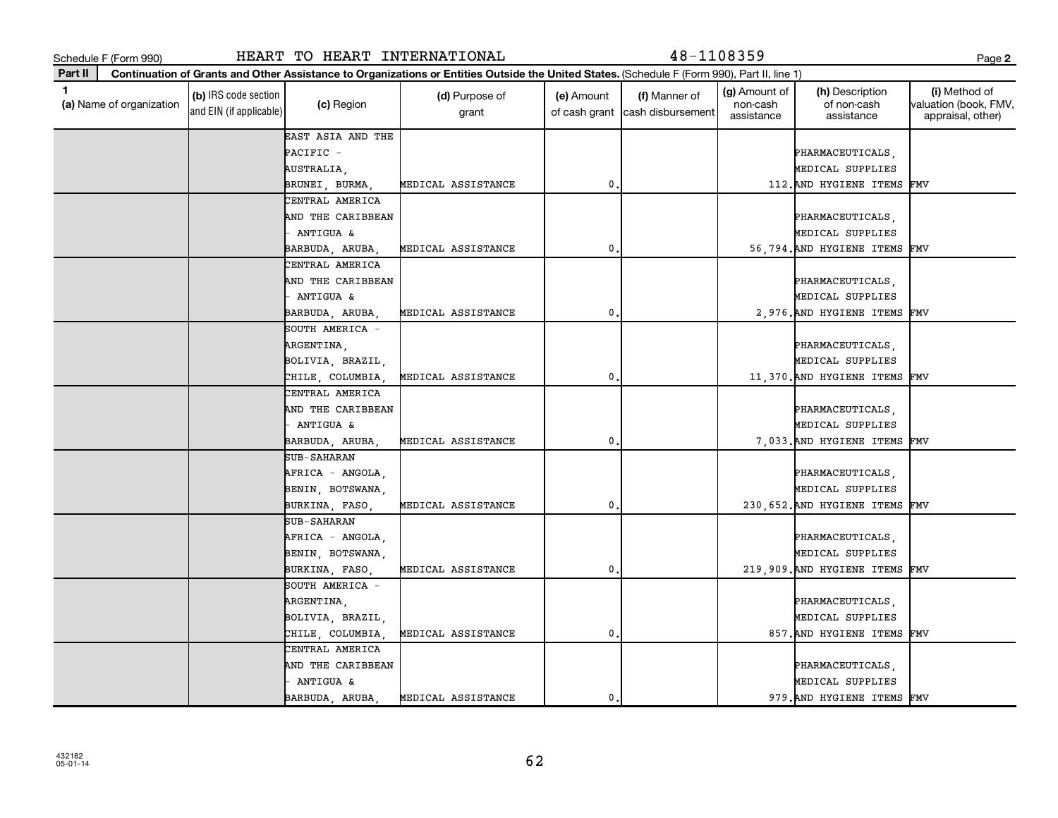| Schedule F (Form 990) |  |
|-----------------------|--|
|                       |  |

Schedule F (Form 990) HEART TO HEART INTERNATIONAL 48-1108359 Page

**2**

**Part II (a)**  Name of organization **Continuation of Grants and Other Assistance to Organizations or Entities Outside the United States.**  (Schedule F (Form 990), Part II, line 1) **(b)** IRS code section (c) Region (c) Region (d) Purpose of (e) Amount (f) Manner of (g) Amount of (h) Description (i)<br>
(a) Name of organization (the content of non-cash valuation (d) Region (d) Purpose of (e) Amount (f) M and EIN (if applicable) (c) Region (d) Purpose of grant (e) Amount of cash grant (f) Manner of cash disbursement (g) Amount of non-cash assistance (h) Description of non-cash assistance Method of valuation (book, FMV, appraisal, other) EAST ASIA AND THE PACIFIC - PHARMACEUTICALS, PHARMACEUTICALS, PHARMACEUTICALS, PHARMACEUTICALS, PHARMACEUTICALS, PHARMACEUTICALS, AUSTRALIA, MEDICAL SUPPLIES BRUNEI, BURMA, MEDICAL ASSISTANCE 0. 112.AND HYGIENE ITEMS FMV CENTRAL AMERICA AND THE CARIBBEAN PHARMACEUTICALS, AND THE CARIBBEAN PHARMACEUTICALS, AND THE RESERVED BEHARMACEUTICALS, - ANTIGUA & MEDICAL SUPPLIES BARBUDA, ARUBA, MEDICAL ASSISTANCE | 0. 6. 56,794.AND HYGIENE ITEMS FMV CENTRAL AMERICA AND THE CARIBBEAN PHARMACEUTICALS, - ANTIGUA & MEDICAL SUPPLIES BARBUDA, ARUBA, MEDICAL ASSISTANCE | 0. 0. 2,976.AND HYGIENE ITEMS FMV SOUTH AMERICA ARGENTINA, PHARMACEUTICALS, BOLIVIA, BRAZIL, MEDICAL SUPPLIES CHILE, COLUMBIA, MEDICAL ASSISTANCE 0. 11,370.AND HYGIENE ITEMS FMV CENTRAL AMERICA AND THE CARIBBEAN PHARMACEUTICALS, AND THE CARIBBEAN PHARMACEUTICALS, AND THE RESERVED BEHARMACEUTICALS, - ANTIGUA & MEDICAL SUPPLIES BARBUDA, ARUBA, MEDICAL ASSISTANCE | 0. 0. 7,033.AND HYGIENE ITEMS FMV SUB-SAHARAN AFRICA - ANGOLA, PHARMACEUTICALS, PHARMACEUTICALS, PHARMACEUTICALS, PHARMACEUTICALS, PHARMACEUTICALS, PHARMACEUTICALS, PHARMACEUTICALS, PHARMACEUTICALS, PHARMACEUTICALS, PHARMACEUTICALS, PHARMACEUTICALS, PHARMACEUTICALS, P BENIN, BOTSWANA, MEDICAL SUPPLIES BURKINA, FASO, MEDICAL ASSISTANCE 0. 230,652.AND HYGIENE ITEMS FMV SUB-SAHARAN AFRICA - ANGOLA, PHARMACEUTICALS, PHARMACEUTICALS, PHARMACEUTICALS, PHARMACEUTICALS, PHARMACEUTICALS, PHARMACEUTICALS, PHARMACEUTICALS, PHARMACEUTICALS, PHARMACEUTICALS, PHARMACEUTICALS, PHARMACEUTICALS, PHARMACEUTICALS, P BENIN, BOTSWANA, MEDICAL SUPPLIES BURKINA, FASO, MEDICAL ASSISTANCE 0. 219,909.AND HYGIENE ITEMS FMV SOUTH AMERICA ARGENTINA, PHARMACEUTICALS, BOLIVIA BRAZIL, I STATISTICAL SUPPLIES CHILE, COLUMBIA, MEDICAL ASSISTANCE 0. 857.AND HYGIENE ITEMS FMV CENTRAL AMERICA AND THE CARIBBEAN **PHARMACEUTICALS, International Contract CARI** PHARMACEUTICALS, - ANTIGUA & MEDICAL SUPPLIES BARBUDA, ARUBA, MEDICAL ASSISTANCE | 0. 979.AND HYGIENE ITEMS FMV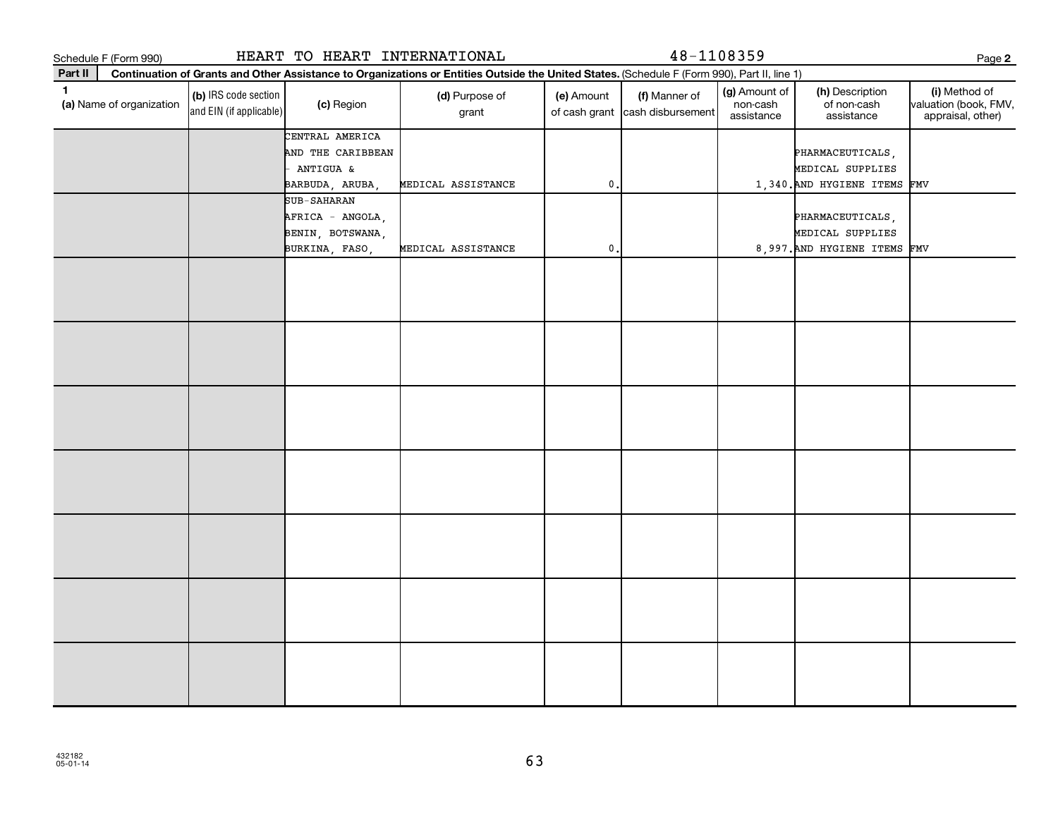|         | Schedule F (Form 990)    |                                                 | HEART TO HEART INTERNATIONAL                      |                                                                                                                                              |               | 48-1108359                                       |                                         |                                              | Page 2                                                      |
|---------|--------------------------|-------------------------------------------------|---------------------------------------------------|----------------------------------------------------------------------------------------------------------------------------------------------|---------------|--------------------------------------------------|-----------------------------------------|----------------------------------------------|-------------------------------------------------------------|
| Part II |                          |                                                 |                                                   | Continuation of Grants and Other Assistance to Organizations or Entities Outside the United States. (Schedule F (Form 990), Part II, line 1) |               |                                                  |                                         |                                              |                                                             |
| 1       | (a) Name of organization | (b) IRS code section<br>and EIN (if applicable) | (c) Region                                        | (d) Purpose of<br>grant                                                                                                                      | (e) Amount    | (f) Manner of<br>of cash grant cash disbursement | (g) Amount of<br>non-cash<br>assistance | (h) Description<br>of non-cash<br>assistance | (i) Method of<br>valuation (book, FMV,<br>appraisal, other) |
|         |                          |                                                 | CENTRAL AMERICA<br>AND THE CARIBBEAN<br>ANTIGUA & |                                                                                                                                              |               |                                                  |                                         | PHARMACEUTICALS,<br>MEDICAL SUPPLIES         |                                                             |
|         |                          |                                                 | BARBUDA, ARUBA,                                   | MEDICAL ASSISTANCE                                                                                                                           | $\mathbf 0$ . |                                                  |                                         | 1,340. AND HYGIENE ITEMS FMV                 |                                                             |
|         |                          |                                                 | <b>SUB-SAHARAN</b><br>AFRICA - ANGOLA,            |                                                                                                                                              |               |                                                  |                                         | PHARMACEUTICALS,                             |                                                             |
|         |                          |                                                 | BENIN, BOTSWANA,                                  |                                                                                                                                              |               |                                                  |                                         | MEDICAL SUPPLIES                             |                                                             |
|         |                          |                                                 | BURKINA, FASO,                                    | MEDICAL ASSISTANCE                                                                                                                           | $\pmb{0}$     |                                                  |                                         | 8,997. AND HYGIENE ITEMS FMV                 |                                                             |
|         |                          |                                                 |                                                   |                                                                                                                                              |               |                                                  |                                         |                                              |                                                             |
|         |                          |                                                 |                                                   |                                                                                                                                              |               |                                                  |                                         |                                              |                                                             |
|         |                          |                                                 |                                                   |                                                                                                                                              |               |                                                  |                                         |                                              |                                                             |
|         |                          |                                                 |                                                   |                                                                                                                                              |               |                                                  |                                         |                                              |                                                             |
|         |                          |                                                 |                                                   |                                                                                                                                              |               |                                                  |                                         |                                              |                                                             |
|         |                          |                                                 |                                                   |                                                                                                                                              |               |                                                  |                                         |                                              |                                                             |
|         |                          |                                                 |                                                   |                                                                                                                                              |               |                                                  |                                         |                                              |                                                             |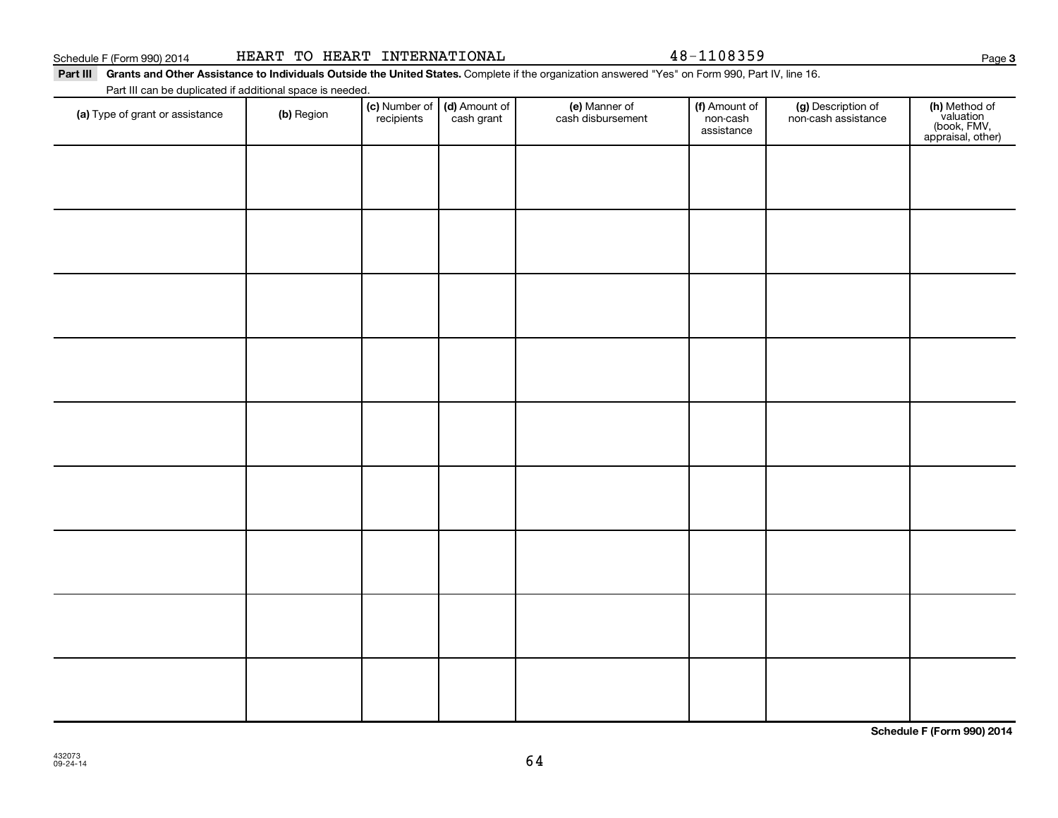| HEART TO HEART |  |  | INTERNATIONAL |
|----------------|--|--|---------------|
|----------------|--|--|---------------|

48-1108359

Part III Grants and Other Assistance to Individuals Outside the United States. Complete if the organization answered "Yes" on Form 990, Part IV, line 16.

Part III can be duplicated if additional space is needed.

| (a) Type of grant or assistance | (b) Region | (c) Number of (d) Amount of recipients cash grant | (e) Manner of<br>cash disbursement | (f) Amount of<br>non-cash<br>assistance | (g) Description of<br>non-cash assistance | (h) Method of<br>valuation<br>(book, FMV,<br>appraisal, other) |
|---------------------------------|------------|---------------------------------------------------|------------------------------------|-----------------------------------------|-------------------------------------------|----------------------------------------------------------------|
|                                 |            |                                                   |                                    |                                         |                                           |                                                                |
|                                 |            |                                                   |                                    |                                         |                                           |                                                                |
|                                 |            |                                                   |                                    |                                         |                                           |                                                                |
|                                 |            |                                                   |                                    |                                         |                                           |                                                                |
|                                 |            |                                                   |                                    |                                         |                                           |                                                                |
|                                 |            |                                                   |                                    |                                         |                                           |                                                                |
|                                 |            |                                                   |                                    |                                         |                                           |                                                                |
|                                 |            |                                                   |                                    |                                         |                                           |                                                                |
|                                 |            |                                                   |                                    |                                         |                                           |                                                                |
|                                 |            |                                                   |                                    |                                         |                                           |                                                                |
|                                 |            |                                                   |                                    |                                         |                                           |                                                                |

**Schedule F (Form 990) 2014**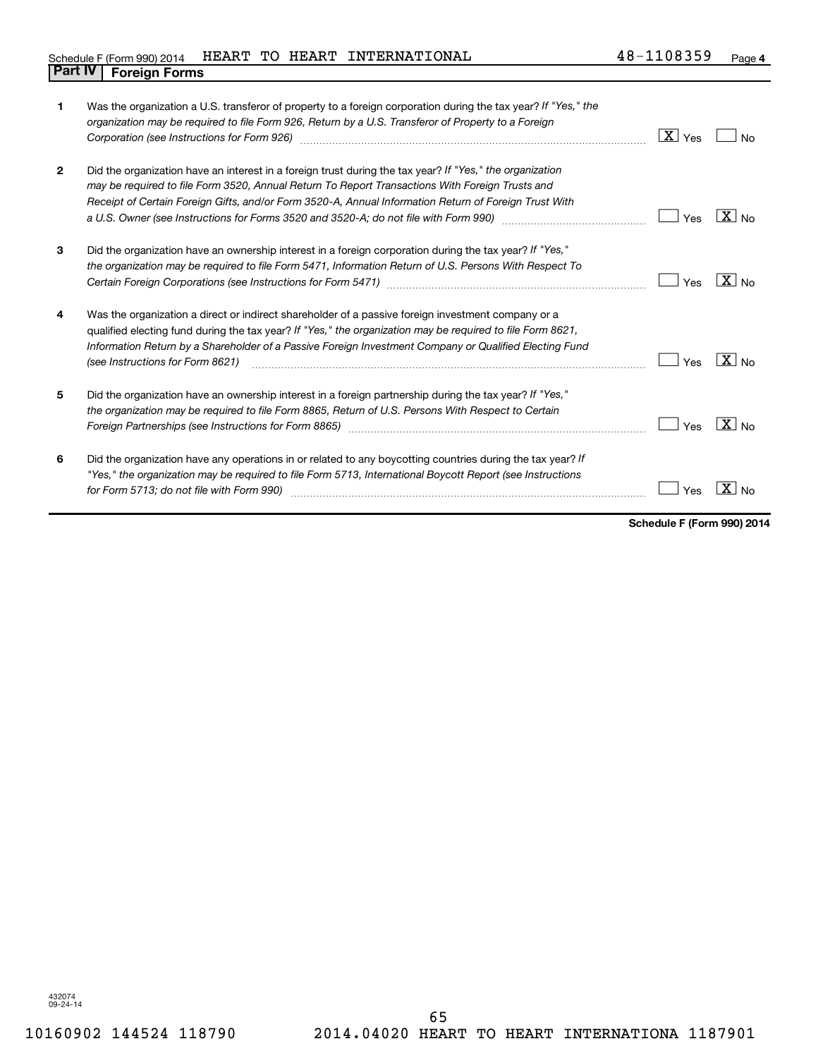## Schedule F (Form 990) 2014  $\parallel$  HEART TO HEART INTERNATIONAL  $\parallel$  48-1108359  $\parallel$  Page **Part IV F** (Form 990) 2014 1

| 1              | Was the organization a U.S. transferor of property to a foreign corporation during the tax year? If "Yes," the<br>organization may be required to file Form 926, Return by a U.S. Transferor of Property to a Foreign<br>Corporation (see Instructions for Form 926)                                                                                                                                                                   | $X$ $\gamma$ es | N٥                |
|----------------|----------------------------------------------------------------------------------------------------------------------------------------------------------------------------------------------------------------------------------------------------------------------------------------------------------------------------------------------------------------------------------------------------------------------------------------|-----------------|-------------------|
| $\overline{2}$ | Did the organization have an interest in a foreign trust during the tax year? If "Yes," the organization<br>may be required to file Form 3520, Annual Return To Report Transactions With Foreign Trusts and<br>Receipt of Certain Foreign Gifts, and/or Form 3520-A, Annual Information Return of Foreign Trust With<br>a U.S. Owner (see Instructions for Forms 3520 and 3520-A; do not file with Form 990) manual content content co | Yes             | $ X _{\text{No}}$ |
| 3              | Did the organization have an ownership interest in a foreign corporation during the tax year? If "Yes,"<br>the organization may be required to file Form 5471, Information Return of U.S. Persons With Respect To<br>Certain Foreign Corporations (see Instructions for Form 5471) [11] [12] [12] Certain Foreign Corporations (see Instructions for Form 5471)                                                                        | Yes             | $X \mid N_{0}$    |
| 4              | Was the organization a direct or indirect shareholder of a passive foreign investment company or a<br>qualified electing fund during the tax year? If "Yes," the organization may be required to file Form 8621,<br>Information Return by a Shareholder of a Passive Foreign Investment Company or Qualified Electing Fund<br>(see Instructions for Form 8621)                                                                         | Yes             | $ X _{\sf No}$    |
| 5              | Did the organization have an ownership interest in a foreign partnership during the tax year? If "Yes,"<br>the organization may be required to file Form 8865, Return of U.S. Persons With Respect to Certain<br>Foreign Partnerships (see Instructions for Form 8865) manufactured content to the manufactured resources and t                                                                                                        | Yes             | $X _{N0}$         |
| 6              | Did the organization have any operations in or related to any boycotting countries during the tax year? If<br>"Yes," the organization may be required to file Form 5713, International Boycott Report (see Instructions<br>for Form 5713; do not file with Form 990)                                                                                                                                                                   | Yes             |                   |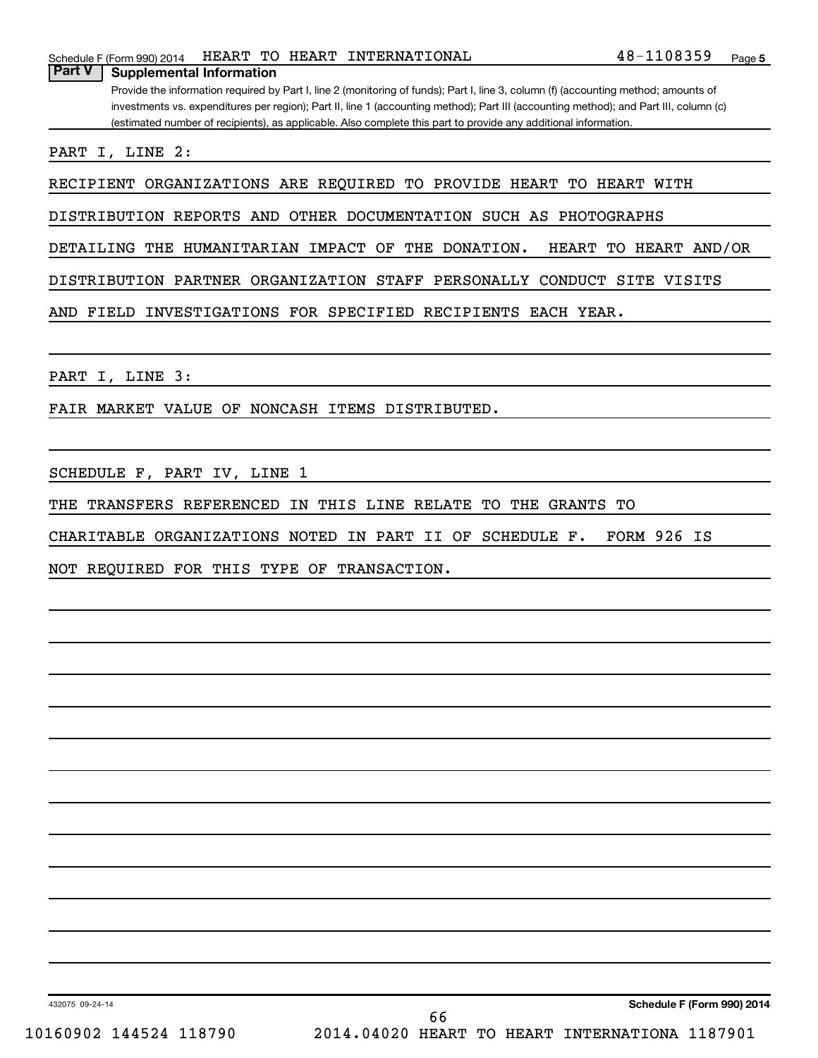Provide the information required by Part I, line 2 (monitoring of funds); Part I, line 3, column (f) (accounting method; amounts of investments vs. expenditures per region); Part II, line 1 (accounting method); Part III (accounting method); and Part III, column (c) (estimated number of recipients), as applicable. Also complete this part to provide any additional information.

PART I, LINE 2:

RECIPIENT ORGANIZATIONS ARE REQUIRED TO PROVIDE HEART TO HEART WITH

DISTRIBUTION REPORTS AND OTHER DOCUMENTATION SUCH AS PHOTOGRAPHS

DETAILING THE HUMANITARIAN IMPACT OF THE DONATION. HEART TO HEART AND/OR

DISTRIBUTION PARTNER ORGANIZATION STAFF PERSONALLY CONDUCT SITE VISITS

AND FIELD INVESTIGATIONS FOR SPECIFIED RECIPIENTS EACH YEAR.

PART I, LINE 3:

FAIR MARKET VALUE OF NONCASH ITEMS DISTRIBUTED.

SCHEDULE F, PART IV, LINE 1

THE TRANSFERS REFERENCED IN THIS LINE RELATE TO THE GRANTS TO

CHARITABLE ORGANIZATIONS NOTED IN PART II OF SCHEDULE F. FORM 926 IS

NOT REQUIRED FOR THIS TYPE OF TRANSACTION.

432075 09-24-14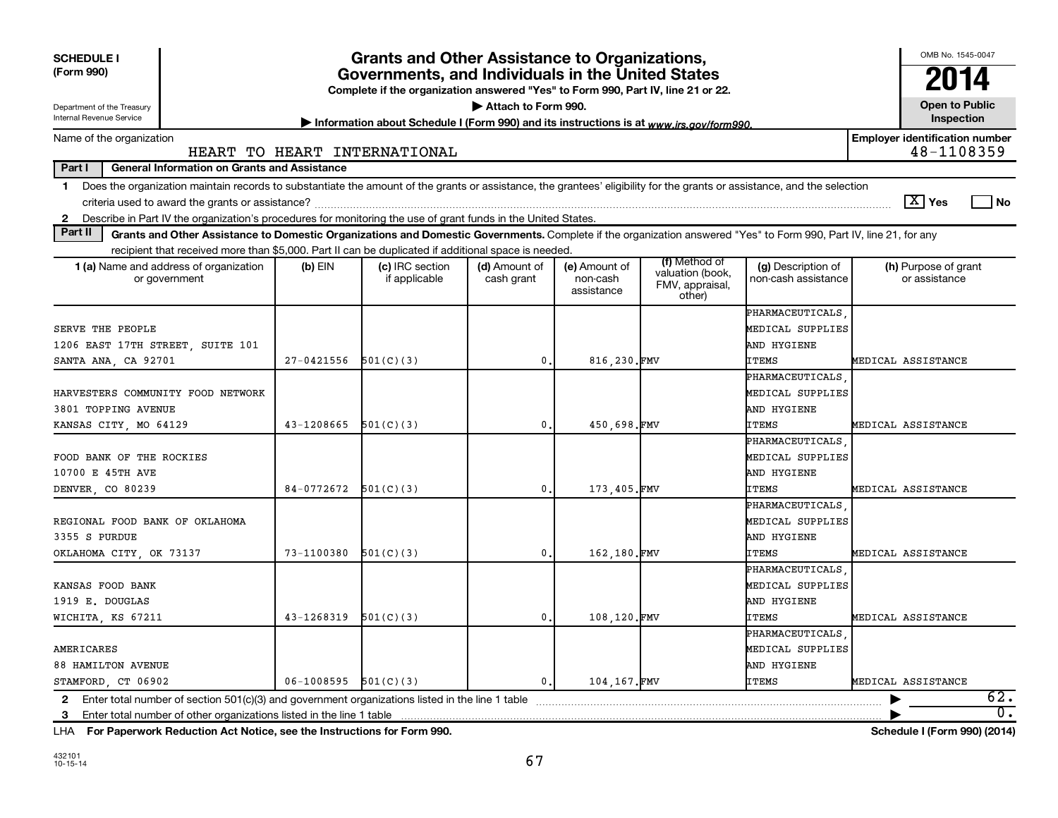| <b>SCHEDULE I</b><br>(Form 990)<br>Department of the Treasury<br>Internal Revenue Service                                                                                     |                          | <b>Grants and Other Assistance to Organizations,</b><br>Governments, and Individuals in the United States<br>Complete if the organization answered "Yes" to Form 990, Part IV, line 21 or 22.<br>Information about Schedule I (Form 990) and its instructions is at www.irs.gov/form990. | Attach to Form 990.         |                                         |                                                                |                                                                     |                                       | OMB No. 1545-0047<br><b>Open to Public</b><br>Inspection |
|-------------------------------------------------------------------------------------------------------------------------------------------------------------------------------|--------------------------|------------------------------------------------------------------------------------------------------------------------------------------------------------------------------------------------------------------------------------------------------------------------------------------|-----------------------------|-----------------------------------------|----------------------------------------------------------------|---------------------------------------------------------------------|---------------------------------------|----------------------------------------------------------|
| Name of the organization                                                                                                                                                      |                          |                                                                                                                                                                                                                                                                                          |                             |                                         |                                                                |                                                                     | <b>Employer identification number</b> |                                                          |
|                                                                                                                                                                               |                          | HEART TO HEART INTERNATIONAL                                                                                                                                                                                                                                                             |                             |                                         |                                                                |                                                                     |                                       | 48-1108359                                               |
| Part I<br><b>General Information on Grants and Assistance</b>                                                                                                                 |                          |                                                                                                                                                                                                                                                                                          |                             |                                         |                                                                |                                                                     |                                       |                                                          |
| Does the organization maintain records to substantiate the amount of the grants or assistance, the grantees' eligibility for the grants or assistance, and the selection<br>1 |                          |                                                                                                                                                                                                                                                                                          |                             |                                         |                                                                |                                                                     | $\boxed{\text{X}}$ Yes                | l No                                                     |
| 2 Describe in Part IV the organization's procedures for monitoring the use of grant funds in the United States.<br>Part II                                                    |                          |                                                                                                                                                                                                                                                                                          |                             |                                         |                                                                |                                                                     |                                       |                                                          |
| Grants and Other Assistance to Domestic Organizations and Domestic Governments. Complete if the organization answered "Yes" to Form 990, Part IV, line 21, for any            |                          |                                                                                                                                                                                                                                                                                          |                             |                                         |                                                                |                                                                     |                                       |                                                          |
| recipient that received more than \$5,000. Part II can be duplicated if additional space is needed.<br><b>1 (a)</b> Name and address of organization<br>or government         | $(b)$ EIN                | (c) IRC section<br>if applicable                                                                                                                                                                                                                                                         | (d) Amount of<br>cash grant | (e) Amount of<br>non-cash<br>assistance | (f) Method of<br>valuation (book,<br>FMV, appraisal,<br>other) | (g) Description of<br>non-cash assistance                           | (h) Purpose of grant<br>or assistance |                                                          |
| SERVE THE PEOPLE<br>1206 EAST 17TH STREET, SUITE 101                                                                                                                          |                          |                                                                                                                                                                                                                                                                                          |                             |                                         |                                                                | PHARMACEUTICALS<br>MEDICAL SUPPLIES<br>AND HYGIENE                  |                                       |                                                          |
| SANTA ANA, CA 92701                                                                                                                                                           | 27-0421556               | 501(C)(3)                                                                                                                                                                                                                                                                                | $\mathbf{0}$ .              | 816,230.FMV                             |                                                                | <b>ITEMS</b>                                                        | MEDICAL ASSISTANCE                    |                                                          |
| HARVESTERS COMMUNITY FOOD NETWORK<br>3801 TOPPING AVENUE<br>KANSAS CITY, MO 64129                                                                                             | 43-1208665               | 501(C)(3)                                                                                                                                                                                                                                                                                | $\mathbf{0}$                | 450.698.FMV                             |                                                                | PHARMACEUTICALS.<br>MEDICAL SUPPLIES<br>AND HYGIENE<br><b>ITEMS</b> | MEDICAL ASSISTANCE                    |                                                          |
| FOOD BANK OF THE ROCKIES<br>10700 E 45TH AVE<br>DENVER, CO 80239                                                                                                              | 84-0772672               | 501(C)(3)                                                                                                                                                                                                                                                                                | $\mathbf{0}$ .              | 173,405.FMV                             |                                                                | PHARMACEUTICALS.<br>MEDICAL SUPPLIES<br>AND HYGIENE<br><b>ITEMS</b> | MEDICAL ASSISTANCE                    |                                                          |
| REGIONAL FOOD BANK OF OKLAHOMA<br>3355 S PURDUE<br>OKLAHOMA CITY, OK 73137                                                                                                    | 73-1100380               | 501(C)(3)                                                                                                                                                                                                                                                                                | $\mathbf 0$ .               | 162.180.FMV                             |                                                                | PHARMACEUTICALS.<br>MEDICAL SUPPLIES<br>AND HYGIENE<br><b>ITEMS</b> | MEDICAL ASSISTANCE                    |                                                          |
| KANSAS FOOD BANK<br>1919 E. DOUGLAS<br>WICHITA, KS 67211                                                                                                                      | 43-1268319               | 501(C)(3)                                                                                                                                                                                                                                                                                | $\mathbf 0$ .               | 108.120.FMV                             |                                                                | PHARMACEUTICALS<br>MEDICAL SUPPLIES<br>AND HYGIENE<br><b>ITEMS</b>  | MEDICAL ASSISTANCE                    |                                                          |
| AMERICARES<br><b>88 HAMILTON AVENUE</b><br>STAMFORD, CT 06902                                                                                                                 | $06-1008595$ $501(C)(3)$ |                                                                                                                                                                                                                                                                                          | 0.                          | 104,167.FMV                             |                                                                | PHARMACEUTICALS.<br>MEDICAL SUPPLIES<br>AND HYGIENE<br><b>ITEMS</b> | MEDICAL ASSISTANCE                    |                                                          |
| 3 Enter total number of other organizations listed in the line 1 table                                                                                                        |                          |                                                                                                                                                                                                                                                                                          |                             |                                         |                                                                |                                                                     |                                       | 62.<br>$\overline{0}$ .                                  |

**For Paperwork Reduction Act Notice, see the Instructions for Form 990. Schedule I (Form 990) (2014)** LHA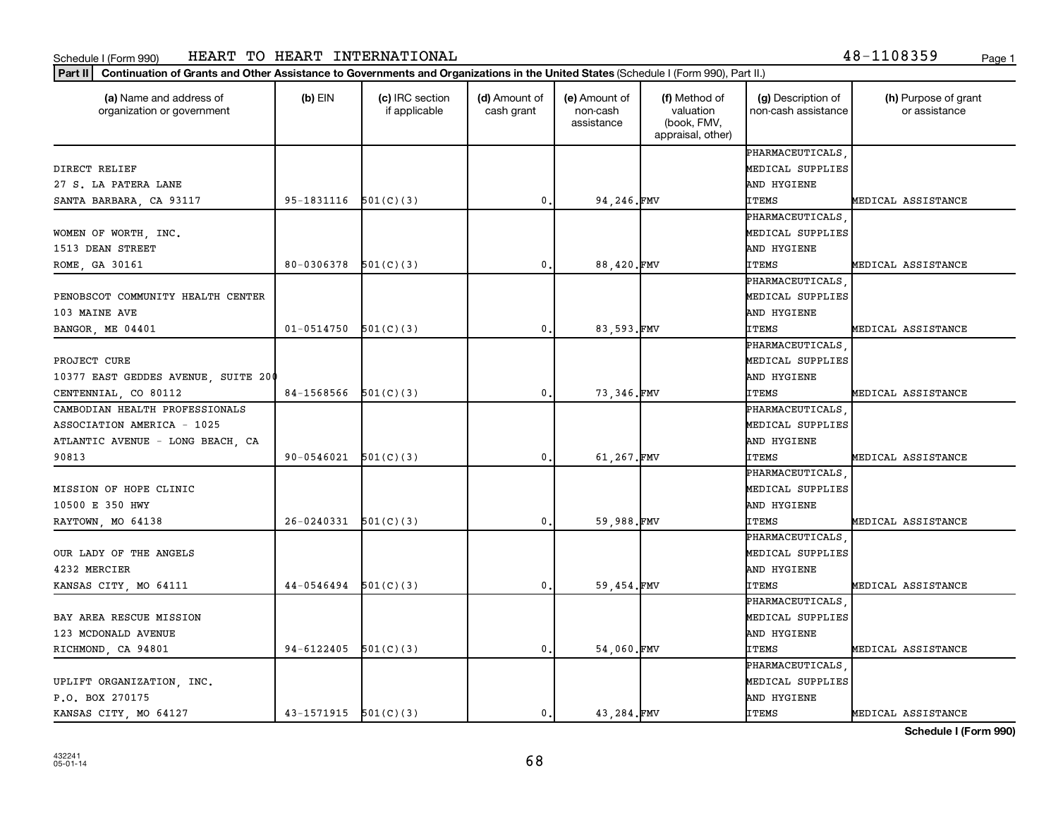| (a) Name and address of<br>organization or government | $(b)$ EIN                  | (c) IRC section<br>if applicable | (d) Amount of<br>cash grant | (e) Amount of<br>non-cash<br>assistance | (f) Method of<br>valuation<br>(book, FMV,<br>appraisal, other) | (g) Description of<br>non-cash assistance | (h) Purpose of grant<br>or assistance |
|-------------------------------------------------------|----------------------------|----------------------------------|-----------------------------|-----------------------------------------|----------------------------------------------------------------|-------------------------------------------|---------------------------------------|
|                                                       |                            |                                  |                             |                                         |                                                                | PHARMACEUTICALS                           |                                       |
| DIRECT RELIEF                                         |                            |                                  |                             |                                         |                                                                | MEDICAL SUPPLIES                          |                                       |
| 27 S. LA PATERA LANE                                  |                            |                                  |                             |                                         |                                                                | AND HYGIENE                               |                                       |
| SANTA BARBARA, CA 93117                               | $95-1831116$ $501(C)(3)$   |                                  | $\mathbf{0}$ .              | 94,246.FMV                              |                                                                | <b>ITEMS</b>                              | MEDICAL ASSISTANCE                    |
|                                                       |                            |                                  |                             |                                         |                                                                | PHARMACEUTICALS                           |                                       |
| WOMEN OF WORTH, INC.                                  |                            |                                  |                             |                                         |                                                                | MEDICAL SUPPLIES                          |                                       |
| 1513 DEAN STREET                                      |                            |                                  |                             |                                         |                                                                | AND HYGIENE                               |                                       |
| ROME, GA 30161                                        | 80-0306378                 | 501(C)(3)                        | $\mathbf{0}$ .              | 88,420.FMV                              |                                                                | <b>ITEMS</b>                              | MEDICAL ASSISTANCE                    |
|                                                       |                            |                                  |                             |                                         |                                                                | PHARMACEUTICALS                           |                                       |
| PENOBSCOT COMMUNITY HEALTH CENTER                     |                            |                                  |                             |                                         |                                                                | MEDICAL SUPPLIES                          |                                       |
| 103 MAINE AVE                                         |                            |                                  |                             |                                         |                                                                | AND HYGIENE                               |                                       |
| BANGOR, ME 04401                                      | $01 - 0514750$ $501(C)(3)$ |                                  | $\mathbf{0}$ .              | 83.593.FMV                              |                                                                | <b>ITEMS</b>                              | MEDICAL ASSISTANCE                    |
|                                                       |                            |                                  |                             |                                         |                                                                | PHARMACEUTICALS                           |                                       |
| PROJECT CURE                                          |                            |                                  |                             |                                         |                                                                | MEDICAL SUPPLIES                          |                                       |
| 10377 EAST GEDDES AVENUE, SUITE 200                   |                            |                                  |                             |                                         |                                                                | AND HYGIENE                               |                                       |
| CENTENNIAL, CO 80112                                  | $84-1568566$ $501(C)(3)$   |                                  | $\mathbf{0}$ .              | 73,346.FMV                              |                                                                | <b>ITEMS</b>                              | MEDICAL ASSISTANCE                    |
| CAMBODIAN HEALTH PROFESSIONALS                        |                            |                                  |                             |                                         |                                                                | PHARMACEUTICALS                           |                                       |
| ASSOCIATION AMERICA - 1025                            |                            |                                  |                             |                                         |                                                                | MEDICAL SUPPLIES                          |                                       |
| ATLANTIC AVENUE - LONG BEACH, CA                      |                            |                                  |                             |                                         |                                                                | AND HYGIENE                               |                                       |
| 90813                                                 | 90-0546021                 | 501(C)(3)                        | $\mathbf{0}$ .              | 61,267.FMV                              |                                                                | <b>ITEMS</b>                              | MEDICAL ASSISTANCE                    |
|                                                       |                            |                                  |                             |                                         |                                                                | PHARMACEUTICALS                           |                                       |
| MISSION OF HOPE CLINIC                                |                            |                                  |                             |                                         |                                                                | MEDICAL SUPPLIES                          |                                       |
| 10500 E 350 HWY                                       |                            |                                  |                             |                                         |                                                                | AND HYGIENE                               |                                       |
| RAYTOWN, MO 64138                                     | $26-0240331$ $501(C)(3)$   |                                  | $\mathbf{0}$ .              | 59,988.FMV                              |                                                                | <b>ITEMS</b>                              | MEDICAL ASSISTANCE                    |
|                                                       |                            |                                  |                             |                                         |                                                                | PHARMACEUTICALS                           |                                       |
| OUR LADY OF THE ANGELS                                |                            |                                  |                             |                                         |                                                                | MEDICAL SUPPLIES                          |                                       |
| 4232 MERCIER                                          |                            |                                  |                             |                                         |                                                                | AND HYGIENE                               |                                       |
| KANSAS CITY, MO 64111                                 | $44-0546494$ $501(C)(3)$   |                                  | $\mathbf{0}$ .              | 59,454.FMV                              |                                                                | ITEMS                                     | MEDICAL ASSISTANCE                    |
|                                                       |                            |                                  |                             |                                         |                                                                | PHARMACEUTICALS                           |                                       |
| BAY AREA RESCUE MISSION                               |                            |                                  |                             |                                         |                                                                | MEDICAL SUPPLIES                          |                                       |
| 123 MCDONALD AVENUE                                   |                            |                                  |                             |                                         |                                                                | AND HYGIENE                               |                                       |
| RICHMOND, CA 94801                                    | $94-6122405$ $501(C)(3)$   |                                  | $\mathbf{0}$ .              | 54,060.FMV                              |                                                                | <b>ITEMS</b>                              | MEDICAL ASSISTANCE                    |
|                                                       |                            |                                  |                             |                                         |                                                                | PHARMACEUTICALS                           |                                       |
| UPLIFT ORGANIZATION, INC.                             |                            |                                  |                             |                                         |                                                                | MEDICAL SUPPLIES                          |                                       |
| P.O. BOX 270175                                       |                            |                                  |                             |                                         |                                                                | AND HYGIENE                               |                                       |
| KANSAS CITY, MO 64127                                 | $43-1571915$ $501(C)(3)$   |                                  | 0.                          | 43.284.FMV                              |                                                                | <b>ITEMS</b>                              | MEDICAL ASSISTANCE                    |
|                                                       |                            |                                  |                             |                                         |                                                                |                                           |                                       |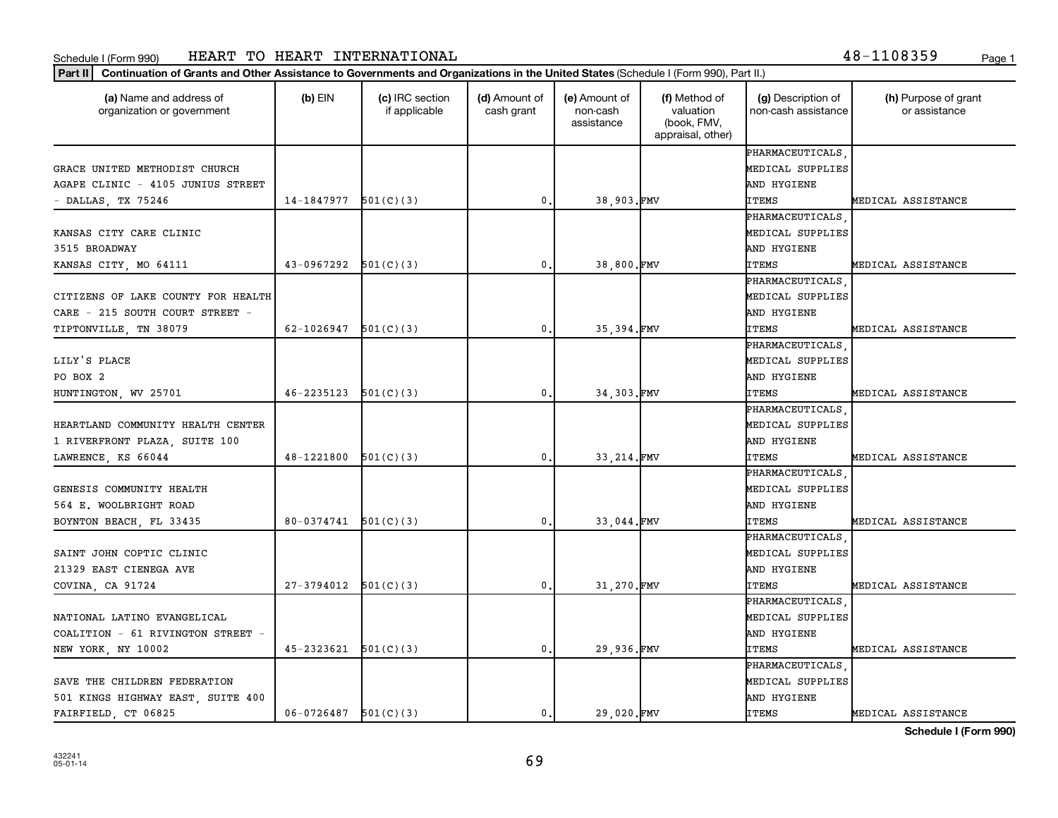| 18-1108359<br>Page |  |  |  |  |  |  |  |  |  |  |
|--------------------|--|--|--|--|--|--|--|--|--|--|
|--------------------|--|--|--|--|--|--|--|--|--|--|

| (a) Name and address of<br>organization or government | $(b)$ EIN                    | (c) IRC section<br>if applicable | (d) Amount of<br>cash grant | (e) Amount of<br>non-cash<br>assistance | (f) Method of<br>valuation<br>(book, FMV,<br>appraisal, other) | (g) Description of<br>non-cash assistance | (h) Purpose of grant<br>or assistance |
|-------------------------------------------------------|------------------------------|----------------------------------|-----------------------------|-----------------------------------------|----------------------------------------------------------------|-------------------------------------------|---------------------------------------|
|                                                       |                              |                                  |                             |                                         |                                                                | PHARMACEUTICALS                           |                                       |
| GRACE UNITED METHODIST CHURCH                         |                              |                                  |                             |                                         |                                                                | MEDICAL SUPPLIES                          |                                       |
| AGAPE CLINIC - 4105 JUNIUS STREET                     |                              |                                  |                             |                                         |                                                                | AND HYGIENE                               |                                       |
| - DALLAS, TX 75246                                    | 14-1847977                   | 501(C)(3)                        | 0.                          | 38,903.FMV                              |                                                                | <b>ITEMS</b>                              | MEDICAL ASSISTANCE                    |
|                                                       |                              |                                  |                             |                                         |                                                                | PHARMACEUTICALS                           |                                       |
| KANSAS CITY CARE CLINIC                               |                              |                                  |                             |                                         |                                                                | MEDICAL SUPPLIES                          |                                       |
| 3515 BROADWAY                                         |                              |                                  |                             |                                         |                                                                | AND HYGIENE                               |                                       |
| KANSAS CITY, MO 64111                                 | 43-0967292                   | 501(C)(3)                        | $\mathbf{0}$ .              | 38,800.FMV                              |                                                                | <b>ITEMS</b>                              | MEDICAL ASSISTANCE                    |
|                                                       |                              |                                  |                             |                                         |                                                                | PHARMACEUTICALS                           |                                       |
| CITIZENS OF LAKE COUNTY FOR HEALTH                    |                              |                                  |                             |                                         |                                                                | MEDICAL SUPPLIES                          |                                       |
| CARE - 215 SOUTH COURT STREET -                       |                              |                                  |                             |                                         |                                                                | AND HYGIENE                               |                                       |
| TIPTONVILLE, TN 38079                                 | 62-1026947 $\vert$ 501(C)(3) |                                  | $\mathbf{0}$ .              | 35,394.FMV                              |                                                                | <b>ITEMS</b>                              | MEDICAL ASSISTANCE                    |
|                                                       |                              |                                  |                             |                                         |                                                                | PHARMACEUTICALS                           |                                       |
| LILY'S PLACE                                          |                              |                                  |                             |                                         |                                                                | MEDICAL SUPPLIES                          |                                       |
| PO BOX 2                                              |                              |                                  |                             |                                         |                                                                | AND HYGIENE                               |                                       |
| HUNTINGTON, WV 25701                                  | $46 - 2235123$               | 501(C)(3)                        | 0.                          | 34,303.FMV                              |                                                                | ITEMS                                     | MEDICAL ASSISTANCE                    |
|                                                       |                              |                                  |                             |                                         |                                                                | PHARMACEUTICALS                           |                                       |
| HEARTLAND COMMUNITY HEALTH CENTER                     |                              |                                  |                             |                                         |                                                                | MEDICAL SUPPLIES                          |                                       |
| 1 RIVERFRONT PLAZA, SUITE 100                         |                              |                                  |                             |                                         |                                                                | AND HYGIENE                               |                                       |
| LAWRENCE, KS 66044                                    | 48-1221800                   | 501(C)(3)                        | $\mathbf{0}$ .              | 33, 214.FMV                             |                                                                | <b>ITEMS</b>                              | MEDICAL ASSISTANCE                    |
|                                                       |                              |                                  |                             |                                         |                                                                | PHARMACEUTICALS                           |                                       |
| GENESIS COMMUNITY HEALTH                              |                              |                                  |                             |                                         |                                                                | MEDICAL SUPPLIES                          |                                       |
| 564 E. WOOLBRIGHT ROAD                                |                              |                                  |                             |                                         |                                                                | AND HYGIENE                               |                                       |
| BOYNTON BEACH, FL 33435                               | $80-0374741$ $501(C)(3)$     |                                  | 0.                          | 33,044.FMV                              |                                                                | <b>ITEMS</b>                              | MEDICAL ASSISTANCE                    |
|                                                       |                              |                                  |                             |                                         |                                                                | PHARMACEUTICALS                           |                                       |
| SAINT JOHN COPTIC CLINIC                              |                              |                                  |                             |                                         |                                                                | MEDICAL SUPPLIES                          |                                       |
| 21329 EAST CIENEGA AVE                                |                              |                                  |                             |                                         |                                                                | AND HYGIENE                               |                                       |
| COVINA, CA 91724                                      | $27-3794012$ $501(C)(3)$     |                                  | $\mathbf{0}$                | 31,270.FMV                              |                                                                | <b>ITEMS</b>                              | MEDICAL ASSISTANCE                    |
|                                                       |                              |                                  |                             |                                         |                                                                | PHARMACEUTICALS                           |                                       |
| NATIONAL LATINO EVANGELICAL                           |                              |                                  |                             |                                         |                                                                | MEDICAL SUPPLIES                          |                                       |
|                                                       |                              |                                  |                             |                                         |                                                                | AND HYGIENE                               |                                       |
| COALITION - 61 RIVINGTON STREET -                     |                              |                                  |                             |                                         |                                                                |                                           |                                       |
| NEW YORK, NY 10002                                    | 45-2323621                   | 501(C)(3)                        | $\mathbf{0}$ .              | 29,936.FMV                              |                                                                | <b>ITEMS</b>                              | MEDICAL ASSISTANCE                    |
|                                                       |                              |                                  |                             |                                         |                                                                | PHARMACEUTICALS                           |                                       |
| SAVE THE CHILDREN FEDERATION                          |                              |                                  |                             |                                         |                                                                | MEDICAL SUPPLIES                          |                                       |
| 501 KINGS HIGHWAY EAST, SUITE 400                     |                              |                                  |                             |                                         |                                                                | AND HYGIENE                               |                                       |
| FAIRFIELD, CT 06825                                   | $06-0726487$ $501(C)(3)$     |                                  | 0.                          | 29,020.FMV                              |                                                                | <b>ITEMS</b>                              | MEDICAL ASSISTANCE                    |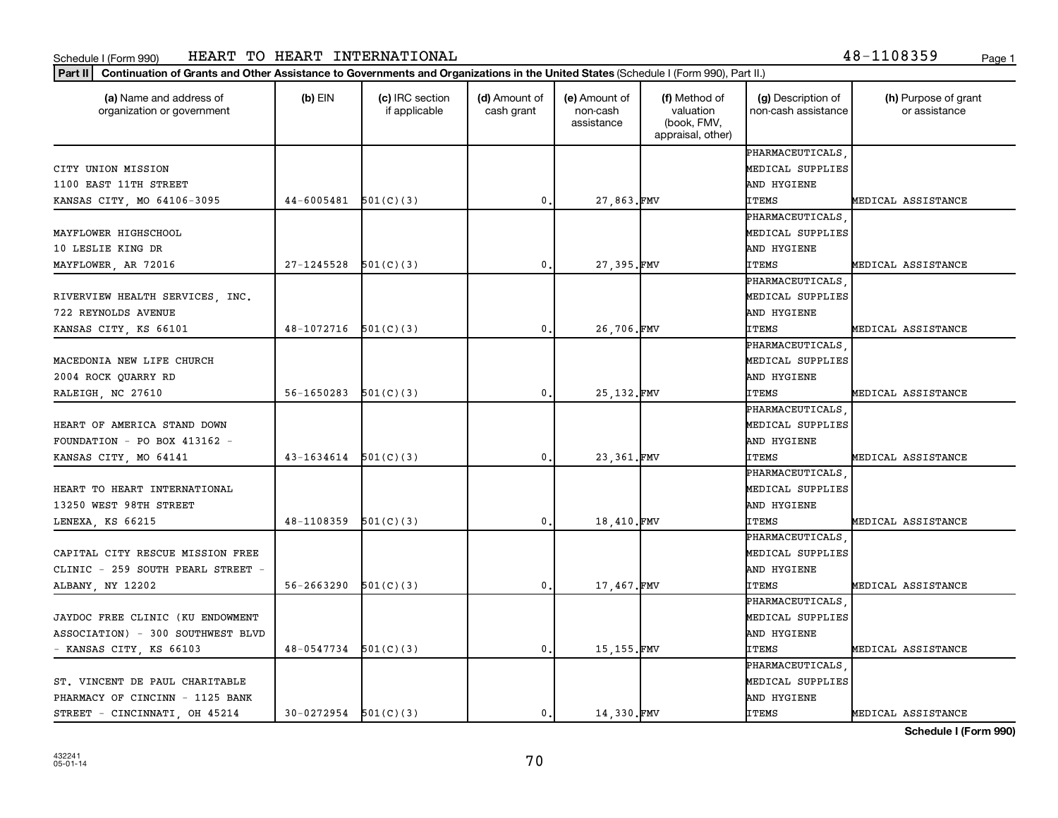| (a) Name and address of<br>organization or government | $(b)$ EIN                | (c) IRC section<br>if applicable | (d) Amount of<br>cash grant | (e) Amount of<br>non-cash<br>assistance | (f) Method of<br>valuation<br>(book, FMV,<br>appraisal, other) | (g) Description of<br>non-cash assistance | (h) Purpose of grant<br>or assistance |
|-------------------------------------------------------|--------------------------|----------------------------------|-----------------------------|-----------------------------------------|----------------------------------------------------------------|-------------------------------------------|---------------------------------------|
|                                                       |                          |                                  |                             |                                         |                                                                | PHARMACEUTICALS                           |                                       |
| CITY UNION MISSION                                    |                          |                                  |                             |                                         |                                                                | MEDICAL SUPPLIES                          |                                       |
| 1100 EAST 11TH STREET                                 |                          |                                  |                             |                                         |                                                                | AND HYGIENE                               |                                       |
| KANSAS CITY, MO 64106-3095                            | 44-6005481               | 501(C)(3)                        | 0                           | 27,863.FMV                              |                                                                | <b>ITEMS</b>                              | MEDICAL ASSISTANCE                    |
|                                                       |                          |                                  |                             |                                         |                                                                | PHARMACEUTICALS                           |                                       |
| MAYFLOWER HIGHSCHOOL                                  |                          |                                  |                             |                                         |                                                                | MEDICAL SUPPLIES                          |                                       |
| 10 LESLIE KING DR                                     |                          |                                  |                             |                                         |                                                                | AND HYGIENE                               |                                       |
| MAYFLOWER, AR 72016                                   | 27-1245528               | 501(C)(3)                        | $\mathbf{0}$                | 27,395.FMV                              |                                                                | <b>ITEMS</b>                              | MEDICAL ASSISTANCE                    |
|                                                       |                          |                                  |                             |                                         |                                                                | PHARMACEUTICALS                           |                                       |
| RIVERVIEW HEALTH SERVICES, INC.                       |                          |                                  |                             |                                         |                                                                | MEDICAL SUPPLIES                          |                                       |
| 722 REYNOLDS AVENUE                                   |                          |                                  |                             |                                         |                                                                | AND HYGIENE                               |                                       |
| KANSAS CITY, KS 66101                                 | 48-1072716               | 501(C)(3)                        | 0,                          | 26,706.FMV                              |                                                                | <b>ITEMS</b>                              | MEDICAL ASSISTANCE                    |
|                                                       |                          |                                  |                             |                                         |                                                                | PHARMACEUTICALS                           |                                       |
| MACEDONIA NEW LIFE CHURCH                             |                          |                                  |                             |                                         |                                                                | MEDICAL SUPPLIES                          |                                       |
| 2004 ROCK QUARRY RD                                   |                          |                                  |                             |                                         |                                                                | AND HYGIENE                               |                                       |
| RALEIGH, NC 27610                                     | 56-1650283               | 501(C)(3)                        | 0                           | 25, 132. FMV                            |                                                                | <b>ITEMS</b>                              | MEDICAL ASSISTANCE                    |
|                                                       |                          |                                  |                             |                                         |                                                                | PHARMACEUTICALS                           |                                       |
| HEART OF AMERICA STAND DOWN                           |                          |                                  |                             |                                         |                                                                | MEDICAL SUPPLIES                          |                                       |
| FOUNDATION - PO BOX 413162 -                          |                          |                                  |                             |                                         |                                                                | AND HYGIENE                               |                                       |
| KANSAS CITY, MO 64141                                 | 43-1634614               | 501(C)(3)                        | 0                           | 23,361.FMV                              |                                                                | <b>ITEMS</b>                              | MEDICAL ASSISTANCE                    |
|                                                       |                          |                                  |                             |                                         |                                                                | PHARMACEUTICALS                           |                                       |
| HEART TO HEART INTERNATIONAL                          |                          |                                  |                             |                                         |                                                                | MEDICAL SUPPLIES                          |                                       |
| 13250 WEST 98TH STREET                                |                          |                                  |                             |                                         |                                                                | AND HYGIENE                               |                                       |
| LENEXA, KS 66215                                      | 48-1108359               | 501(C)(3)                        | 0                           | 18,410.FMV                              |                                                                | <b>ITEMS</b>                              | MEDICAL ASSISTANCE                    |
|                                                       |                          |                                  |                             |                                         |                                                                | PHARMACEUTICALS                           |                                       |
| CAPITAL CITY RESCUE MISSION FREE                      |                          |                                  |                             |                                         |                                                                | MEDICAL SUPPLIES                          |                                       |
| CLINIC - 259 SOUTH PEARL STREET -                     |                          |                                  |                             |                                         |                                                                | AND HYGIENE                               |                                       |
| ALBANY, NY 12202                                      | 56-2663290               | 501(C)(3)                        | $\mathbf{0}$                | 17,467.FMV                              |                                                                | <b>ITEMS</b>                              | MEDICAL ASSISTANCE                    |
|                                                       |                          |                                  |                             |                                         |                                                                | PHARMACEUTICALS                           |                                       |
| JAYDOC FREE CLINIC (KU ENDOWMENT                      |                          |                                  |                             |                                         |                                                                | MEDICAL SUPPLIES                          |                                       |
| ASSOCIATION) - 300 SOUTHWEST BLVD                     |                          |                                  |                             |                                         |                                                                | AND HYGIENE                               |                                       |
| - KANSAS CITY, KS 66103                               | $48-0547734$ $501(C)(3)$ |                                  | $\mathbf{0}$ .              | 15,155.FMV                              |                                                                | <b>ITEMS</b>                              | MEDICAL ASSISTANCE                    |
|                                                       |                          |                                  |                             |                                         |                                                                | PHARMACEUTICALS                           |                                       |
| ST. VINCENT DE PAUL CHARITABLE                        |                          |                                  |                             |                                         |                                                                | MEDICAL SUPPLIES                          |                                       |
| PHARMACY OF CINCINN - 1125 BANK                       |                          |                                  |                             |                                         |                                                                | AND HYGIENE                               |                                       |
| STREET - CINCINNATI, OH 45214                         | $30-0272954$ $501(C)(3)$ |                                  | $\mathbf{0}$ .              | 14.330.FMV                              |                                                                | <b>ITEMS</b>                              | MEDICAL ASSISTANCE                    |
|                                                       |                          |                                  |                             |                                         |                                                                |                                           |                                       |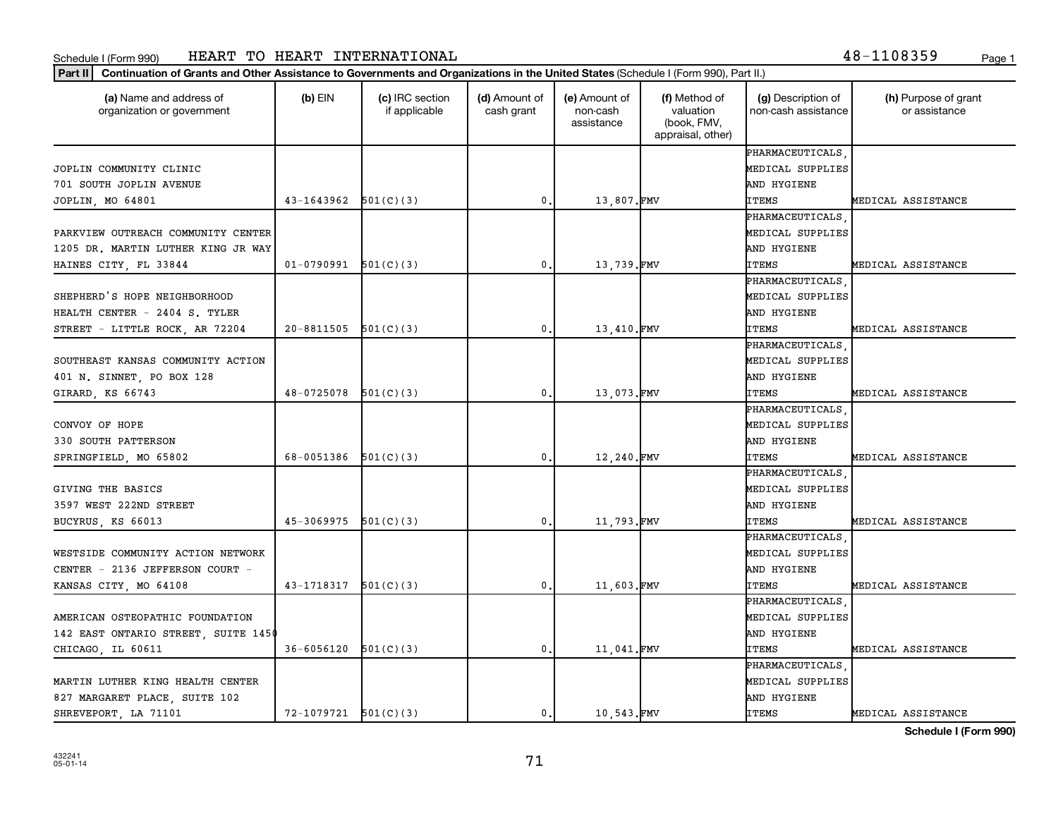|  |  | 8-1108359! | Page |
|--|--|------------|------|
|  |  |            |      |

| (a) Name and address of<br>organization or government | $(b)$ EIN                  | (c) IRC section<br>if applicable | (d) Amount of<br>cash grant | (e) Amount of<br>non-cash<br>assistance | (f) Method of<br>valuation<br>(book, FMV,<br>appraisal, other) | (g) Description of<br>non-cash assistance | (h) Purpose of grant<br>or assistance |
|-------------------------------------------------------|----------------------------|----------------------------------|-----------------------------|-----------------------------------------|----------------------------------------------------------------|-------------------------------------------|---------------------------------------|
|                                                       |                            |                                  |                             |                                         |                                                                | PHARMACEUTICALS                           |                                       |
| JOPLIN COMMUNITY CLINIC                               |                            |                                  |                             |                                         |                                                                | MEDICAL SUPPLIES                          |                                       |
| 701 SOUTH JOPLIN AVENUE                               |                            |                                  |                             |                                         |                                                                | AND HYGIENE                               |                                       |
| JOPLIN, MO 64801                                      | 43-1643962                 | 501(C)(3)                        | 0                           | 13,807.FMV                              |                                                                | <b>ITEMS</b>                              | MEDICAL ASSISTANCE                    |
|                                                       |                            |                                  |                             |                                         |                                                                | PHARMACEUTICALS                           |                                       |
| PARKVIEW OUTREACH COMMUNITY CENTER                    |                            |                                  |                             |                                         |                                                                | MEDICAL SUPPLIES                          |                                       |
| 1205 DR. MARTIN LUTHER KING JR WAY                    |                            |                                  |                             |                                         |                                                                | AND HYGIENE                               |                                       |
| HAINES CITY, FL 33844                                 | 01-0790991                 | 501(C)(3)                        | 0.                          | 13,739.FMV                              |                                                                | <b>ITEMS</b>                              | MEDICAL ASSISTANCE                    |
|                                                       |                            |                                  |                             |                                         |                                                                | PHARMACEUTICALS                           |                                       |
| SHEPHERD'S HOPE NEIGHBORHOOD                          |                            |                                  |                             |                                         |                                                                | MEDICAL SUPPLIES                          |                                       |
| HEALTH CENTER - 2404 S. TYLER                         |                            |                                  |                             |                                         |                                                                | AND HYGIENE                               |                                       |
| STREET - LITTLE ROCK, AR 72204                        | $20 - 8811505$ $501(C)(3)$ |                                  | $\mathfrak{o}$ .            | 13,410.FMV                              |                                                                | <b>ITEMS</b>                              | MEDICAL ASSISTANCE                    |
|                                                       |                            |                                  |                             |                                         |                                                                | PHARMACEUTICALS                           |                                       |
| SOUTHEAST KANSAS COMMUNITY ACTION                     |                            |                                  |                             |                                         |                                                                | MEDICAL SUPPLIES                          |                                       |
| 401 N. SINNET, PO BOX 128                             |                            |                                  |                             |                                         |                                                                | AND HYGIENE                               |                                       |
| GIRARD, KS 66743                                      | 48-0725078                 | 501(C)(3)                        | $\mathbf 0$                 | 13,073.FMV                              |                                                                | <b>ITEMS</b>                              | MEDICAL ASSISTANCE                    |
|                                                       |                            |                                  |                             |                                         |                                                                | PHARMACEUTICALS                           |                                       |
| CONVOY OF HOPE                                        |                            |                                  |                             |                                         |                                                                | MEDICAL SUPPLIES                          |                                       |
| 330 SOUTH PATTERSON                                   |                            |                                  |                             |                                         |                                                                | AND HYGIENE                               |                                       |
| SPRINGFIELD, MO 65802                                 | 68-0051386                 | 501(C)(3)                        | $\mathbf{0}$                | 12,240.FMV                              |                                                                | <b>ITEMS</b>                              | MEDICAL ASSISTANCE                    |
|                                                       |                            |                                  |                             |                                         |                                                                | PHARMACEUTICALS                           |                                       |
| GIVING THE BASICS                                     |                            |                                  |                             |                                         |                                                                | MEDICAL SUPPLIES                          |                                       |
| 3597 WEST 222ND STREET                                |                            |                                  |                             |                                         |                                                                | AND HYGIENE                               |                                       |
| BUCYRUS, KS 66013                                     | 45-3069975                 | 501(C)(3)                        | $\mathbf 0$                 | 11,793.FMV                              |                                                                | <b>ITEMS</b>                              | MEDICAL ASSISTANCE                    |
|                                                       |                            |                                  |                             |                                         |                                                                | PHARMACEUTICALS                           |                                       |
| WESTSIDE COMMUNITY ACTION NETWORK                     |                            |                                  |                             |                                         |                                                                | MEDICAL SUPPLIES                          |                                       |
| CENTER - 2136 JEFFERSON COURT -                       |                            |                                  |                             |                                         |                                                                | AND HYGIENE                               |                                       |
| KANSAS CITY, MO 64108                                 | 43-1718317                 | 501(C)(3)                        | $\mathbf{0}$                | 11,603.FMV                              |                                                                | <b>ITEMS</b>                              | MEDICAL ASSISTANCE                    |
|                                                       |                            |                                  |                             |                                         |                                                                | PHARMACEUTICALS                           |                                       |
| AMERICAN OSTEOPATHIC FOUNDATION                       |                            |                                  |                             |                                         |                                                                | MEDICAL SUPPLIES                          |                                       |
| 142 EAST ONTARIO STREET, SUITE 1450                   |                            |                                  |                             |                                         |                                                                | AND HYGIENE                               |                                       |
| CHICAGO, IL 60611                                     | 36-6056120                 | 501(C)(3)                        | 0                           | 11,041.FMV                              |                                                                | <b>ITEMS</b>                              | MEDICAL ASSISTANCE                    |
|                                                       |                            |                                  |                             |                                         |                                                                | PHARMACEUTICALS                           |                                       |
| MARTIN LUTHER KING HEALTH CENTER                      |                            |                                  |                             |                                         |                                                                | MEDICAL SUPPLIES                          |                                       |
| 827 MARGARET PLACE, SUITE 102                         |                            |                                  |                             |                                         |                                                                | AND HYGIENE                               |                                       |
| SHREVEPORT, LA 71101                                  | $72 - 1079721$ $501(C)(3)$ |                                  | 0.                          | 10.543.FMV                              |                                                                | <b>ITEMS</b>                              | MEDICAL ASSISTANCE                    |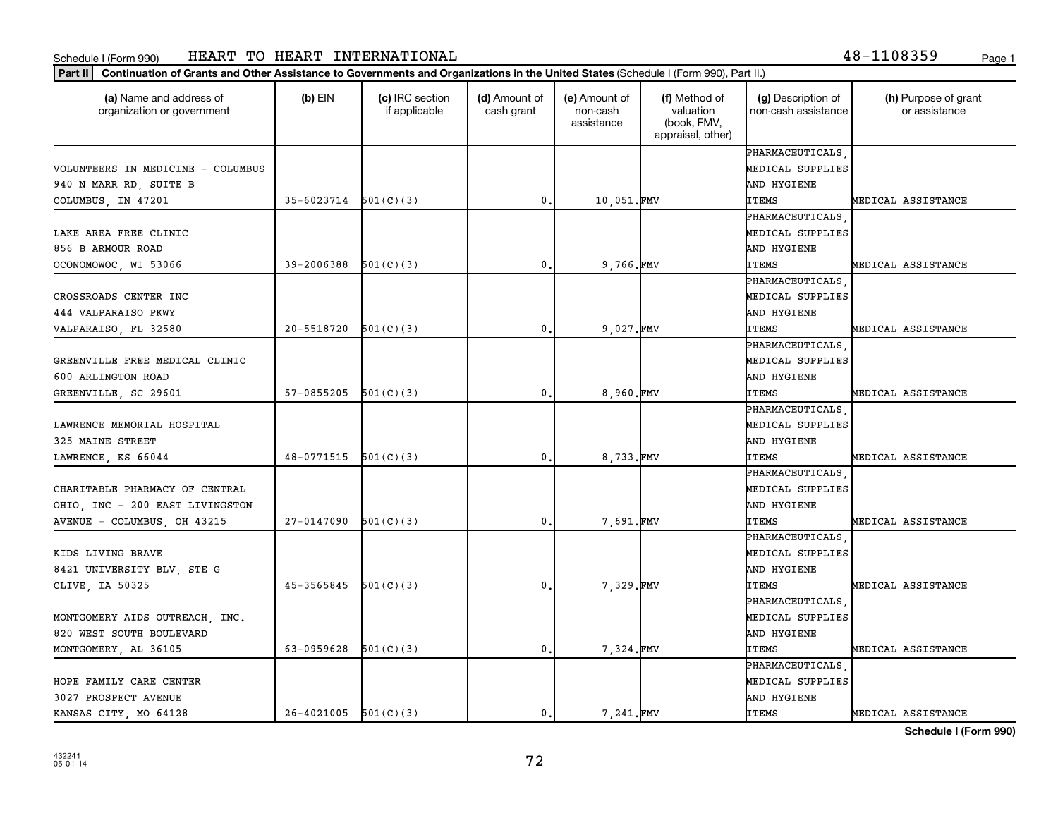| (a) Name and address of<br>organization or government | $(b)$ EIN                  | (c) IRC section<br>if applicable | (d) Amount of<br>cash grant | (e) Amount of<br>non-cash<br>assistance | (f) Method of<br>valuation<br>(book, FMV,<br>appraisal, other) | (g) Description of<br>non-cash assistance | (h) Purpose of grant<br>or assistance |
|-------------------------------------------------------|----------------------------|----------------------------------|-----------------------------|-----------------------------------------|----------------------------------------------------------------|-------------------------------------------|---------------------------------------|
|                                                       |                            |                                  |                             |                                         |                                                                | PHARMACEUTICALS                           |                                       |
| VOLUNTEERS IN MEDICINE - COLUMBUS                     |                            |                                  |                             |                                         |                                                                | MEDICAL SUPPLIES                          |                                       |
| 940 N MARR RD, SUITE B                                |                            |                                  |                             |                                         |                                                                | AND HYGIENE                               |                                       |
| COLUMBUS, IN 47201                                    | $35 - 6023714$ $501(C)(3)$ |                                  | 0                           | 10,051.FMV                              |                                                                | <b>ITEMS</b>                              | MEDICAL ASSISTANCE                    |
|                                                       |                            |                                  |                             |                                         |                                                                | PHARMACEUTICALS                           |                                       |
| LAKE AREA FREE CLINIC                                 |                            |                                  |                             |                                         |                                                                | MEDICAL SUPPLIES                          |                                       |
| 856 B ARMOUR ROAD                                     |                            |                                  |                             |                                         |                                                                | AND HYGIENE                               |                                       |
| OCONOMOWOC, WI 53066                                  | 39-2006388                 | 501(C)(3)                        | $\mathbf{0}$ .              | 9,766.FMV                               |                                                                | <b>ITEMS</b>                              | MEDICAL ASSISTANCE                    |
|                                                       |                            |                                  |                             |                                         |                                                                | PHARMACEUTICALS                           |                                       |
| CROSSROADS CENTER INC                                 |                            |                                  |                             |                                         |                                                                | MEDICAL SUPPLIES                          |                                       |
| 444 VALPARAISO PKWY                                   |                            |                                  |                             |                                         |                                                                | AND HYGIENE                               |                                       |
| VALPARAISO, FL 32580                                  | 20-5518720                 | 501(C)(3)                        | $\mathbf{0}$ .              | 9,027.FMV                               |                                                                | <b>ITEMS</b>                              | MEDICAL ASSISTANCE                    |
|                                                       |                            |                                  |                             |                                         |                                                                | PHARMACEUTICALS                           |                                       |
| GREENVILLE FREE MEDICAL CLINIC                        |                            |                                  |                             |                                         |                                                                | MEDICAL SUPPLIES                          |                                       |
| 600 ARLINGTON ROAD                                    |                            |                                  |                             |                                         |                                                                | AND HYGIENE                               |                                       |
| GREENVILLE, SC 29601                                  | 57-0855205                 | 501(C)(3)                        | 0                           | 8,960.FMV                               |                                                                | <b>ITEMS</b>                              | MEDICAL ASSISTANCE                    |
|                                                       |                            |                                  |                             |                                         |                                                                | PHARMACEUTICALS                           |                                       |
| LAWRENCE MEMORIAL HOSPITAL                            |                            |                                  |                             |                                         |                                                                | MEDICAL SUPPLIES                          |                                       |
| 325 MAINE STREET                                      |                            |                                  |                             |                                         |                                                                | AND HYGIENE                               |                                       |
| LAWRENCE, KS 66044                                    | 48-0771515                 | 501(C)(3)                        | $\mathbf{0}$ .              | 8,733.FMV                               |                                                                | <b>ITEMS</b>                              | MEDICAL ASSISTANCE                    |
|                                                       |                            |                                  |                             |                                         |                                                                | PHARMACEUTICALS                           |                                       |
| CHARITABLE PHARMACY OF CENTRAL                        |                            |                                  |                             |                                         |                                                                | MEDICAL SUPPLIES                          |                                       |
| OHIO, INC - 200 EAST LIVINGSTON                       |                            |                                  |                             |                                         |                                                                | AND HYGIENE                               |                                       |
| AVENUE - COLUMBUS, OH 43215                           | 27-0147090                 | 501(C)(3)                        | $\mathbf{0}$ .              | 7,691.FMV                               |                                                                | ITEMS                                     | MEDICAL ASSISTANCE                    |
|                                                       |                            |                                  |                             |                                         |                                                                | PHARMACEUTICALS                           |                                       |
| KIDS LIVING BRAVE                                     |                            |                                  |                             |                                         |                                                                | MEDICAL SUPPLIES                          |                                       |
| 8421 UNIVERSITY BLV, STE G                            |                            |                                  |                             |                                         |                                                                | AND HYGIENE                               |                                       |
| CLIVE, IA 50325                                       | 45-3565845                 | 501(C)(3)                        | 0                           | 7,329.FMV                               |                                                                | <b>ITEMS</b>                              | MEDICAL ASSISTANCE                    |
|                                                       |                            |                                  |                             |                                         |                                                                | PHARMACEUTICALS                           |                                       |
| MONTGOMERY AIDS OUTREACH, INC.                        |                            |                                  |                             |                                         |                                                                | MEDICAL SUPPLIES                          |                                       |
| 820 WEST SOUTH BOULEVARD                              |                            |                                  |                             |                                         |                                                                | AND HYGIENE                               |                                       |
| MONTGOMERY, AL 36105                                  | 63-0959628                 | 501(C)(3)                        | 0.                          | 7,324.FMV                               |                                                                | ITEMS                                     | MEDICAL ASSISTANCE                    |
|                                                       |                            |                                  |                             |                                         |                                                                | PHARMACEUTICALS                           |                                       |
| HOPE FAMILY CARE CENTER                               |                            |                                  |                             |                                         |                                                                | MEDICAL SUPPLIES                          |                                       |
| 3027 PROSPECT AVENUE                                  |                            |                                  |                             |                                         |                                                                | AND HYGIENE                               |                                       |
| KANSAS CITY, MO 64128                                 | $26-4021005$ $501(C)(3)$   |                                  | $\mathbf{0}$ .              | 7,241.FMV                               |                                                                | <b>ITEMS</b>                              | MEDICAL ASSISTANCE                    |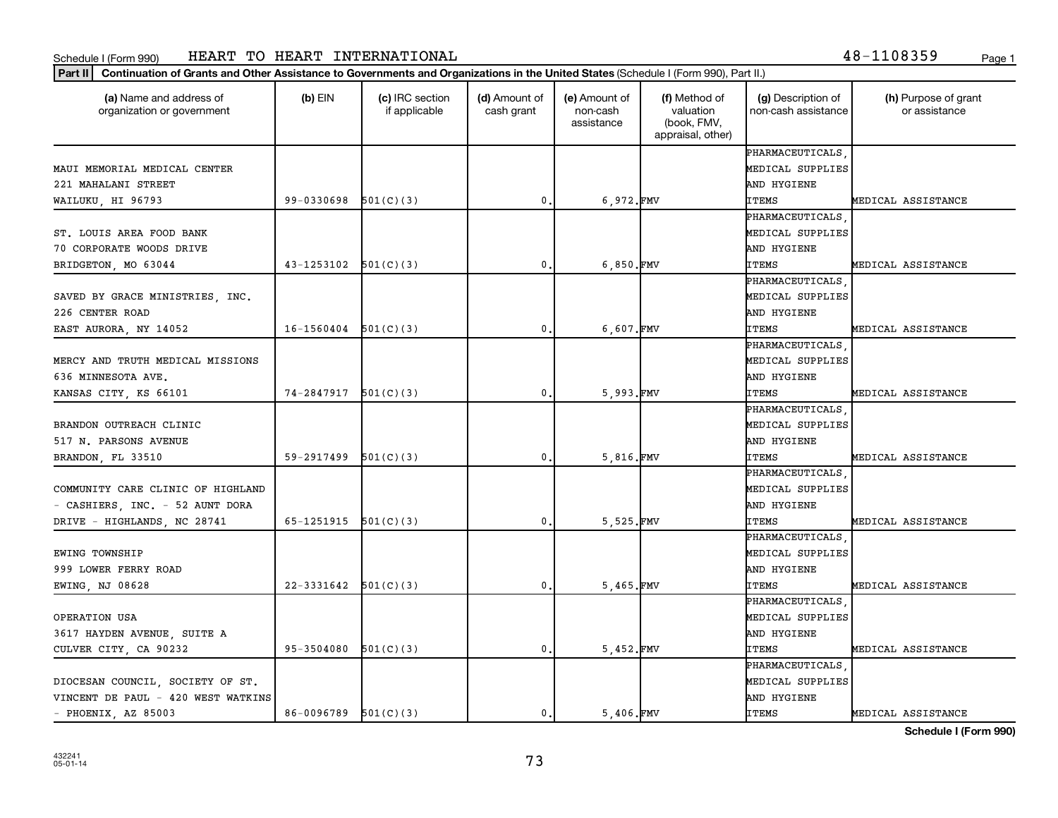### Schedule I (Form 990) HEAR'I' TO HEAR'I' IN'I'ERNA'I'IONALı ili alik altında 1990 - 1999 - Page 1 HEART TO HEART INTERNATIONAL 48-1108359

|  |  | 8-1108359! | Page |
|--|--|------------|------|
|  |  |            |      |

| (a) Name and address of<br>organization or government | $(b)$ EIN                  | (c) IRC section<br>if applicable | (d) Amount of<br>cash grant | (e) Amount of<br>non-cash<br>assistance | (f) Method of<br>valuation<br>(book, FMV,<br>appraisal, other) | (g) Description of<br>non-cash assistance | (h) Purpose of grant<br>or assistance |
|-------------------------------------------------------|----------------------------|----------------------------------|-----------------------------|-----------------------------------------|----------------------------------------------------------------|-------------------------------------------|---------------------------------------|
|                                                       |                            |                                  |                             |                                         |                                                                | PHARMACEUTICALS                           |                                       |
| MAUI MEMORIAL MEDICAL CENTER                          |                            |                                  |                             |                                         |                                                                | MEDICAL SUPPLIES                          |                                       |
| 221 MAHALANI STREET                                   |                            |                                  |                             |                                         |                                                                | AND HYGIENE                               |                                       |
| WAILUKU, HI 96793                                     | 99-0330698                 | 501(C)(3)                        | $\mathbf{0}$                | 6,972.FMV                               |                                                                | <b>ITEMS</b>                              | MEDICAL ASSISTANCE                    |
|                                                       |                            |                                  |                             |                                         |                                                                | PHARMACEUTICALS                           |                                       |
| ST. LOUIS AREA FOOD BANK                              |                            |                                  |                             |                                         |                                                                | MEDICAL SUPPLIES                          |                                       |
| 70 CORPORATE WOODS DRIVE                              |                            |                                  |                             |                                         |                                                                | AND HYGIENE                               |                                       |
| BRIDGETON, MO 63044                                   | 43-1253102                 | 501(C)(3)                        | $\mathbf{0}$ .              | $6,850.$ FMV                            |                                                                | <b>ITEMS</b>                              | MEDICAL ASSISTANCE                    |
|                                                       |                            |                                  |                             |                                         |                                                                | PHARMACEUTICALS                           |                                       |
| SAVED BY GRACE MINISTRIES, INC.                       |                            |                                  |                             |                                         |                                                                | MEDICAL SUPPLIES                          |                                       |
| 226 CENTER ROAD                                       |                            |                                  |                             |                                         |                                                                | AND HYGIENE                               |                                       |
| EAST AURORA, NY 14052                                 | $16-1560404$ $501(C)(3)$   |                                  | 0.                          | $6,607$ . FMV                           |                                                                | <b>ITEMS</b>                              | MEDICAL ASSISTANCE                    |
|                                                       |                            |                                  |                             |                                         |                                                                | PHARMACEUTICALS                           |                                       |
| MERCY AND TRUTH MEDICAL MISSIONS                      |                            |                                  |                             |                                         |                                                                | MEDICAL SUPPLIES                          |                                       |
| 636 MINNESOTA AVE.                                    |                            |                                  |                             |                                         |                                                                | AND HYGIENE                               |                                       |
| KANSAS CITY, KS 66101                                 | $74 - 2847917$ $501(C)(3)$ |                                  | $\mathbf{0}$                | 5,993.FMV                               |                                                                | <b>ITEMS</b>                              | MEDICAL ASSISTANCE                    |
|                                                       |                            |                                  |                             |                                         |                                                                | PHARMACEUTICALS                           |                                       |
| BRANDON OUTREACH CLINIC                               |                            |                                  |                             |                                         |                                                                | MEDICAL SUPPLIES                          |                                       |
| 517 N. PARSONS AVENUE                                 |                            |                                  |                             |                                         |                                                                | AND HYGIENE                               |                                       |
| BRANDON, FL 33510                                     | 59-2917499                 | 501(C)(3)                        | $\mathbf{0}$ .              | 5,816.FMV                               |                                                                | <b>ITEMS</b>                              | MEDICAL ASSISTANCE                    |
|                                                       |                            |                                  |                             |                                         |                                                                | PHARMACEUTICALS                           |                                       |
| COMMUNITY CARE CLINIC OF HIGHLAND                     |                            |                                  |                             |                                         |                                                                | MEDICAL SUPPLIES                          |                                       |
| - CASHIERS, INC. - 52 AUNT DORA                       |                            |                                  |                             |                                         |                                                                | AND HYGIENE                               |                                       |
| DRIVE - HIGHLANDS, NC 28741                           | 65-1251915                 | 501(C)(3)                        | $\mathbf{0}$ .              | 5.525.FMV                               |                                                                | <b>ITEMS</b>                              | MEDICAL ASSISTANCE                    |
|                                                       |                            |                                  |                             |                                         |                                                                | PHARMACEUTICALS                           |                                       |
| EWING TOWNSHIP                                        |                            |                                  |                             |                                         |                                                                | MEDICAL SUPPLIES                          |                                       |
| 999 LOWER FERRY ROAD                                  |                            |                                  |                             |                                         |                                                                | AND HYGIENE                               |                                       |
| EWING, NJ 08628                                       | $22 - 3331642$ $501(C)(3)$ |                                  | 0.                          | 5,465.FMV                               |                                                                | <b>ITEMS</b>                              | MEDICAL ASSISTANCE                    |
|                                                       |                            |                                  |                             |                                         |                                                                | PHARMACEUTICALS                           |                                       |
| OPERATION USA                                         |                            |                                  |                             |                                         |                                                                | MEDICAL SUPPLIES                          |                                       |
| 3617 HAYDEN AVENUE, SUITE A                           |                            |                                  |                             |                                         |                                                                | AND HYGIENE                               |                                       |
| CULVER CITY, CA 90232                                 | 95-3504080                 | 501(C)(3)                        | 0.                          | 5,452.FMV                               |                                                                | <b>ITEMS</b>                              | MEDICAL ASSISTANCE                    |
|                                                       |                            |                                  |                             |                                         |                                                                | PHARMACEUTICALS                           |                                       |
| DIOCESAN COUNCIL, SOCIETY OF ST.                      |                            |                                  |                             |                                         |                                                                | MEDICAL SUPPLIES                          |                                       |
| VINCENT DE PAUL - 420 WEST WATKINS                    |                            |                                  |                             |                                         |                                                                | AND HYGIENE                               |                                       |
| - PHOENIX, AZ 85003                                   | $86-0096789$ $501(C)(3)$   |                                  | 0.                          | 5.406.FMV                               |                                                                | <b>ITEMS</b>                              | MEDICAL ASSISTANCE                    |

**Schedule I (Form 990)**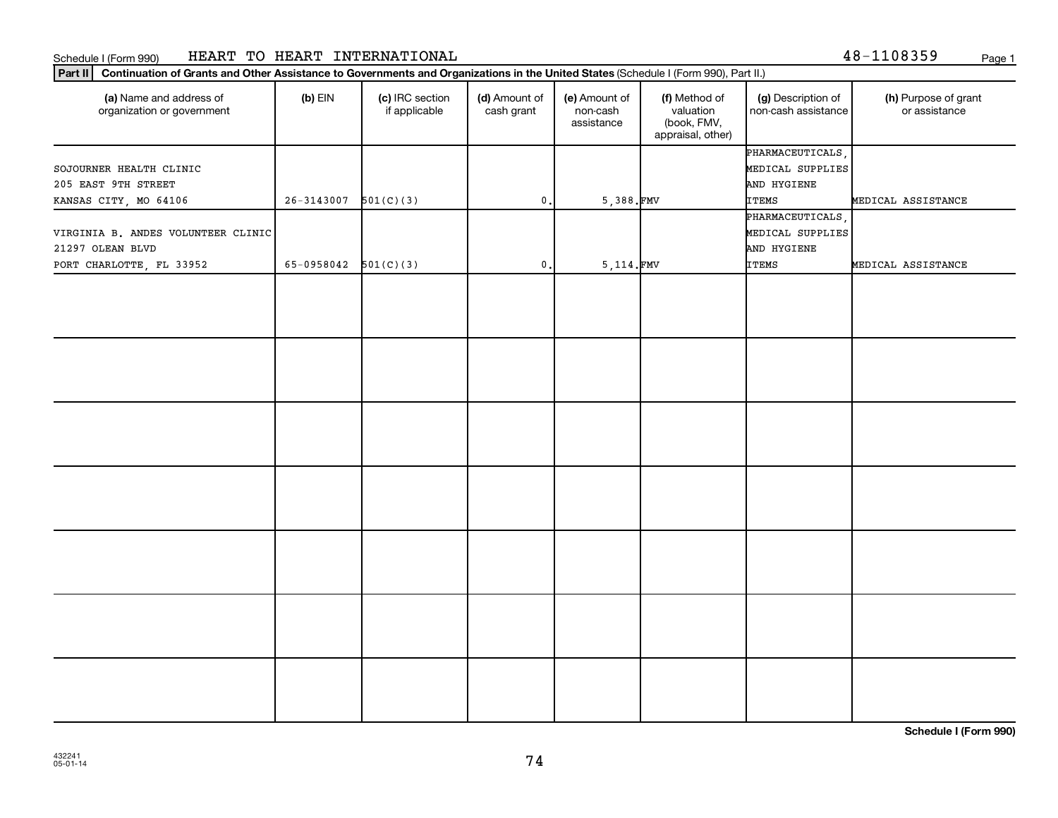## Schedule I (Form 990) HEART TO HEART INTERNATIONAL 48-1108359 <sub>Page 1</sub>

|  | 3-1108359 |  |  |  |  | Page 1 |
|--|-----------|--|--|--|--|--------|
|--|-----------|--|--|--|--|--------|

| Part II                                               | Continuation of Grants and Other Assistance to Governments and Organizations in the United States (Schedule I (Form 990), Part II.) |                                  |                             |                                         |                                                                |                                           |                                       |  |  |
|-------------------------------------------------------|-------------------------------------------------------------------------------------------------------------------------------------|----------------------------------|-----------------------------|-----------------------------------------|----------------------------------------------------------------|-------------------------------------------|---------------------------------------|--|--|
| (a) Name and address of<br>organization or government | $(b)$ EIN                                                                                                                           | (c) IRC section<br>if applicable | (d) Amount of<br>cash grant | (e) Amount of<br>non-cash<br>assistance | (f) Method of<br>valuation<br>(book, FMV,<br>appraisal, other) | (g) Description of<br>non-cash assistance | (h) Purpose of grant<br>or assistance |  |  |
|                                                       |                                                                                                                                     |                                  |                             |                                         |                                                                | PHARMACEUTICALS,                          |                                       |  |  |
| SOJOURNER HEALTH CLINIC                               |                                                                                                                                     |                                  |                             |                                         |                                                                | MEDICAL SUPPLIES                          |                                       |  |  |
| 205 EAST 9TH STREET                                   |                                                                                                                                     |                                  |                             |                                         |                                                                | AND HYGIENE                               |                                       |  |  |
| KANSAS CITY, MO 64106                                 | $26-3143007$ 501(C)(3)                                                                                                              |                                  | 0.                          | $5,388.$ FMV                            |                                                                | <b>ITEMS</b>                              | MEDICAL ASSISTANCE                    |  |  |
|                                                       |                                                                                                                                     |                                  |                             |                                         |                                                                | PHARMACEUTICALS,                          |                                       |  |  |
| VIRGINIA B. ANDES VOLUNTEER CLINIC                    |                                                                                                                                     |                                  |                             |                                         |                                                                | MEDICAL SUPPLIES                          |                                       |  |  |
| 21297 OLEAN BLVD                                      |                                                                                                                                     |                                  |                             |                                         |                                                                | AND HYGIENE                               |                                       |  |  |
| PORT CHARLOTTE, FL 33952                              | 65-0958042 $501(C)(3)$                                                                                                              |                                  | $\mathbf{0}$ .              | 5,114.FMV                               |                                                                | <b>ITEMS</b>                              | MEDICAL ASSISTANCE                    |  |  |
|                                                       |                                                                                                                                     |                                  |                             |                                         |                                                                |                                           |                                       |  |  |
|                                                       |                                                                                                                                     |                                  |                             |                                         |                                                                |                                           |                                       |  |  |
|                                                       |                                                                                                                                     |                                  |                             |                                         |                                                                |                                           |                                       |  |  |
|                                                       |                                                                                                                                     |                                  |                             |                                         |                                                                |                                           |                                       |  |  |
|                                                       |                                                                                                                                     |                                  |                             |                                         |                                                                |                                           |                                       |  |  |
|                                                       |                                                                                                                                     |                                  |                             |                                         |                                                                |                                           |                                       |  |  |
|                                                       |                                                                                                                                     |                                  |                             |                                         |                                                                |                                           |                                       |  |  |
|                                                       |                                                                                                                                     |                                  |                             |                                         |                                                                |                                           |                                       |  |  |

**Schedule I (Form 990)**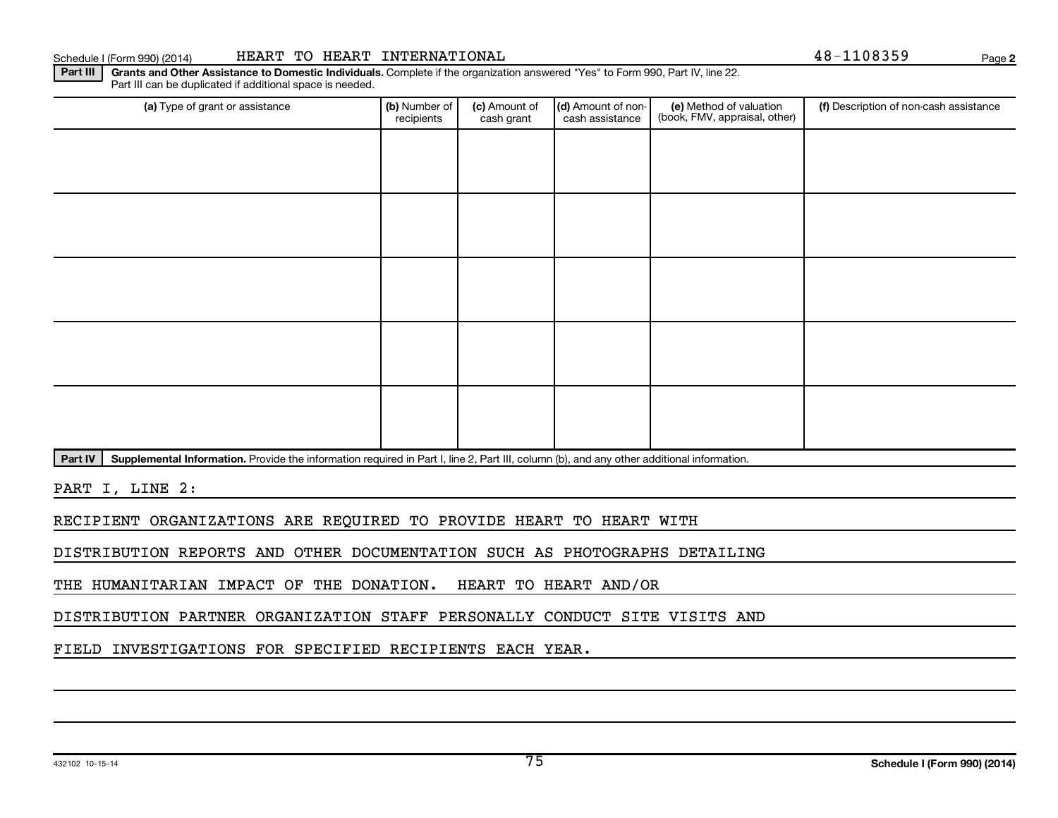(a) Type of grant or assistance **Audity Commet Audio Commet Commet Commet Commet Commet Commet Commet Commet Comme** 

(c) Amount of cash grant

Schedule I (Form 990) (2014) HEART TO HEART INTERNATIONAL **And Account 1999** 2014) Page

(d) Amount of noncash assistance

(e) Method of valuation (book, FMV, appraisal, other)

Part IV | Supplemental Information. Provide the information required in Part I, line 2, Part III, column (b), and any other additional information.

Part III | Grants and Other Assistance to Domestic Individuals. Complete if the organization answered "Yes" to Form 990, Part IV, line 22.

recipients

Part III can be duplicated if additional space is needed.

PART I, LINE 2:

RECIPIENT ORGANIZATIONS ARE REQUIRED TO PROVIDE HEART TO HEART WITH

DISTRIBUTION REPORTS AND OTHER DOCUMENTATION SUCH AS PHOTOGRAPHS DETAILING

THE HUMANITARIAN IMPACT OF THE DONATION. HEART TO HEART AND/OR

DISTRIBUTION PARTNER ORGANIZATION STAFF PERSONALLY CONDUCT SITE VISITS AND

FIELD INVESTIGATIONS FOR SPECIFIED RECIPIENTS EACH YEAR.

**2**

(f) Description of non-cash assistance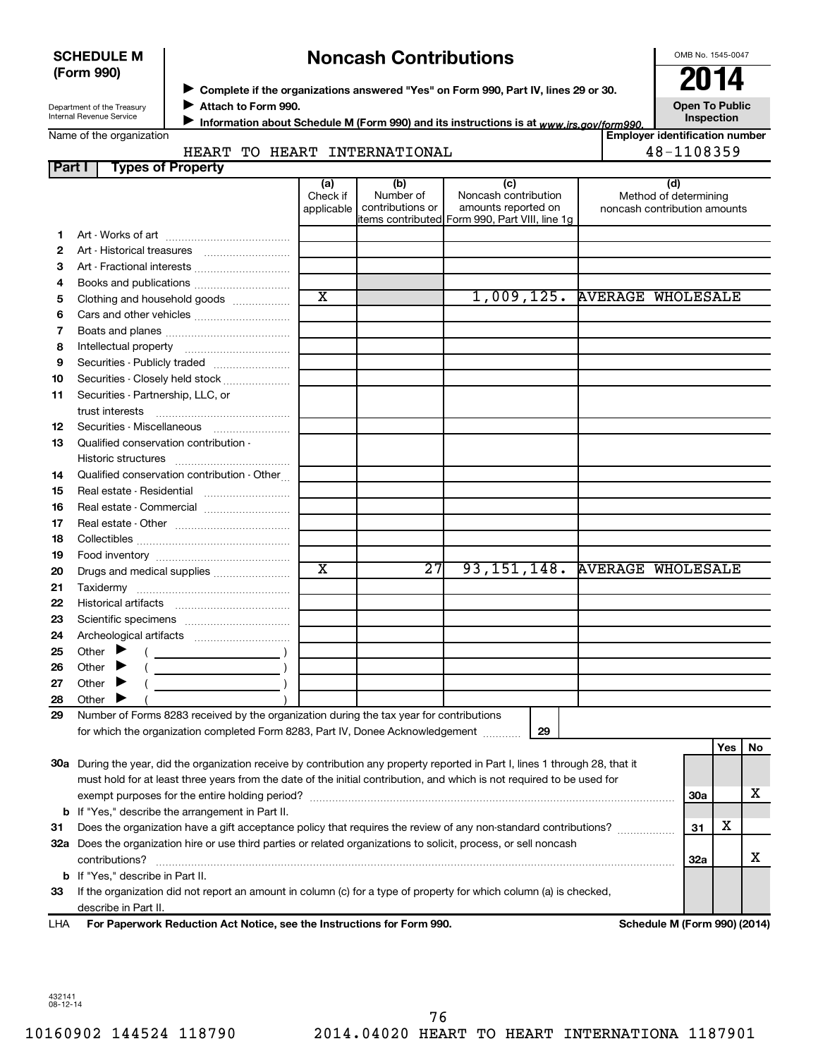| <b>SCHEDULE M</b> |  |
|-------------------|--|
| (Form 990)        |  |

# **Noncash Contributions**

OMB No. 1545-0047

Department of the Treasury Internal Revenue Service

◆ Complete if the organizations answered "Yes" on Form 990, Part IV, lines 29 or 30.<br>▶ Complete if the organizations answered "Yes" on Form 990, Part IV, lines 29 or 30. **Attach to Form 990.**  $\blacktriangleright$ 

**Open To Public**

| Name of the organization |  |
|--------------------------|--|
|--------------------------|--|

Information about Schedule M (Form 990) and its instructions is at <sub>www.irs.gov/form990.</sub> Inspection ■ Information about Schedule M (Form 990) and its instructions is at <sub>www.irs.*gov/form990.*<br>Employer identification number |<br>Figure identification number |</sub>

## **Part I Types of Property** HEART TO HEART INTERNATIONAL **48-1108359**

|     | ганн<br>i ypes or Froperty                                                                                                                                                                                                                                                                                                                                                                                                                                          |                               |                                      |                                                                                                      |                                                              |     |     |    |
|-----|---------------------------------------------------------------------------------------------------------------------------------------------------------------------------------------------------------------------------------------------------------------------------------------------------------------------------------------------------------------------------------------------------------------------------------------------------------------------|-------------------------------|--------------------------------------|------------------------------------------------------------------------------------------------------|--------------------------------------------------------------|-----|-----|----|
|     |                                                                                                                                                                                                                                                                                                                                                                                                                                                                     | (a)<br>Check if<br>applicable | (b)<br>Number of<br>contributions or | (c)<br>Noncash contribution<br>amounts reported on<br>items contributed Form 990, Part VIII, line 1g | (d)<br>Method of determining<br>noncash contribution amounts |     |     |    |
| 1.  |                                                                                                                                                                                                                                                                                                                                                                                                                                                                     |                               |                                      |                                                                                                      |                                                              |     |     |    |
| 2   |                                                                                                                                                                                                                                                                                                                                                                                                                                                                     |                               |                                      |                                                                                                      |                                                              |     |     |    |
| з   |                                                                                                                                                                                                                                                                                                                                                                                                                                                                     |                               |                                      |                                                                                                      |                                                              |     |     |    |
| 4   |                                                                                                                                                                                                                                                                                                                                                                                                                                                                     |                               |                                      |                                                                                                      |                                                              |     |     |    |
|     |                                                                                                                                                                                                                                                                                                                                                                                                                                                                     | $\overline{\text{x}}$         |                                      |                                                                                                      | 1,009,125. AVERAGE WHOLESALE                                 |     |     |    |
| 5   | Clothing and household goods                                                                                                                                                                                                                                                                                                                                                                                                                                        |                               |                                      |                                                                                                      |                                                              |     |     |    |
| 6   |                                                                                                                                                                                                                                                                                                                                                                                                                                                                     |                               |                                      |                                                                                                      |                                                              |     |     |    |
| 7   |                                                                                                                                                                                                                                                                                                                                                                                                                                                                     |                               |                                      |                                                                                                      |                                                              |     |     |    |
| 8   |                                                                                                                                                                                                                                                                                                                                                                                                                                                                     |                               |                                      |                                                                                                      |                                                              |     |     |    |
| 9   | Securities - Publicly traded                                                                                                                                                                                                                                                                                                                                                                                                                                        |                               |                                      |                                                                                                      |                                                              |     |     |    |
| 10  | Securities - Closely held stock                                                                                                                                                                                                                                                                                                                                                                                                                                     |                               |                                      |                                                                                                      |                                                              |     |     |    |
| 11  | Securities - Partnership, LLC, or                                                                                                                                                                                                                                                                                                                                                                                                                                   |                               |                                      |                                                                                                      |                                                              |     |     |    |
|     |                                                                                                                                                                                                                                                                                                                                                                                                                                                                     |                               |                                      |                                                                                                      |                                                              |     |     |    |
| 12  |                                                                                                                                                                                                                                                                                                                                                                                                                                                                     |                               |                                      |                                                                                                      |                                                              |     |     |    |
| 13  | Qualified conservation contribution -                                                                                                                                                                                                                                                                                                                                                                                                                               |                               |                                      |                                                                                                      |                                                              |     |     |    |
|     | Historic structures                                                                                                                                                                                                                                                                                                                                                                                                                                                 |                               |                                      |                                                                                                      |                                                              |     |     |    |
| 14  | Qualified conservation contribution - Other                                                                                                                                                                                                                                                                                                                                                                                                                         |                               |                                      |                                                                                                      |                                                              |     |     |    |
| 15  |                                                                                                                                                                                                                                                                                                                                                                                                                                                                     |                               |                                      |                                                                                                      |                                                              |     |     |    |
| 16  | Real estate - Commercial                                                                                                                                                                                                                                                                                                                                                                                                                                            |                               |                                      |                                                                                                      |                                                              |     |     |    |
|     |                                                                                                                                                                                                                                                                                                                                                                                                                                                                     |                               |                                      |                                                                                                      |                                                              |     |     |    |
| 17  |                                                                                                                                                                                                                                                                                                                                                                                                                                                                     |                               |                                      |                                                                                                      |                                                              |     |     |    |
| 18  |                                                                                                                                                                                                                                                                                                                                                                                                                                                                     |                               |                                      |                                                                                                      |                                                              |     |     |    |
| 19  |                                                                                                                                                                                                                                                                                                                                                                                                                                                                     | $\overline{\text{x}}$         | $\overline{27}$                      | 93, 151, 148.                                                                                        | <b>AVERAGE WHOLESALE</b>                                     |     |     |    |
| 20  | Drugs and medical supplies                                                                                                                                                                                                                                                                                                                                                                                                                                          |                               |                                      |                                                                                                      |                                                              |     |     |    |
| 21  |                                                                                                                                                                                                                                                                                                                                                                                                                                                                     |                               |                                      |                                                                                                      |                                                              |     |     |    |
| 22  |                                                                                                                                                                                                                                                                                                                                                                                                                                                                     |                               |                                      |                                                                                                      |                                                              |     |     |    |
| 23  |                                                                                                                                                                                                                                                                                                                                                                                                                                                                     |                               |                                      |                                                                                                      |                                                              |     |     |    |
| 24  |                                                                                                                                                                                                                                                                                                                                                                                                                                                                     |                               |                                      |                                                                                                      |                                                              |     |     |    |
| 25  | Other $\blacktriangleright$<br>$\left(\begin{array}{ccc}\n&\n&\n\end{array}\right)$                                                                                                                                                                                                                                                                                                                                                                                 |                               |                                      |                                                                                                      |                                                              |     |     |    |
| 26  | $(\begin{array}{cccccccccc} \textbf{0} & \textbf{0} & \textbf{0} & \textbf{0} & \textbf{0} & \textbf{0} & \textbf{0} & \textbf{0} & \textbf{0} & \textbf{0} & \textbf{0} & \textbf{0} & \textbf{0} & \textbf{0} & \textbf{0} & \textbf{0} & \textbf{0} & \textbf{0} & \textbf{0} & \textbf{0} & \textbf{0} & \textbf{0} & \textbf{0} & \textbf{0} & \textbf{0} & \textbf{0} & \textbf{0} & \textbf{0} & \textbf{0} & \textbf{0} & \$<br>Other $\blacktriangleright$ |                               |                                      |                                                                                                      |                                                              |     |     |    |
| 27  | Other $\blacktriangleright$                                                                                                                                                                                                                                                                                                                                                                                                                                         |                               |                                      |                                                                                                      |                                                              |     |     |    |
| 28  | Other                                                                                                                                                                                                                                                                                                                                                                                                                                                               |                               |                                      |                                                                                                      |                                                              |     |     |    |
| 29  | Number of Forms 8283 received by the organization during the tax year for contributions                                                                                                                                                                                                                                                                                                                                                                             |                               |                                      |                                                                                                      |                                                              |     |     |    |
|     | for which the organization completed Form 8283, Part IV, Donee Acknowledgement                                                                                                                                                                                                                                                                                                                                                                                      |                               |                                      | 29                                                                                                   |                                                              |     |     |    |
|     |                                                                                                                                                                                                                                                                                                                                                                                                                                                                     |                               |                                      |                                                                                                      |                                                              |     | Yes | No |
|     |                                                                                                                                                                                                                                                                                                                                                                                                                                                                     |                               |                                      |                                                                                                      |                                                              |     |     |    |
|     | 30a During the year, did the organization receive by contribution any property reported in Part I, lines 1 through 28, that it<br>must hold for at least three years from the date of the initial contribution, and which is not required to be used for                                                                                                                                                                                                            |                               |                                      |                                                                                                      |                                                              |     |     |    |
|     |                                                                                                                                                                                                                                                                                                                                                                                                                                                                     |                               |                                      |                                                                                                      |                                                              | 30a |     | х  |
| b   | If "Yes," describe the arrangement in Part II.                                                                                                                                                                                                                                                                                                                                                                                                                      |                               |                                      |                                                                                                      |                                                              |     |     |    |
| 31  | Does the organization have a gift acceptance policy that requires the review of any non-standard contributions?                                                                                                                                                                                                                                                                                                                                                     |                               |                                      |                                                                                                      |                                                              | 31  | х   |    |
| 32a | Does the organization hire or use third parties or related organizations to solicit, process, or sell noncash                                                                                                                                                                                                                                                                                                                                                       |                               |                                      |                                                                                                      |                                                              |     |     |    |
|     | contributions?                                                                                                                                                                                                                                                                                                                                                                                                                                                      |                               |                                      |                                                                                                      |                                                              | 32a |     | х  |
|     |                                                                                                                                                                                                                                                                                                                                                                                                                                                                     |                               |                                      |                                                                                                      |                                                              |     |     |    |
| b   | If "Yes," describe in Part II.                                                                                                                                                                                                                                                                                                                                                                                                                                      |                               |                                      |                                                                                                      |                                                              |     |     |    |
| 33  | If the organization did not report an amount in column (c) for a type of property for which column (a) is checked,                                                                                                                                                                                                                                                                                                                                                  |                               |                                      |                                                                                                      |                                                              |     |     |    |
|     | describe in Part II.                                                                                                                                                                                                                                                                                                                                                                                                                                                |                               |                                      |                                                                                                      |                                                              |     |     |    |
| LHA | For Paperwork Reduction Act Notice, see the Instructions for Form 990.                                                                                                                                                                                                                                                                                                                                                                                              |                               |                                      |                                                                                                      | Schedule M (Form 990) (2014)                                 |     |     |    |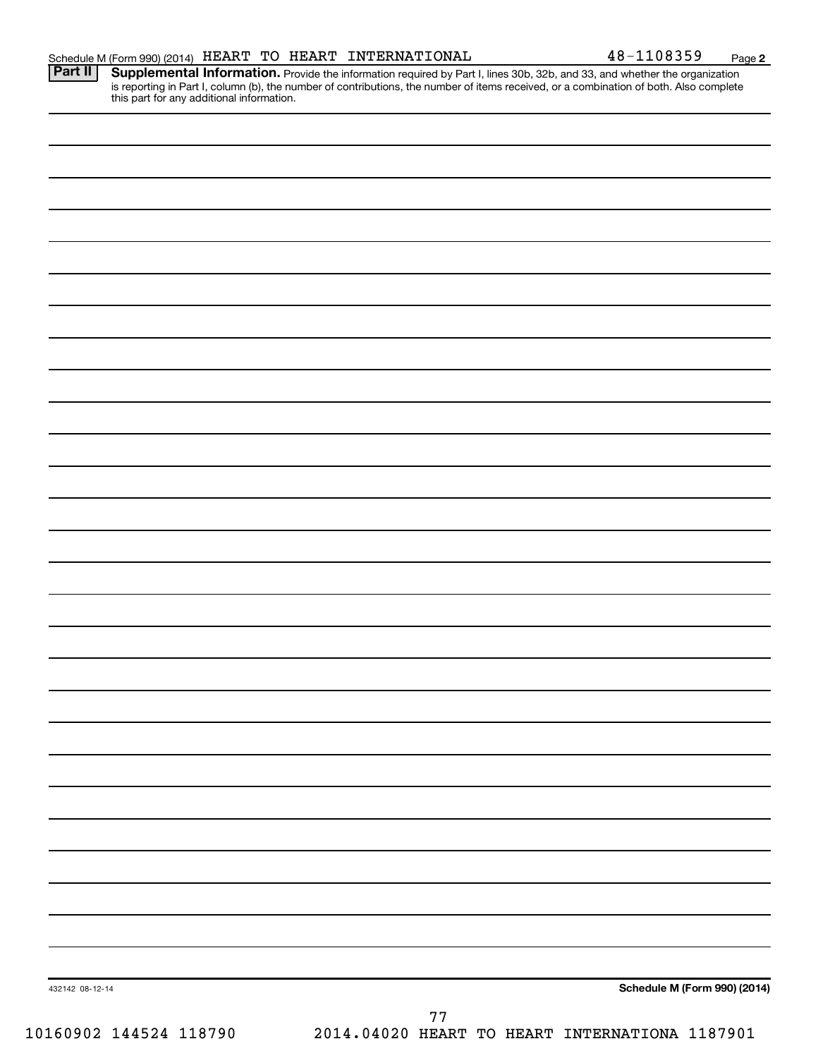**2**

Provide the information required by Part I, lines 30b, 32b, and 33, and whether the organization is reporting in Part I, column (b), the number of contributions, the number of items received, or a combination of both. Also complete this part for any additional information. **Part II Supplemental Information.** 

| 432142 08-12-14<br>10160902 144524 118790 | $7\,7$<br>2014.04020 HEART TO HEART INTERNATIONA 1187901 |
|-------------------------------------------|----------------------------------------------------------|
|                                           | Schedule M (Form 990) (2014)                             |
|                                           |                                                          |
|                                           |                                                          |
|                                           |                                                          |
|                                           |                                                          |
|                                           |                                                          |
|                                           |                                                          |
|                                           |                                                          |
|                                           |                                                          |
|                                           |                                                          |
|                                           |                                                          |
|                                           |                                                          |
|                                           |                                                          |
|                                           |                                                          |
|                                           |                                                          |
|                                           |                                                          |
|                                           |                                                          |
|                                           |                                                          |
|                                           |                                                          |
|                                           |                                                          |
|                                           |                                                          |
|                                           |                                                          |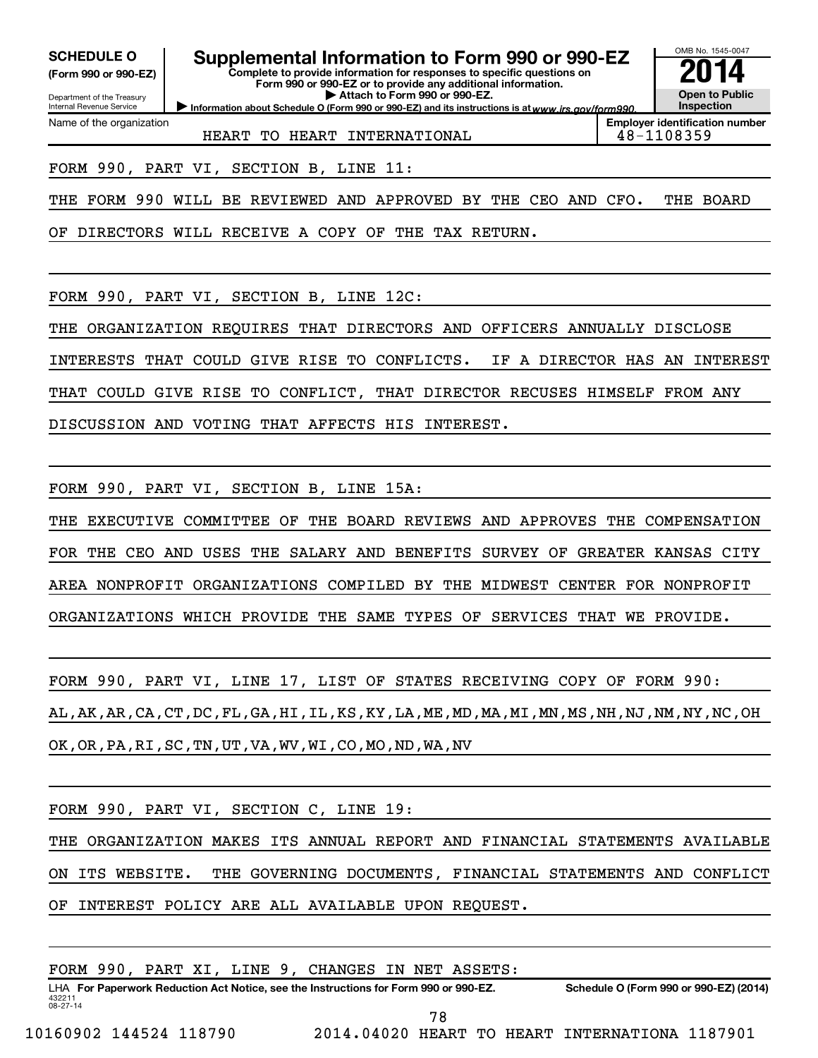**(Form 990 or 990-EZ)**

Department of the Treasury

Name of the organization

Internal Revenue Service

SCHEDULE O **Supplemental Information to Form 990 or 990-EZ 2014** 

**Complete to provide information for responses to specific questions on Form 990 or 990-EZ or to provide any additional information. | Attach to Form 990 or 990-EZ.**

OMB No. 1545-0047

**Open to Public Inspection Employer identification number**

Information about Schedule O (Form 990 or 990-EZ) and its instructions is at www.irs.gov/form990.

HEART TO HEART INTERNATIONAL **18-1108359** 

FORM 990, PART VI, SECTION B, LINE 11:

THE FORM 990 WILL BE REVIEWED AND APPROVED BY THE CEO AND CFO. THE BOARD

OF DIRECTORS WILL RECEIVE A COPY OF THE TAX RETURN.

FORM 990, PART VI, SECTION B, LINE 12C:

THE ORGANIZATION REQUIRES THAT DIRECTORS AND OFFICERS ANNUALLY DISCLOSE INTERESTS THAT COULD GIVE RISE TO CONFLICTS. IF A DIRECTOR HAS AN INTEREST THAT COULD GIVE RISE TO CONFLICT, THAT DIRECTOR RECUSES HIMSELF FROM ANY DISCUSSION AND VOTING THAT AFFECTS HIS INTEREST.

FORM 990, PART VI, SECTION B, LINE 15A:

THE EXECUTIVE COMMITTEE OF THE BOARD REVIEWS AND APPROVES THE COMPENSATION FOR THE CEO AND USES THE SALARY AND BENEFITS SURVEY OF GREATER KANSAS CITY AREA NONPROFIT ORGANIZATIONS COMPILED BY THE MIDWEST CENTER FOR NONPROFIT ORGANIZATIONS WHICH PROVIDE THE SAME TYPES OF SERVICES THAT WE PROVIDE.

FORM 990, PART VI, LINE 17, LIST OF STATES RECEIVING COPY OF FORM 990: AL,AK,AR,CA,CT,DC,FL,GA,HI,IL,KS,KY,LA,ME,MD,MA,MI,MN,MS,NH,NJ,NM,NY,NC,OH OK,OR,PA,RI,SC,TN,UT,VA,WV,WI,CO,MO,ND,WA,NV

FORM 990, PART VI, SECTION C, LINE 19:

THE ORGANIZATION MAKES ITS ANNUAL REPORT AND FINANCIAL STATEMENTS AVAILABLE ON ITS WEBSITE. THE GOVERNING DOCUMENTS, FINANCIAL STATEMENTS AND CONFLICT OF INTEREST POLICY ARE ALL AVAILABLE UPON REQUEST.

FORM 990, PART XI, LINE 9, CHANGES IN NET ASSETS: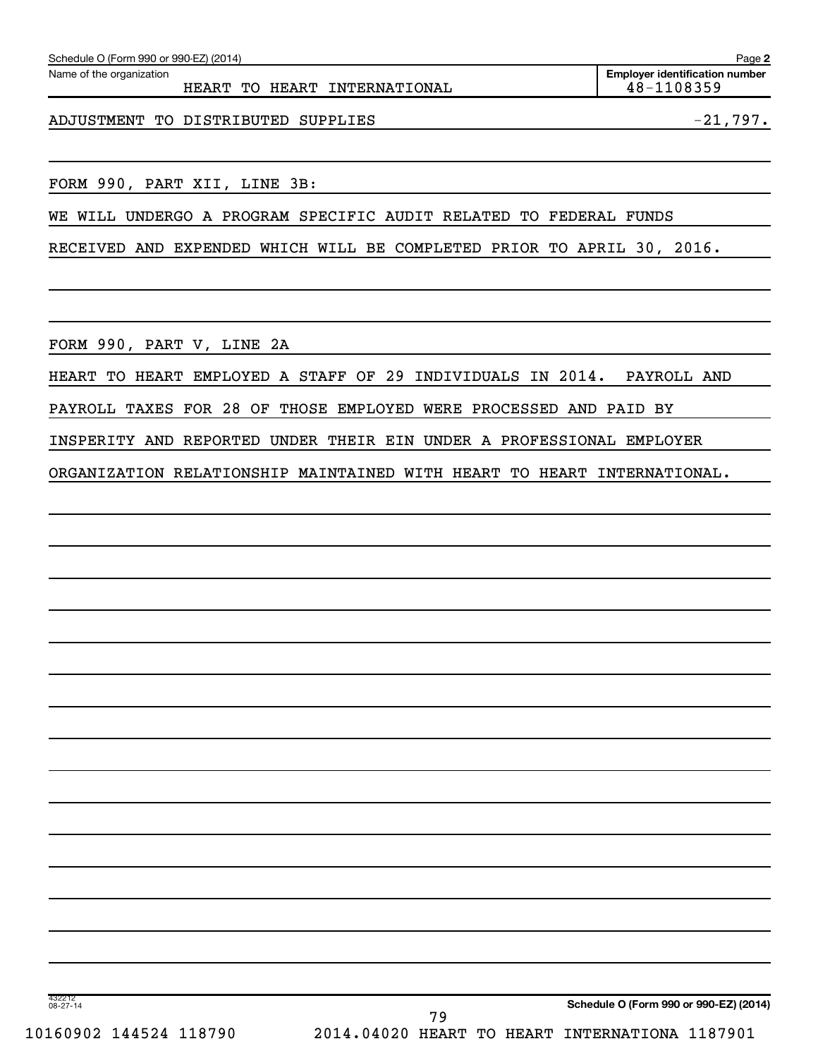| Schedule O (Form 990 or 990-EZ) (2014)                   | Page 2                                              |
|----------------------------------------------------------|-----------------------------------------------------|
| Name of the organization<br>HEART TO HEART INTERNATIONAL | <b>Employer identification number</b><br>48-1108359 |
| ADJUSTMENT TO DISTRIBUTED SUPPLIES                       | $-21,797$ .                                         |

FORM 990, PART XII, LINE 3B:

WE WILL UNDERGO A PROGRAM SPECIFIC AUDIT RELATED TO FEDERAL FUNDS

RECEIVED AND EXPENDED WHICH WILL BE COMPLETED PRIOR TO APRIL 30, 2016.

FORM 990, PART V, LINE 2A

HEART TO HEART EMPLOYED A STAFF OF 29 INDIVIDUALS IN 2014. PAYROLL AND

PAYROLL TAXES FOR 28 OF THOSE EMPLOYED WERE PROCESSED AND PAID BY

INSPERITY AND REPORTED UNDER THEIR EIN UNDER A PROFESSIONAL EMPLOYER

ORGANIZATION RELATIONSHIP MAINTAINED WITH HEART TO HEART INTERNATIONAL.

432212 08-27-14